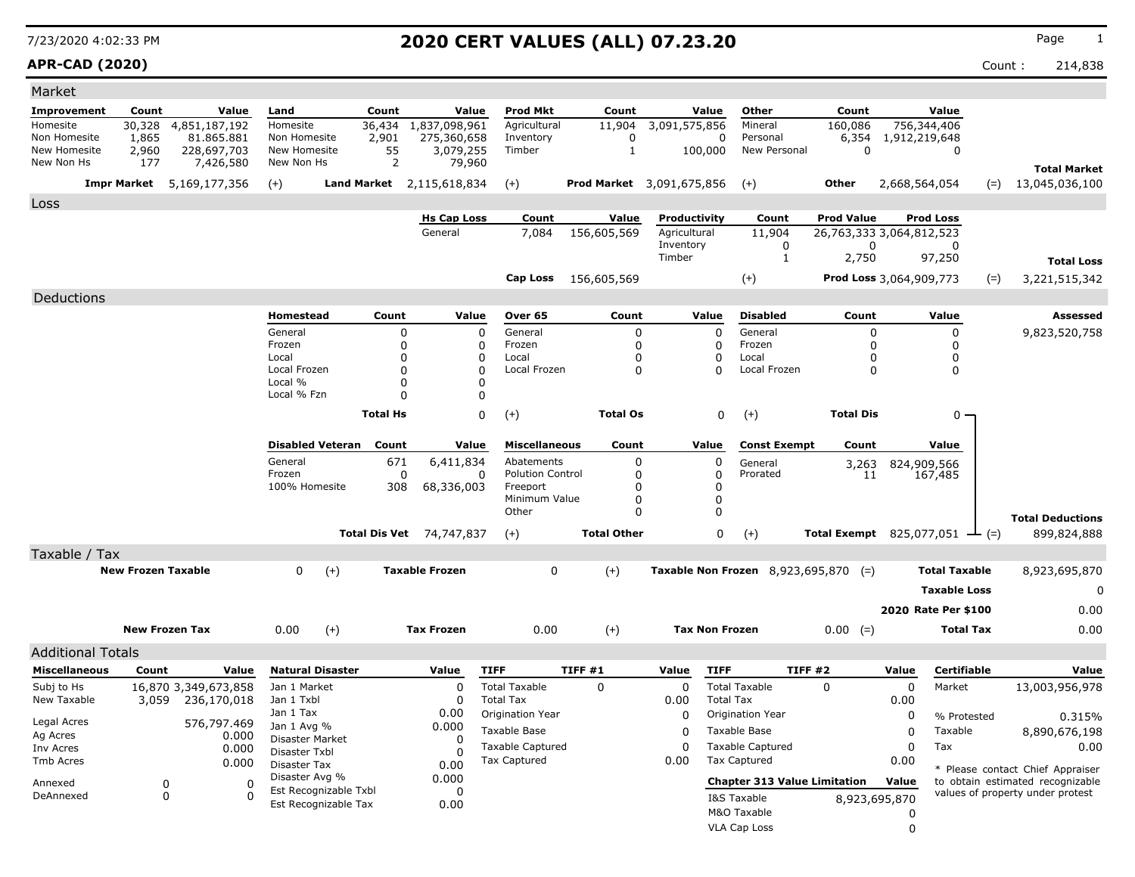**APR-CAD (2020)** Count : 214,838

| Market                       |                           |                           |                               |                         |                         |                               |                              |                           |                              |                         |                                               |                                               |                   |                      |       |                                                                      |
|------------------------------|---------------------------|---------------------------|-------------------------------|-------------------------|-------------------------|-------------------------------|------------------------------|---------------------------|------------------------------|-------------------------|-----------------------------------------------|-----------------------------------------------|-------------------|----------------------|-------|----------------------------------------------------------------------|
| <b>Improvement</b>           | Count                     | Value                     | Land                          |                         | Count                   | Value                         | <b>Prod Mkt</b>              | Count                     |                              | Value                   | Other                                         | Count                                         |                   | Value                |       |                                                                      |
| Homesite                     | 30,328                    | 4,851,187,192             | Homesite                      |                         | 36,434                  | 1,837,098,961                 | Agricultural                 | 11,904                    | 3,091,575,856                |                         | Mineral                                       | 160,086                                       |                   | 756,344,406          |       |                                                                      |
| Non Homesite<br>New Homesite | 1,865<br>2,960            | 81,865,881<br>228,697,703 | Non Homesite<br>New Homesite  |                         | 2,901<br>55             | 275,360,658<br>3,079,255      | Inventory<br>Timber          | $\Omega$<br>$\mathbf{1}$  |                              | 0<br>100,000            | Personal<br>New Personal                      | 6,354<br>$\mathbf 0$                          | 1,912,219,648     | $\Omega$             |       |                                                                      |
| New Non Hs                   | 177                       | 7,426,580                 | New Non Hs                    |                         | 2                       | 79,960                        |                              |                           |                              |                         |                                               |                                               |                   |                      |       | <b>Total Market</b>                                                  |
|                              | <b>Impr Market</b>        | 5,169,177,356             | $(+)$                         | <b>Land Market</b>      |                         | 2,115,618,834                 | $(+)$                        | Prod Market 3,091,675,856 |                              |                         | $(+)$                                         | <b>Other</b>                                  | 2,668,564,054     |                      | $(=)$ | 13,045,036,100                                                       |
|                              |                           |                           |                               |                         |                         |                               |                              |                           |                              |                         |                                               |                                               |                   |                      |       |                                                                      |
| Loss                         |                           |                           |                               |                         |                         |                               |                              |                           |                              |                         |                                               |                                               |                   |                      |       |                                                                      |
|                              |                           |                           |                               |                         |                         | <b>Hs Cap Loss</b><br>General | Count<br>7,084               | Value<br>156,605,569      | Productivity<br>Agricultural |                         | Count<br>11,904                               | <b>Prod Value</b><br>26,763,333 3,064,812,523 |                   | <b>Prod Loss</b>     |       |                                                                      |
|                              |                           |                           |                               |                         |                         |                               |                              |                           | Inventory                    |                         | 0                                             | 0                                             |                   | 0                    |       |                                                                      |
|                              |                           |                           |                               |                         |                         |                               |                              |                           | Timber                       |                         | $\mathbf{1}$                                  | 2,750                                         |                   | 97,250               |       | <b>Total Loss</b>                                                    |
|                              |                           |                           |                               |                         |                         |                               | <b>Cap Loss</b>              | 156,605,569               |                              |                         | $(+)$                                         | <b>Prod Loss</b> 3,064,909,773                |                   |                      | $(=)$ | 3,221,515,342                                                        |
| Deductions                   |                           |                           |                               |                         |                         |                               |                              |                           |                              |                         |                                               |                                               |                   |                      |       |                                                                      |
|                              |                           |                           | <b>Homestead</b>              |                         | Count                   | Value                         | Over 65                      | Count                     |                              | Value                   | <b>Disabled</b>                               | Count                                         |                   | Value                |       | <b>Assessed</b>                                                      |
|                              |                           |                           | General                       |                         | $\mathbf 0$             |                               | General<br>0                 | 0                         |                              | $\Omega$                | General                                       | $\mathbf 0$                                   |                   | 0                    |       | 9,823,520,758                                                        |
|                              |                           |                           | Frozen                        |                         | $\mathbf 0$             |                               | 0<br>Frozen                  | $\mathbf{0}$              |                              | $\Omega$                | Frozen                                        | 0                                             |                   | 0                    |       |                                                                      |
|                              |                           |                           | Local                         |                         | $\Omega$                |                               | 0<br>Local                   | 0                         |                              | $\Omega$                | Local                                         | $\Omega$                                      |                   | 0                    |       |                                                                      |
|                              |                           |                           | Local Frozen<br>Local %       |                         | $\Omega$                |                               | $\Omega$<br>Local Frozen     | $\Omega$                  |                              | $\Omega$                | Local Frozen                                  | $\Omega$                                      |                   | $\Omega$             |       |                                                                      |
|                              |                           |                           | Local % Fzn                   |                         | $\mathbf 0$<br>$\Omega$ |                               | 0<br>0                       |                           |                              |                         |                                               |                                               |                   |                      |       |                                                                      |
|                              |                           |                           |                               |                         |                         |                               |                              |                           |                              |                         |                                               |                                               |                   |                      |       |                                                                      |
|                              |                           |                           |                               |                         | <b>Total Hs</b>         |                               | 0<br>$(+)$                   | <b>Total Os</b>           |                              | $\mathbf 0$             | $(+)$                                         | <b>Total Dis</b>                              |                   | 0                    |       |                                                                      |
|                              |                           |                           |                               | <b>Disabled Veteran</b> | Count                   | Value                         | <b>Miscellaneous</b>         | Count                     |                              | Value                   | <b>Const Exempt</b>                           | Count                                         |                   | Value                |       |                                                                      |
|                              |                           |                           | General                       |                         | 671                     | 6,411,834                     | Abatements                   | $\Omega$                  |                              | $\Omega$                | General                                       | 3,263                                         |                   | 824,909,566          |       |                                                                      |
|                              |                           |                           | Frozen                        |                         | 0                       |                               | <b>Polution Control</b><br>0 | 0                         |                              | 0                       | Prorated                                      | 11                                            |                   | 167,485              |       |                                                                      |
|                              |                           |                           | 100% Homesite                 |                         | 308                     | 68,336,003                    | Freeport<br>Minimum Value    | $\Omega$<br>$\Omega$      |                              | $\Omega$<br>$\mathbf 0$ |                                               |                                               |                   |                      |       |                                                                      |
|                              |                           |                           |                               |                         |                         |                               | Other                        | $\Omega$                  |                              | 0                       |                                               |                                               |                   |                      |       |                                                                      |
|                              |                           |                           |                               | <b>Total Dis Vet</b>    |                         | 74,747,837                    | $(+)$                        | <b>Total Other</b>        |                              | 0                       | $(+)$                                         | <b>Total Exempt</b> 825,077,051               |                   | $ (=)$               |       | <b>Total Deductions</b><br>899,824,888                               |
|                              |                           |                           |                               |                         |                         |                               |                              |                           |                              |                         |                                               |                                               |                   |                      |       |                                                                      |
| Taxable / Tax                | <b>New Frozen Taxable</b> |                           | $\mathbf{0}$                  | $(+)$                   |                         | <b>Taxable Frozen</b>         | $\Omega$                     | $(+)$                     |                              |                         | <b>Taxable Non Frozen</b> 8,923,695,870 $(=)$ |                                               |                   | <b>Total Taxable</b> |       | 8,923,695,870                                                        |
|                              |                           |                           |                               |                         |                         |                               |                              |                           |                              |                         |                                               |                                               |                   |                      |       |                                                                      |
|                              |                           |                           |                               |                         |                         |                               |                              |                           |                              |                         |                                               |                                               |                   | <b>Taxable Loss</b>  |       | $\Omega$                                                             |
|                              |                           |                           |                               |                         |                         |                               |                              |                           |                              |                         |                                               |                                               |                   | 2020 Rate Per \$100  |       | 0.00                                                                 |
|                              | <b>New Frozen Tax</b>     |                           | 0.00                          | $(+)$                   |                         | <b>Tax Frozen</b>             | 0.00                         | $(+)$                     | <b>Tax Non Frozen</b>        |                         |                                               | $0.00 (=)$                                    |                   | <b>Total Tax</b>     |       | 0.00                                                                 |
| <b>Additional Totals</b>     |                           |                           |                               |                         |                         |                               |                              |                           |                              |                         |                                               |                                               |                   |                      |       |                                                                      |
| <b>Miscellaneous</b>         | Count                     | Value                     | <b>Natural Disaster</b>       |                         |                         | Value                         | <b>TIFF</b>                  | TIFF #1                   | Value                        | <b>TIFF</b>             | TIFF#2                                        |                                               | Value             | <b>Certifiable</b>   |       | Value                                                                |
| Subj to Hs                   |                           | 16,870 3,349,673,858      | Jan 1 Market                  |                         |                         | $\mathbf 0$                   | <b>Total Taxable</b>         | $\mathbf 0$               | $\mathbf 0$                  |                         | <b>Total Taxable</b>                          | $\mathbf 0$                                   | $\mathbf 0$       | Market               |       | 13,003,956,978                                                       |
| New Taxable                  | 3,059                     | 236,170,018               | Jan 1 Txbl                    |                         |                         | 0                             | <b>Total Tax</b>             |                           | 0.00                         | <b>Total Tax</b>        |                                               |                                               | 0.00              |                      |       |                                                                      |
|                              |                           |                           | Jan 1 Tax                     |                         |                         | 0.00                          | Origination Year             |                           | 0                            |                         | Origination Year                              |                                               | 0                 | % Protested          |       | 0.315%                                                               |
| Legal Acres                  |                           | 576,797.469               | Jan 1 Avg %                   |                         |                         | 0.000                         | <b>Taxable Base</b>          |                           | $\Omega$                     |                         | Taxable Base                                  |                                               | 0                 | Taxable              |       | 8,890,676,198                                                        |
| Ag Acres<br>Inv Acres        |                           | 0.000<br>0.000            | Disaster Market               |                         |                         | $\Omega$                      | <b>Taxable Captured</b>      |                           | $\Omega$                     |                         | <b>Taxable Captured</b>                       |                                               | $\Omega$          | Tax                  |       | 0.00                                                                 |
| Tmb Acres                    |                           | 0.000                     | Disaster Txbl<br>Disaster Tax |                         |                         | O<br>0.00                     | <b>Tax Captured</b>          |                           | 0.00                         |                         | <b>Tax Captured</b>                           |                                               | 0.00              |                      |       |                                                                      |
|                              |                           |                           | Disaster Avg %                |                         |                         | 0.000                         |                              |                           |                              |                         | <b>Chapter 313 Value Limitation</b>           |                                               | Value             |                      |       | * Please contact Chief Appraiser<br>to obtain estimated recognizable |
| Annexed<br>DeAnnexed         | 0<br>$\Omega$             | $\mathbf 0$<br>$\Omega$   |                               | Est Recognizable Txbl   |                         | 0                             |                              |                           |                              |                         |                                               |                                               |                   |                      |       | values of property under protest                                     |
|                              |                           |                           |                               | Est Recognizable Tax    |                         | 0.00                          |                              |                           |                              |                         | I&S Taxable<br>M&O Taxable                    |                                               | 8,923,695,870     |                      |       |                                                                      |
|                              |                           |                           |                               |                         |                         |                               |                              |                           |                              |                         |                                               |                                               | 0<br>$\mathbf{0}$ |                      |       |                                                                      |
|                              |                           |                           |                               |                         |                         |                               |                              |                           |                              |                         | <b>VLA Cap Loss</b>                           |                                               |                   |                      |       |                                                                      |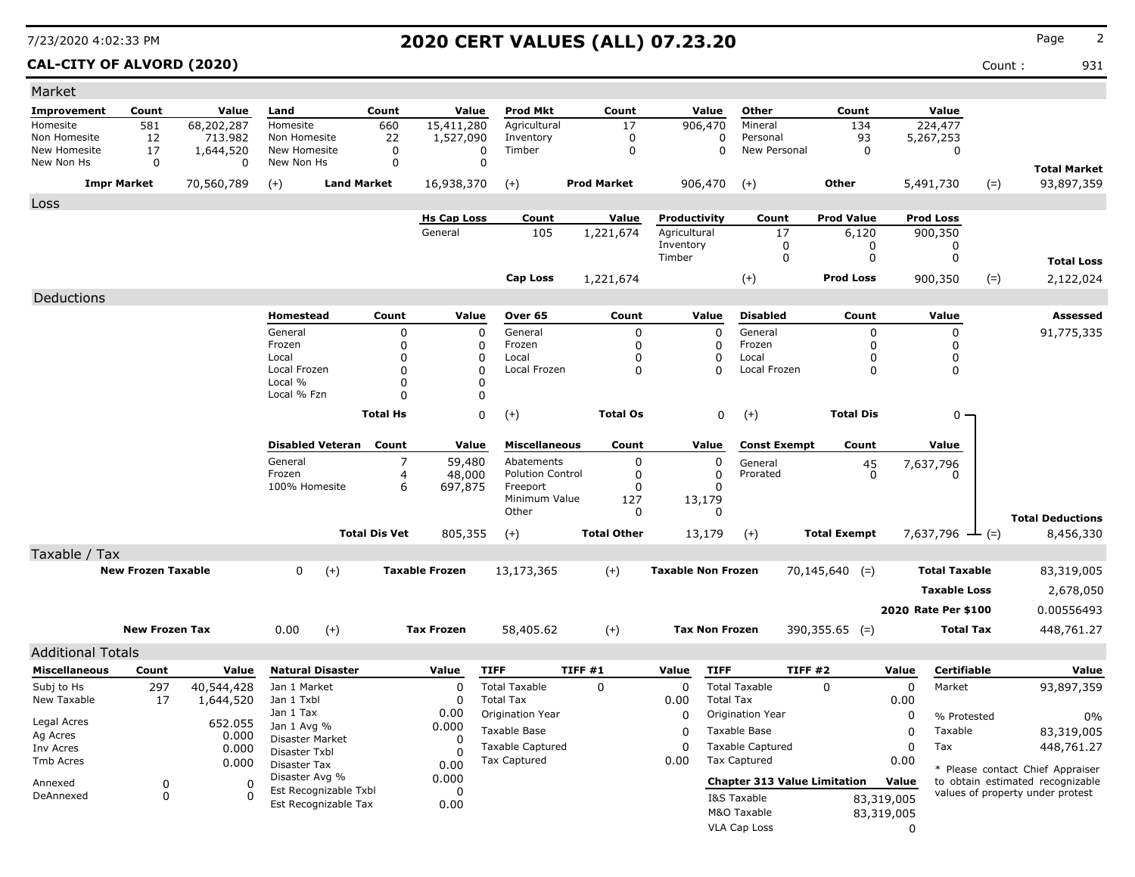### **CAL-CITY OF ALVORD (2020)** Count : 931

| Market                     |                           |                         |                                         |                      |                               |                                          |                    |                              |                                          |                     |                                     |            |                        |                                   |
|----------------------------|---------------------------|-------------------------|-----------------------------------------|----------------------|-------------------------------|------------------------------------------|--------------------|------------------------------|------------------------------------------|---------------------|-------------------------------------|------------|------------------------|-----------------------------------|
| <b>Improvement</b>         | Count                     | Value                   | Land                                    | Count                | Value                         | <b>Prod Mkt</b>                          | Count              | Value                        | Other                                    |                     | Count                               |            | Value                  |                                   |
| Homesite                   | 581                       | 68,202,287              | Homesite                                | 660                  | 15,411,280                    | Agricultural                             | 17                 | 906,470                      | Mineral                                  |                     | 134                                 |            | 224,477                |                                   |
| Non Homesite               | 12                        | 713.982                 | Non Homesite                            | 22                   | 1,527,090                     | Inventory                                | 0                  |                              | 0<br>Personal                            |                     | 93                                  |            | 5,267,253              |                                   |
| New Homesite<br>New Non Hs | 17<br>0                   | 1,644,520<br>$\Omega$   | New Homesite<br>New Non Hs              | 0<br>0               | 0<br>$\mathbf 0$              | Timber                                   | $\mathbf 0$        |                              | 0                                        | New Personal        | 0                                   |            | 0                      |                                   |
|                            | <b>Impr Market</b>        | 70,560,789              | $(+)$                                   | <b>Land Market</b>   | 16,938,370                    | $(+)$                                    | <b>Prod Market</b> | 906,470                      | $(+)$                                    |                     | Other                               |            | 5,491,730<br>$(=)$     | <b>Total Market</b><br>93,897,359 |
|                            |                           |                         |                                         |                      |                               |                                          |                    |                              |                                          |                     |                                     |            |                        |                                   |
| Loss                       |                           |                         |                                         |                      |                               |                                          |                    |                              |                                          |                     |                                     |            |                        |                                   |
|                            |                           |                         |                                         |                      | <b>Hs Cap Loss</b><br>General | Count<br>105                             | <b>Value</b>       | Productivity<br>Agricultural |                                          | Count               | <b>Prod Value</b>                   |            | <b>Prod Loss</b>       |                                   |
|                            |                           |                         |                                         |                      |                               |                                          | 1,221,674          | Inventory                    |                                          | 17<br>0             | 6,120<br>0                          |            | 900,350<br>0           |                                   |
|                            |                           |                         |                                         |                      |                               |                                          |                    | Timber                       |                                          | $\mathbf 0$         | 0                                   |            | 0                      | <b>Total Loss</b>                 |
|                            |                           |                         |                                         |                      |                               | Cap Loss                                 | 1,221,674          |                              | $(+)$                                    |                     | <b>Prod Loss</b>                    |            | 900,350<br>$(=)$       | 2,122,024                         |
|                            |                           |                         |                                         |                      |                               |                                          |                    |                              |                                          |                     |                                     |            |                        |                                   |
| Deductions                 |                           |                         | Homestead                               | Count                | Value                         | Over 65                                  | Count              | Value                        | <b>Disabled</b>                          |                     | Count                               |            | Value                  | Assessed                          |
|                            |                           |                         | General                                 |                      |                               | General                                  |                    |                              | General<br>$\Omega$                      |                     |                                     |            |                        |                                   |
|                            |                           |                         | Frozen                                  | 0<br>0               | 0<br>0                        | Frozen                                   | 0<br>0             |                              | Frozen<br>0                              |                     | 0<br>0                              |            | 0<br>0                 | 91,775,335                        |
|                            |                           |                         | Local                                   | $\Omega$             | 0                             | Local                                    | 0                  |                              | 0<br>Local                               |                     | 0                                   |            | 0                      |                                   |
|                            |                           |                         | Local Frozen                            | $\Omega$             | 0                             | Local Frozen                             | 0                  |                              | 0                                        | Local Frozen        | 0                                   |            | 0                      |                                   |
|                            |                           |                         | Local %                                 | 0                    | 0                             |                                          |                    |                              |                                          |                     |                                     |            |                        |                                   |
|                            |                           |                         | Local % Fzn                             | $\Omega$             | 0                             |                                          |                    |                              |                                          |                     |                                     |            |                        |                                   |
|                            |                           |                         |                                         | <b>Total Hs</b>      | $\mathbf 0$                   | $(+)$                                    | <b>Total Os</b>    |                              | 0<br>$(+)$                               |                     | <b>Total Dis</b>                    |            | $0 -$                  |                                   |
|                            |                           |                         | <b>Disabled Veteran</b>                 | Count                | Value                         | <b>Miscellaneous</b>                     | Count              | Value                        |                                          | <b>Const Exempt</b> | Count                               |            | Value                  |                                   |
|                            |                           |                         | General                                 | 7                    | 59,480                        | Abatements                               | 0                  |                              | 0<br>General                             |                     | 45                                  |            | 7,637,796              |                                   |
|                            |                           |                         | Frozen                                  | 4                    | 48,000                        | <b>Polution Control</b>                  | 0                  |                              | 0<br>Prorated                            |                     | $\mathbf 0$                         |            | O                      |                                   |
|                            |                           |                         | 100% Homesite                           | 6                    | 697,875                       | Freeport<br>Minimum Value                | 0<br>127           | 13,179                       | 0                                        |                     |                                     |            |                        |                                   |
|                            |                           |                         |                                         |                      |                               | Other                                    | 0                  |                              | 0                                        |                     |                                     |            |                        |                                   |
|                            |                           |                         |                                         |                      |                               |                                          |                    |                              |                                          |                     |                                     |            |                        | <b>Total Deductions</b>           |
|                            |                           |                         |                                         | <b>Total Dis Vet</b> | 805,355                       | $(+)$                                    | <b>Total Other</b> | 13,179                       | $(+)$                                    |                     | <b>Total Exempt</b>                 |            | 7,637,796 $\perp$ (=)  | 8,456,330                         |
| Taxable / Tax              |                           |                         |                                         |                      |                               |                                          |                    |                              |                                          |                     |                                     |            |                        |                                   |
|                            | <b>New Frozen Taxable</b> |                         | $(+)$<br>0                              |                      | <b>Taxable Frozen</b>         | 13,173,365                               | $(+)$              | <b>Taxable Non Frozen</b>    |                                          |                     | $70,145,640$ (=)                    |            | <b>Total Taxable</b>   | 83,319,005                        |
|                            |                           |                         |                                         |                      |                               |                                          |                    |                              |                                          |                     |                                     |            | <b>Taxable Loss</b>    | 2,678,050                         |
|                            |                           |                         |                                         |                      |                               |                                          |                    |                              |                                          |                     |                                     |            | 2020 Rate Per \$100    | 0.00556493                        |
|                            | <b>New Frozen Tax</b>     |                         | $(+)$<br>0.00                           |                      | <b>Tax Frozen</b>             | 58,405.62                                | $(+)$              |                              | <b>Tax Non Frozen</b>                    |                     | $390,355.65$ (=)                    |            | <b>Total Tax</b>       | 448,761.27                        |
|                            |                           |                         |                                         |                      |                               |                                          |                    |                              |                                          |                     |                                     |            |                        |                                   |
| <b>Additional Totals</b>   |                           |                         |                                         |                      |                               |                                          |                    |                              |                                          |                     |                                     |            |                        |                                   |
| <b>Miscellaneous</b>       | Count                     | Value                   | <b>Natural Disaster</b>                 |                      | Value                         | <b>TIFF</b>                              | TIFF #1            | Value                        | <b>TIFF</b>                              | TIFF#2              |                                     | Value      | Certifiable            | Value                             |
| Subj to Hs<br>New Taxable  | 297<br>17                 | 40,544,428<br>1,644,520 | Jan 1 Market<br>Jan 1 Txbl              |                      | 0<br>0                        | <b>Total Taxable</b><br><b>Total Tax</b> | $\Omega$           | $\mathbf 0$<br>0.00          | <b>Total Taxable</b><br><b>Total Tax</b> |                     | $\Omega$                            | 0<br>0.00  | Market                 | 93,897,359                        |
|                            |                           |                         | Jan 1 Tax                               |                      | 0.00                          | Origination Year                         |                    | 0                            | Origination Year                         |                     |                                     | 0          |                        |                                   |
| Legal Acres                |                           | 652.055                 | Jan 1 Avg %                             |                      | 0.000                         | Taxable Base                             |                    |                              | Taxable Base                             |                     |                                     | 0          | % Protested<br>Taxable | $0\%$                             |
| Ag Acres                   |                           | 0.000                   | Disaster Market                         |                      | 0                             | <b>Taxable Captured</b>                  |                    | 0                            |                                          |                     |                                     |            |                        | 83,319,005                        |
| Inv Acres<br>Tmb Acres     |                           | 0.000                   | Disaster Txbl                           |                      | 0                             | Tax Captured                             |                    | $\mathbf 0$<br>0.00          | <b>Taxable Captured</b><br>Tax Captured  |                     |                                     | 0<br>0.00  | Tax                    | 448,761.27                        |
|                            |                           | 0.000                   | Disaster Tax                            |                      | 0.00                          |                                          |                    |                              |                                          |                     |                                     |            |                        | * Please contact Chief Appraiser  |
| Annexed                    | 0                         | 0                       | Disaster Avg %<br>Est Recognizable Txbl |                      | 0.000<br>0                    |                                          |                    |                              |                                          |                     | <b>Chapter 313 Value Limitation</b> | Value      |                        | to obtain estimated recognizable  |
| DeAnnexed                  | 0                         | $\Omega$                | Est Recognizable Tax                    |                      | 0.00                          |                                          |                    |                              | I&S Taxable                              |                     |                                     | 83,319,005 |                        | values of property under protest  |
|                            |                           |                         |                                         |                      |                               |                                          |                    |                              | M&O Taxable                              |                     |                                     | 83,319,005 |                        |                                   |
|                            |                           |                         |                                         |                      |                               |                                          |                    |                              | VLA Cap Loss                             |                     |                                     | 0          |                        |                                   |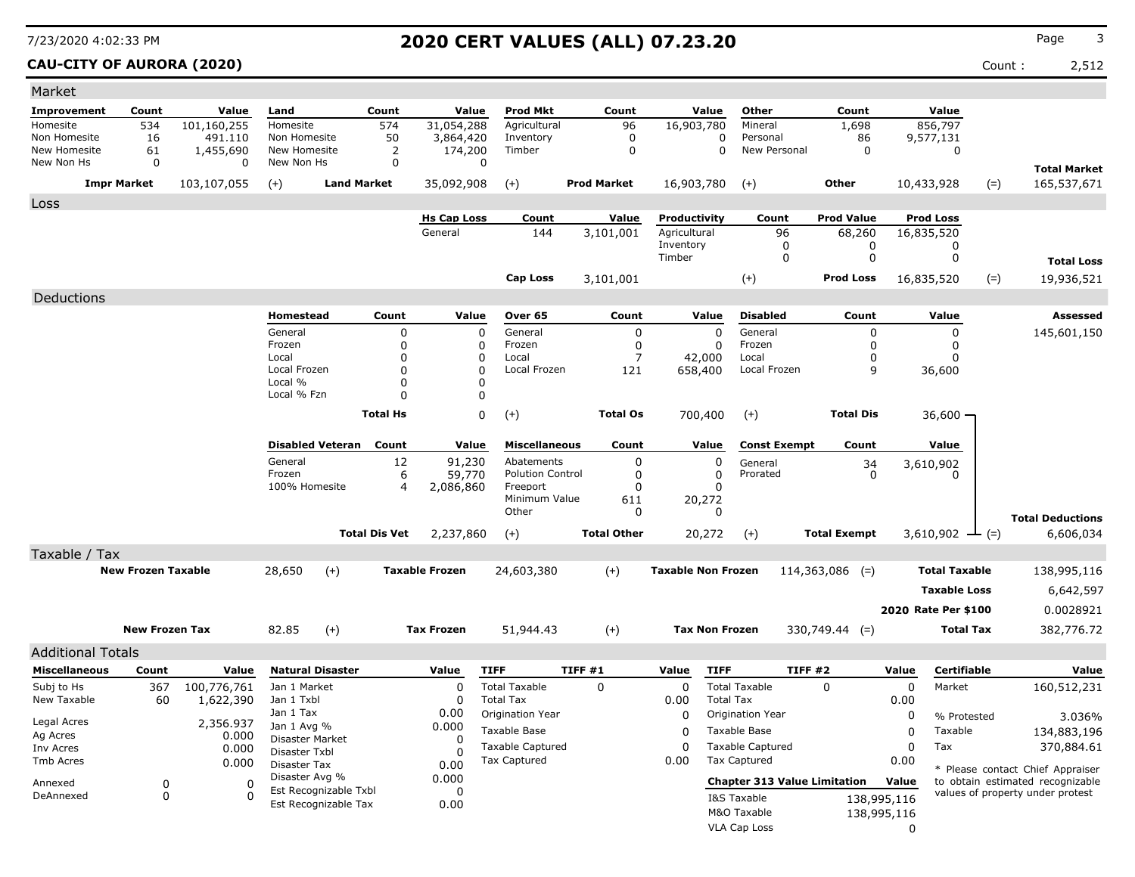### **CAU-CITY OF AURORA (2020)** Count : 2,512

| Market                       |                           |                    |                                  |                         |                      |                               |                           |        |                    |                              |                       |                                     |                     |             |                             |       |                                                                      |
|------------------------------|---------------------------|--------------------|----------------------------------|-------------------------|----------------------|-------------------------------|---------------------------|--------|--------------------|------------------------------|-----------------------|-------------------------------------|---------------------|-------------|-----------------------------|-------|----------------------------------------------------------------------|
| Improvement                  | Count                     | Value              | Land                             |                         | Count                | Value                         | <b>Prod Mkt</b>           |        | Count              |                              | Value                 | Other                               | Count               |             | Value                       |       |                                                                      |
| Homesite                     | 534                       | 101,160,255        | Homesite                         |                         | 574                  | 31,054,288                    | Agricultural              |        | 96                 | 16,903,780                   |                       | Mineral                             | 1,698               |             | 856,797                     |       |                                                                      |
| Non Homesite<br>New Homesite | 16                        | 491.110            | Non Homesite<br>New Homesite     |                         | 50                   | 3,864,420                     | Inventory                 |        | $\mathbf 0$        |                              | 0                     | Personal<br>New Personal            | 86                  |             | 9,577,131                   |       |                                                                      |
| New Non Hs                   | 61<br>$\mathbf 0$         | 1,455,690<br>0     | New Non Hs                       |                         | 2<br>$\mathbf 0$     | 174,200<br>0                  | Timber                    |        | $\mathbf 0$        |                              | $\mathbf 0$           |                                     | $\mathbf 0$         |             | $\mathbf 0$                 |       |                                                                      |
|                              |                           |                    |                                  | <b>Land Market</b>      |                      |                               |                           |        | <b>Prod Market</b> |                              |                       |                                     | <b>Other</b>        |             |                             |       | <b>Total Market</b>                                                  |
|                              | <b>Impr Market</b>        | 103,107,055        | $(+)$                            |                         |                      | 35,092,908                    | $(+)$                     |        |                    | 16,903,780                   |                       | $(+)$                               |                     |             | 10,433,928                  | $(=)$ | 165,537,671                                                          |
| Loss                         |                           |                    |                                  |                         |                      |                               |                           |        |                    |                              |                       |                                     |                     |             |                             |       |                                                                      |
|                              |                           |                    |                                  |                         |                      | <b>Hs Cap Loss</b><br>General | Count                     |        | Value              | Productivity<br>Agricultural |                       | Count                               | <b>Prod Value</b>   |             | <b>Prod Loss</b>            |       |                                                                      |
|                              |                           |                    |                                  |                         |                      |                               | 144                       |        | 3,101,001          | Inventory                    |                       | 96<br>0                             | 68,260<br>0         |             | 16,835,520<br>0             |       |                                                                      |
|                              |                           |                    |                                  |                         |                      |                               |                           |        |                    | Timber                       |                       | 0                                   | 0                   |             | 0                           |       | <b>Total Loss</b>                                                    |
|                              |                           |                    |                                  |                         |                      |                               | <b>Cap Loss</b>           |        | 3,101,001          |                              |                       | $(+)$                               | <b>Prod Loss</b>    |             | 16,835,520                  | $(=)$ | 19,936,521                                                           |
| Deductions                   |                           |                    |                                  |                         |                      |                               |                           |        |                    |                              |                       |                                     |                     |             |                             |       |                                                                      |
|                              |                           |                    | Homestead                        |                         | Count                | Value                         | Over 65                   |        | Count              |                              | Value                 | <b>Disabled</b>                     | Count               |             |                             |       | <b>Assessed</b>                                                      |
|                              |                           |                    | General                          |                         | $\mathbf 0$          |                               | General                   |        | $\overline{0}$     |                              | $\Omega$              | General                             | $\Omega$            |             | Value                       |       |                                                                      |
|                              |                           |                    | Frozen                           |                         | $\mathbf 0$          | 0<br>0                        | Frozen                    |        | 0                  |                              | $\mathbf 0$           | Frozen                              | $\mathbf 0$         |             | 0<br>0                      |       | 145,601,150                                                          |
|                              |                           |                    | Local                            |                         | $\mathbf 0$          | 0                             | Local                     |        | $\overline{7}$     |                              | 42,000                | Local                               | 0                   |             | 0                           |       |                                                                      |
|                              |                           |                    | Local Frozen                     |                         | $\Omega$             | $\mathbf 0$                   | Local Frozen              |        | 121                | 658,400                      |                       | Local Frozen                        | 9                   |             | 36,600                      |       |                                                                      |
|                              |                           |                    | Local %<br>Local % Fzn           |                         | $\Omega$<br>$\Omega$ | $\Omega$<br>0                 |                           |        |                    |                              |                       |                                     |                     |             |                             |       |                                                                      |
|                              |                           |                    |                                  |                         | <b>Total Hs</b>      | $\mathbf 0$                   |                           |        | <b>Total Os</b>    |                              |                       |                                     | <b>Total Dis</b>    |             |                             |       |                                                                      |
|                              |                           |                    |                                  |                         |                      |                               | $(+)$                     |        |                    |                              | 700,400               | $(+)$                               |                     |             | $36,600 \cdot$              |       |                                                                      |
|                              |                           |                    |                                  | <b>Disabled Veteran</b> | Count                | Value                         | <b>Miscellaneous</b>      |        | Count              |                              | Value                 | <b>Const Exempt</b>                 | Count               |             | Value                       |       |                                                                      |
|                              |                           |                    | General                          |                         | 12                   | 91,230                        | Abatements                |        | $\mathbf{0}$       |                              | 0                     | General                             | 34                  |             | 3,610,902                   |       |                                                                      |
|                              |                           |                    | Frozen                           |                         | 6                    | 59,770                        | <b>Polution Control</b>   |        | 0                  |                              | $\mathbf 0$           | Prorated                            | $\Omega$            |             | n                           |       |                                                                      |
|                              |                           |                    | 100% Homesite                    |                         | $\overline{4}$       | 2,086,860                     | Freeport<br>Minimum Value |        | $\Omega$<br>611    |                              | $\Omega$<br>20,272    |                                     |                     |             |                             |       |                                                                      |
|                              |                           |                    |                                  |                         |                      |                               | Other                     |        | $\Omega$           |                              | $\mathbf{0}$          |                                     |                     |             |                             |       |                                                                      |
|                              |                           |                    |                                  |                         | <b>Total Dis Vet</b> | 2,237,860                     | $(+)$                     |        | <b>Total Other</b> |                              | 20,272                | $(+)$                               | <b>Total Exempt</b> |             | 3,610,902 $\rightarrow$ (=) |       | <b>Total Deductions</b><br>6,606,034                                 |
|                              |                           |                    |                                  |                         |                      |                               |                           |        |                    |                              |                       |                                     |                     |             |                             |       |                                                                      |
| Taxable / Tax                | <b>New Frozen Taxable</b> |                    | 28,650                           | $(+)$                   |                      | <b>Taxable Frozen</b>         |                           |        | $(+)$              | <b>Taxable Non Frozen</b>    |                       |                                     |                     |             | <b>Total Taxable</b>        |       |                                                                      |
|                              |                           |                    |                                  |                         |                      |                               | 24,603,380                |        |                    |                              |                       |                                     | $114,363,086$ (=)   |             |                             |       | 138,995,116                                                          |
|                              |                           |                    |                                  |                         |                      |                               |                           |        |                    |                              |                       |                                     |                     |             | <b>Taxable Loss</b>         |       | 6,642,597                                                            |
|                              |                           |                    |                                  |                         |                      |                               |                           |        |                    |                              |                       |                                     |                     |             | 2020 Rate Per \$100         |       | 0.0028921                                                            |
|                              | <b>New Frozen Tax</b>     |                    | 82.85                            | $(+)$                   |                      | <b>Tax Frozen</b>             | 51,944.43                 |        | $(+)$              |                              | <b>Tax Non Frozen</b> |                                     | $330,749.44$ (=)    |             | <b>Total Tax</b>            |       | 382,776.72                                                           |
| <b>Additional Totals</b>     |                           |                    |                                  |                         |                      |                               |                           |        |                    |                              |                       |                                     |                     |             |                             |       |                                                                      |
| <b>Miscellaneous</b>         | Count                     | Value              |                                  | <b>Natural Disaster</b> |                      | Value                         | <b>TIFF</b>               | TIFF#1 |                    | Value                        | <b>TIFF</b>           | <b>TIFF #2</b>                      |                     | Value       | Certifiable                 |       | Value                                                                |
| Subj to Hs                   | 367                       | 100,776,761        | Jan 1 Market                     |                         |                      | $\mathbf 0$                   | <b>Total Taxable</b>      |        | $\Omega$           | $\mathbf 0$                  |                       | <b>Total Taxable</b>                | $\Omega$            | $\mathbf 0$ | Market                      |       | 160,512,231                                                          |
| New Taxable                  | 60                        | 1,622,390          | Jan 1 Txbl                       |                         |                      | $\mathbf 0$                   | <b>Total Tax</b>          |        |                    | 0.00                         | <b>Total Tax</b>      |                                     |                     | 0.00        |                             |       |                                                                      |
|                              |                           |                    | Jan 1 Tax                        |                         |                      | 0.00                          | Origination Year          |        |                    | $\Omega$                     |                       | Origination Year                    |                     | 0           | % Protested                 |       | 3.036%                                                               |
| Legal Acres<br>Ag Acres      |                           | 2,356.937<br>0.000 | Jan 1 Avg %                      |                         |                      | 0.000                         | Taxable Base              |        |                    | $\mathbf 0$                  |                       | Taxable Base                        |                     | $\mathbf 0$ | Taxable                     |       | 134,883,196                                                          |
| Inv Acres                    |                           | 0.000              | Disaster Market<br>Disaster Txbl |                         |                      | 0<br>$\Omega$                 | Taxable Captured          |        |                    | $\mathbf 0$                  |                       | <b>Taxable Captured</b>             |                     | $\mathbf 0$ | Tax                         |       | 370,884.61                                                           |
| <b>Tmb Acres</b>             |                           | 0.000              | Disaster Tax                     |                         |                      | 0.00                          | <b>Tax Captured</b>       |        |                    | 0.00                         |                       | <b>Tax Captured</b>                 |                     | 0.00        |                             |       |                                                                      |
| Annexed                      | 0                         | $\Omega$           | Disaster Avg %                   |                         |                      | 0.000                         |                           |        |                    |                              |                       | <b>Chapter 313 Value Limitation</b> |                     | Value       |                             |       | * Please contact Chief Appraiser<br>to obtain estimated recognizable |
| DeAnnexed                    | $\mathbf 0$               | $\Omega$           |                                  | Est Recognizable Txbl   |                      | $\Omega$                      |                           |        |                    |                              |                       | I&S Taxable                         |                     | 138,995,116 |                             |       | values of property under protest                                     |
|                              |                           |                    |                                  | Est Recognizable Tax    |                      | 0.00                          |                           |        |                    |                              |                       | M&O Taxable                         |                     | 138,995,116 |                             |       |                                                                      |
|                              |                           |                    |                                  |                         |                      |                               |                           |        |                    |                              |                       | VLA Cap Loss                        |                     | $\Omega$    |                             |       |                                                                      |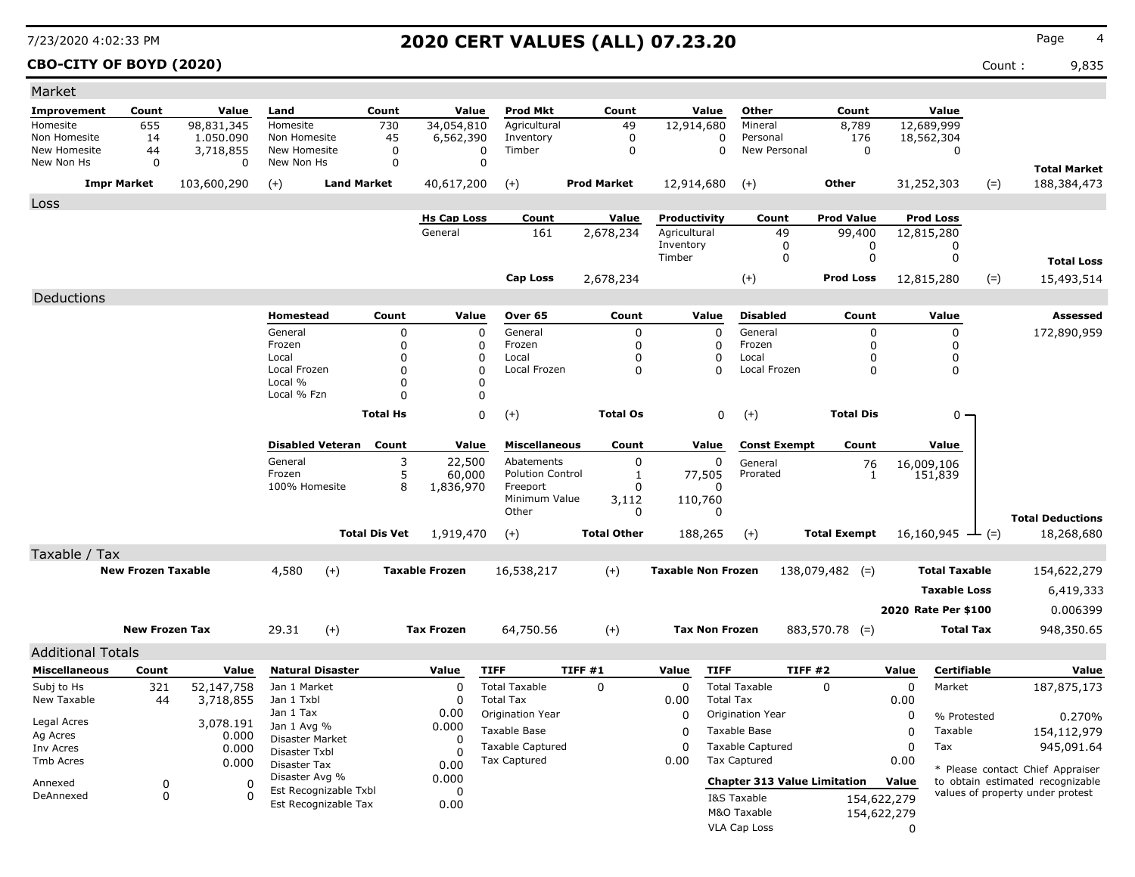### **CBO-CITY OF BOYD (2020)** Count : 9,835

| Market                   |                           |             |                                       |                         |                      |                       |                               |        |                    |                           |                       |                                     |                     |             |                              |       |                                  |
|--------------------------|---------------------------|-------------|---------------------------------------|-------------------------|----------------------|-----------------------|-------------------------------|--------|--------------------|---------------------------|-----------------------|-------------------------------------|---------------------|-------------|------------------------------|-------|----------------------------------|
| Improvement              | Count                     | Value       | Land                                  |                         | Count                | Value                 | <b>Prod Mkt</b>               |        | Count              |                           | Value                 | Other                               | Count               |             | Value                        |       |                                  |
| Homesite                 | 655                       | 98,831,345  | Homesite                              |                         | 730                  | 34,054,810            | Agricultural                  |        | 49                 | 12,914,680                |                       | Mineral                             | 8,789               |             | 12,689,999                   |       |                                  |
| Non Homesite             | 14                        | 1.050.090   | Non Homesite                          |                         | 45                   | 6,562,390             | Inventory                     |        | $\mathbf 0$        |                           | 0                     | Personal                            | 176                 |             | 18,562,304                   |       |                                  |
| New Homesite             | 44                        | 3,718,855   | New Homesite                          |                         | 0                    |                       | Timber<br>$\mathbf 0$         |        | $\Omega$           |                           | 0                     | New Personal                        | $\mathbf 0$         |             | $\Omega$                     |       |                                  |
| New Non Hs               | $\mathbf 0$               | 0           | New Non Hs                            |                         | $\mathbf 0$          |                       | $\mathbf 0$                   |        |                    |                           |                       |                                     |                     |             |                              |       | <b>Total Market</b>              |
|                          | <b>Impr Market</b>        | 103,600,290 | $(+)$                                 | <b>Land Market</b>      |                      | 40,617,200            | $(+)$                         |        | <b>Prod Market</b> | 12,914,680                |                       | $(+)$                               | <b>Other</b>        |             | 31,252,303                   | $(=)$ | 188,384,473                      |
| Loss                     |                           |             |                                       |                         |                      |                       |                               |        |                    |                           |                       |                                     |                     |             |                              |       |                                  |
|                          |                           |             |                                       |                         |                      | <b>Hs Cap Loss</b>    | Count                         |        | Value              | Productivity              |                       | Count                               | <b>Prod Value</b>   |             | <b>Prod Loss</b>             |       |                                  |
|                          |                           |             |                                       |                         |                      | General               | 161                           |        | 2,678,234          | Agricultural              |                       | 49                                  | 99,400              |             | 12,815,280                   |       |                                  |
|                          |                           |             |                                       |                         |                      |                       |                               |        |                    | Inventory<br>Timber       |                       | $\mathbf 0$<br>$\mathbf 0$          | 0<br>$\mathbf 0$    |             | 0<br>0                       |       |                                  |
|                          |                           |             |                                       |                         |                      |                       |                               |        |                    |                           |                       |                                     |                     |             |                              |       | <b>Total Loss</b>                |
|                          |                           |             |                                       |                         |                      |                       | <b>Cap Loss</b>               |        | 2,678,234          |                           |                       | $(+)$                               | <b>Prod Loss</b>    |             | 12,815,280                   | $(=)$ | 15,493,514                       |
| Deductions               |                           |             |                                       |                         |                      |                       |                               |        |                    |                           |                       |                                     |                     |             |                              |       |                                  |
|                          |                           |             | <b>Homestead</b>                      |                         | Count                | Value                 | Over 65                       |        | Count              |                           | Value                 | <b>Disabled</b>                     | Count               |             | Value                        |       | <b>Assessed</b>                  |
|                          |                           |             | General                               |                         | $\mathbf 0$          |                       | $\mathbf 0$<br>General        |        | $\mathbf 0$        |                           | $\Omega$              | General                             | $\mathbf 0$         |             | 0                            |       | 172,890,959                      |
|                          |                           |             | Frozen                                |                         | $\mathbf 0$          |                       | 0<br>Frozen                   |        | $\Omega$           |                           | $\Omega$              | Frozen                              | $\mathbf 0$         |             | $\Omega$                     |       |                                  |
|                          |                           |             | Local                                 |                         | $\Omega$             |                       | 0<br>Local                    |        | $\Omega$           |                           | $\Omega$              | Local                               | $\Omega$            |             | 0                            |       |                                  |
|                          |                           |             | Local Frozen<br>Local %               |                         | $\mathbf 0$<br>0     |                       | $\Omega$<br>Local Frozen<br>0 |        | $\Omega$           |                           | $\Omega$              | Local Frozen                        | $\mathbf 0$         |             | 0                            |       |                                  |
|                          |                           |             | Local % Fzn                           |                         | $\Omega$             |                       | 0                             |        |                    |                           |                       |                                     |                     |             |                              |       |                                  |
|                          |                           |             |                                       |                         | <b>Total Hs</b>      |                       | 0                             |        | <b>Total Os</b>    |                           | 0                     |                                     | <b>Total Dis</b>    |             |                              |       |                                  |
|                          |                           |             |                                       |                         |                      |                       | $(+)$                         |        |                    |                           |                       | $(+)$                               |                     |             | 0                            |       |                                  |
|                          |                           |             |                                       | <b>Disabled Veteran</b> | Count                | Value                 | <b>Miscellaneous</b>          |        | Count              |                           | Value                 | <b>Const Exempt</b>                 | Count               |             | Value                        |       |                                  |
|                          |                           |             | General                               |                         | 3                    | 22,500                | Abatements                    |        | 0                  |                           | 0                     | General                             | 76                  |             | 16,009,106                   |       |                                  |
|                          |                           |             | Frozen                                |                         | 5                    | 60,000                | <b>Polution Control</b>       |        | 1                  |                           | 77,505                | Prorated                            | 1                   |             | 151,839                      |       |                                  |
|                          |                           |             | 100% Homesite                         |                         | 8                    | 1,836,970             | Freeport                      |        | 0                  |                           | n                     |                                     |                     |             |                              |       |                                  |
|                          |                           |             |                                       |                         |                      |                       | Minimum Value<br>Other        |        | 3,112<br>0         |                           | 110,760<br>O          |                                     |                     |             |                              |       |                                  |
|                          |                           |             |                                       |                         |                      |                       |                               |        |                    |                           |                       |                                     |                     |             |                              |       | <b>Total Deductions</b>          |
|                          |                           |             |                                       |                         | <b>Total Dis Vet</b> | 1,919,470             | $(+)$                         |        | <b>Total Other</b> |                           | 188,265               | $(+)$                               | <b>Total Exempt</b> |             | 16,160,945 $\rightarrow$ (=) |       | 18,268,680                       |
| Taxable / Tax            |                           |             |                                       |                         |                      |                       |                               |        |                    |                           |                       |                                     |                     |             |                              |       |                                  |
|                          | <b>New Frozen Taxable</b> |             | 4,580                                 | $(+)$                   |                      | <b>Taxable Frozen</b> | 16,538,217                    |        | $(+)$              | <b>Taxable Non Frozen</b> |                       |                                     | $138,079,482$ (=)   |             | <b>Total Taxable</b>         |       | 154,622,279                      |
|                          |                           |             |                                       |                         |                      |                       |                               |        |                    |                           |                       |                                     |                     |             | <b>Taxable Loss</b>          |       | 6,419,333                        |
|                          |                           |             |                                       |                         |                      |                       |                               |        |                    |                           |                       |                                     |                     |             | 2020 Rate Per \$100          |       | 0.006399                         |
|                          | <b>New Frozen Tax</b>     |             | 29.31                                 | $(+)$                   |                      | <b>Tax Frozen</b>     | 64,750.56                     |        | $(+)$              |                           | <b>Tax Non Frozen</b> |                                     | $883,570.78$ (=)    |             | <b>Total Tax</b>             |       | 948,350.65                       |
|                          |                           |             |                                       |                         |                      |                       |                               |        |                    |                           |                       |                                     |                     |             |                              |       |                                  |
| <b>Additional Totals</b> |                           |             |                                       |                         |                      |                       |                               |        |                    |                           |                       |                                     |                     |             |                              |       |                                  |
| <b>Miscellaneous</b>     | Count                     | Value       |                                       | <b>Natural Disaster</b> |                      | Value                 | <b>TIFF</b>                   | TIFF#1 |                    | Value                     | <b>TIFF</b>           |                                     | <b>TIFF #2</b>      | Value       | Certifiable                  |       | Value                            |
| Subj to Hs               | 321                       | 52,147,758  | Jan 1 Market                          |                         |                      | 0                     | <b>Total Taxable</b>          |        | $\mathbf 0$        | $\mathbf 0$               |                       | <b>Total Taxable</b>                | $\Omega$            | 0           | Market                       |       | 187,875,173                      |
| New Taxable              | 44                        | 3,718,855   | Jan 1 Txbl                            |                         |                      | 0                     | <b>Total Tax</b>              |        |                    | 0.00                      | <b>Total Tax</b>      |                                     |                     | 0.00        |                              |       |                                  |
| Legal Acres              |                           | 3,078.191   | Jan 1 Tax                             |                         |                      | 0.00                  | Origination Year              |        |                    | 0                         |                       | Origination Year                    |                     | 0           | % Protested                  |       | 0.270%                           |
| Ag Acres                 |                           | 0.000       | Jan 1 Avg %<br><b>Disaster Market</b> |                         |                      | 0.000<br>$\Omega$     | Taxable Base                  |        |                    | $\Omega$                  |                       | Taxable Base                        |                     | 0           | Taxable                      |       | 154,112,979                      |
| Inv Acres                |                           | 0.000       | Disaster Txbl                         |                         |                      | 0                     | <b>Taxable Captured</b>       |        |                    | 0                         |                       | <b>Taxable Captured</b>             |                     | 0           | Tax                          |       | 945,091.64                       |
| Tmb Acres                |                           | 0.000       | Disaster Tax                          |                         |                      | 0.00                  | <b>Tax Captured</b>           |        |                    | 0.00                      |                       | <b>Tax Captured</b>                 |                     | 0.00        |                              |       | * Please contact Chief Appraiser |
| Annexed                  | 0                         | $\Omega$    | Disaster Avg %                        |                         |                      | 0.000                 |                               |        |                    |                           |                       | <b>Chapter 313 Value Limitation</b> |                     | Value       |                              |       | to obtain estimated recognizable |
| DeAnnexed                | $\mathbf 0$               | $\Omega$    |                                       | Est Recognizable Txbl   |                      | 0                     |                               |        |                    |                           |                       | I&S Taxable                         |                     | 154,622,279 |                              |       | values of property under protest |
|                          |                           |             |                                       | Est Recognizable Tax    |                      | 0.00                  |                               |        |                    |                           |                       | M&O Taxable                         |                     | 154,622,279 |                              |       |                                  |
|                          |                           |             |                                       |                         |                      |                       |                               |        |                    |                           |                       | VLA Cap Loss                        |                     | $\Omega$    |                              |       |                                  |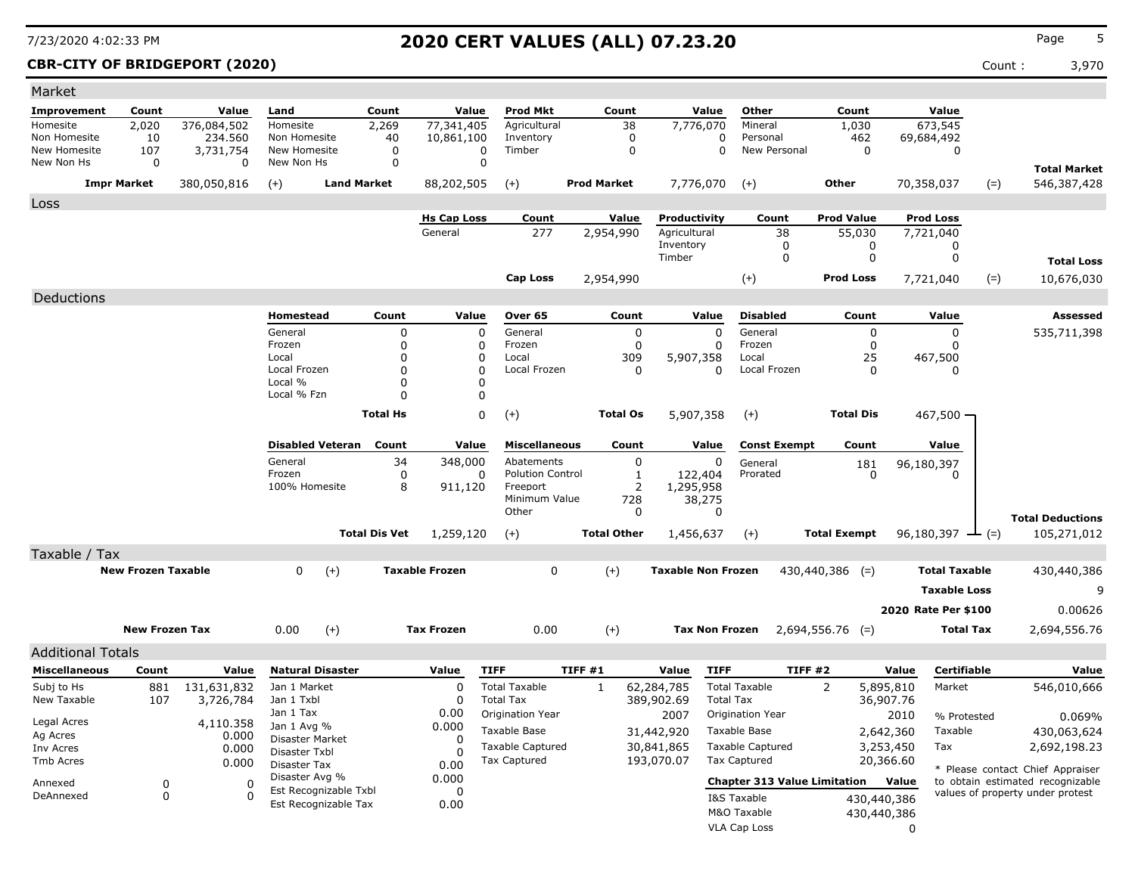### **CBR-CITY OF BRIDGEPORT (2020)** Count : 3,970

| Market                   |                           |             |                          |                      |                       |                         |                    |                    |                           |                                     |                     |             |                      |                                  |
|--------------------------|---------------------------|-------------|--------------------------|----------------------|-----------------------|-------------------------|--------------------|--------------------|---------------------------|-------------------------------------|---------------------|-------------|----------------------|----------------------------------|
| <b>Improvement</b>       | Count                     | Value       | Land                     | Count                | Value                 | <b>Prod Mkt</b>         |                    | Count              | Value                     | Other                               | Count               |             | Value                |                                  |
| Homesite                 | 2,020                     | 376,084,502 | Homesite                 | 2,269                | 77,341,405            | Agricultural            |                    | 38                 | 7,776,070                 | Mineral                             | 1,030               |             | 673,545              |                                  |
| Non Homesite             | 10                        | 234,560     | Non Homesite             | 40                   | 10,861,100            | Inventory               |                    | $\mathbf 0$        | 0                         | Personal                            |                     | 462         | 69,684,492           |                                  |
| New Homesite             | 107                       | 3,731,754   | New Homesite             | $\mathbf 0$          | $\Omega$              | Timber                  |                    | $\mathbf 0$        | $\Omega$                  | New Personal                        |                     | $\Omega$    | $\Omega$             |                                  |
| New Non Hs               | 0                         | 0           | New Non Hs               | $\mathbf 0$          | $\mathbf 0$           |                         |                    |                    |                           |                                     |                     |             |                      | <b>Total Market</b>              |
|                          | <b>Impr Market</b>        | 380,050,816 | $(+)$                    | <b>Land Market</b>   | 88,202,505            | $(+)$                   | <b>Prod Market</b> |                    | 7,776,070                 | $(+)$                               | <b>Other</b>        |             | 70,358,037           | 546,387,428<br>$(=)$             |
| Loss                     |                           |             |                          |                      |                       |                         |                    |                    |                           |                                     |                     |             |                      |                                  |
|                          |                           |             |                          |                      | <b>Hs Cap Loss</b>    | Count                   |                    | Value              | Productivity              | Count                               | <b>Prod Value</b>   |             | <b>Prod Loss</b>     |                                  |
|                          |                           |             |                          |                      | General               | 277                     |                    | 2,954,990          | Agricultural              | 38                                  | 55,030              |             | 7,721,040            |                                  |
|                          |                           |             |                          |                      |                       |                         |                    |                    | Inventory<br>Timber       | $\mathbf 0$<br>$\mathbf 0$          |                     | 0           | 0                    |                                  |
|                          |                           |             |                          |                      |                       |                         |                    |                    |                           |                                     |                     | $\mathbf 0$ | 0                    | <b>Total Loss</b>                |
|                          |                           |             |                          |                      |                       | <b>Cap Loss</b>         |                    | 2,954,990          |                           | $(+)$                               | <b>Prod Loss</b>    |             | 7,721,040            | $(=)$<br>10,676,030              |
| Deductions               |                           |             |                          |                      |                       |                         |                    |                    |                           |                                     |                     |             |                      |                                  |
|                          |                           |             | <b>Homestead</b>         | Count                | Value                 | Over 65                 |                    | Count              | Value                     | <b>Disabled</b>                     |                     | Count       | Value                | <b>Assessed</b>                  |
|                          |                           |             | General                  | 0                    | $\mathbf 0$           | General                 |                    | $\mathbf 0$        | $\mathbf 0$               | General                             |                     | $\mathbf 0$ | $\mathbf 0$          | 535,711,398                      |
|                          |                           |             | Frozen                   | 0                    | $\Omega$              | Frozen                  |                    | $\mathbf 0$        | $\mathbf 0$               | Frozen                              |                     | $\mathbf 0$ | 0                    |                                  |
|                          |                           |             | Local                    | $\Omega$             | $\Omega$              | Local                   |                    | 309                | 5,907,358                 | Local                               |                     | 25          | 467,500              |                                  |
|                          |                           |             | Local Frozen<br>Local %  | 0<br>0               | $\Omega$<br>$\Omega$  | Local Frozen            |                    | $\mathbf 0$        | $\Omega$                  | Local Frozen                        |                     | $\mathbf 0$ | ŋ                    |                                  |
|                          |                           |             | Local % Fzn              | $\Omega$             | $\mathbf 0$           |                         |                    |                    |                           |                                     |                     |             |                      |                                  |
|                          |                           |             |                          | <b>Total Hs</b>      | $\Omega$              |                         |                    | <b>Total Os</b>    |                           |                                     | <b>Total Dis</b>    |             |                      |                                  |
|                          |                           |             |                          |                      |                       | $(+)$                   |                    |                    | 5,907,358                 | $(+)$                               |                     |             | 467,500              |                                  |
|                          |                           |             | <b>Disabled Veteran</b>  | Count                | Value                 | <b>Miscellaneous</b>    |                    | Count              | Value                     | <b>Const Exempt</b>                 |                     | Count       | Value                |                                  |
|                          |                           |             | General                  | 34                   | 348,000               | Abatements              |                    | 0                  | 0                         | General                             |                     | 181         | 96,180,397           |                                  |
|                          |                           |             | Frozen                   | 0                    | $\Omega$              | <b>Polution Control</b> |                    | 1                  | 122,404                   | Prorated                            |                     | $\Omega$    | $\Omega$             |                                  |
|                          |                           |             | 100% Homesite            | 8                    | 911,120               | Freeport                |                    | 2                  | 1,295,958                 |                                     |                     |             |                      |                                  |
|                          |                           |             |                          |                      |                       | Minimum Value<br>Other  |                    | 728<br>$\Omega$    | 38,275<br>$\Omega$        |                                     |                     |             |                      |                                  |
|                          |                           |             |                          |                      |                       |                         |                    |                    |                           |                                     |                     |             |                      | <b>Total Deductions</b>          |
|                          |                           |             |                          | <b>Total Dis Vet</b> | 1,259,120             | $(+)$                   |                    | <b>Total Other</b> | 1,456,637                 | $(+)$                               | <b>Total Exempt</b> |             | 96,180,397<br>$ (=)$ | 105,271,012                      |
| Taxable / Tax            |                           |             |                          |                      |                       |                         |                    |                    |                           |                                     |                     |             |                      |                                  |
|                          | <b>New Frozen Taxable</b> |             | $\Omega$<br>$(+)$        |                      | <b>Taxable Frozen</b> | $\mathbf 0$             |                    | $(+)$              | <b>Taxable Non Frozen</b> |                                     | $430,440,386$ (=)   |             | <b>Total Taxable</b> | 430,440,386                      |
|                          |                           |             |                          |                      |                       |                         |                    |                    |                           |                                     |                     |             | <b>Taxable Loss</b>  | 9                                |
|                          |                           |             |                          |                      |                       |                         |                    |                    |                           |                                     |                     |             | 2020 Rate Per \$100  | 0.00626                          |
|                          | <b>New Frozen Tax</b>     |             | $(+)$<br>0.00            |                      | <b>Tax Frozen</b>     | 0.00                    |                    | $(+)$              | <b>Tax Non Frozen</b>     |                                     | $2,694,556.76$ (=)  |             | <b>Total Tax</b>     | 2,694,556.76                     |
|                          |                           |             |                          |                      |                       |                         |                    |                    |                           |                                     |                     |             |                      |                                  |
| <b>Additional Totals</b> |                           |             |                          |                      |                       |                         |                    |                    |                           |                                     |                     |             |                      |                                  |
| <b>Miscellaneous</b>     | Count                     | Value       | <b>Natural Disaster</b>  |                      | Value                 | <b>TIFF</b>             | TIFF#1             |                    | <b>TIFF</b><br>Value      |                                     | <b>TIFF #2</b>      | Value       | <b>Certifiable</b>   | Value                            |
| Subj to Hs               | 881                       | 131,631,832 | Jan 1 Market             |                      | $\mathbf 0$           | <b>Total Taxable</b>    | $\mathbf{1}$       |                    | 62,284,785                | <b>Total Taxable</b>                | $\overline{2}$      | 5,895,810   | Market               | 546,010,666                      |
| New Taxable              | 107                       | 3,726,784   | Jan 1 Txbl               |                      | $\Omega$              | <b>Total Tax</b>        |                    |                    | 389,902.69                | <b>Total Tax</b>                    |                     | 36,907.76   |                      |                                  |
| Legal Acres              |                           | 4,110.358   | Jan 1 Tax<br>Jan 1 Avg % |                      | 0.00<br>0.000         | Origination Year        |                    |                    | 2007                      | Origination Year                    |                     | 2010        | % Protested          | 0.069%                           |
| Ag Acres                 |                           | 0.000       | <b>Disaster Market</b>   |                      | $\Omega$              | Taxable Base            |                    |                    | 31,442,920                | Taxable Base                        |                     | 2,642,360   | Taxable              | 430,063,624                      |
| Inv Acres                |                           | 0.000       | Disaster Txbl            |                      | 0                     | <b>Taxable Captured</b> |                    |                    | 30,841,865                | <b>Taxable Captured</b>             |                     | 3,253,450   | Tax                  | 2,692,198.23                     |
| <b>Tmb Acres</b>         |                           | 0.000       | Disaster Tax             |                      | 0.00                  | <b>Tax Captured</b>     |                    |                    | 193,070.07                | <b>Tax Captured</b>                 |                     | 20,366.60   |                      | * Please contact Chief Appraiser |
| Annexed                  | 0                         | $\Omega$    | Disaster Avg %           |                      | 0.000                 |                         |                    |                    |                           | <b>Chapter 313 Value Limitation</b> |                     | Value       |                      | to obtain estimated recognizable |
| DeAnnexed                | $\mathbf 0$               | $\Omega$    | Est Recognizable Txbl    |                      | $\Omega$              |                         |                    |                    |                           | I&S Taxable                         |                     | 430,440,386 |                      | values of property under protest |
|                          |                           |             | Est Recognizable Tax     |                      | 0.00                  |                         |                    |                    |                           | M&O Taxable                         |                     | 430,440,386 |                      |                                  |
|                          |                           |             |                          |                      |                       |                         |                    |                    |                           | VLA Cap Loss                        |                     | $\Omega$    |                      |                                  |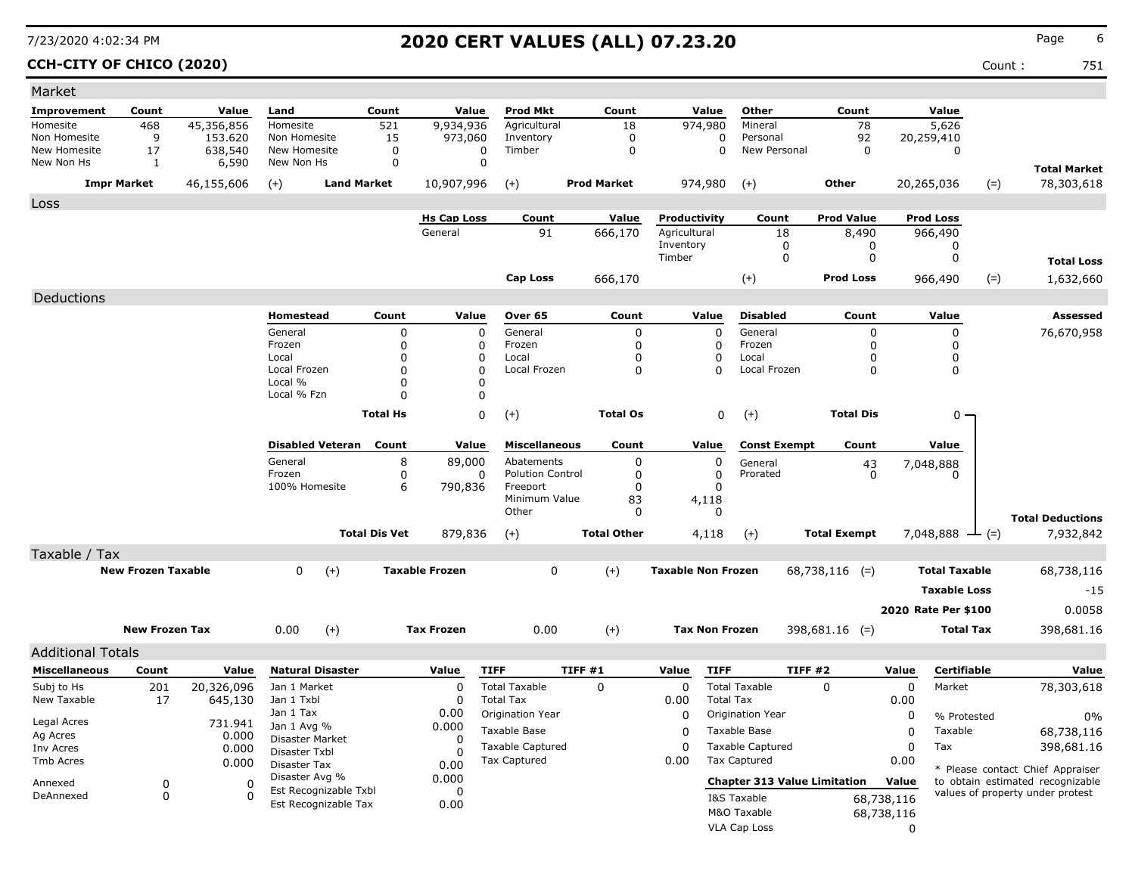### **CCH-CITY OF CHICO (2020)** Count : 751

| Market                     |                           |                  |                            |                       |                          |                       |                                       |         |                    |                           |                            |                                     |                     |                |                      |                  |                                  |
|----------------------------|---------------------------|------------------|----------------------------|-----------------------|--------------------------|-----------------------|---------------------------------------|---------|--------------------|---------------------------|----------------------------|-------------------------------------|---------------------|----------------|----------------------|------------------|----------------------------------|
| Improvement                | Count                     | Value            | Land                       |                       | Count                    | Value                 | <b>Prod Mkt</b>                       |         | Count              |                           | Value                      | Other                               | Count               |                | Value                |                  |                                  |
| Homesite                   | 468                       | 45,356,856       | Homesite                   |                       | 521                      | 9,934,936             | Agricultural                          |         | 18                 |                           | 974,980                    | Mineral                             |                     | 78             | 5,626                |                  |                                  |
| Non Homesite               | 9                         | 153.620          | Non Homesite               |                       | 15                       | 973,060               | Inventory                             |         | 0                  |                           | 0                          | Personal                            |                     | 92             | 20,259,410           |                  |                                  |
| New Homesite<br>New Non Hs | 17<br>$\mathbf{1}$        | 638,540<br>6,590 | New Homesite<br>New Non Hs |                       | $\mathbf 0$<br>0         | 0<br>0                | Timber                                |         | $\mathbf 0$        |                           | 0                          | New Personal                        |                     | $\mathbf 0$    | $\mathbf 0$          |                  |                                  |
|                            |                           |                  |                            |                       |                          |                       |                                       |         |                    |                           |                            |                                     |                     |                |                      |                  | <b>Total Market</b>              |
|                            | <b>Impr Market</b>        | 46,155,606       | $(+)$                      | <b>Land Market</b>    |                          | 10,907,996            | $(+)$                                 |         | <b>Prod Market</b> |                           | 974,980                    | $(+)$                               | <b>Other</b>        |                | 20,265,036           | $(=)$            | 78,303,618                       |
| Loss                       |                           |                  |                            |                       |                          |                       |                                       |         |                    |                           |                            |                                     |                     |                |                      |                  |                                  |
|                            |                           |                  |                            |                       |                          | <b>Hs Cap Loss</b>    | Count                                 |         | Value              | Productivity              |                            | Count                               | <b>Prod Value</b>   |                | <b>Prod Loss</b>     |                  |                                  |
|                            |                           |                  |                            |                       |                          | General               | 91                                    |         | 666,170            | Agricultural<br>Inventory |                            | 18<br>0                             | 8,490               | 0              | 966,490<br>0         |                  |                                  |
|                            |                           |                  |                            |                       |                          |                       |                                       |         |                    | Timber                    |                            | 0                                   |                     | 0              | 0                    |                  | <b>Total Loss</b>                |
|                            |                           |                  |                            |                       |                          |                       |                                       |         |                    |                           |                            |                                     |                     |                |                      |                  |                                  |
|                            |                           |                  |                            |                       |                          |                       | <b>Cap Loss</b>                       |         | 666,170            |                           |                            | $(+)$                               | <b>Prod Loss</b>    |                | 966,490              | $(=)$            | 1,632,660                        |
| Deductions                 |                           |                  |                            |                       |                          |                       |                                       |         |                    |                           |                            |                                     |                     |                |                      |                  |                                  |
|                            |                           |                  | Homestead                  |                       | Count                    | Value                 | Over 65                               |         | Count              |                           | Value                      | <b>Disabled</b>                     | Count               |                | Value                |                  | <b>Assessed</b>                  |
|                            |                           |                  | General                    |                       | $\pmb{0}$                | $\mathbf 0$           | General                               |         | $\pmb{0}$          |                           | $\mathbf 0$                | General                             |                     | 0              | 0                    |                  | 76,670,958                       |
|                            |                           |                  | Frozen<br>Local            |                       | $\pmb{0}$<br>$\mathbf 0$ | $\Omega$<br>$\Omega$  | Frozen<br>Local                       |         | $\mathbf 0$<br>0   |                           | $\Omega$<br>0              | Frozen<br>Local                     |                     | 0<br>0         | 0<br>0               |                  |                                  |
|                            |                           |                  | Local Frozen               |                       | $\Omega$                 | $\Omega$              | Local Frozen                          |         | $\Omega$           |                           | $\Omega$                   | Local Frozen                        |                     | 0              | 0                    |                  |                                  |
|                            |                           |                  | Local %                    |                       | 0                        | $\Omega$              |                                       |         |                    |                           |                            |                                     |                     |                |                      |                  |                                  |
|                            |                           |                  | Local % Fzn                |                       | $\Omega$                 | 0                     |                                       |         |                    |                           |                            |                                     |                     |                |                      |                  |                                  |
|                            |                           |                  |                            |                       | <b>Total Hs</b>          | $\Omega$              | $(+)$                                 |         | <b>Total Os</b>    |                           | 0                          | $(+)$                               | <b>Total Dis</b>    |                | 0                    |                  |                                  |
|                            |                           |                  |                            |                       |                          |                       |                                       |         |                    |                           |                            |                                     |                     |                |                      |                  |                                  |
|                            |                           |                  | <b>Disabled Veteran</b>    |                       | Count                    | Value                 | <b>Miscellaneous</b>                  |         | Count              |                           | Value                      | <b>Const Exempt</b>                 | Count               |                | Value                |                  |                                  |
|                            |                           |                  | General<br>Frozen          |                       | 8<br>$\pmb{0}$           | 89,000<br>0           | Abatements<br><b>Polution Control</b> |         | 0<br>0             |                           | $\mathbf 0$<br>$\mathbf 0$ | General<br>Prorated                 |                     | 43<br>$\Omega$ | 7,048,888<br>0       |                  |                                  |
|                            |                           |                  | 100% Homesite              |                       | 6                        | 790,836               | Freeport                              |         | $\Omega$           |                           | $\Omega$                   |                                     |                     |                |                      |                  |                                  |
|                            |                           |                  |                            |                       |                          |                       | Minimum Value                         |         | 83                 |                           | 4,118                      |                                     |                     |                |                      |                  |                                  |
|                            |                           |                  |                            |                       |                          |                       | Other                                 |         | 0                  |                           | $\Omega$                   |                                     |                     |                |                      |                  | <b>Total Deductions</b>          |
|                            |                           |                  |                            | <b>Total Dis Vet</b>  |                          | 879,836               | $(+)$                                 |         | <b>Total Other</b> |                           | 4,118                      | $(+)$                               | <b>Total Exempt</b> |                | 7,048,888            | $ (=)$           | 7,932,842                        |
| Taxable / Tax              |                           |                  |                            |                       |                          |                       |                                       |         |                    |                           |                            |                                     |                     |                |                      |                  |                                  |
|                            | <b>New Frozen Taxable</b> |                  | $\Omega$                   | $(+)$                 |                          | <b>Taxable Frozen</b> | $\mathbf 0$                           |         | $(+)$              | <b>Taxable Non Frozen</b> |                            |                                     | $68,738,116$ (=)    |                | <b>Total Taxable</b> |                  | 68,738,116                       |
|                            |                           |                  |                            |                       |                          |                       |                                       |         |                    |                           |                            |                                     |                     |                | <b>Taxable Loss</b>  |                  | $-15$                            |
|                            |                           |                  |                            |                       |                          |                       |                                       |         |                    |                           |                            |                                     |                     |                | 2020 Rate Per \$100  |                  | 0.0058                           |
|                            |                           |                  |                            |                       |                          |                       |                                       |         |                    |                           |                            |                                     |                     |                |                      |                  |                                  |
|                            | <b>New Frozen Tax</b>     |                  | 0.00                       | $(+)$                 |                          | <b>Tax Frozen</b>     | 0.00                                  |         | $(+)$              |                           | <b>Tax Non Frozen</b>      |                                     | $398,681.16$ (=)    |                |                      | <b>Total Tax</b> | 398,681.16                       |
| <b>Additional Totals</b>   |                           |                  |                            |                       |                          |                       |                                       |         |                    |                           |                            |                                     |                     |                |                      |                  |                                  |
| <b>Miscellaneous</b>       | Count                     | Value            | <b>Natural Disaster</b>    |                       |                          | Value                 | <b>TIFF</b>                           | TIFF #1 |                    | Value                     | <b>TIFF</b>                |                                     | <b>TIFF #2</b>      | Value          |                      | Certifiable      | Value                            |
| Subj to Hs                 | 201                       | 20,326,096       | Jan 1 Market               |                       |                          | $\Omega$              | <b>Total Taxable</b>                  |         | $\Omega$           | $\Omega$                  |                            | <b>Total Taxable</b>                | $\Omega$            |                | $\Omega$<br>Market   |                  | 78,303,618                       |
| New Taxable                | 17                        | 645,130          | Jan 1 Txbl                 |                       |                          | $\Omega$              | <b>Total Tax</b>                      |         |                    | 0.00                      | <b>Total Tax</b>           |                                     |                     | 0.00           |                      |                  |                                  |
| Legal Acres                |                           | 731.941          | Jan 1 Tax<br>Jan 1 Avg %   |                       |                          | 0.00<br>0.000         | Origination Year                      |         |                    | $\Omega$                  |                            | Origination Year                    |                     |                | 0                    | % Protested      | 0%                               |
| Ag Acres                   |                           | 0.000            | Disaster Market            |                       |                          | $\Omega$              | <b>Taxable Base</b>                   |         |                    | $\Omega$                  |                            | Taxable Base                        |                     |                | $\Omega$<br>Taxable  |                  | 68,738,116                       |
| Inv Acres                  |                           | 0.000            | Disaster Txbl              |                       |                          | n                     | <b>Taxable Captured</b>               |         |                    | $\mathbf 0$               |                            | <b>Taxable Captured</b>             |                     |                | $\mathbf 0$<br>Tax   |                  | 398,681.16                       |
| Tmb Acres                  |                           | 0.000            | Disaster Tax               |                       |                          | 0.00                  | <b>Tax Captured</b>                   |         |                    | 0.00                      |                            | <b>Tax Captured</b>                 |                     | 0.00           |                      |                  | * Please contact Chief Appraiser |
| Annexed                    | 0                         | 0                | Disaster Avg %             | Est Recognizable Txbl |                          | 0.000<br>0            |                                       |         |                    |                           |                            | <b>Chapter 313 Value Limitation</b> |                     | Value          |                      |                  | to obtain estimated recognizable |
| DeAnnexed                  | $\mathbf 0$               | $\Omega$         |                            | Est Recognizable Tax  |                          | 0.00                  |                                       |         |                    |                           |                            | I&S Taxable                         |                     | 68,738,116     |                      |                  | values of property under protest |
|                            |                           |                  |                            |                       |                          |                       |                                       |         |                    |                           |                            | M&O Taxable                         |                     | 68,738,116     |                      |                  |                                  |
|                            |                           |                  |                            |                       |                          |                       |                                       |         |                    |                           |                            | <b>VLA Cap Loss</b>                 |                     |                | 0                    |                  |                                  |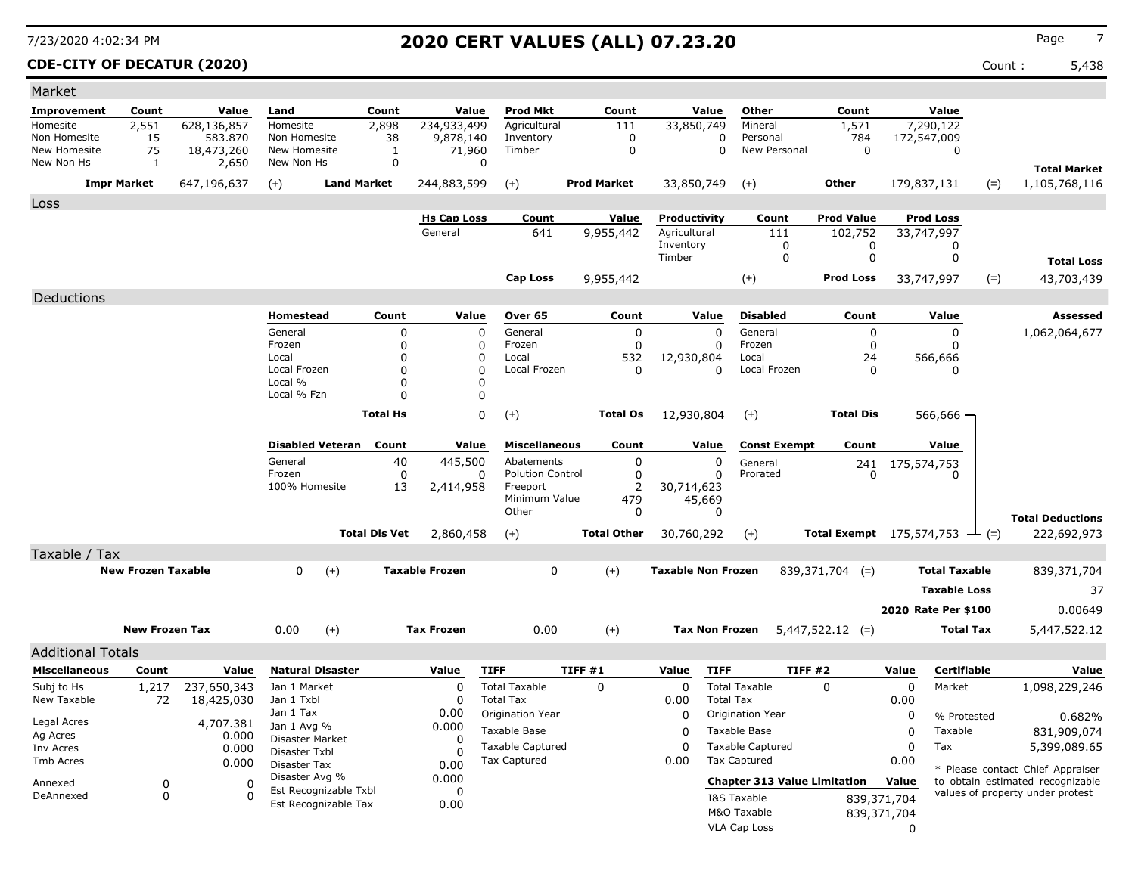### **CDE-CITY OF DECATUR (2020)** Count : 5,438

| Market                     |                           |                     |                                         |                      |                       |                                       |                            |                           |                       |                                     |                                                   |              |                             |                                  |
|----------------------------|---------------------------|---------------------|-----------------------------------------|----------------------|-----------------------|---------------------------------------|----------------------------|---------------------------|-----------------------|-------------------------------------|---------------------------------------------------|--------------|-----------------------------|----------------------------------|
| Improvement                | Count                     | Value               | Land                                    | Count                | Value                 | <b>Prod Mkt</b>                       | Count                      |                           | Value                 | Other                               | Count                                             |              | Value                       |                                  |
| Homesite                   | 2,551                     | 628,136,857         | Homesite                                | 2,898                | 234,933,499           | Agricultural                          | 111                        | 33,850,749                |                       | Mineral                             | 1,571                                             |              | 7,290,122                   |                                  |
| Non Homesite               | 15                        | 583.870             | Non Homesite                            | 38                   | 9,878,140             | Inventory                             | 0                          |                           | 0                     | Personal                            | 784                                               |              | 172,547,009                 |                                  |
| New Homesite<br>New Non Hs | 75<br>1                   | 18,473,260<br>2,650 | New Homesite<br>New Non Hs              | 1<br>$\mathbf 0$     | 71,960<br>$\mathbf 0$ | Timber                                | $\mathbf 0$                |                           | $\mathbf 0$           | New Personal                        | $\mathbf 0$                                       |              | $\mathbf 0$                 |                                  |
|                            |                           |                     |                                         |                      |                       |                                       |                            |                           |                       |                                     |                                                   |              |                             | <b>Total Market</b>              |
|                            | <b>Impr Market</b>        | 647,196,637         | $(+)$                                   | <b>Land Market</b>   | 244,883,599           | $(+)$                                 | <b>Prod Market</b>         | 33,850,749                |                       | $(+)$                               | Other                                             |              | 179,837,131                 | 1,105,768,116<br>$(=)$           |
| Loss                       |                           |                     |                                         |                      |                       |                                       |                            |                           |                       |                                     |                                                   |              |                             |                                  |
|                            |                           |                     |                                         |                      | <b>Hs Cap Loss</b>    | Count                                 | Value                      | Productivity              |                       | Count                               | <b>Prod Value</b>                                 |              | <b>Prod Loss</b>            |                                  |
|                            |                           |                     |                                         |                      | General               | 641                                   | 9,955,442                  | Agricultural<br>Inventory |                       | 111<br>0                            | 102,752<br>0                                      |              | 33,747,997<br>0             |                                  |
|                            |                           |                     |                                         |                      |                       |                                       |                            | Timber                    |                       | 0                                   | 0                                                 |              | 0                           | <b>Total Loss</b>                |
|                            |                           |                     |                                         |                      |                       | <b>Cap Loss</b>                       |                            |                           |                       |                                     | <b>Prod Loss</b>                                  |              |                             |                                  |
|                            |                           |                     |                                         |                      |                       |                                       | 9,955,442                  |                           |                       | $(+)$                               |                                                   |              | 33,747,997                  | 43,703,439<br>$(=)$              |
| Deductions                 |                           |                     |                                         |                      |                       |                                       |                            |                           |                       |                                     |                                                   |              |                             |                                  |
|                            |                           |                     | Homestead                               | Count                | Value                 | Over 65                               | Count                      |                           | Value                 | <b>Disabled</b>                     | Count                                             |              | Value                       | <b>Assessed</b>                  |
|                            |                           |                     | General<br>Frozen                       | 0<br>$\mathbf 0$     | $\mathbf 0$           | General<br>Frozen                     | $\mathbf 0$<br>$\mathbf 0$ |                           | $\mathbf 0$           | General<br>Frozen                   | $\mathbf 0$                                       |              | 0<br>0                      | 1,062,064,677                    |
|                            |                           |                     | Local                                   | 0                    | 0<br>$\Omega$         | Local                                 | 532                        | 12,930,804                | 0                     | Local                               | 0<br>24                                           |              | 566,666                     |                                  |
|                            |                           |                     | Local Frozen                            | $\Omega$             | $\Omega$              | Local Frozen                          | $\Omega$                   |                           | $\Omega$              | Local Frozen                        | $\mathbf{0}$                                      |              | 0                           |                                  |
|                            |                           |                     | Local %                                 | 0                    | 0                     |                                       |                            |                           |                       |                                     |                                                   |              |                             |                                  |
|                            |                           |                     | Local % Fzn                             | $\Omega$             | 0                     |                                       |                            |                           |                       |                                     |                                                   |              |                             |                                  |
|                            |                           |                     |                                         | <b>Total Hs</b>      | $\Omega$              | $(+)$                                 | <b>Total Os</b>            | 12,930,804                |                       | $(+)$                               | <b>Total Dis</b>                                  |              | 566,666 -                   |                                  |
|                            |                           |                     |                                         |                      |                       |                                       |                            |                           |                       |                                     |                                                   |              |                             |                                  |
|                            |                           |                     | <b>Disabled Veteran</b>                 | Count                | Value                 | <b>Miscellaneous</b>                  | Count                      |                           | Value                 | <b>Const Exempt</b>                 | Count                                             |              | Value                       |                                  |
|                            |                           |                     | General<br>Frozen                       | 40<br>$\mathbf 0$    | 445,500<br>0          | Abatements<br><b>Polution Control</b> | $\mathbf 0$<br>$\mathbf 0$ |                           | 0<br>0                | General<br>Prorated                 | 241<br>$\Omega$                                   |              | 175,574,753<br><sup>0</sup> |                                  |
|                            |                           |                     | 100% Homesite                           | 13                   | 2,414,958             | Freeport                              | $\overline{2}$             | 30,714,623                |                       |                                     |                                                   |              |                             |                                  |
|                            |                           |                     |                                         |                      |                       | Minimum Value                         | 479                        |                           | 45,669                |                                     |                                                   |              |                             |                                  |
|                            |                           |                     |                                         |                      |                       | Other                                 | 0                          |                           | $\Omega$              |                                     |                                                   |              |                             | <b>Total Deductions</b>          |
|                            |                           |                     |                                         | <b>Total Dis Vet</b> | 2,860,458             | $(+)$                                 | <b>Total Other</b>         | 30,760,292                |                       | $(+)$                               | <b>Total Exempt</b> 175,574,753 $\rightarrow$ (=) |              |                             | 222,692,973                      |
| Taxable / Tax              |                           |                     |                                         |                      |                       |                                       |                            |                           |                       |                                     |                                                   |              |                             |                                  |
|                            | <b>New Frozen Taxable</b> |                     | $\Omega$                                | $(+)$                | <b>Taxable Frozen</b> | $\Omega$                              | $(+)$                      | <b>Taxable Non Frozen</b> |                       |                                     | $839,371,704$ (=)                                 |              | <b>Total Taxable</b>        | 839,371,704                      |
|                            |                           |                     |                                         |                      |                       |                                       |                            |                           |                       |                                     |                                                   |              | <b>Taxable Loss</b>         | 37                               |
|                            |                           |                     |                                         |                      |                       |                                       |                            |                           |                       |                                     |                                                   |              | 2020 Rate Per \$100         | 0.00649                          |
|                            |                           |                     |                                         |                      |                       |                                       |                            |                           |                       |                                     |                                                   |              |                             |                                  |
|                            | <b>New Frozen Tax</b>     |                     | 0.00                                    | $(+)$                | <b>Tax Frozen</b>     | 0.00                                  | $(+)$                      |                           | <b>Tax Non Frozen</b> |                                     | $5,447,522.12$ (=)                                |              | <b>Total Tax</b>            | 5,447,522.12                     |
| <b>Additional Totals</b>   |                           |                     |                                         |                      |                       |                                       |                            |                           |                       |                                     |                                                   |              |                             |                                  |
| <b>Miscellaneous</b>       | Count                     | Value               | <b>Natural Disaster</b>                 |                      | Value                 | <b>TIFF</b>                           | TIFF#1                     | Value                     | <b>TIFF</b>           | TIFF#2                              |                                                   | Value        | Certifiable                 | Value                            |
| Subj to Hs                 | 1,217                     | 237,650,343         | Jan 1 Market                            |                      | 0                     | <b>Total Taxable</b>                  | $\mathbf 0$                | $\mathbf 0$               |                       | <b>Total Taxable</b>                | $\Omega$                                          | $\mathbf 0$  | Market                      | 1,098,229,246                    |
| New Taxable                | 72                        | 18,425,030          | Jan 1 Txbl                              |                      | $\Omega$              | <b>Total Tax</b>                      |                            | 0.00                      | <b>Total Tax</b>      |                                     |                                                   | 0.00         |                             |                                  |
| Legal Acres                |                           | 4,707.381           | Jan 1 Tax                               |                      | 0.00                  | Origination Year                      |                            | 0                         |                       | Origination Year                    |                                                   | 0            | % Protested                 | 0.682%                           |
| Ag Acres                   |                           | 0.000               | Jan 1 Avg %<br>Disaster Market          |                      | 0.000<br>$\Omega$     | Taxable Base                          |                            | $\Omega$                  |                       | Taxable Base                        |                                                   | $\mathbf 0$  | Taxable                     | 831,909,074                      |
| Inv Acres                  |                           | 0.000               | Disaster Txbl                           |                      | $\Omega$              | <b>Taxable Captured</b>               |                            | $\Omega$                  |                       | <b>Taxable Captured</b>             |                                                   | $\mathbf 0$  | Tax                         | 5,399,089.65                     |
| <b>Tmb Acres</b>           |                           | 0.000               | Disaster Tax                            |                      | 0.00                  | <b>Tax Captured</b>                   |                            | 0.00                      |                       | <b>Tax Captured</b>                 |                                                   | 0.00         |                             | * Please contact Chief Appraiser |
| Annexed                    | 0                         | $\Omega$            | Disaster Avg %<br>Est Recognizable Txbl |                      | 0.000                 |                                       |                            |                           |                       | <b>Chapter 313 Value Limitation</b> |                                                   | Value        |                             | to obtain estimated recognizable |
| DeAnnexed                  | $\mathbf 0$               | $\Omega$            | Est Recognizable Tax                    |                      | $\Omega$<br>0.00      |                                       |                            |                           |                       | I&S Taxable                         |                                                   | 839,371,704  |                             | values of property under protest |
|                            |                           |                     |                                         |                      |                       |                                       |                            |                           |                       | M&O Taxable                         |                                                   | 839,371,704  |                             |                                  |
|                            |                           |                     |                                         |                      |                       |                                       |                            |                           |                       | <b>VLA Cap Loss</b>                 |                                                   | $\mathbf{0}$ |                             |                                  |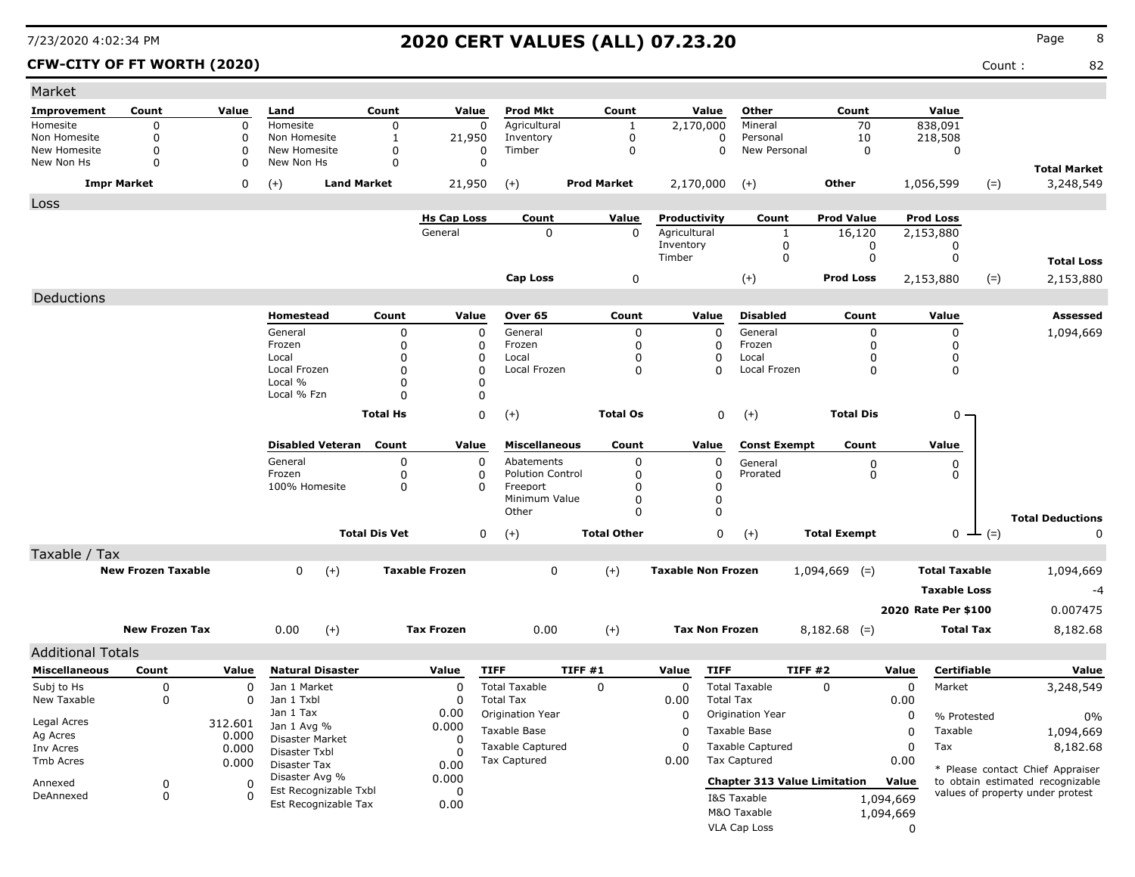### **CFW-CITY OF FT WORTH (2020)** Count : 82

| Market                            |                            |                  |                               |                       |                      |                         |                    |                           |                  |                                     |                     |             |                      |                    |                                                                      |
|-----------------------------------|----------------------------|------------------|-------------------------------|-----------------------|----------------------|-------------------------|--------------------|---------------------------|------------------|-------------------------------------|---------------------|-------------|----------------------|--------------------|----------------------------------------------------------------------|
| Improvement                       | Count                      | Value            | Land                          | Count                 | Value                | Prod Mkt                | Count              |                           | Value            | Other                               | Count               |             | Value                |                    |                                                                      |
| Homesite                          | 0                          | 0                | Homesite                      | 0                     | 0                    | Agricultural            | 1                  | 2,170,000                 |                  | Mineral                             | 70                  |             | 838,091              |                    |                                                                      |
| Non Homesite                      | $\mathbf 0$                | 0                | Non Homesite                  | 1                     | 21,950               | Inventory               | 0                  |                           | 0                | Personal                            | 10                  |             | 218,508              |                    |                                                                      |
| <b>New Homesite</b><br>New Non Hs | $\mathbf 0$<br>$\mathbf 0$ | 0<br>0           | New Homesite<br>New Non Hs    | 0<br>$\mathbf 0$      | 0<br>$\Omega$        | Timber                  | 0                  |                           | $\Omega$         | New Personal                        | $\mathbf 0$         |             | 0                    |                    |                                                                      |
|                                   |                            |                  |                               |                       |                      |                         | <b>Prod Market</b> |                           |                  |                                     |                     |             |                      |                    | <b>Total Market</b>                                                  |
|                                   | <b>Impr Market</b>         | 0                | <b>Land Market</b><br>$(+)$   |                       | 21,950               | $(+)$                   |                    | 2,170,000                 |                  | $^{(+)}$                            | Other               |             | 1,056,599            | $(=)$              | 3,248,549                                                            |
| Loss                              |                            |                  |                               |                       | <b>Hs Cap Loss</b>   | Count                   | Value              | Productivity              |                  | Count                               | <b>Prod Value</b>   |             | <b>Prod Loss</b>     |                    |                                                                      |
|                                   |                            |                  |                               |                       | General              | 0                       | 0                  | Agricultural              |                  | $\mathbf{1}$                        | 16,120              |             | 2,153,880            |                    |                                                                      |
|                                   |                            |                  |                               |                       |                      |                         |                    | Inventory                 |                  | 0                                   | 0                   |             |                      |                    |                                                                      |
|                                   |                            |                  |                               |                       |                      |                         |                    | Timber                    |                  | $\mathbf 0$                         | $\mathbf 0$         |             | 0                    |                    | <b>Total Loss</b>                                                    |
|                                   |                            |                  |                               |                       |                      | <b>Cap Loss</b>         | 0                  |                           |                  | $(+)$                               | <b>Prod Loss</b>    |             | 2,153,880            | $(=)$              | 2,153,880                                                            |
| Deductions                        |                            |                  |                               |                       |                      |                         |                    |                           |                  |                                     |                     |             |                      |                    |                                                                      |
|                                   |                            |                  | Homestead                     | Count                 | Value                | Over 65                 | Count              |                           | Value            | <b>Disabled</b>                     | Count               |             | Value                |                    | Assessed                                                             |
|                                   |                            |                  | General                       | 0                     | 0                    | General                 | 0                  |                           | 0                | General                             | $\mathbf 0$         |             | 0                    |                    | 1,094,669                                                            |
|                                   |                            |                  | Frozen                        | 0                     | 0                    | Frozen                  | 0                  |                           | 0                | Frozen                              | 0                   |             | $\mathbf 0$          |                    |                                                                      |
|                                   |                            |                  | Local                         | 0                     | $\Omega$             | Local                   | 0                  |                           | 0                | Local                               | $\Omega$            |             | 0                    |                    |                                                                      |
|                                   |                            |                  | Local Frozen<br>Local %       | 0<br>0                | $\Omega$<br>0        | Local Frozen            | 0                  |                           | 0                | Local Frozen                        | 0                   |             | 0                    |                    |                                                                      |
|                                   |                            |                  | Local % Fzn                   | $\Omega$              | 0                    |                         |                    |                           |                  |                                     |                     |             |                      |                    |                                                                      |
|                                   |                            |                  |                               |                       |                      |                         |                    |                           |                  |                                     |                     |             |                      |                    |                                                                      |
|                                   |                            |                  |                               | <b>Total Hs</b>       | $\mathsf 0$          | $(+)$                   | <b>Total Os</b>    |                           | $\mathbf 0$      | $(+)$                               | <b>Total Dis</b>    |             | $0 -$                |                    |                                                                      |
|                                   |                            |                  | <b>Disabled Veteran</b>       | Count                 | Value                | <b>Miscellaneous</b>    | Count              |                           | Value            | <b>Const Exempt</b>                 | Count               |             | Value                |                    |                                                                      |
|                                   |                            |                  | General                       | 0                     | 0                    | Abatements              | 0                  |                           | 0                | General                             | $\boldsymbol{0}$    |             | 0                    |                    |                                                                      |
|                                   |                            |                  | Frozen                        | 0                     | 0                    | <b>Polution Control</b> | 0                  |                           | 0                | Prorated                            | $\mathbf 0$         |             | 0                    |                    |                                                                      |
|                                   |                            |                  | 100% Homesite                 | 0                     | $\Omega$             | Freeport                | 0                  |                           | 0                |                                     |                     |             |                      |                    |                                                                      |
|                                   |                            |                  |                               |                       |                      | Minimum Value<br>Other  | 0<br>0             |                           | 0<br>0           |                                     |                     |             |                      |                    |                                                                      |
|                                   |                            |                  |                               |                       |                      |                         |                    |                           |                  |                                     |                     |             |                      |                    | <b>Total Deductions</b>                                              |
|                                   |                            |                  |                               | <b>Total Dis Vet</b>  | 0                    | $(+)$                   | <b>Total Other</b> |                           | 0                | $(+)$                               | <b>Total Exempt</b> |             |                      | $0 \leftarrow (=)$ | 0                                                                    |
| Taxable / Tax                     | <b>New Frozen Taxable</b>  |                  | 0<br>$(+)$                    | <b>Taxable Frozen</b> |                      | 0                       | $(+)$              | <b>Taxable Non Frozen</b> |                  |                                     | $1,094,669$ (=)     |             | <b>Total Taxable</b> |                    | 1,094,669                                                            |
|                                   |                            |                  |                               |                       |                      |                         |                    |                           |                  |                                     |                     |             |                      |                    |                                                                      |
|                                   |                            |                  |                               |                       |                      |                         |                    |                           |                  |                                     |                     |             | <b>Taxable Loss</b>  |                    | -4                                                                   |
|                                   |                            |                  |                               |                       |                      |                         |                    |                           |                  |                                     |                     |             | 2020 Rate Per \$100  |                    | 0.007475                                                             |
|                                   | <b>New Frozen Tax</b>      |                  | 0.00<br>$(+)$                 |                       | <b>Tax Frozen</b>    | 0.00                    | $(+)$              | <b>Tax Non Frozen</b>     |                  |                                     | $8,182.68$ (=)      |             | <b>Total Tax</b>     |                    | 8,182.68                                                             |
| <b>Additional Totals</b>          |                            |                  |                               |                       |                      |                         |                    |                           |                  |                                     |                     |             |                      |                    |                                                                      |
| <b>Miscellaneous</b>              | Count                      | Value            | <b>Natural Disaster</b>       |                       | <b>TIFF</b><br>Value |                         | <b>TIFF #1</b>     | Value                     | <b>TIFF</b>      | <b>TIFF #2</b>                      |                     | Value       | Certifiable          |                    | Value                                                                |
| Subj to Hs                        | 0                          | 0                | Jan 1 Market                  |                       | $\Omega$             | <b>Total Taxable</b>    | $\Omega$           | $\mathbf 0$               |                  | <b>Total Taxable</b>                | $\Omega$            | $\mathbf 0$ | Market               |                    | 3,248,549                                                            |
| New Taxable                       | 0                          | 0                | Jan 1 Txbl                    |                       | 0                    | <b>Total Tax</b>        |                    | 0.00                      | <b>Total Tax</b> |                                     |                     | 0.00        |                      |                    |                                                                      |
|                                   |                            |                  | Jan 1 Tax                     |                       | 0.00                 | Origination Year        |                    | 0                         |                  | Origination Year                    |                     | 0           | % Protested          |                    | 0%                                                                   |
| Legal Acres<br>Ag Acres           |                            | 312.601<br>0.000 | Jan 1 Avg %                   |                       | 0.000                | Taxable Base            |                    | 0                         |                  | Taxable Base                        |                     | 0           | Taxable              |                    | 1,094,669                                                            |
| Inv Acres                         |                            | 0.000            | Disaster Market               |                       | 0                    | <b>Taxable Captured</b> |                    | $\mathbf 0$               |                  | <b>Taxable Captured</b>             |                     | 0           | Tax                  |                    | 8,182.68                                                             |
| Tmb Acres                         |                            | 0.000            | Disaster Txbl<br>Disaster Tax |                       | $\Omega$<br>0.00     | <b>Tax Captured</b>     |                    | 0.00                      |                  | <b>Tax Captured</b>                 |                     | 0.00        |                      |                    |                                                                      |
|                                   |                            |                  | Disaster Avg %                |                       | 0.000                |                         |                    |                           |                  |                                     |                     |             |                      |                    | * Please contact Chief Appraiser                                     |
| Annexed                           | 0                          | 0                | Est Recognizable Txbl         |                       | 0                    |                         |                    |                           |                  | <b>Chapter 313 Value Limitation</b> |                     | Value       |                      |                    | to obtain estimated recognizable<br>values of property under protest |
| DeAnnexed                         | 0                          | $\Omega$         | Est Recognizable Tax          |                       | 0.00                 |                         |                    |                           |                  | I&S Taxable                         |                     | 1,094,669   |                      |                    |                                                                      |
|                                   |                            |                  |                               |                       |                      |                         |                    |                           |                  | M&O Taxable                         |                     | 1,094,669   |                      |                    |                                                                      |
|                                   |                            |                  |                               |                       |                      |                         |                    |                           |                  | VLA Cap Loss                        |                     | $\Omega$    |                      |                    |                                                                      |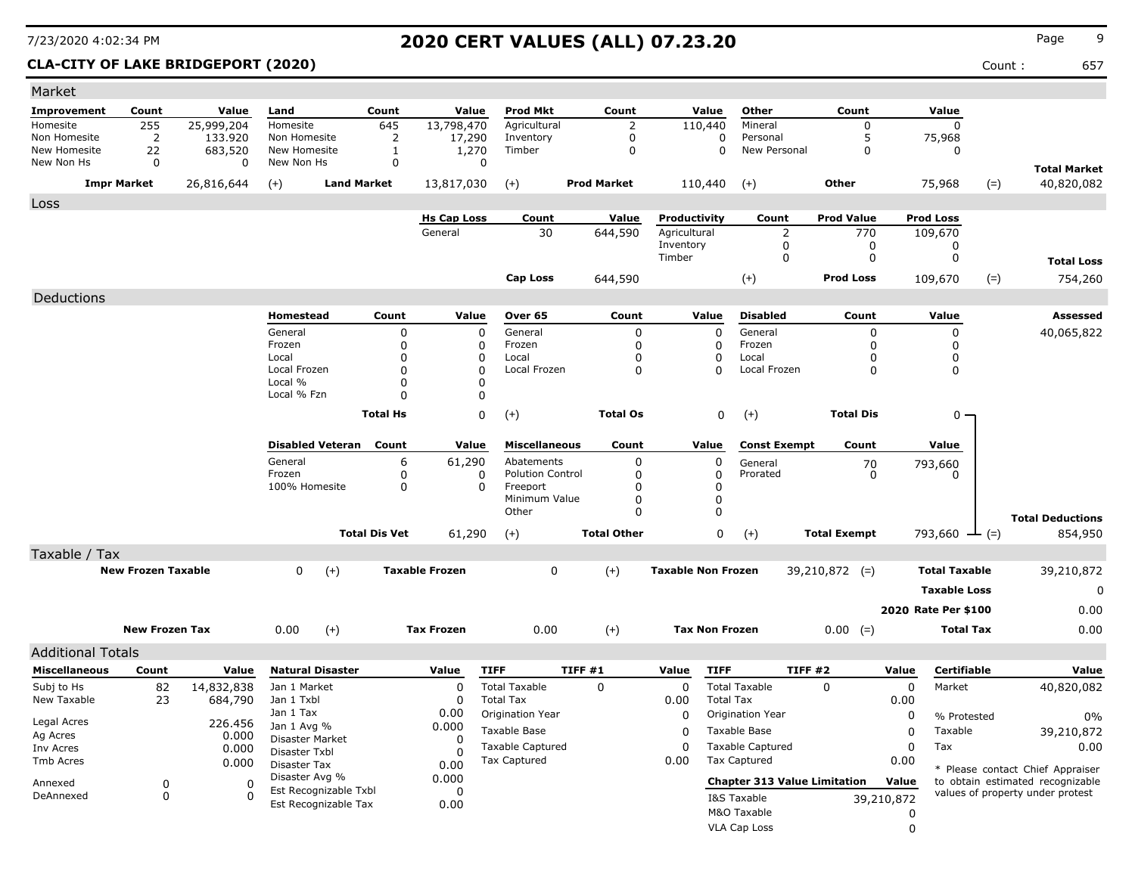**CLA-CITY OF LAKE BRIDGEPORT (2020)** 657

| Market                       |                           |                    |                              |                         |                      |                       |                                     |                                 |                           |                       |                                         |                     |             |                      |        |                                  |
|------------------------------|---------------------------|--------------------|------------------------------|-------------------------|----------------------|-----------------------|-------------------------------------|---------------------------------|---------------------------|-----------------------|-----------------------------------------|---------------------|-------------|----------------------|--------|----------------------------------|
| Improvement                  | Count                     | Value              | Land                         |                         | Count                | Value                 | <b>Prod Mkt</b>                     | Count                           |                           | Value                 | Other                                   | Count               |             | Value                |        |                                  |
| Homesite                     | 255                       | 25,999,204         | Homesite                     |                         | 645                  | 13,798,470            | Agricultural                        | $\overline{2}$                  |                           | 110,440               | Mineral                                 | $\Omega$            |             | $\Omega$             |        |                                  |
| Non Homesite<br>New Homesite | $\overline{2}$<br>22      | 133.920<br>683,520 | Non Homesite<br>New Homesite |                         | 2<br>1               | 17,290<br>1,270       | Inventory<br>Timber                 | $\boldsymbol{0}$<br>$\mathbf 0$ |                           | $\Omega$<br>$\Omega$  | Personal<br>New Personal                | 5<br>$\Omega$       |             | 75,968<br>0          |        |                                  |
| New Non Hs                   | 0                         | 0                  | New Non Hs                   |                         | $\mathbf 0$          | 0                     |                                     |                                 |                           |                       |                                         |                     |             |                      |        |                                  |
| <b>Impr Market</b>           |                           |                    |                              | <b>Land Market</b>      |                      |                       |                                     | <b>Prod Market</b>              |                           |                       |                                         | Other               |             |                      |        | <b>Total Market</b>              |
|                              |                           | 26,816,644         | $(+)$                        |                         |                      | 13,817,030            | $(+)$                               |                                 |                           | 110,440               | $(+)$                                   |                     |             | 75,968               | $(=)$  | 40,820,082                       |
| Loss                         |                           |                    |                              |                         |                      |                       |                                     |                                 |                           |                       |                                         |                     |             |                      |        |                                  |
|                              |                           |                    |                              |                         |                      | <b>Hs Cap Loss</b>    | Count                               | Value                           | Productivity              |                       | Count                                   | <b>Prod Value</b>   |             | <b>Prod Loss</b>     |        |                                  |
|                              |                           |                    |                              |                         |                      | General               | 30                                  | 644,590                         | Agricultural<br>Inventory |                       | 2<br>$\mathbf 0$                        | 770<br>$\mathbf 0$  |             | 109,670<br>0         |        |                                  |
|                              |                           |                    |                              |                         |                      |                       |                                     |                                 | Timber                    |                       | 0                                       | $\pmb{0}$           |             | $\mathbf 0$          |        | <b>Total Loss</b>                |
|                              |                           |                    |                              |                         |                      |                       | <b>Cap Loss</b>                     | 644,590                         |                           |                       | $(+)$                                   | <b>Prod Loss</b>    |             | 109,670              | $(=)$  | 754,260                          |
|                              |                           |                    |                              |                         |                      |                       |                                     |                                 |                           |                       |                                         |                     |             |                      |        |                                  |
| Deductions                   |                           |                    | Homestead                    |                         | Count                | Value                 | Over 65                             | Count                           |                           | Value                 | <b>Disabled</b>                         | Count               |             | Value                |        | <b>Assessed</b>                  |
|                              |                           |                    | General                      |                         | 0                    | $\Omega$              | General                             | 0                               |                           | $\mathbf 0$           | General                                 | 0                   |             | $\mathbf 0$          |        | 40,065,822                       |
|                              |                           |                    | Frozen                       |                         | 0                    | 0                     | Frozen                              | $\mathbf 0$                     |                           | $\mathbf 0$           | Frozen                                  | 0                   |             | $\Omega$             |        |                                  |
|                              |                           |                    | Local                        |                         | 0                    | $\Omega$              | Local                               | $\mathbf 0$                     |                           | $\mathbf 0$           | Local                                   | 0                   |             | 0                    |        |                                  |
|                              |                           |                    | Local Frozen                 |                         | $\Omega$             | $\Omega$<br>$\Omega$  | Local Frozen                        | $\Omega$                        |                           | $\Omega$              | Local Frozen                            | $\Omega$            |             | $\Omega$             |        |                                  |
|                              |                           |                    | Local %<br>Local % Fzn       |                         | 0<br>0               | $\Omega$              |                                     |                                 |                           |                       |                                         |                     |             |                      |        |                                  |
|                              |                           |                    |                              |                         |                      |                       |                                     |                                 |                           |                       |                                         |                     |             |                      |        |                                  |
|                              |                           |                    |                              |                         | <b>Total Hs</b>      | 0                     | $(+)$                               | <b>Total Os</b>                 |                           | $\mathbf 0$           | $(+)$                                   | <b>Total Dis</b>    |             | $0 \cdot$            |        |                                  |
|                              |                           |                    |                              | <b>Disabled Veteran</b> | Count                | Value                 | <b>Miscellaneous</b>                | Count                           |                           | Value                 | <b>Const Exempt</b>                     | Count               |             | Value                |        |                                  |
|                              |                           |                    | General                      |                         | 6                    | 61,290                | Abatements                          | 0                               |                           | $\pmb{0}$             | General                                 | 70                  |             | 793,660              |        |                                  |
|                              |                           |                    | Frozen<br>100% Homesite      |                         | 0<br>$\mathbf 0$     | 0<br>$\Omega$         | <b>Polution Control</b><br>Freeport | $\mathbf 0$<br>$\mathbf 0$      |                           | 0<br>$\mathbf 0$      | Prorated                                | $\mathbf 0$         |             | 0                    |        |                                  |
|                              |                           |                    |                              |                         |                      |                       | Minimum Value                       | $\Omega$                        |                           | $\mathbf 0$           |                                         |                     |             |                      |        |                                  |
|                              |                           |                    |                              |                         |                      |                       | Other                               | $\mathbf 0$                     |                           | $\mathbf 0$           |                                         |                     |             |                      |        | <b>Total Deductions</b>          |
|                              |                           |                    |                              |                         | <b>Total Dis Vet</b> | 61,290                | $(+)$                               | <b>Total Other</b>              |                           | $\Omega$              | $(+)$                                   | <b>Total Exempt</b> |             | 793,660              | $-(-)$ | 854,950                          |
| Taxable / Tax                |                           |                    |                              |                         |                      |                       |                                     |                                 |                           |                       |                                         |                     |             |                      |        |                                  |
|                              | <b>New Frozen Taxable</b> |                    | $\Omega$                     | $(+)$                   |                      | <b>Taxable Frozen</b> | $\mathbf 0$                         | $(+)$                           | <b>Taxable Non Frozen</b> |                       |                                         | $39,210,872$ (=)    |             | <b>Total Taxable</b> |        | 39,210,872                       |
|                              |                           |                    |                              |                         |                      |                       |                                     |                                 |                           |                       |                                         |                     |             | <b>Taxable Loss</b>  |        | $\Omega$                         |
|                              |                           |                    |                              |                         |                      |                       |                                     |                                 |                           |                       |                                         |                     |             | 2020 Rate Per \$100  |        | 0.00                             |
|                              | <b>New Frozen Tax</b>     |                    | 0.00                         | $(+)$                   |                      | <b>Tax Frozen</b>     | 0.00                                | $(+)$                           |                           | <b>Tax Non Frozen</b> |                                         | $0.00 (=)$          |             | <b>Total Tax</b>     |        | 0.00                             |
|                              |                           |                    |                              |                         |                      |                       |                                     |                                 |                           |                       |                                         |                     |             |                      |        |                                  |
| <b>Additional Totals</b>     |                           |                    |                              |                         |                      |                       |                                     |                                 |                           |                       |                                         |                     |             |                      |        |                                  |
| <b>Miscellaneous</b>         | Count                     | Value              |                              | <b>Natural Disaster</b> |                      | Value                 | <b>TIFF</b>                         | TIFF#1                          | Value                     | <b>TIFF</b>           |                                         | <b>TIFF #2</b>      | Value       | <b>Certifiable</b>   |        | Value                            |
| Subj to Hs                   | 82                        | 14,832,838         | Jan 1 Market                 |                         |                      | $\mathbf 0$           | <b>Total Taxable</b>                | 0                               | $\mathbf 0$               |                       | <b>Total Taxable</b>                    | $\mathbf 0$         | $\mathbf 0$ | Market               |        | 40,820,082                       |
| New Taxable                  | 23                        | 684,790            | Jan 1 Txbl<br>Jan 1 Tax      |                         |                      | $\Omega$<br>0.00      | <b>Total Tax</b>                    |                                 | 0.00                      | <b>Total Tax</b>      |                                         |                     | 0.00        |                      |        |                                  |
| Legal Acres                  |                           | 226.456            | Jan 1 Avg %                  |                         |                      | 0.000                 | Origination Year                    |                                 | $\Omega$                  |                       | Origination Year                        |                     | $\mathbf 0$ | % Protested          |        | $0\%$                            |
| Ag Acres                     |                           | 0.000              | Disaster Market              |                         |                      | $\Omega$              | Taxable Base                        |                                 | $\Omega$                  |                       | Taxable Base                            |                     | $\Omega$    | Taxable              |        | 39,210,872                       |
| Inv Acres                    |                           | 0.000              | Disaster Txbl                |                         |                      | $\Omega$              | Taxable Captured<br>Tax Captured    |                                 | $\Omega$<br>0.00          |                       | Taxable Captured<br><b>Tax Captured</b> |                     | $\Omega$    | Tax                  |        | 0.00                             |
| Tmb Acres                    |                           | 0.000              | Disaster Tax                 |                         |                      | 0.00                  |                                     |                                 |                           |                       |                                         |                     | 0.00        |                      |        | * Please contact Chief Appraiser |
| Annexed                      | 0                         | 0                  | Disaster Avg %               | Est Recognizable Txbl   |                      | 0.000<br>0            |                                     |                                 |                           |                       | <b>Chapter 313 Value Limitation</b>     |                     | Value       |                      |        | to obtain estimated recognizable |
| DeAnnexed                    | $\Omega$                  | $\Omega$           |                              | Est Recognizable Tax    |                      | 0.00                  |                                     |                                 |                           |                       | I&S Taxable                             |                     | 39,210,872  |                      |        | values of property under protest |
|                              |                           |                    |                              |                         |                      |                       |                                     |                                 |                           |                       | M&O Taxable                             |                     | 0           |                      |        |                                  |
|                              |                           |                    |                              |                         |                      |                       |                                     |                                 |                           |                       | <b>VLA Cap Loss</b>                     |                     | $\Omega$    |                      |        |                                  |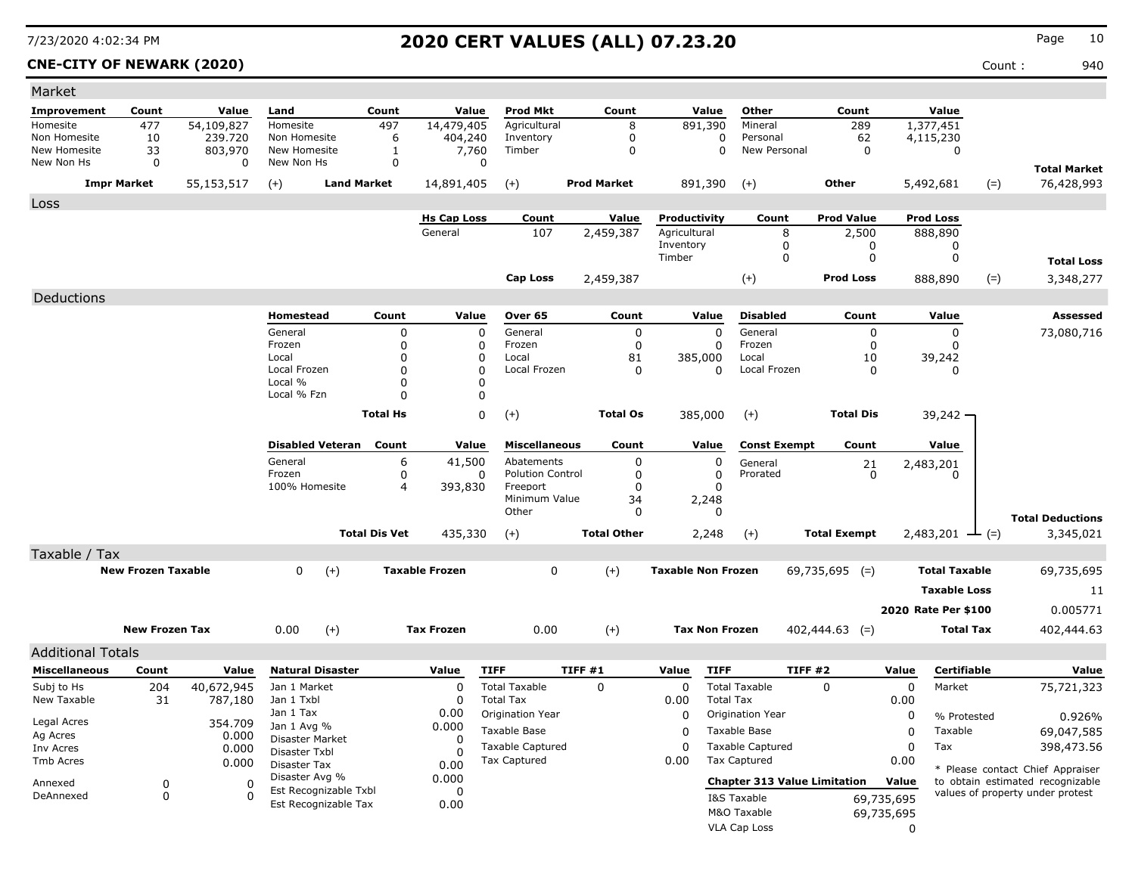**CNE-CITY OF NEWARK (2020)** Count : 940

| Market                   |                           |                  |                               |                      |                       |                         |                    |                           |                                     |                     |             |                      |                                                                      |
|--------------------------|---------------------------|------------------|-------------------------------|----------------------|-----------------------|-------------------------|--------------------|---------------------------|-------------------------------------|---------------------|-------------|----------------------|----------------------------------------------------------------------|
| <b>Improvement</b>       | Count                     | Value            | Land                          | Count                | Value                 | <b>Prod Mkt</b>         | Count              | Value                     | Other                               | Count               |             | Value                |                                                                      |
| Homesite                 | 477                       | 54,109,827       | Homesite                      | 497                  | 14,479,405            | Agricultural            | 8                  | 891,390                   | Mineral                             | 289                 |             | 1,377,451            |                                                                      |
| Non Homesite             | 10                        | 239.720          | Non Homesite                  | 6                    | 404,240               | Inventory               | 0                  | 0                         | Personal                            | 62                  |             | 4,115,230            |                                                                      |
| New Homesite             | 33                        | 803,970          | New Homesite                  | 1                    | 7,760                 | Timber                  | 0                  | 0                         | New Personal                        | 0                   |             | 0                    |                                                                      |
| New Non Hs               | $\mathbf 0$               | 0                | New Non Hs                    | 0                    | $\Omega$              |                         |                    |                           |                                     |                     |             |                      | <b>Total Market</b>                                                  |
|                          | <b>Impr Market</b>        | 55,153,517       | <b>Land Market</b><br>$(+)$   |                      | 14,891,405            | $(+)$                   | <b>Prod Market</b> | 891,390                   | $(+)$                               | Other               |             | 5,492,681<br>$(=)$   | 76,428,993                                                           |
| Loss                     |                           |                  |                               |                      |                       |                         |                    |                           |                                     |                     |             |                      |                                                                      |
|                          |                           |                  |                               |                      | <b>Hs Cap Loss</b>    | Count                   | Value              | Productivity              | Count                               | <b>Prod Value</b>   |             | <b>Prod Loss</b>     |                                                                      |
|                          |                           |                  |                               |                      | General               | 107                     | 2,459,387          | Agricultural              | 8                                   | 2,500               |             | 888,890              |                                                                      |
|                          |                           |                  |                               |                      |                       |                         |                    | Inventory<br>Timber       | 0<br>0                              | 0                   |             | 0                    |                                                                      |
|                          |                           |                  |                               |                      |                       |                         |                    |                           |                                     | 0                   |             | 0                    | <b>Total Loss</b>                                                    |
|                          |                           |                  |                               |                      |                       | Cap Loss                | 2,459,387          |                           | $(+)$                               | <b>Prod Loss</b>    |             | $(=)$<br>888,890     | 3,348,277                                                            |
| Deductions               |                           |                  |                               |                      |                       |                         |                    |                           |                                     |                     |             |                      |                                                                      |
|                          |                           |                  | Homestead                     | Count                | Value                 | Over 65                 | Count              | Value                     | <b>Disabled</b>                     | Count               |             | Value                | Assessed                                                             |
|                          |                           |                  | General                       | 0                    | 0                     | General                 | 0                  | $\Omega$                  | General                             | 0                   |             | 0                    | 73,080,716                                                           |
|                          |                           |                  | Frozen                        | $\mathbf 0$          | 0                     | Frozen                  | 0                  | 0                         | Frozen                              | 0                   |             | 0                    |                                                                      |
|                          |                           |                  | Local                         | $\Omega$             | 0                     | Local                   | 81                 | 385,000                   | Local                               | 10                  |             | 39,242               |                                                                      |
|                          |                           |                  | Local Frozen                  | 0                    | 0                     | Local Frozen            | 0                  | $\Omega$                  | Local Frozen                        | 0                   |             | 0                    |                                                                      |
|                          |                           |                  | Local %<br>Local % Fzn        | $\Omega$<br>n        | 0<br>0                |                         |                    |                           |                                     |                     |             |                      |                                                                      |
|                          |                           |                  |                               |                      |                       |                         |                    |                           |                                     |                     |             |                      |                                                                      |
|                          |                           |                  |                               | <b>Total Hs</b>      | 0                     | $(+)$                   | <b>Total Os</b>    | 385,000                   | $(+)$                               | <b>Total Dis</b>    |             | $39,242 -$           |                                                                      |
|                          |                           |                  | <b>Disabled Veteran</b>       | Count                | Value                 | <b>Miscellaneous</b>    | Count              | Value                     | <b>Const Exempt</b>                 | Count               |             | Value                |                                                                      |
|                          |                           |                  | General                       | 6                    | 41,500                | Abatements              | 0                  | 0                         | General                             | 21                  |             | 2,483,201            |                                                                      |
|                          |                           |                  | Frozen                        | 0                    | 0                     | <b>Polution Control</b> | 0                  | 0                         | Prorated                            | 0                   |             | 0                    |                                                                      |
|                          |                           |                  | 100% Homesite                 | 4                    | 393,830               | Freeport                | $\mathbf 0$        | 0                         |                                     |                     |             |                      |                                                                      |
|                          |                           |                  |                               |                      |                       | Minimum Value           | 34                 | 2,248                     |                                     |                     |             |                      |                                                                      |
|                          |                           |                  |                               |                      |                       | Other                   | 0                  | $\Omega$                  |                                     |                     |             |                      | <b>Total Deductions</b>                                              |
|                          |                           |                  |                               | <b>Total Dis Vet</b> | 435,330               | $(+)$                   | <b>Total Other</b> | 2,248                     | $(+)$                               | <b>Total Exempt</b> |             | 2,483,201<br>$-(-)$  | 3,345,021                                                            |
| Taxable / Tax            |                           |                  |                               |                      |                       |                         |                    |                           |                                     |                     |             |                      |                                                                      |
|                          | <b>New Frozen Taxable</b> |                  | $\mathbf 0$<br>$(+)$          |                      | <b>Taxable Frozen</b> | 0                       | $(+)$              | <b>Taxable Non Frozen</b> |                                     | $69,735,695$ (=)    |             | <b>Total Taxable</b> | 69,735,695                                                           |
|                          |                           |                  |                               |                      |                       |                         |                    |                           |                                     |                     |             | <b>Taxable Loss</b>  | 11                                                                   |
|                          |                           |                  |                               |                      |                       |                         |                    |                           |                                     |                     |             | 2020 Rate Per \$100  | 0.005771                                                             |
|                          |                           |                  |                               |                      |                       |                         |                    |                           |                                     |                     |             |                      |                                                                      |
|                          | <b>New Frozen Tax</b>     |                  | 0.00<br>$(+)$                 |                      | <b>Tax Frozen</b>     | 0.00                    | $(+)$              | <b>Tax Non Frozen</b>     |                                     | $402,444.63$ (=)    |             | <b>Total Tax</b>     | 402,444.63                                                           |
| <b>Additional Totals</b> |                           |                  |                               |                      |                       |                         |                    |                           |                                     |                     |             |                      |                                                                      |
| <b>Miscellaneous</b>     | Count                     | Value            | <b>Natural Disaster</b>       |                      | Value                 | <b>TIFF</b>             | TIFF#1             | Value<br><b>TIFF</b>      |                                     | TIFF#2              | Value       | Certifiable          | Value                                                                |
| Subj to Hs               | 204                       | 40,672,945       | Jan 1 Market                  |                      | 0                     | <b>Total Taxable</b>    | 0                  | 0                         | <b>Total Taxable</b>                | $\Omega$            | $\mathbf 0$ | Market               | 75,721,323                                                           |
| New Taxable              | 31                        | 787,180          | Jan 1 Txbl                    |                      | 0                     | <b>Total Tax</b>        |                    | 0.00                      | <b>Total Tax</b>                    |                     | 0.00        |                      |                                                                      |
|                          |                           |                  | Jan 1 Tax                     |                      | 0.00                  | Origination Year        |                    | 0                         | Origination Year                    |                     | 0           | % Protested          | 0.926%                                                               |
| Legal Acres<br>Ag Acres  |                           | 354.709<br>0.000 | Jan 1 Avg %                   |                      | 0.000                 | Taxable Base            |                    | 0                         | Taxable Base                        |                     | 0           | Taxable              | 69,047,585                                                           |
| Inv Acres                |                           | 0.000            | Disaster Market               |                      | 0                     | <b>Taxable Captured</b> |                    | $\Omega$                  | <b>Taxable Captured</b>             |                     | 0           | Tax                  | 398,473.56                                                           |
| Tmb Acres                |                           | 0.000            | Disaster Txbl<br>Disaster Tax |                      | $\Omega$<br>0.00      | Tax Captured            |                    | 0.00                      | <b>Tax Captured</b>                 |                     | 0.00        |                      |                                                                      |
|                          |                           |                  | Disaster Avg %                |                      | 0.000                 |                         |                    |                           |                                     |                     |             |                      | * Please contact Chief Appraiser                                     |
| Annexed                  | 0                         | 0                | Est Recognizable Txbl         |                      | 0                     |                         |                    |                           | <b>Chapter 313 Value Limitation</b> |                     | Value       |                      | to obtain estimated recognizable<br>values of property under protest |
| DeAnnexed                | 0                         | $\Omega$         | Est Recognizable Tax          |                      | 0.00                  |                         |                    |                           | I&S Taxable                         |                     | 69,735,695  |                      |                                                                      |
|                          |                           |                  |                               |                      |                       |                         |                    |                           | M&O Taxable                         |                     | 69,735,695  |                      |                                                                      |
|                          |                           |                  |                               |                      |                       |                         |                    |                           | VLA Cap Loss                        |                     | 0           |                      |                                                                      |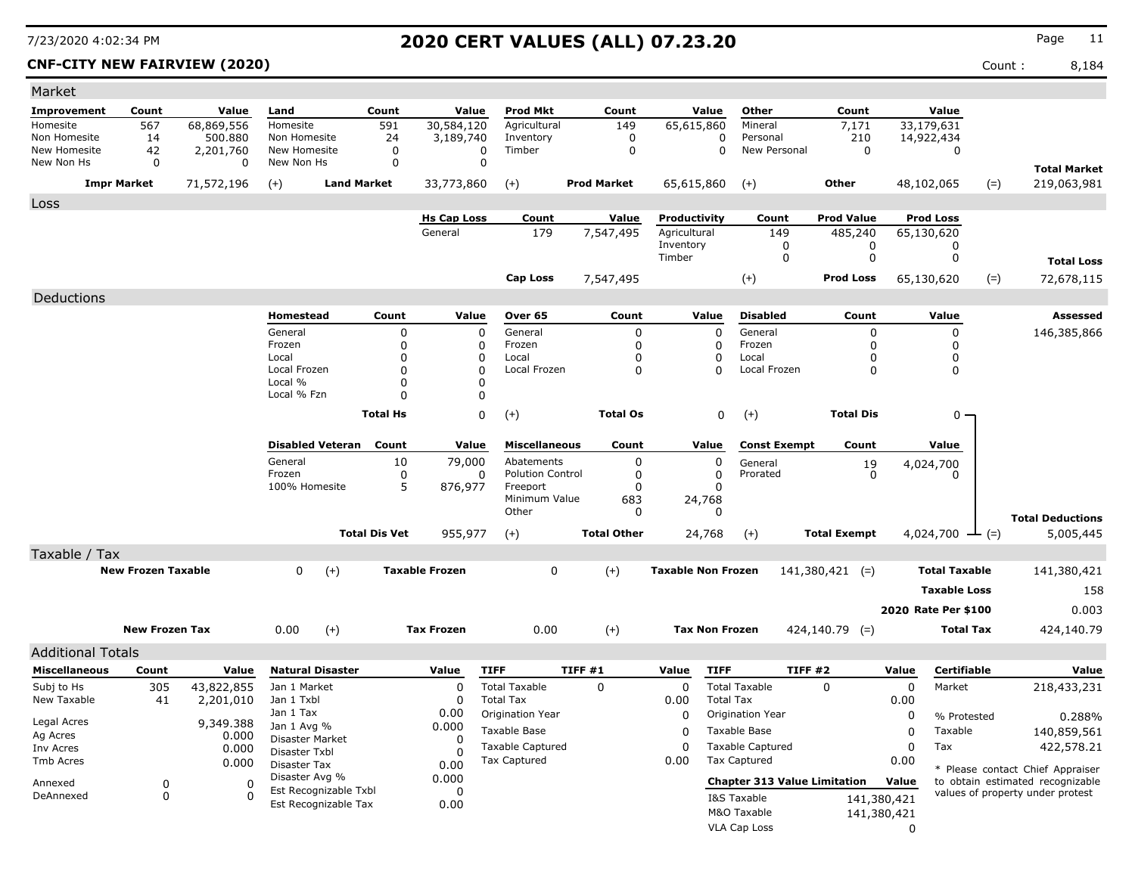### **CNF-CITY NEW FAIRVIEW (2020)** Count : 8,184

| Market                                           |                           |                         |                                    |                      |                       |                                    |                    |                           |                            |                                     |                     |             |                             |       |                                  |
|--------------------------------------------------|---------------------------|-------------------------|------------------------------------|----------------------|-----------------------|------------------------------------|--------------------|---------------------------|----------------------------|-------------------------------------|---------------------|-------------|-----------------------------|-------|----------------------------------|
| Improvement                                      | Count                     | Value                   | Land                               | Count                | Value                 | <b>Prod Mkt</b>                    | Count              | Value                     |                            | Other                               | Count               |             | Value                       |       |                                  |
| Homesite                                         | 567                       | 68,869,556              | Homesite                           | 591                  | 30,584,120            | Agricultural                       | 149                | 65,615,860                |                            | Mineral                             | 7,171               |             | 33,179,631                  |       |                                  |
| Non Homesite<br>New Homesite                     | 14<br>42                  | 500.880<br>2,201,760    | Non Homesite<br>New Homesite       | 24<br>$\mathbf 0$    | 3,189,740<br>0        | Inventory<br>Timber                | 0<br>$\mathbf 0$   |                           | $\mathbf 0$<br>$\mathbf 0$ | Personal<br>New Personal            | 210<br>$\mathbf 0$  |             | 14,922,434<br>$\mathbf 0$   |       |                                  |
| New Non Hs                                       | $\mathbf 0$               | $\mathbf 0$             | New Non Hs                         | $\mathbf 0$          | 0                     |                                    |                    |                           |                            |                                     |                     |             |                             |       | <b>Total Market</b>              |
|                                                  | <b>Impr Market</b>        | 71,572,196              | $(+)$                              | <b>Land Market</b>   | 33,773,860            | $(+)$                              | <b>Prod Market</b> | 65,615,860                | $(+)$                      |                                     | Other               |             | 48,102,065                  | $(=)$ | 219,063,981                      |
|                                                  |                           |                         |                                    |                      |                       |                                    |                    |                           |                            |                                     |                     |             |                             |       |                                  |
| Loss                                             |                           |                         |                                    |                      | <b>Hs Cap Loss</b>    | Count                              | Value              | Productivity              |                            | Count                               | <b>Prod Value</b>   |             | <b>Prod Loss</b>            |       |                                  |
|                                                  |                           |                         |                                    |                      | General               | 179                                | 7,547,495          | Agricultural              |                            | 149                                 | 485,240             |             | 65,130,620                  |       |                                  |
|                                                  |                           |                         |                                    |                      |                       |                                    |                    | Inventory                 |                            | 0                                   | 0                   |             | 0                           |       |                                  |
|                                                  |                           |                         |                                    |                      |                       |                                    |                    | Timber                    |                            | 0                                   | 0                   |             | 0                           |       | <b>Total Loss</b>                |
|                                                  |                           |                         |                                    |                      |                       | <b>Cap Loss</b>                    | 7,547,495          |                           | $(+)$                      |                                     | <b>Prod Loss</b>    |             | 65,130,620                  | $(=)$ | 72,678,115                       |
| Deductions                                       |                           |                         |                                    |                      |                       |                                    |                    |                           |                            |                                     |                     |             |                             |       |                                  |
|                                                  |                           |                         | Homestead                          | Count                | Value                 | Over 65                            | Count              | Value                     |                            | <b>Disabled</b>                     | Count               |             | Value                       |       | <b>Assessed</b>                  |
|                                                  |                           |                         | General                            | 0                    | $\mathbf 0$           | General                            | 0                  |                           | $\mathbf 0$                | General                             | 0                   |             | 0                           |       | 146,385,866                      |
|                                                  |                           |                         | Frozen<br>Local                    | $\mathbf 0$          | 0                     | Frozen                             | $\mathbf 0$        |                           | 0                          | Frozen                              | 0                   |             | 0                           |       |                                  |
|                                                  |                           |                         | Local Frozen                       | 0<br>$\mathbf 0$     | $\Omega$<br>$\Omega$  | Local<br>Local Frozen              | 0<br>$\mathbf 0$   |                           | 0<br>$\mathbf 0$           | Local<br>Local Frozen               | 0<br>$\Omega$       |             | 0<br>0                      |       |                                  |
|                                                  |                           |                         | Local %                            | 0                    | $\Omega$              |                                    |                    |                           |                            |                                     |                     |             |                             |       |                                  |
|                                                  |                           |                         | Local % Fzn                        | $\Omega$             | 0                     |                                    |                    |                           |                            |                                     |                     |             |                             |       |                                  |
|                                                  |                           |                         |                                    | <b>Total Hs</b>      | $\Omega$              | $(+)$                              | <b>Total Os</b>    |                           | $\mathbf 0$<br>$(+)$       |                                     | <b>Total Dis</b>    |             | 0                           |       |                                  |
|                                                  |                           |                         |                                    |                      |                       |                                    |                    |                           |                            |                                     |                     |             |                             |       |                                  |
|                                                  |                           |                         | <b>Disabled Veteran</b><br>General | Count                | Value                 | <b>Miscellaneous</b><br>Abatements | Count              | Value                     |                            | <b>Const Exempt</b>                 | Count               |             | Value                       |       |                                  |
|                                                  |                           |                         | Frozen                             | 10<br>0              | 79,000<br>0           | <b>Polution Control</b>            | 0<br>$\mathbf 0$   |                           | 0<br>$\mathbf 0$           | General<br>Prorated                 | 19<br>$\Omega$      |             | 4,024,700<br>0              |       |                                  |
|                                                  |                           |                         | 100% Homesite                      | 5                    | 876,977               | Freeport                           | $\Omega$           |                           | $\Omega$                   |                                     |                     |             |                             |       |                                  |
|                                                  |                           |                         |                                    |                      |                       | Minimum Value<br>Other             | 683<br>0           | 24,768                    | $\Omega$                   |                                     |                     |             |                             |       |                                  |
|                                                  |                           |                         |                                    |                      |                       |                                    |                    |                           |                            |                                     |                     |             |                             |       | <b>Total Deductions</b>          |
|                                                  |                           |                         |                                    | <b>Total Dis Vet</b> | 955,977               | $(+)$                              | <b>Total Other</b> | 24,768                    | $(+)$                      |                                     | <b>Total Exempt</b> |             | 4,024,700 $\rightarrow$ (=) |       | 5,005,445                        |
| Taxable / Tax                                    |                           |                         |                                    |                      |                       |                                    |                    |                           |                            |                                     |                     |             |                             |       |                                  |
|                                                  | <b>New Frozen Taxable</b> |                         | $\Omega$                           | $(+)$                | <b>Taxable Frozen</b> | $\mathbf{0}$                       | $(+)$              | <b>Taxable Non Frozen</b> |                            |                                     | $141,380,421$ (=)   |             | <b>Total Taxable</b>        |       | 141,380,421                      |
|                                                  |                           |                         |                                    |                      |                       |                                    |                    |                           |                            |                                     |                     |             | <b>Taxable Loss</b>         |       | 158                              |
|                                                  |                           |                         |                                    |                      |                       |                                    |                    |                           |                            |                                     |                     |             | 2020 Rate Per \$100         |       | 0.003                            |
|                                                  | <b>New Frozen Tax</b>     |                         | 0.00                               | $(+)$                | <b>Tax Frozen</b>     | 0.00                               | $(+)$              |                           | <b>Tax Non Frozen</b>      |                                     | $424, 140.79$ (=)   |             | <b>Total Tax</b>            |       | 424,140.79                       |
|                                                  |                           |                         |                                    |                      |                       |                                    |                    |                           |                            |                                     |                     |             |                             |       |                                  |
| <b>Additional Totals</b><br><b>Miscellaneous</b> | Count                     | Value                   | <b>Natural Disaster</b>            |                      | Value                 | <b>TIFF</b>                        | TIFF#1             | Value                     | <b>TIFF</b>                | <b>TIFF #2</b>                      |                     | Value       | Certifiable                 |       | Value                            |
| Subj to Hs                                       | 305                       |                         | Jan 1 Market                       |                      | $\Omega$              | <b>Total Taxable</b>               | $\mathbf 0$        | $\mathbf 0$               | <b>Total Taxable</b>       |                                     | $\Omega$            | $\mathbf 0$ | Market                      |       |                                  |
| New Taxable                                      | 41                        | 43,822,855<br>2,201,010 | Jan 1 Txbl                         |                      | $\Omega$              | <b>Total Tax</b>                   |                    | 0.00                      | <b>Total Tax</b>           |                                     |                     | 0.00        |                             |       | 218,433,231                      |
| Legal Acres                                      |                           |                         | Jan 1 Tax                          |                      | 0.00                  | Origination Year                   |                    | 0                         | Origination Year           |                                     |                     | 0           | % Protested                 |       | 0.288%                           |
| Ag Acres                                         |                           | 9,349.388<br>0.000      | Jan 1 Avg %                        |                      | 0.000                 | Taxable Base                       |                    | $\Omega$                  | Taxable Base               |                                     |                     | $\mathbf 0$ | Taxable                     |       | 140,859,561                      |
| Inv Acres                                        |                           | 0.000                   | Disaster Market<br>Disaster Txbl   |                      | $\Omega$<br>$\Omega$  | Taxable Captured                   |                    | $\Omega$                  |                            | <b>Taxable Captured</b>             |                     | $\mathbf 0$ | Tax                         |       | 422,578.21                       |
| <b>Tmb Acres</b>                                 |                           | 0.000                   | Disaster Tax                       |                      | 0.00                  | <b>Tax Captured</b>                |                    | 0.00                      | <b>Tax Captured</b>        |                                     |                     | 0.00        |                             |       | * Please contact Chief Appraiser |
| Annexed                                          | $\mathbf 0$               | $\Omega$                | Disaster Avg %                     |                      | 0.000                 |                                    |                    |                           |                            | <b>Chapter 313 Value Limitation</b> |                     | Value       |                             |       | to obtain estimated recognizable |
| DeAnnexed                                        | $\mathbf 0$               | $\Omega$                | Est Recognizable Txbl              |                      | $\Omega$              |                                    |                    |                           | I&S Taxable                |                                     |                     | 141,380,421 |                             |       | values of property under protest |
|                                                  |                           |                         | Est Recognizable Tax               |                      | 0.00                  |                                    |                    |                           | M&O Taxable                |                                     |                     | 141,380,421 |                             |       |                                  |
|                                                  |                           |                         |                                    |                      |                       |                                    |                    |                           | <b>VLA Cap Loss</b>        |                                     |                     | $\Omega$    |                             |       |                                  |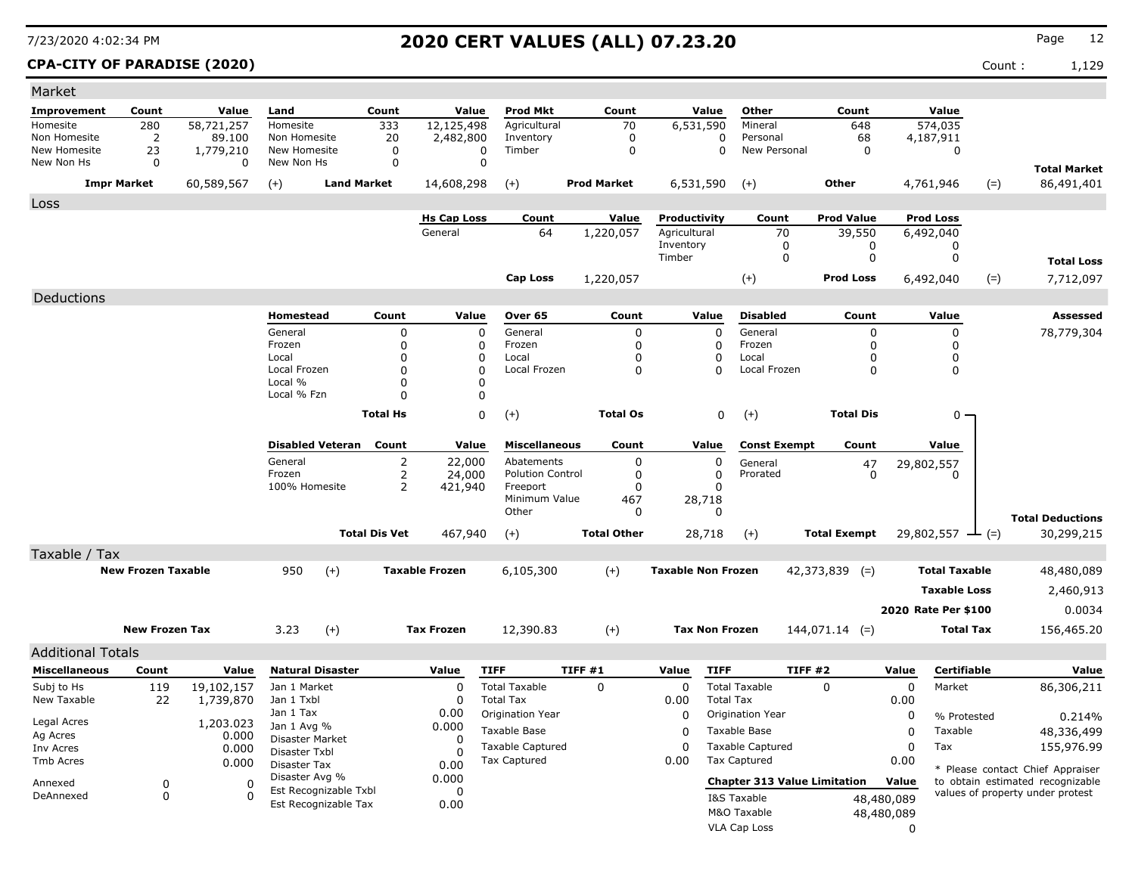### **CPA-CITY OF PARADISE (2020)** Count : 1,129

| Market                       |                           |                         |                               |                         |                      |                         |                                          |                         |                           |                       |                          |                                     |                  |                         |       |                                                                      |
|------------------------------|---------------------------|-------------------------|-------------------------------|-------------------------|----------------------|-------------------------|------------------------------------------|-------------------------|---------------------------|-----------------------|--------------------------|-------------------------------------|------------------|-------------------------|-------|----------------------------------------------------------------------|
| <b>Improvement</b>           | Count                     | Value                   | Land                          |                         | Count                | Value                   | <b>Prod Mkt</b>                          | Count                   |                           | Value                 | Other                    | Count                               |                  | Value                   |       |                                                                      |
| Homesite                     | 280                       | 58,721,257              | Homesite                      |                         | 333                  | 12,125,498              | Agricultural                             | 70                      |                           | 6,531,590             | Mineral                  | 648                                 |                  | 574,035                 |       |                                                                      |
| Non Homesite<br>New Homesite | $\overline{2}$<br>23      | 89,100<br>1,779,210     | Non Homesite<br>New Homesite  |                         | 20<br>$\mathbf 0$    | 2,482,800<br>0          | Inventory<br>Timber                      | 0<br>$\pmb{0}$          |                           | $\Omega$<br>$\Omega$  | Personal<br>New Personal | 68<br>$\mathbf 0$                   |                  | 4,187,911<br>0          |       |                                                                      |
| New Non Hs                   | $\mathbf 0$               | $\Omega$                | New Non Hs                    |                         | $\mathbf 0$          | $\Omega$                |                                          |                         |                           |                       |                          |                                     |                  |                         |       |                                                                      |
| <b>Impr Market</b>           |                           | 60,589,567              | $(+)$                         | <b>Land Market</b>      |                      | 14,608,298              | $^{(+)}$                                 | <b>Prod Market</b>      |                           | 6,531,590             | $(+)$                    | Other                               |                  | 4,761,946               | $(=)$ | <b>Total Market</b><br>86,491,401                                    |
|                              |                           |                         |                               |                         |                      |                         |                                          |                         |                           |                       |                          |                                     |                  |                         |       |                                                                      |
| Loss                         |                           |                         |                               |                         |                      | <b>Hs Cap Loss</b>      | Count                                    | Value                   |                           | Productivity          | Count                    | <b>Prod Value</b>                   |                  | <b>Prod Loss</b>        |       |                                                                      |
|                              |                           |                         |                               |                         |                      | General                 | 64                                       | 1,220,057               | Agricultural              |                       | 70                       | 39,550                              |                  | 6,492,040               |       |                                                                      |
|                              |                           |                         |                               |                         |                      |                         |                                          |                         | Inventory                 |                       | $\mathbf 0$              | 0                                   |                  | 0                       |       |                                                                      |
|                              |                           |                         |                               |                         |                      |                         |                                          |                         | Timber                    |                       | $\mathbf 0$              | 0                                   |                  | $\mathbf 0$             |       | <b>Total Loss</b>                                                    |
|                              |                           |                         |                               |                         |                      |                         | <b>Cap Loss</b>                          | 1,220,057               |                           |                       | $(+)$                    | <b>Prod Loss</b>                    |                  | 6,492,040               | $(=)$ | 7,712,097                                                            |
| Deductions                   |                           |                         |                               |                         |                      |                         |                                          |                         |                           |                       |                          |                                     |                  |                         |       |                                                                      |
|                              |                           |                         | Homestead                     |                         | Count                | Value                   | Over <sub>65</sub>                       | Count                   |                           | Value                 | <b>Disabled</b>          | Count                               |                  | Value                   |       | Assessed                                                             |
|                              |                           |                         | General                       |                         | 0                    | $\mathbf 0$             | General                                  | 0                       |                           | 0                     | General                  | 0                                   |                  | $\Omega$                |       | 78,779,304                                                           |
|                              |                           |                         | Frozen<br>Local               |                         | $\Omega$<br>0        | $\Omega$<br>0           | Frozen<br>Local                          | $\Omega$<br>$\mathbf 0$ |                           | 0<br>0                | Frozen<br>Local          | $\Omega$<br>$\Omega$                |                  | $\Omega$<br>$\mathbf 0$ |       |                                                                      |
|                              |                           |                         | Local Frozen                  |                         | $\Omega$             | $\Omega$                | Local Frozen                             | 0                       |                           | $\Omega$              | Local Frozen             | $\mathbf 0$                         |                  | $\mathbf 0$             |       |                                                                      |
|                              |                           |                         | Local %                       |                         | $\Omega$             | $\mathbf 0$             |                                          |                         |                           |                       |                          |                                     |                  |                         |       |                                                                      |
|                              |                           |                         | Local % Fzn                   |                         | 0                    | 0                       |                                          |                         |                           |                       |                          |                                     |                  |                         |       |                                                                      |
|                              |                           |                         |                               |                         | <b>Total Hs</b>      | $\mathbf 0$             | $(+)$                                    | <b>Total Os</b>         |                           | $\mathbf 0$           | $(+)$                    | <b>Total Dis</b>                    |                  | 0 .                     |       |                                                                      |
|                              |                           |                         |                               | <b>Disabled Veteran</b> | Count                | Value                   | <b>Miscellaneous</b>                     | Count                   |                           | Value                 | <b>Const Exempt</b>      | Count                               |                  | Value                   |       |                                                                      |
|                              |                           |                         | General                       |                         | 2                    | 22,000                  | Abatements                               | 0                       |                           | 0                     | General                  | 47                                  |                  | 29,802,557              |       |                                                                      |
|                              |                           |                         | Frozen<br>100% Homesite       |                         | 2<br>2               | 24,000                  | <b>Polution Control</b><br>Freeport      | 0                       |                           | 0<br>0                | Prorated                 | $\mathbf 0$                         |                  | 0                       |       |                                                                      |
|                              |                           |                         |                               |                         |                      | 421,940                 | Minimum Value                            | 0<br>467                |                           | 28,718                |                          |                                     |                  |                         |       |                                                                      |
|                              |                           |                         |                               |                         |                      |                         | Other                                    | 0                       |                           | 0                     |                          |                                     |                  |                         |       | <b>Total Deductions</b>                                              |
|                              |                           |                         |                               |                         | <b>Total Dis Vet</b> | 467,940                 | $(+)$                                    | <b>Total Other</b>      |                           | 28,718                | $(+)$                    | <b>Total Exempt</b>                 |                  | 29,802,557              | $(=)$ | 30,299,215                                                           |
| Taxable / Tax                |                           |                         |                               |                         |                      |                         |                                          |                         |                           |                       |                          |                                     |                  |                         |       |                                                                      |
|                              | <b>New Frozen Taxable</b> |                         | 950                           | $(+)$                   |                      | <b>Taxable Frozen</b>   | 6,105,300                                | $(+)$                   | <b>Taxable Non Frozen</b> |                       |                          | $42,373,839$ (=)                    |                  | <b>Total Taxable</b>    |       | 48,480,089                                                           |
|                              |                           |                         |                               |                         |                      |                         |                                          |                         |                           |                       |                          |                                     |                  | <b>Taxable Loss</b>     |       | 2,460,913                                                            |
|                              |                           |                         |                               |                         |                      |                         |                                          |                         |                           |                       |                          |                                     |                  | 2020 Rate Per \$100     |       | 0.0034                                                               |
|                              | <b>New Frozen Tax</b>     |                         | 3.23                          |                         |                      | <b>Tax Frozen</b>       |                                          |                         |                           | <b>Tax Non Frozen</b> |                          |                                     |                  | <b>Total Tax</b>        |       |                                                                      |
|                              |                           |                         |                               | $(+)$                   |                      |                         | 12,390.83                                | $(+)$                   |                           |                       |                          | $144,071.14$ (=)                    |                  |                         |       | 156,465.20                                                           |
| Additional Totals            |                           |                         |                               |                         |                      |                         |                                          |                         |                           |                       |                          |                                     |                  |                         |       |                                                                      |
| <b>Miscellaneous</b>         | Count                     | Value                   |                               | <b>Natural Disaster</b> |                      | Value                   | <b>TIFF</b>                              | TIFF#1                  | Value                     | <b>TIFF</b>           |                          | TIFF#2                              | Value            | Certifiable             |       | Value                                                                |
| Subj to Hs<br>New Taxable    | 119<br>22                 | 19,102,157<br>1,739,870 | Jan 1 Market<br>Jan 1 Txbl    |                         |                      | $\mathbf 0$<br>$\Omega$ | <b>Total Taxable</b><br><b>Total Tax</b> | $\Omega$                | $\mathbf 0$<br>0.00       | <b>Total Tax</b>      | <b>Total Taxable</b>     | $\Omega$                            | $\Omega$<br>0.00 | Market                  |       | 86,306,211                                                           |
|                              |                           |                         | Jan 1 Tax                     |                         |                      | 0.00                    | Origination Year                         |                         | $\Omega$                  |                       | Origination Year         |                                     | $\mathbf 0$      | % Protested             |       | 0.214%                                                               |
| Legal Acres                  |                           | 1,203.023               | Jan 1 Avg %                   |                         |                      | 0.000                   | Taxable Base                             |                         | $\Omega$                  |                       | <b>Taxable Base</b>      |                                     | $\mathbf 0$      | Taxable                 |       | 48,336,499                                                           |
| Ag Acres<br>Inv Acres        |                           | 0.000<br>0.000          | Disaster Market               |                         |                      | 0                       | <b>Taxable Captured</b>                  |                         | 0                         |                       | <b>Taxable Captured</b>  |                                     | $\mathbf 0$      | Tax                     |       | 155,976.99                                                           |
| <b>Tmb Acres</b>             |                           | 0.000                   | Disaster Txbl<br>Disaster Tax |                         |                      | $\Omega$<br>0.00        | <b>Tax Captured</b>                      |                         | 0.00                      |                       | Tax Captured             |                                     | 0.00             |                         |       |                                                                      |
|                              | 0                         | n                       | Disaster Avg %                |                         |                      | 0.000                   |                                          |                         |                           |                       |                          | <b>Chapter 313 Value Limitation</b> | Value            |                         |       | * Please contact Chief Appraiser<br>to obtain estimated recognizable |
| Annexed<br>DeAnnexed         | 0                         | $\Omega$                |                               | Est Recognizable Txbl   |                      | 0                       |                                          |                         |                           |                       | I&S Taxable              |                                     | 48,480,089       |                         |       | values of property under protest                                     |
|                              |                           |                         |                               | Est Recognizable Tax    |                      | 0.00                    |                                          |                         |                           |                       | M&O Taxable              |                                     | 48,480,089       |                         |       |                                                                      |
|                              |                           |                         |                               |                         |                      |                         |                                          |                         |                           |                       | <b>VLA Cap Loss</b>      |                                     | $\mathbf 0$      |                         |       |                                                                      |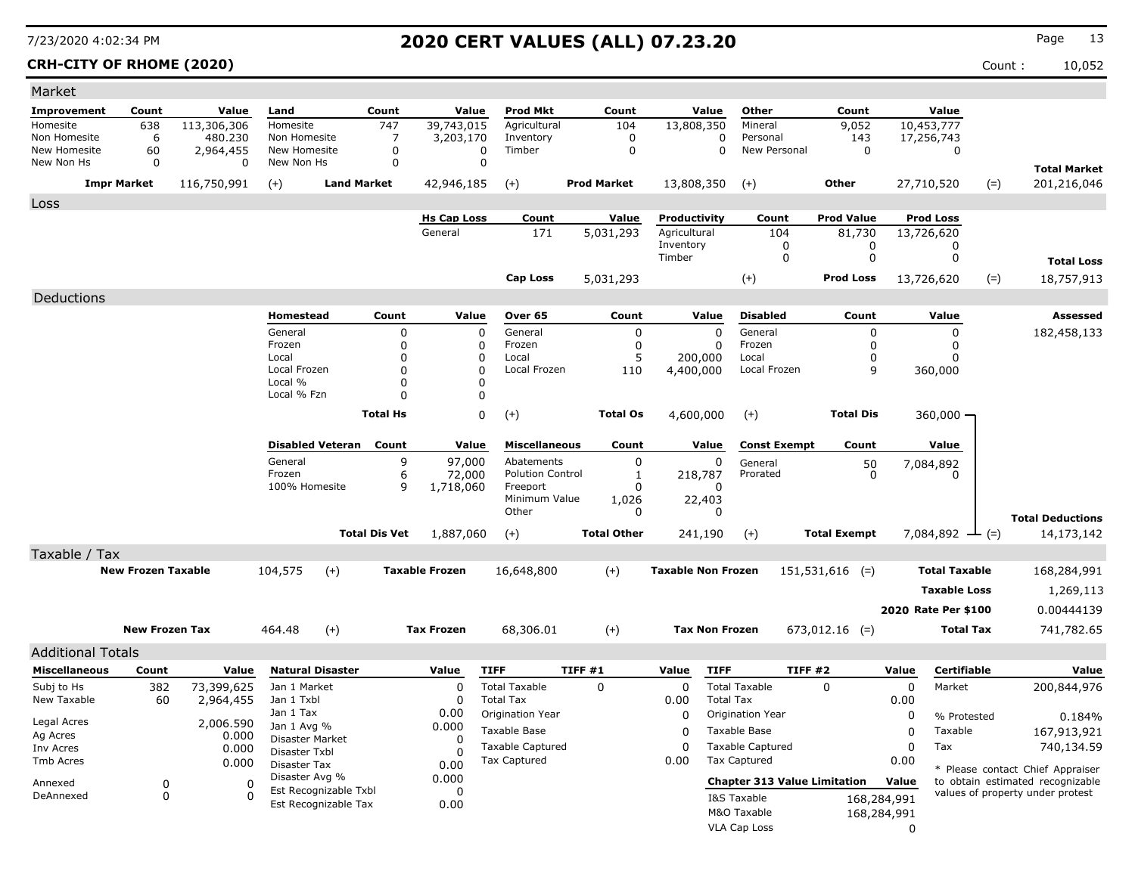### **CRH-CITY OF RHOME (2020)** Count : 10,052

| Market                       |                           |                          |                                |                                               |                      |                               |                           |        |                    |                              |                       |                          |                                     |              |                                |       |                                  |
|------------------------------|---------------------------|--------------------------|--------------------------------|-----------------------------------------------|----------------------|-------------------------------|---------------------------|--------|--------------------|------------------------------|-----------------------|--------------------------|-------------------------------------|--------------|--------------------------------|-------|----------------------------------|
| Improvement                  | Count                     | Value                    | Land                           | Count                                         |                      | Value                         | <b>Prod Mkt</b>           |        | Count              |                              | Value                 | Other                    | Count                               |              | Value                          |       |                                  |
| Homesite                     | 638                       | 113,306,306              | Homesite                       |                                               | 747                  | 39,743,015                    | Agricultural              |        | 104                |                              | 13,808,350            | Mineral                  | 9,052                               |              | 10,453,777                     |       |                                  |
| Non Homesite<br>New Homesite | 6<br>60                   | 480.230                  | Non Homesite<br>New Homesite   |                                               | 7<br>0               | 3,203,170<br>$\mathbf 0$      | Inventory<br>Timber       |        | 0<br>$\mathbf 0$   |                              | 0<br>$\mathbf 0$      | Personal<br>New Personal | 143<br>$\mathbf 0$                  |              | 17,256,743<br>$\mathbf 0$      |       |                                  |
| New Non Hs                   | $\Omega$                  | 2,964,455<br>$\mathbf 0$ | New Non Hs                     |                                               | 0                    | $\mathbf 0$                   |                           |        |                    |                              |                       |                          |                                     |              |                                |       |                                  |
|                              |                           |                          |                                | <b>Land Market</b>                            |                      |                               |                           |        | <b>Prod Market</b> |                              |                       |                          | Other                               |              |                                |       | <b>Total Market</b>              |
|                              | <b>Impr Market</b>        | 116,750,991              | $(+)$                          |                                               |                      | 42,946,185                    | $(+)$                     |        |                    |                              | 13,808,350            | $(+)$                    |                                     |              | 27,710,520                     | $(=)$ | 201,216,046                      |
| Loss                         |                           |                          |                                |                                               |                      |                               |                           |        |                    |                              |                       |                          |                                     |              |                                |       |                                  |
|                              |                           |                          |                                |                                               |                      | <b>Hs Cap Loss</b><br>General | Count<br>171              |        | Value<br>5,031,293 | Productivity<br>Agricultural |                       | Count<br>104             | <b>Prod Value</b><br>81,730         |              | <b>Prod Loss</b><br>13,726,620 |       |                                  |
|                              |                           |                          |                                |                                               |                      |                               |                           |        |                    | Inventory                    |                       | 0                        | 0                                   |              | 0                              |       |                                  |
|                              |                           |                          |                                |                                               |                      |                               |                           |        |                    | Timber                       |                       | 0                        | $\mathbf 0$                         |              | 0                              |       | <b>Total Loss</b>                |
|                              |                           |                          |                                |                                               |                      |                               | <b>Cap Loss</b>           |        | 5,031,293          |                              |                       | $(+)$                    | <b>Prod Loss</b>                    |              | 13,726,620                     | $(=)$ | 18,757,913                       |
| Deductions                   |                           |                          |                                |                                               |                      |                               |                           |        |                    |                              |                       |                          |                                     |              |                                |       |                                  |
|                              |                           |                          | Homestead                      |                                               | Count                | Value                         | Over 65                   |        | Count              |                              | Value                 | <b>Disabled</b>          | Count                               |              | Value                          |       | <b>Assessed</b>                  |
|                              |                           |                          | General                        |                                               | $\Omega$             | $\mathbf 0$                   | General                   |        | $\mathbf 0$        |                              | $\Omega$              | General                  | $\mathbf 0$                         |              | 0                              |       | 182,458,133                      |
|                              |                           |                          | Frozen                         |                                               | $\Omega$             | 0                             | Frozen                    |        | $\mathbf 0$        |                              | $\mathbf 0$           | Frozen                   | $\mathbf 0$                         |              | 0                              |       |                                  |
|                              |                           |                          | Local                          |                                               | $\Omega$             | 0                             | Local                     |        | 5                  |                              | 200,000               | Local                    | 0                                   |              | 0                              |       |                                  |
|                              |                           |                          | Local Frozen<br>Local %        |                                               | $\Omega$<br>$\Omega$ | $\mathbf 0$<br>0              | Local Frozen              |        | 110                | 4,400,000                    |                       | Local Frozen             | 9                                   |              | 360,000                        |       |                                  |
|                              |                           |                          | Local % Fzn                    |                                               | 0                    | 0                             |                           |        |                    |                              |                       |                          |                                     |              |                                |       |                                  |
|                              |                           |                          |                                |                                               | <b>Total Hs</b>      | $\mathbf 0$                   | $(+)$                     |        | <b>Total Os</b>    |                              | 4,600,000             | $(+)$                    | <b>Total Dis</b>                    |              | 360,000                        |       |                                  |
|                              |                           |                          |                                |                                               |                      |                               |                           |        |                    |                              |                       |                          |                                     |              |                                |       |                                  |
|                              |                           |                          |                                | <b>Disabled Veteran</b>                       | Count                | Value                         | <b>Miscellaneous</b>      |        | Count              |                              | Value                 | <b>Const Exempt</b>      | Count                               |              | Value                          |       |                                  |
|                              |                           |                          | General                        |                                               | 9                    | 97,000                        | Abatements                |        | $\pmb{0}$          |                              | $\Omega$              | General                  | 50                                  |              | 7,084,892                      |       |                                  |
|                              |                           |                          | Frozen                         |                                               | 6                    | 72,000                        | <b>Polution Control</b>   |        | 1                  |                              | 218,787               | Prorated                 | $\Omega$                            |              | <sup>n</sup>                   |       |                                  |
|                              |                           |                          | 100% Homesite                  |                                               | 9                    | 1,718,060                     | Freeport<br>Minimum Value |        | $\Omega$<br>1,026  |                              | O<br>22,403           |                          |                                     |              |                                |       |                                  |
|                              |                           |                          |                                |                                               |                      |                               | Other                     |        | 0                  |                              | $\Omega$              |                          |                                     |              |                                |       | <b>Total Deductions</b>          |
|                              |                           |                          |                                | <b>Total Dis Vet</b>                          |                      | 1,887,060                     | $(+)$                     |        | <b>Total Other</b> |                              | 241,190               | $(+)$                    | <b>Total Exempt</b>                 |              | 7,084,892 $\rightarrow$ (=)    |       | 14,173,142                       |
| Taxable / Tax                |                           |                          |                                |                                               |                      |                               |                           |        |                    |                              |                       |                          |                                     |              |                                |       |                                  |
|                              | <b>New Frozen Taxable</b> |                          | 104,575                        | $(+)$                                         |                      | <b>Taxable Frozen</b>         | 16,648,800                |        | $(+)$              | <b>Taxable Non Frozen</b>    |                       |                          | $151,531,616$ (=)                   |              | <b>Total Taxable</b>           |       | 168,284,991                      |
|                              |                           |                          |                                |                                               |                      |                               |                           |        |                    |                              |                       |                          |                                     |              | <b>Taxable Loss</b>            |       | 1,269,113                        |
|                              |                           |                          |                                |                                               |                      |                               |                           |        |                    |                              |                       |                          |                                     |              |                                |       |                                  |
|                              |                           |                          |                                |                                               |                      |                               |                           |        |                    |                              |                       |                          |                                     |              | 2020 Rate Per \$100            |       | 0.00444139                       |
|                              | <b>New Frozen Tax</b>     |                          | 464.48                         | $(+)$                                         |                      | <b>Tax Frozen</b>             | 68,306.01                 |        | $(+)$              |                              | <b>Tax Non Frozen</b> |                          | $673,012.16$ (=)                    |              | <b>Total Tax</b>               |       | 741,782.65                       |
| <b>Additional Totals</b>     |                           |                          |                                |                                               |                      |                               |                           |        |                    |                              |                       |                          |                                     |              |                                |       |                                  |
| <b>Miscellaneous</b>         | Count                     | Value                    | <b>Natural Disaster</b>        |                                               |                      | Value                         | <b>TIFF</b>               | TIFF#1 |                    | Value                        | <b>TIFF</b>           |                          | <b>TIFF #2</b>                      | Value        | Certifiable                    |       | Value                            |
| Subj to Hs                   | 382                       | 73,399,625               | Jan 1 Market                   |                                               |                      | 0                             | <b>Total Taxable</b>      |        | $\mathbf 0$        | $\mathbf 0$                  |                       | <b>Total Taxable</b>     | $\Omega$                            | $\mathbf 0$  | Market                         |       | 200,844,976                      |
| New Taxable                  | 60                        | 2,964,455                | Jan 1 Txbl                     |                                               |                      | $\Omega$                      | <b>Total Tax</b>          |        |                    | 0.00                         | <b>Total Tax</b>      |                          |                                     | 0.00         |                                |       |                                  |
| Legal Acres                  |                           | 2,006.590                | Jan 1 Tax                      |                                               |                      | 0.00                          | Origination Year          |        |                    | 0                            |                       | Origination Year         |                                     | 0            | % Protested                    |       | 0.184%                           |
| Ag Acres                     |                           | 0.000                    | Jan 1 Avg %<br>Disaster Market |                                               |                      | 0.000<br>$\Omega$             | <b>Taxable Base</b>       |        |                    | $\Omega$                     |                       | Taxable Base             |                                     | $\Omega$     | Taxable                        |       | 167,913,921                      |
| Inv Acres                    |                           | 0.000                    | Disaster Txbl                  |                                               |                      | $\Omega$                      | <b>Taxable Captured</b>   |        |                    | $\mathbf 0$                  |                       | <b>Taxable Captured</b>  |                                     | $\mathbf 0$  | Tax                            |       | 740,134.59                       |
| Tmb Acres                    |                           | 0.000                    | Disaster Tax                   |                                               |                      | 0.00                          | <b>Tax Captured</b>       |        |                    | 0.00                         |                       | <b>Tax Captured</b>      |                                     | 0.00         |                                |       | * Please contact Chief Appraiser |
| Annexed                      | 0                         | $\Omega$                 | Disaster Avg %                 |                                               |                      | 0.000                         |                           |        |                    |                              |                       |                          | <b>Chapter 313 Value Limitation</b> | Value        |                                |       | to obtain estimated recognizable |
| DeAnnexed                    | $\mathbf 0$               | $\Omega$                 |                                | Est Recognizable Txbl<br>Est Recognizable Tax |                      | $\mathbf 0$<br>0.00           |                           |        |                    |                              |                       | I&S Taxable              |                                     | 168,284,991  |                                |       | values of property under protest |
|                              |                           |                          |                                |                                               |                      |                               |                           |        |                    |                              |                       | M&O Taxable              |                                     | 168,284,991  |                                |       |                                  |
|                              |                           |                          |                                |                                               |                      |                               |                           |        |                    |                              |                       | VLA Cap Loss             |                                     | $\mathbf{0}$ |                                |       |                                  |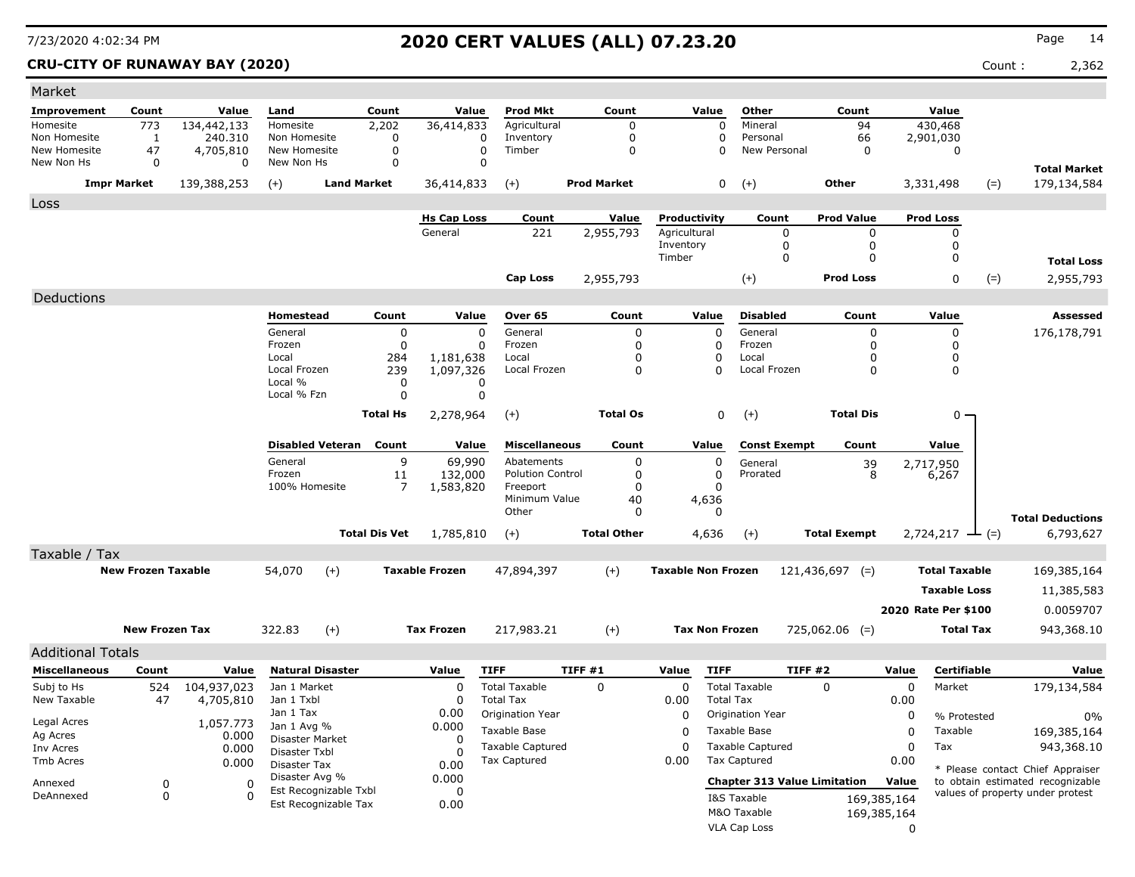**CRU-CITY OF RUNAWAY BAY (2020)** 2,362

| Market                       |                           |                    |                                  |                         |                  |                               |                               |         |                    |                           |                       |                                     |                   |                      |             |                            |       |                                                                      |
|------------------------------|---------------------------|--------------------|----------------------------------|-------------------------|------------------|-------------------------------|-------------------------------|---------|--------------------|---------------------------|-----------------------|-------------------------------------|-------------------|----------------------|-------------|----------------------------|-------|----------------------------------------------------------------------|
| Improvement                  | Count                     | Value              | Land                             |                         | Count            | Value                         | <b>Prod Mkt</b>               |         | Count              |                           | Value                 | Other                               |                   | Count                |             | Value                      |       |                                                                      |
| Homesite                     | 773                       | 134,442,133        | Homesite                         |                         | 2,202            | 36,414,833                    | Agricultural                  |         | 0                  |                           | 0                     | Mineral                             |                   | 94                   |             | 430,468                    |       |                                                                      |
| Non Homesite<br>New Homesite | 1<br>47                   | 240.310            | Non Homesite<br>New Homesite     |                         | 0<br>$\mathbf 0$ |                               | Inventory<br>0<br>Timber<br>0 |         | 0<br>$\Omega$      |                           | 0<br>$\Omega$         | Personal<br>New Personal            |                   | 66<br>$\mathbf 0$    |             | 2,901,030<br>$\mathbf 0$   |       |                                                                      |
| New Non Hs                   | 0                         | 4,705,810<br>0     | New Non Hs                       |                         | 0                |                               | $\Omega$                      |         |                    |                           |                       |                                     |                   |                      |             |                            |       |                                                                      |
|                              |                           |                    |                                  |                         |                  |                               |                               |         |                    |                           |                       |                                     |                   |                      |             |                            |       | <b>Total Market</b>                                                  |
|                              | <b>Impr Market</b>        | 139,388,253        | $(+)$                            | <b>Land Market</b>      |                  | 36,414,833                    | $(+)$                         |         | <b>Prod Market</b> |                           | 0                     | $(+)$                               |                   | Other                |             | 3,331,498                  | $(=)$ | 179,134,584                                                          |
| Loss                         |                           |                    |                                  |                         |                  |                               |                               |         |                    |                           |                       |                                     |                   |                      |             |                            |       |                                                                      |
|                              |                           |                    |                                  |                         |                  | <b>Hs Cap Loss</b><br>General | Count                         |         | Value              | Productivity              |                       | Count                               |                   | <b>Prod Value</b>    |             | <b>Prod Loss</b>           |       |                                                                      |
|                              |                           |                    |                                  |                         |                  |                               | 221                           |         | 2,955,793          | Agricultural<br>Inventory |                       | $\mathbf 0$<br>$\mathbf 0$          |                   | $\Omega$<br>$\Omega$ |             | $\mathbf 0$<br>$\mathbf 0$ |       |                                                                      |
|                              |                           |                    |                                  |                         |                  |                               |                               |         |                    | Timber                    |                       | $\mathbf 0$                         |                   | $\mathbf 0$          |             | 0                          |       | <b>Total Loss</b>                                                    |
|                              |                           |                    |                                  |                         |                  |                               | <b>Cap Loss</b>               |         | 2,955,793          |                           |                       | $(+)$                               |                   | <b>Prod Loss</b>     |             | $\Omega$                   | $(=)$ | 2,955,793                                                            |
| Deductions                   |                           |                    |                                  |                         |                  |                               |                               |         |                    |                           |                       |                                     |                   |                      |             |                            |       |                                                                      |
|                              |                           |                    | Homestead                        |                         | Count            | Value                         | Over 65                       |         | Count              |                           | Value                 | <b>Disabled</b>                     |                   | Count                |             | Value                      |       | Assessed                                                             |
|                              |                           |                    | General                          |                         | 0                |                               | $\Omega$<br>General           |         | $\mathbf 0$        |                           | $\mathbf 0$           | General                             |                   | $\mathbf 0$          |             | $\mathbf 0$                |       |                                                                      |
|                              |                           |                    | Frozen                           |                         | 0                |                               | Frozen<br>0                   |         | $\mathbf 0$        |                           | 0                     | Frozen                              |                   | $\mathbf 0$          |             | $\mathbf 0$                |       | 176,178,791                                                          |
|                              |                           |                    | Local                            |                         | 284              | 1,181,638                     | Local                         |         | 0                  |                           | 0                     | Local                               |                   | 0                    |             | 0                          |       |                                                                      |
|                              |                           |                    | Local Frozen                     |                         | 239              | 1,097,326                     | Local Frozen                  |         | $\Omega$           |                           | $\Omega$              | Local Frozen                        |                   | $\Omega$             |             | $\mathbf 0$                |       |                                                                      |
|                              |                           |                    | Local %<br>Local % Fzn           |                         | 0<br>0           |                               | 0<br>0                        |         |                    |                           |                       |                                     |                   |                      |             |                            |       |                                                                      |
|                              |                           |                    |                                  |                         |                  |                               |                               |         |                    |                           |                       |                                     |                   |                      |             |                            |       |                                                                      |
|                              |                           |                    |                                  |                         | <b>Total Hs</b>  | 2,278,964                     | $(+)$                         |         | <b>Total Os</b>    |                           | 0                     | $(+)$                               |                   | <b>Total Dis</b>     |             | 0                          |       |                                                                      |
|                              |                           |                    |                                  | <b>Disabled Veteran</b> | Count            | Value                         | <b>Miscellaneous</b>          |         | Count              |                           | Value                 | <b>Const Exempt</b>                 |                   | Count                |             | Value                      |       |                                                                      |
|                              |                           |                    | General                          |                         | 9                | 69,990                        | Abatements                    |         | $\mathbf 0$        |                           | 0                     | General                             |                   | 39                   |             | 2,717,950                  |       |                                                                      |
|                              |                           |                    | Frozen                           |                         | 11               | 132,000                       | <b>Polution Control</b>       |         | $\mathbf 0$        |                           | $\mathbf 0$           | Prorated                            |                   | 8                    |             | 6,267                      |       |                                                                      |
|                              |                           |                    | 100% Homesite                    |                         | 7                | 1,583,820                     | Freeport<br>Minimum Value     |         | 0<br>40            |                           | $\Omega$<br>4,636     |                                     |                   |                      |             |                            |       |                                                                      |
|                              |                           |                    |                                  |                         |                  |                               | Other                         |         | 0                  |                           | 0                     |                                     |                   |                      |             |                            |       |                                                                      |
|                              |                           |                    |                                  | <b>Total Dis Vet</b>    |                  | 1,785,810                     | $(+)$                         |         | <b>Total Other</b> |                           | 4,636                 | $(+)$                               |                   | <b>Total Exempt</b>  |             | $2,724,217$ — (=)          |       | <b>Total Deductions</b><br>6,793,627                                 |
|                              |                           |                    |                                  |                         |                  |                               |                               |         |                    |                           |                       |                                     |                   |                      |             |                            |       |                                                                      |
| Taxable / Tax                | <b>New Frozen Taxable</b> |                    | 54,070                           | $(+)$                   |                  | <b>Taxable Frozen</b>         | 47,894,397                    |         | $(+)$              | <b>Taxable Non Frozen</b> |                       |                                     | $121,436,697$ (=) |                      |             | <b>Total Taxable</b>       |       |                                                                      |
|                              |                           |                    |                                  |                         |                  |                               |                               |         |                    |                           |                       |                                     |                   |                      |             |                            |       | 169,385,164                                                          |
|                              |                           |                    |                                  |                         |                  |                               |                               |         |                    |                           |                       |                                     |                   |                      |             | <b>Taxable Loss</b>        |       | 11,385,583                                                           |
|                              |                           |                    |                                  |                         |                  |                               |                               |         |                    |                           |                       |                                     |                   |                      |             | 2020 Rate Per \$100        |       | 0.0059707                                                            |
|                              | <b>New Frozen Tax</b>     |                    | 322.83                           | $(+)$                   |                  | <b>Tax Frozen</b>             | 217,983.21                    |         | $(+)$              |                           | <b>Tax Non Frozen</b> |                                     | $725,062.06$ (=)  |                      |             | <b>Total Tax</b>           |       | 943,368.10                                                           |
| <b>Additional Totals</b>     |                           |                    |                                  |                         |                  |                               |                               |         |                    |                           |                       |                                     |                   |                      |             |                            |       |                                                                      |
| <b>Miscellaneous</b>         | Count                     | Value              | <b>Natural Disaster</b>          |                         |                  | Value                         | <b>TIFF</b>                   | TIFF #1 |                    | Value                     | <b>TIFF</b>           |                                     | <b>TIFF #2</b>    |                      | Value       | Certifiable                |       | Value                                                                |
| Subj to Hs                   | 524                       | 104,937,023        | Jan 1 Market                     |                         |                  | $\Omega$                      | <b>Total Taxable</b>          |         | 0                  | $\mathbf 0$               |                       | <b>Total Taxable</b>                | $\Omega$          |                      | 0           | Market                     |       | 179,134,584                                                          |
| New Taxable                  | 47                        | 4,705,810          | Jan 1 Txbl                       |                         |                  | $\Omega$                      | <b>Total Tax</b>              |         |                    | 0.00                      | <b>Total Tax</b>      |                                     |                   |                      | 0.00        |                            |       |                                                                      |
|                              |                           |                    | Jan 1 Tax                        |                         |                  | 0.00                          | Origination Year              |         |                    | 0                         |                       | Origination Year                    |                   |                      | 0           | % Protested                |       | 0%                                                                   |
| Legal Acres<br>Ag Acres      |                           | 1,057.773<br>0.000 | Jan 1 Avg %                      |                         |                  | 0.000                         | Taxable Base                  |         |                    | $\Omega$                  |                       | Taxable Base                        |                   |                      | 0           | Taxable                    |       | 169,385,164                                                          |
| Inv Acres                    |                           | 0.000              | Disaster Market<br>Disaster Txbl |                         |                  | n<br>$\Omega$                 | <b>Taxable Captured</b>       |         |                    | $\mathbf 0$               |                       | <b>Taxable Captured</b>             |                   |                      | 0           | Tax                        |       | 943,368.10                                                           |
| Tmb Acres                    |                           | 0.000              | Disaster Tax                     |                         |                  | 0.00                          | <b>Tax Captured</b>           |         |                    | 0.00                      |                       | <b>Tax Captured</b>                 |                   |                      | 0.00        |                            |       |                                                                      |
| Annexed                      | $\Omega$                  | $\Omega$           | Disaster Avg %                   |                         |                  | 0.000                         |                               |         |                    |                           |                       | <b>Chapter 313 Value Limitation</b> |                   |                      | Value       |                            |       | * Please contact Chief Appraiser<br>to obtain estimated recognizable |
| DeAnnexed                    | $\mathbf 0$               | $\Omega$           |                                  | Est Recognizable Txbl   |                  | $\Omega$                      |                               |         |                    |                           |                       | I&S Taxable                         |                   |                      | 169,385,164 |                            |       | values of property under protest                                     |
|                              |                           |                    |                                  | Est Recognizable Tax    |                  | 0.00                          |                               |         |                    |                           |                       | M&O Taxable                         |                   |                      | 169,385,164 |                            |       |                                                                      |
|                              |                           |                    |                                  |                         |                  |                               |                               |         |                    |                           |                       | <b>VLA Cap Loss</b>                 |                   |                      | $\Omega$    |                            |       |                                                                      |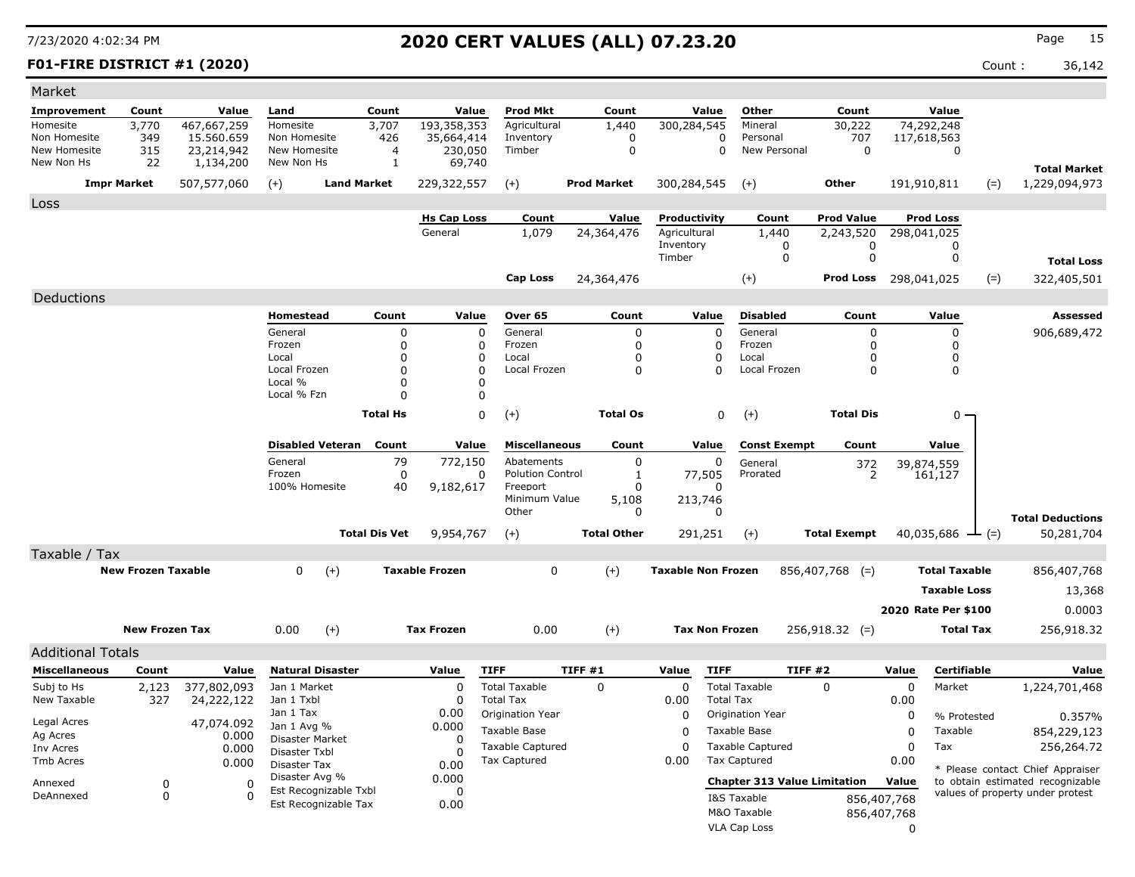### **F01-FIRE DISTRICT #1 (2020)** Count : 36,142

| Market                       |                           |                          |                                |                                               |                      |                               |                                     |                      |                              |                       |                                     |                              |             |                         |        |                                      |
|------------------------------|---------------------------|--------------------------|--------------------------------|-----------------------------------------------|----------------------|-------------------------------|-------------------------------------|----------------------|------------------------------|-----------------------|-------------------------------------|------------------------------|-------------|-------------------------|--------|--------------------------------------|
| Improvement                  | Count                     | Value                    | Land                           |                                               | Count                | Value                         | Prod Mkt                            | Count                |                              | Value                 | Other                               | Count                        |             | Value                   |        |                                      |
| Homesite                     | 3,770                     | 467,667,259              | Homesite                       |                                               | 3,707                | 193,358,353                   | Agricultural                        | 1,440                | 300,284,545                  |                       | Mineral                             | 30,222                       |             | 74,292,248              |        |                                      |
| Non Homesite<br>New Homesite | 349<br>315                | 15,560,659<br>23,214,942 | Non Homesite<br>New Homesite   |                                               | 426<br>4             | 35,664,414<br>230,050         | Inventory<br>Timber                 | 0<br>$\mathbf 0$     |                              | 0<br>$\Omega$         | Personal<br>New Personal            | 707<br>$\Omega$              |             | 117,618,563<br>$\Omega$ |        |                                      |
| New Non Hs                   | 22                        | 1,134,200                | New Non Hs                     |                                               | $\mathbf{1}$         | 69,740                        |                                     |                      |                              |                       |                                     |                              |             |                         |        |                                      |
|                              | <b>Impr Market</b>        | 507,577,060              | $(+)$                          | <b>Land Market</b>                            |                      | 229,322,557                   | $(+)$                               | <b>Prod Market</b>   | 300,284,545                  |                       | $(+)$                               | <b>Other</b>                 |             | 191,910,811             | $(=)$  | <b>Total Market</b><br>1,229,094,973 |
|                              |                           |                          |                                |                                               |                      |                               |                                     |                      |                              |                       |                                     |                              |             |                         |        |                                      |
| Loss                         |                           |                          |                                |                                               |                      |                               |                                     |                      |                              |                       |                                     |                              |             |                         |        |                                      |
|                              |                           |                          |                                |                                               |                      | <b>Hs Cap Loss</b><br>General | Count                               | Value                | Productivity<br>Agricultural |                       | Count                               | <b>Prod Value</b>            |             | <b>Prod Loss</b>        |        |                                      |
|                              |                           |                          |                                |                                               |                      |                               | 1,079                               | 24,364,476           | Inventory                    |                       | 1,440<br>0                          | 2,243,520<br>0               |             | 298,041,025<br>0        |        |                                      |
|                              |                           |                          |                                |                                               |                      |                               |                                     |                      | Timber                       |                       | $\mathbf 0$                         | $\mathbf 0$                  |             | 0                       |        | <b>Total Loss</b>                    |
|                              |                           |                          |                                |                                               |                      |                               | <b>Cap Loss</b>                     | 24,364,476           |                              |                       | $(+)$                               | <b>Prod Loss</b> 298,041,025 |             |                         | $(=)$  | 322,405,501                          |
| Deductions                   |                           |                          |                                |                                               |                      |                               |                                     |                      |                              |                       |                                     |                              |             |                         |        |                                      |
|                              |                           |                          | <b>Homestead</b>               |                                               | Count                | Value                         | Over 65                             | Count                |                              | Value                 | <b>Disabled</b>                     | Count                        |             | Value                   |        | <b>Assessed</b>                      |
|                              |                           |                          | General                        |                                               | 0                    | $\mathbf 0$                   | General                             | 0                    |                              | $\Omega$              | General                             | $\mathbf 0$                  |             | 0                       |        | 906,689,472                          |
|                              |                           |                          | Frozen                         |                                               | $\Omega$             | 0                             | Frozen                              | 0                    |                              | $\Omega$              | Frozen                              | 0                            |             | $\Omega$                |        |                                      |
|                              |                           |                          | Local                          |                                               | $\Omega$             | 0                             | Local                               | $\Omega$             |                              | $\Omega$              | Local                               | 0                            |             | 0                       |        |                                      |
|                              |                           |                          | Local Frozen                   |                                               | $\Omega$             | $\Omega$                      | Local Frozen                        | $\Omega$             |                              | $\Omega$              | Local Frozen                        | $\Omega$                     |             | $\Omega$                |        |                                      |
|                              |                           |                          | Local %<br>Local % Fzn         |                                               | $\Omega$<br>$\Omega$ | $\Omega$<br>0                 |                                     |                      |                              |                       |                                     |                              |             |                         |        |                                      |
|                              |                           |                          |                                |                                               |                      |                               |                                     |                      |                              |                       |                                     |                              |             |                         |        |                                      |
|                              |                           |                          |                                |                                               | <b>Total Hs</b>      | 0                             | $(+)$                               | <b>Total Os</b>      |                              | $\mathbf 0$           | $(+)$                               | <b>Total Dis</b>             |             | 0                       |        |                                      |
|                              |                           |                          |                                | <b>Disabled Veteran</b>                       | Count                | Value                         | <b>Miscellaneous</b>                | Count                |                              | Value                 | <b>Const Exempt</b>                 | Count                        |             | Value                   |        |                                      |
|                              |                           |                          | General                        |                                               | 79                   | 772,150                       | Abatements                          | 0                    |                              | $\Omega$              | General                             | $\frac{372}{2}$              |             | 39,874,559              |        |                                      |
|                              |                           |                          | Frozen<br>100% Homesite        |                                               | $\mathbf 0$          | 0                             | <b>Polution Control</b><br>Freeport | 1                    |                              | 77,505<br>$\Omega$    | Prorated                            |                              |             | 161,127                 |        |                                      |
|                              |                           |                          |                                |                                               | 40                   | 9,182,617                     | Minimum Value                       | $\mathbf 0$<br>5,108 |                              | 213,746               |                                     |                              |             |                         |        |                                      |
|                              |                           |                          |                                |                                               |                      |                               | Other                               | 0                    |                              | 0                     |                                     |                              |             |                         |        | <b>Total Deductions</b>              |
|                              |                           |                          |                                |                                               | <b>Total Dis Vet</b> | 9,954,767                     | $(+)$                               | <b>Total Other</b>   |                              | 291,251               | $(+)$                               | <b>Total Exempt</b>          |             | 40,035,686              | $ (=)$ | 50,281,704                           |
| Taxable / Tax                |                           |                          |                                |                                               |                      |                               |                                     |                      |                              |                       |                                     |                              |             |                         |        |                                      |
|                              | <b>New Frozen Taxable</b> |                          | $\Omega$                       | $(+)$                                         |                      | <b>Taxable Frozen</b>         | $\Omega$                            | $(+)$                | <b>Taxable Non Frozen</b>    |                       |                                     | $856,407,768$ (=)            |             | <b>Total Taxable</b>    |        | 856,407,768                          |
|                              |                           |                          |                                |                                               |                      |                               |                                     |                      |                              |                       |                                     |                              |             | <b>Taxable Loss</b>     |        | 13,368                               |
|                              |                           |                          |                                |                                               |                      |                               |                                     |                      |                              |                       |                                     |                              |             | 2020 Rate Per \$100     |        | 0.0003                               |
|                              |                           |                          |                                |                                               |                      |                               |                                     |                      |                              |                       |                                     |                              |             |                         |        |                                      |
|                              | <b>New Frozen Tax</b>     |                          | 0.00                           | $(+)$                                         |                      | <b>Tax Frozen</b>             | 0.00                                | $(+)$                |                              | <b>Tax Non Frozen</b> |                                     | $256,918.32$ (=)             |             | <b>Total Tax</b>        |        | 256,918.32                           |
| <b>Additional Totals</b>     |                           |                          |                                |                                               |                      |                               |                                     |                      |                              |                       |                                     |                              |             |                         |        |                                      |
| <b>Miscellaneous</b>         | Count                     | Value                    | <b>Natural Disaster</b>        |                                               |                      | Value                         | <b>TIFF</b>                         | TIFF#1               | Value                        | <b>TIFF</b>           |                                     | <b>TIFF #2</b>               | Value       | Certifiable             |        | Value                                |
| Subj to Hs                   | 2,123                     | 377,802,093              | Jan 1 Market                   |                                               |                      | $\Omega$                      | <b>Total Taxable</b>                | $\Omega$             | $\Omega$                     |                       | <b>Total Taxable</b>                | $\Omega$                     | 0           | Market                  |        | 1,224,701,468                        |
| New Taxable                  | 327                       | 24,222,122               | Jan 1 Txbl                     |                                               |                      | 0                             | <b>Total Tax</b>                    |                      | 0.00                         | <b>Total Tax</b>      |                                     |                              | 0.00        |                         |        |                                      |
| Legal Acres                  |                           | 47,074.092               | Jan 1 Tax                      |                                               |                      | 0.00<br>0.000                 | Origination Year                    |                      | 0                            |                       | Origination Year                    |                              | 0           | % Protested             |        | 0.357%                               |
| Ag Acres                     |                           | 0.000                    | Jan 1 Avg %<br>Disaster Market |                                               |                      | O                             | Taxable Base                        |                      | $\Omega$                     |                       | Taxable Base                        |                              | 0           | Taxable                 |        | 854,229,123                          |
| Inv Acres                    |                           | 0.000                    | Disaster Txbl                  |                                               |                      | U                             | <b>Taxable Captured</b>             |                      | $\mathbf 0$                  |                       | <b>Taxable Captured</b>             |                              | $\mathbf 0$ | Tax                     |        | 256,264.72                           |
| Tmb Acres                    |                           | 0.000                    | Disaster Tax                   |                                               |                      | 0.00                          | <b>Tax Captured</b>                 |                      | 0.00                         |                       | <b>Tax Captured</b>                 |                              | 0.00        |                         |        | * Please contact Chief Appraiser     |
| Annexed                      | 0                         | $\mathbf 0$              | Disaster Avg %                 |                                               |                      | 0.000                         |                                     |                      |                              |                       | <b>Chapter 313 Value Limitation</b> |                              | Value       |                         |        | to obtain estimated recognizable     |
| DeAnnexed                    | $\mathbf 0$               | $\Omega$                 |                                | Est Recognizable Txbl<br>Est Recognizable Tax |                      | $\Omega$<br>0.00              |                                     |                      |                              |                       | I&S Taxable                         |                              | 856,407,768 |                         |        | values of property under protest     |
|                              |                           |                          |                                |                                               |                      |                               |                                     |                      |                              |                       | M&O Taxable                         |                              | 856,407,768 |                         |        |                                      |
|                              |                           |                          |                                |                                               |                      |                               |                                     |                      |                              |                       | <b>VLA Cap Loss</b>                 |                              | $\Omega$    |                         |        |                                      |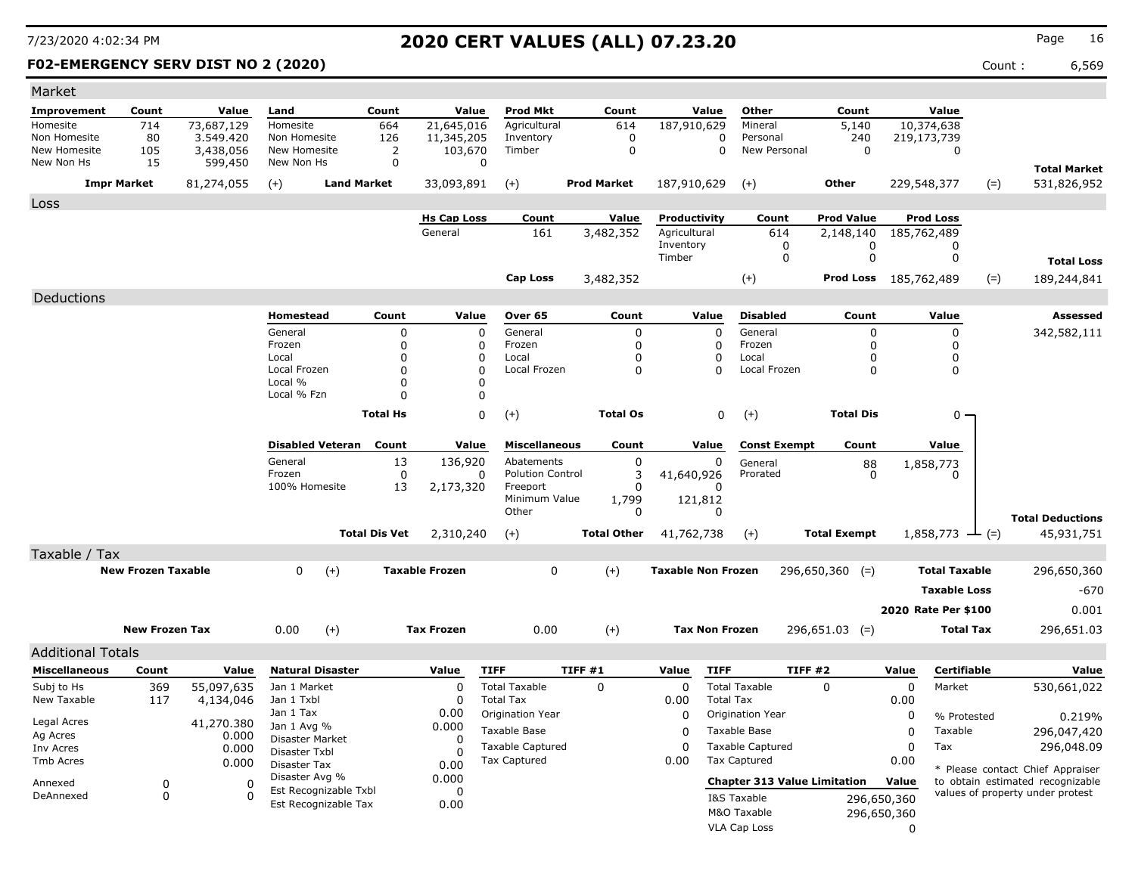### **F02-EMERGENCY SERV DIST NO 2 (2020)** Count : 6,569

| Market                             |                           |                         |                               |                         |                      |                         |                                     |                            |                           |                            |                                     |                            |                   |                              |         |                                                                      |
|------------------------------------|---------------------------|-------------------------|-------------------------------|-------------------------|----------------------|-------------------------|-------------------------------------|----------------------------|---------------------------|----------------------------|-------------------------------------|----------------------------|-------------------|------------------------------|---------|----------------------------------------------------------------------|
| Improvement                        | Count                     | Value                   | Land                          |                         | Count                | Value                   | <b>Prod Mkt</b>                     | Count                      |                           | Value                      | Other                               | Count                      |                   | Value                        |         |                                                                      |
| Homesite                           | 714                       | 73,687,129              | Homesite                      |                         | 664                  | 21,645,016              | Agricultural                        | 614                        | 187,910,629               |                            | Mineral                             | 5,140                      |                   | 10,374,638                   |         |                                                                      |
| Non Homesite<br>New Homesite       | 80                        | 3,549,420               | Non Homesite<br>New Homesite  |                         | 126                  | 11,345,205              | Inventory<br>Timber                 | 0<br>$\mathbf 0$           |                           | 0<br>$\Omega$              | Personal<br>New Personal            | 240<br>$\Omega$            |                   | 219,173,739                  |         |                                                                      |
| New Non Hs                         | 105<br>15                 | 3,438,056<br>599,450    | New Non Hs                    |                         | 2<br>0               | 103,670<br>$\mathbf 0$  |                                     |                            |                           |                            |                                     |                            |                   | $\mathbf 0$                  |         |                                                                      |
|                                    |                           |                         |                               |                         |                      |                         |                                     |                            |                           |                            |                                     |                            |                   |                              |         | <b>Total Market</b>                                                  |
|                                    | <b>Impr Market</b>        | 81,274,055              | $(+)$                         | <b>Land Market</b>      |                      | 33,093,891              | $(+)$                               | <b>Prod Market</b>         | 187,910,629               |                            | $(+)$                               | <b>Other</b>               |                   | 229,548,377                  | $(=)$   | 531,826,952                                                          |
| <b>Loss</b>                        |                           |                         |                               |                         |                      |                         |                                     |                            |                           |                            |                                     |                            |                   |                              |         |                                                                      |
|                                    |                           |                         |                               |                         |                      | <b>Hs Cap Loss</b>      | Count                               | Value                      | Productivity              |                            | Count                               | <b>Prod Value</b>          |                   | <b>Prod Loss</b>             |         |                                                                      |
|                                    |                           |                         |                               |                         |                      | General                 | 161                                 | 3,482,352                  | Agricultural<br>Inventory |                            | 614<br>0                            | 2,148,140<br>0             |                   | 185,762,489<br>$\Omega$      |         |                                                                      |
|                                    |                           |                         |                               |                         |                      |                         |                                     |                            | Timber                    |                            | 0                                   | $\mathbf 0$                |                   | $\mathbf{0}$                 |         | <b>Total Loss</b>                                                    |
|                                    |                           |                         |                               |                         |                      |                         | <b>Cap Loss</b>                     | 3,482,352                  |                           |                            | $(+)$                               | Prod Loss 185,762,489      |                   |                              | $(=)$   | 189,244,841                                                          |
|                                    |                           |                         |                               |                         |                      |                         |                                     |                            |                           |                            |                                     |                            |                   |                              |         |                                                                      |
| Deductions                         |                           |                         |                               |                         |                      |                         |                                     |                            |                           |                            |                                     |                            |                   |                              |         |                                                                      |
|                                    |                           |                         | <b>Homestead</b>              |                         | Count                | Value                   | Over <sub>65</sub>                  | Count                      |                           | Value                      | <b>Disabled</b>                     | Count                      |                   | Value                        |         | Assessed                                                             |
|                                    |                           |                         | General<br>Frozen             |                         | 0<br>$\Omega$        | $\mathbf 0$<br>0        | General<br>Frozen                   | $\mathbf 0$<br>$\mathbf 0$ |                           | $\mathbf 0$<br>$\mathbf 0$ | General<br>Frozen                   | 0<br>0                     |                   | $\mathbf 0$<br>$\mathbf{0}$  |         | 342,582,111                                                          |
|                                    |                           |                         | Local                         |                         | $\Omega$             | $\mathbf 0$             | Local                               | $\mathbf 0$                |                           | 0                          | Local                               | 0                          |                   | 0                            |         |                                                                      |
|                                    |                           |                         | Local Frozen                  |                         | $\Omega$             | $\mathbf 0$             | Local Frozen                        | $\Omega$                   |                           | $\Omega$                   | Local Frozen                        | $\Omega$                   |                   | $\mathbf{0}$                 |         |                                                                      |
|                                    |                           |                         | Local %<br>Local % Fzn        |                         | $\Omega$<br>$\Omega$ | $\Omega$<br>$\mathbf 0$ |                                     |                            |                           |                            |                                     |                            |                   |                              |         |                                                                      |
|                                    |                           |                         |                               |                         |                      |                         |                                     |                            |                           |                            |                                     |                            |                   |                              |         |                                                                      |
|                                    |                           |                         |                               |                         | <b>Total Hs</b>      | $\mathbf 0$             | $(+)$                               | <b>Total Os</b>            |                           | 0                          | $(+)$                               | <b>Total Dis</b>           |                   | 0                            |         |                                                                      |
|                                    |                           |                         |                               | <b>Disabled Veteran</b> | Count                | Value                   | <b>Miscellaneous</b>                | Count                      |                           | Value                      | <b>Const Exempt</b>                 | Count                      |                   | Value                        |         |                                                                      |
|                                    |                           |                         | General                       |                         | 13                   | 136,920                 | Abatements                          | $\mathbf 0$                |                           | 0                          | General                             | 88                         |                   | 1,858,773                    |         |                                                                      |
|                                    |                           |                         | Frozen                        |                         | $\mathbf 0$          | 0                       | <b>Polution Control</b>             | 3                          | 41,640,926                |                            | Prorated                            | $\mathbf{0}$               |                   | $\Omega$                     |         |                                                                      |
|                                    |                           |                         | 100% Homesite                 |                         | 13                   | 2,173,320               | Freeport                            | $\Omega$                   |                           | $\Omega$                   |                                     |                            |                   |                              |         |                                                                      |
|                                    |                           |                         |                               |                         |                      |                         | Minimum Value<br>Other              | 1,799<br>$\mathbf 0$       |                           | 121,812<br>$\Omega$        |                                     |                            |                   |                              |         |                                                                      |
|                                    |                           |                         |                               |                         | <b>Total Dis Vet</b> | 2,310,240               | $(+)$                               | <b>Total Other</b>         | 41,762,738                |                            | $(+)$                               | <b>Total Exempt</b>        |                   | 1,858,773                    | $-$ (=) | <b>Total Deductions</b><br>45,931,751                                |
|                                    |                           |                         |                               |                         |                      |                         |                                     |                            |                           |                            |                                     |                            |                   |                              |         |                                                                      |
| Taxable / Tax                      | <b>New Frozen Taxable</b> |                         | $\Omega$                      |                         |                      | <b>Taxable Frozen</b>   |                                     |                            |                           |                            |                                     |                            |                   |                              |         |                                                                      |
|                                    |                           |                         |                               | $(+)$                   |                      |                         | $\Omega$                            | $(+)$                      | <b>Taxable Non Frozen</b> |                            |                                     | $296,650,360$ (=)          |                   | <b>Total Taxable</b>         |         | 296,650,360                                                          |
|                                    |                           |                         |                               |                         |                      |                         |                                     |                            |                           |                            |                                     |                            |                   | <b>Taxable Loss</b>          |         | $-670$                                                               |
|                                    |                           |                         |                               |                         |                      |                         |                                     |                            |                           |                            |                                     |                            |                   | 2020 Rate Per \$100          |         | 0.001                                                                |
|                                    | <b>New Frozen Tax</b>     |                         | 0.00                          | $(+)$                   |                      | <b>Tax Frozen</b>       | 0.00                                | $(+)$                      |                           | <b>Tax Non Frozen</b>      |                                     | $296,651.03$ (=)           |                   | <b>Total Tax</b>             |         | 296,651.03                                                           |
| <b>Additional Totals</b>           |                           |                         |                               |                         |                      |                         |                                     |                            |                           |                            |                                     |                            |                   |                              |         |                                                                      |
|                                    |                           |                         |                               |                         |                      |                         |                                     |                            |                           |                            |                                     |                            |                   |                              |         |                                                                      |
| <b>Miscellaneous</b><br>Subj to Hs | Count                     | Value                   | Jan 1 Market                  | <b>Natural Disaster</b> |                      | Value<br>$\Omega$       | <b>TIFF</b><br><b>Total Taxable</b> | TIFF #1<br>$\Omega$        | Value<br>$\Omega$         | <b>TIFF</b>                | <b>Total Taxable</b>                | <b>TIFF #2</b><br>$\Omega$ | Value<br>$\Omega$ | <b>Certifiable</b><br>Market |         | Value                                                                |
| New Taxable                        | 369<br>117                | 55,097,635<br>4,134,046 | Jan 1 Txbl                    |                         |                      | $\Omega$                | <b>Total Tax</b>                    |                            | 0.00                      | <b>Total Tax</b>           |                                     |                            | 0.00              |                              |         | 530,661,022                                                          |
|                                    |                           |                         | Jan 1 Tax                     |                         |                      | 0.00                    | Origination Year                    |                            | $\mathbf 0$               |                            | Origination Year                    |                            | 0                 | % Protested                  |         | 0.219%                                                               |
| Legal Acres<br>Ag Acres            |                           | 41,270.380              | Jan 1 Avg %                   |                         |                      | 0.000                   | Taxable Base                        |                            | $\Omega$                  |                            | Taxable Base                        |                            | $\Omega$          | Taxable                      |         | 296,047,420                                                          |
| Inv Acres                          |                           | 0.000<br>0.000          | <b>Disaster Market</b>        |                         |                      | $\Omega$                | <b>Taxable Captured</b>             |                            | $\Omega$                  |                            | <b>Taxable Captured</b>             |                            | $\Omega$          | Tax                          |         | 296,048.09                                                           |
| <b>Tmb Acres</b>                   |                           | 0.000                   | Disaster Txbl<br>Disaster Tax |                         |                      | $\Omega$<br>0.00        | <b>Tax Captured</b>                 |                            | 0.00                      |                            | <b>Tax Captured</b>                 |                            | 0.00              |                              |         |                                                                      |
| Annexed                            | 0                         | 0                       | Disaster Avg %                |                         |                      | 0.000                   |                                     |                            |                           |                            | <b>Chapter 313 Value Limitation</b> |                            | Value             |                              |         | * Please contact Chief Appraiser<br>to obtain estimated recognizable |
| DeAnnexed                          | $\mathbf 0$               | $\Omega$                |                               | Est Recognizable Txbl   |                      | 0                       |                                     |                            |                           |                            | I&S Taxable                         |                            | 296,650,360       |                              |         | values of property under protest                                     |
|                                    |                           |                         |                               | Est Recognizable Tax    |                      | 0.00                    |                                     |                            |                           |                            | M&O Taxable                         |                            | 296,650,360       |                              |         |                                                                      |
|                                    |                           |                         |                               |                         |                      |                         |                                     |                            |                           |                            | VLA Cap Loss                        |                            | $\mathbf{0}$      |                              |         |                                                                      |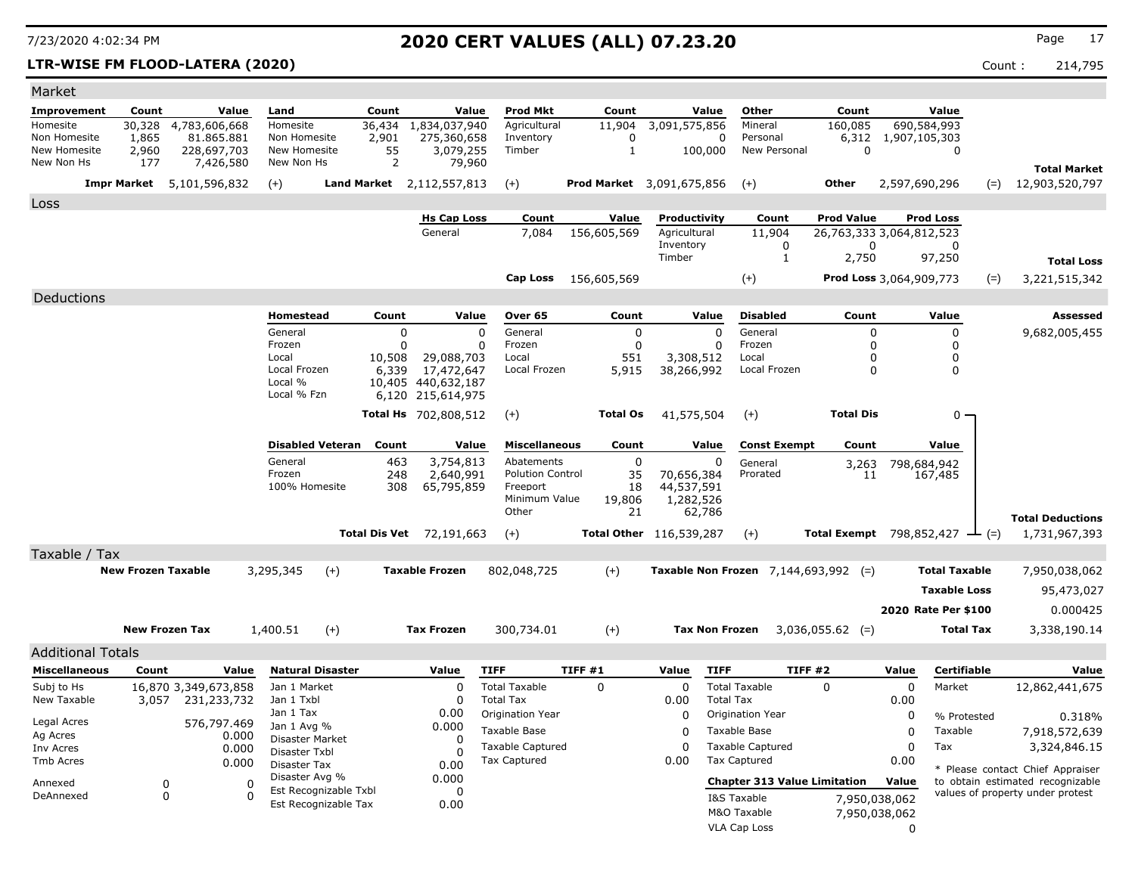### **LTR-WISE FM FLOOD-LATERA (2020)** Count : 214,795

| Market                       |                           |                           |                                    |                                               |                                      |                                    |                      |                                  |                                               |                                 |                         |                        |       |                                       |
|------------------------------|---------------------------|---------------------------|------------------------------------|-----------------------------------------------|--------------------------------------|------------------------------------|----------------------|----------------------------------|-----------------------------------------------|---------------------------------|-------------------------|------------------------|-------|---------------------------------------|
| Improvement                  | Count                     | Value                     | Land                               | Count                                         | Value                                | <b>Prod Mkt</b>                    | Count                | Value                            | Other                                         | Count                           |                         | Value                  |       |                                       |
| Homesite                     | 30,328                    | 4,783,606,668             | Homesite                           | 36,434                                        | 1,834,037,940                        | Agricultural                       | 11,904               | 3,091,575,856                    | Mineral                                       | 160,085                         |                         | 690,584,993            |       |                                       |
| Non Homesite<br>New Homesite | 1,865<br>2,960            | 81.865.881<br>228,697,703 | Non Homesite<br>New Homesite       | 2,901<br>55                                   | 275,360,658<br>3,079,255             | Inventory<br>Timber                | 0<br>$\mathbf{1}$    | 100,000                          | 0<br>Personal<br>New Personal                 | $\Omega$                        | 6,312 1,907,105,303     | 0                      |       |                                       |
| New Non Hs                   | 177                       | 7,426,580                 | New Non Hs                         | $\overline{2}$                                | 79,960                               |                                    |                      |                                  |                                               |                                 |                         |                        |       |                                       |
|                              | <b>Impr Market</b>        | 5,101,596,832             | $(+)$                              |                                               | Land Market 2, 112, 557, 813         | $(+)$                              |                      | <b>Prod Market</b> 3,091,675,856 | $(+)$                                         | Other                           | 2,597,690,296           |                        | $(=)$ | <b>Total Market</b><br>12,903,520,797 |
|                              |                           |                           |                                    |                                               |                                      |                                    |                      |                                  |                                               |                                 |                         |                        |       |                                       |
| Loss                         |                           |                           |                                    |                                               | <b>Hs Cap Loss</b>                   | Count                              | Value                | Productivity                     | Count                                         | <b>Prod Value</b>               |                         | <b>Prod Loss</b>       |       |                                       |
|                              |                           |                           |                                    |                                               | General                              | 7,084                              | 156,605,569          | Agricultural                     | 11,904                                        | 26,763,333 3,064,812,523        |                         |                        |       |                                       |
|                              |                           |                           |                                    |                                               |                                      |                                    |                      | Inventory                        | 0                                             |                                 | 0                       | $\Omega$               |       |                                       |
|                              |                           |                           |                                    |                                               |                                      |                                    |                      | Timber                           | 1                                             | 2,750                           |                         | 97,250                 |       | <b>Total Loss</b>                     |
|                              |                           |                           |                                    |                                               |                                      | Cap Loss                           | 156,605,569          |                                  | $^{(+)}$                                      |                                 | Prod Loss 3,064,909,773 |                        | $(=)$ | 3,221,515,342                         |
| Deductions                   |                           |                           |                                    |                                               |                                      |                                    |                      |                                  |                                               |                                 |                         |                        |       |                                       |
|                              |                           |                           | Homestead                          | Count                                         | Value                                | Over 65                            | Count                | Value                            | <b>Disabled</b>                               | Count                           |                         | Value                  |       | <b>Assessed</b>                       |
|                              |                           |                           | General                            |                                               | 0                                    | $\Omega$<br>General                | $\mathbf 0$          | $\Omega$                         | General                                       |                                 | 0                       | $\mathbf 0$            |       | 9,682,005,455                         |
|                              |                           |                           | Frozen                             |                                               | $\Omega$                             | Frozen<br>0                        | $\mathbf 0$          | $\Omega$                         | Frozen                                        |                                 | 0                       | $\Omega$               |       |                                       |
|                              |                           |                           | Local<br>Local Frozen              | 10,508<br>6,339                               | 29,088,703<br>17,472,647             | Local<br>Local Frozen              | 551<br>5,915         | 3,308,512<br>38,266,992          | Local<br>Local Frozen                         |                                 | 0<br>$\Omega$           | 0<br>$\mathbf{0}$      |       |                                       |
|                              |                           |                           | Local %                            |                                               | 10,405 440,632,187                   |                                    |                      |                                  |                                               |                                 |                         |                        |       |                                       |
|                              |                           |                           | Local % Fzn                        |                                               | 6,120 215,614,975                    |                                    |                      |                                  |                                               |                                 |                         |                        |       |                                       |
|                              |                           |                           |                                    |                                               | <b>Total Hs</b> 702,808,512          | $(+)$                              | <b>Total Os</b>      | 41,575,504                       | $(+)$                                         | <b>Total Dis</b>                |                         | $0 \cdot$              |       |                                       |
|                              |                           |                           |                                    |                                               |                                      |                                    |                      |                                  |                                               |                                 |                         |                        |       |                                       |
|                              |                           |                           | <b>Disabled Veteran</b><br>General | Count                                         | Value                                | <b>Miscellaneous</b><br>Abatements | Count<br>$\mathbf 0$ | Value                            | <b>Const Exempt</b>                           | Count                           |                         | Value                  |       |                                       |
|                              |                           |                           | Frozen                             |                                               | 3,754,813<br>463<br>248<br>2,640,991 | <b>Polution Control</b>            | 35                   | 0<br>70,656,384                  | General<br>Prorated                           | 3,263<br>11                     |                         | 798,684,942<br>167,485 |       |                                       |
|                              |                           |                           | 100% Homesite                      |                                               | 308<br>65,795,859                    | Freeport                           | 18                   | 44,537,591                       |                                               |                                 |                         |                        |       |                                       |
|                              |                           |                           |                                    |                                               |                                      | Minimum Value<br>Other             | 19,806<br>21         | 1,282,526<br>62,786              |                                               |                                 |                         |                        |       |                                       |
|                              |                           |                           |                                    |                                               |                                      |                                    |                      |                                  |                                               |                                 |                         |                        |       | <b>Total Deductions</b>               |
|                              |                           |                           |                                    | <b>Total Dis Vet</b>                          | 72,191,663                           | $(+)$                              |                      | Total Other 116,539,287          | $(+)$                                         | <b>Total Exempt</b> 798,852,427 |                         | $ (=)$                 |       | 1,731,967,393                         |
| Taxable / Tax                |                           |                           |                                    |                                               |                                      |                                    |                      |                                  |                                               |                                 |                         |                        |       |                                       |
|                              | <b>New Frozen Taxable</b> |                           | 3,295,345                          | $(+)$                                         | <b>Taxable Frozen</b>                | 802,048,725                        | $(+)$                |                                  | <b>Taxable Non Frozen</b> $7,144,693,992$ (=) |                                 |                         | <b>Total Taxable</b>   |       | 7,950,038,062                         |
|                              |                           |                           |                                    |                                               |                                      |                                    |                      |                                  |                                               |                                 |                         | <b>Taxable Loss</b>    |       | 95,473,027                            |
|                              |                           |                           |                                    |                                               |                                      |                                    |                      |                                  |                                               |                                 |                         | 2020 Rate Per \$100    |       | 0.000425                              |
|                              | <b>New Frozen Tax</b>     |                           | 1,400.51                           | $(+)$                                         | <b>Tax Frozen</b>                    | 300,734.01                         | $(+)$                | <b>Tax Non Frozen</b>            |                                               | $3,036,055.62$ (=)              |                         | <b>Total Tax</b>       |       | 3,338,190.14                          |
| <b>Additional Totals</b>     |                           |                           |                                    |                                               |                                      |                                    |                      |                                  |                                               |                                 |                         |                        |       |                                       |
| <b>Miscellaneous</b>         | Count                     | Value                     | <b>Natural Disaster</b>            |                                               | Value                                | <b>TIFF</b>                        | TIFF#1               | Value                            | <b>TIFF</b>                                   | <b>TIFF #2</b>                  | Value                   | Certifiable            |       | Value                                 |
| Subj to Hs                   |                           | 16,870 3,349,673,858      | Jan 1 Market                       |                                               | $\Omega$                             | <b>Total Taxable</b>               | $\Omega$             | $\Omega$                         | <b>Total Taxable</b>                          | $\Omega$                        | $\Omega$                | Market                 |       | 12,862,441,675                        |
| New Taxable                  | 3,057                     | 231,233,732               | Jan 1 Txbl                         |                                               | $\Omega$                             | <b>Total Tax</b>                   |                      | 0.00                             | <b>Total Tax</b>                              |                                 | 0.00                    |                        |       |                                       |
|                              |                           |                           | Jan 1 Tax                          |                                               | 0.00                                 | Origination Year                   |                      | 0                                | Origination Year                              |                                 | $\mathbf 0$             | % Protested            |       | 0.318%                                |
| Legal Acres<br>Ag Acres      |                           | 576,797.469<br>0.000      | Jan 1 Avg %                        |                                               | 0.000                                | Taxable Base                       |                      | $\Omega$                         | Taxable Base                                  |                                 | $\Omega$                | Taxable                |       | 7,918,572,639                         |
| Inv Acres                    |                           | 0.000                     | Disaster Market<br>Disaster Txbl   |                                               | n                                    | <b>Taxable Captured</b>            |                      | $\Omega$                         | <b>Taxable Captured</b>                       |                                 | $\Omega$                | Tax                    |       | 3,324,846.15                          |
| Tmb Acres                    |                           | 0.000                     | Disaster Tax                       |                                               | 0.00                                 | Tax Captured                       |                      | 0.00                             | Tax Captured                                  |                                 | 0.00                    |                        |       | * Please contact Chief Appraiser      |
| Annexed                      | 0                         | $\mathbf 0$               | Disaster Avg %                     |                                               | 0.000                                |                                    |                      |                                  | <b>Chapter 313 Value Limitation</b>           |                                 | Value                   |                        |       | to obtain estimated recognizable      |
| DeAnnexed                    | $\mathbf 0$               | $\Omega$                  |                                    | Est Recognizable Txbl<br>Est Recognizable Tax | $\Omega$<br>0.00                     |                                    |                      |                                  | I&S Taxable                                   |                                 | 7,950,038,062           |                        |       | values of property under protest      |
|                              |                           |                           |                                    |                                               |                                      |                                    |                      |                                  | M&O Taxable                                   |                                 | 7,950,038,062           |                        |       |                                       |
|                              |                           |                           |                                    |                                               |                                      |                                    |                      |                                  | VLA Cap Loss                                  |                                 | $\mathbf{0}$            |                        |       |                                       |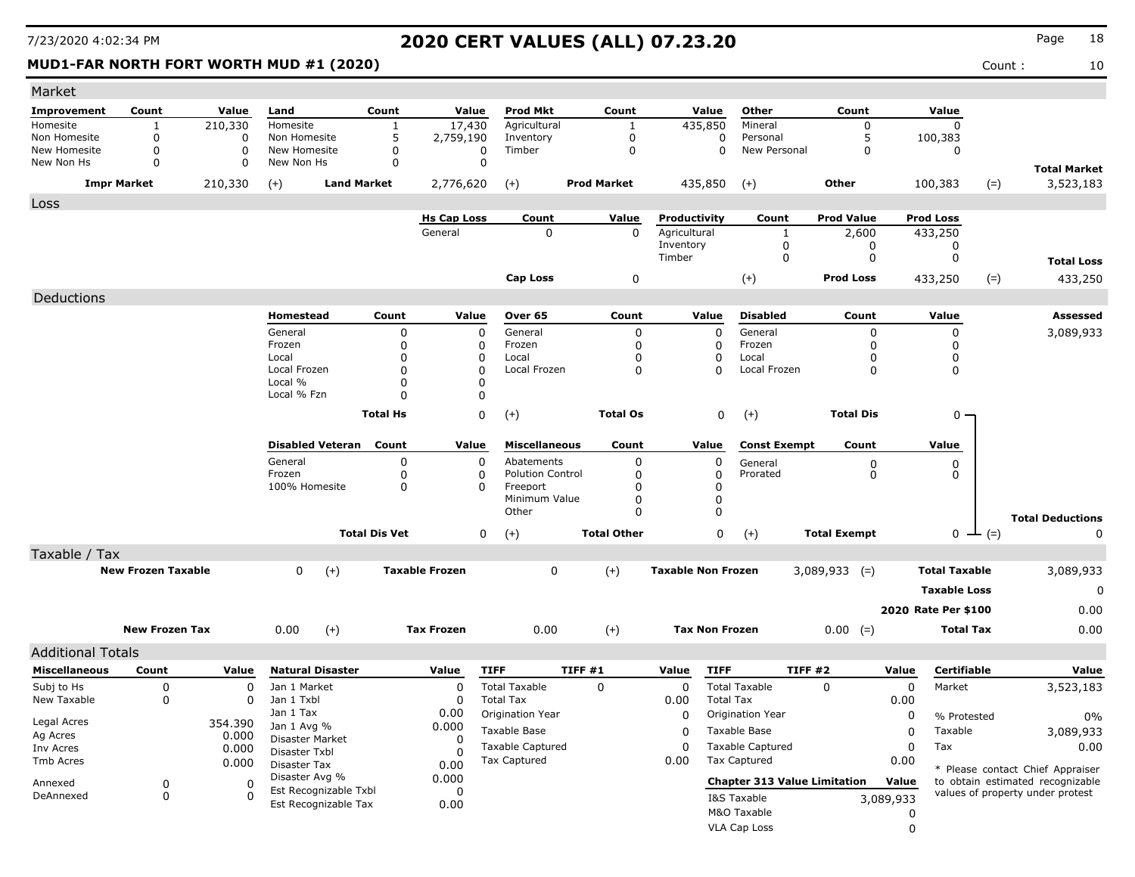### **MUD1-FAR NORTH FORT WORTH MUD #1 (2020)** Count : 10

| Market                   |                           |             |                                         |                      |                       |                         |                    |                           |                  |                                     |                     |           |                      |               |                                  |
|--------------------------|---------------------------|-------------|-----------------------------------------|----------------------|-----------------------|-------------------------|--------------------|---------------------------|------------------|-------------------------------------|---------------------|-----------|----------------------|---------------|----------------------------------|
| <b>Improvement</b>       | Count                     | Value       | Land                                    | Count                | Value                 | Prod Mkt                | Count              |                           | Value            | Other                               | Count               |           | Value                |               |                                  |
| Homesite                 | 1                         | 210,330     | Homesite                                | $\mathbf{1}$         | 17,430                | Agricultural            | 1                  | 435,850                   |                  | Mineral                             | $\Omega$            |           | $\mathbf 0$          |               |                                  |
| Non Homesite             | 0                         | 0           | Non Homesite                            | 5                    | 2,759,190             | Inventory               | $\mathbf 0$        |                           | 0                | Personal                            | 5                   |           | 100,383              |               |                                  |
| New Homesite             | 0                         | $\mathbf 0$ | New Homesite                            | 0                    | 0                     | Timber                  | $\mathbf 0$        |                           | $\Omega$         | New Personal                        | 0                   |           | 0                    |               |                                  |
| New Non Hs               | 0                         | $\Omega$    | New Non Hs                              | 0                    | $\Omega$              |                         |                    |                           |                  |                                     |                     |           |                      |               | <b>Total Market</b>              |
|                          | <b>Impr Market</b>        | 210,330     | $(+)$                                   | <b>Land Market</b>   | 2,776,620             | $(+)$                   | <b>Prod Market</b> | 435,850                   |                  | $(+)$                               | Other               |           | 100,383              | $(=)$         | 3,523,183                        |
| Loss                     |                           |             |                                         |                      |                       |                         |                    |                           |                  |                                     |                     |           |                      |               |                                  |
|                          |                           |             |                                         |                      | <b>Hs Cap Loss</b>    | Count                   | Value              | Productivity              |                  | Count                               | <b>Prod Value</b>   |           | <b>Prod Loss</b>     |               |                                  |
|                          |                           |             |                                         |                      | General               | $\Omega$                | $\Omega$           | Agricultural              |                  | 1                                   | 2,600               |           | 433,250              |               |                                  |
|                          |                           |             |                                         |                      |                       |                         |                    | Inventory<br>Timber       |                  | 0                                   | 0                   |           | 0                    |               |                                  |
|                          |                           |             |                                         |                      |                       |                         |                    |                           |                  | 0                                   | 0                   |           | 0                    |               | <b>Total Loss</b>                |
|                          |                           |             |                                         |                      |                       | Cap Loss                | 0                  |                           |                  | $(+)$                               | <b>Prod Loss</b>    |           | 433,250              | $(=)$         | 433,250                          |
| Deductions               |                           |             |                                         |                      |                       |                         |                    |                           |                  |                                     |                     |           |                      |               |                                  |
|                          |                           |             | Homestead                               | Count                | Value                 | Over 65                 | Count              |                           | Value            | <b>Disabled</b>                     | Count               |           | Value                |               | Assessed                         |
|                          |                           |             | General                                 | 0                    | $\mathbf 0$           | General                 | 0                  |                           | 0                | General                             | 0                   |           | 0                    |               | 3,089,933                        |
|                          |                           |             | Frozen                                  | 0                    | $\Omega$              | Frozen                  | 0                  |                           | 0                | Frozen                              | 0                   |           | 0                    |               |                                  |
|                          |                           |             | Local                                   | 0                    | 0                     | Local                   | 0                  |                           | 0                | Local                               | 0                   |           | 0                    |               |                                  |
|                          |                           |             | Local Frozen<br>Local %                 | $\Omega$<br>0        | O<br>0                | Local Frozen            | 0                  |                           | $\Omega$         | Local Frozen                        | 0                   |           | 0                    |               |                                  |
|                          |                           |             | Local % Fzn                             | O                    | O                     |                         |                    |                           |                  |                                     |                     |           |                      |               |                                  |
|                          |                           |             |                                         |                      |                       |                         |                    |                           |                  |                                     |                     |           |                      |               |                                  |
|                          |                           |             |                                         | <b>Total Hs</b>      | 0                     | $(+)$                   | <b>Total Os</b>    |                           | 0                | $(+)$                               | <b>Total Dis</b>    |           | $0 -$                |               |                                  |
|                          |                           |             | <b>Disabled Veteran</b>                 | Count                | Value                 | <b>Miscellaneous</b>    | Count              |                           | Value            | <b>Const Exempt</b>                 | Count               |           | Value                |               |                                  |
|                          |                           |             | General                                 | 0                    | 0                     | Abatements              | 0                  |                           | 0                | General                             | 0                   |           | 0                    |               |                                  |
|                          |                           |             | Frozen                                  | 0                    | 0                     | <b>Polution Control</b> | 0                  |                           | 0                | Prorated                            | 0                   |           | 0                    |               |                                  |
|                          |                           |             | 100% Homesite                           | 0                    | 0                     | Freeport                | 0                  |                           | 0                |                                     |                     |           |                      |               |                                  |
|                          |                           |             |                                         |                      |                       | Minimum Value<br>Other  | 0<br>0             |                           | 0<br>$\Omega$    |                                     |                     |           |                      |               |                                  |
|                          |                           |             |                                         |                      |                       |                         |                    |                           |                  |                                     |                     |           |                      |               | <b>Total Deductions</b>          |
|                          |                           |             |                                         | <b>Total Dis Vet</b> | 0                     | $(+)$                   | <b>Total Other</b> |                           | $\mathbf 0$      | $(+)$                               | <b>Total Exempt</b> |           |                      | $0 \perp (=)$ | 0                                |
| Taxable / Tax            |                           |             |                                         |                      |                       |                         |                    |                           |                  |                                     |                     |           |                      |               |                                  |
|                          | <b>New Frozen Taxable</b> |             | 0<br>$(+)$                              |                      | <b>Taxable Frozen</b> | 0                       | $(+)$              | <b>Taxable Non Frozen</b> |                  |                                     | $3,089,933$ (=)     |           | <b>Total Taxable</b> |               | 3,089,933                        |
|                          |                           |             |                                         |                      |                       |                         |                    |                           |                  |                                     |                     |           | <b>Taxable Loss</b>  |               | 0                                |
|                          |                           |             |                                         |                      |                       |                         |                    |                           |                  |                                     |                     |           | 2020 Rate Per \$100  |               | 0.00                             |
|                          | <b>New Frozen Tax</b>     |             | 0.00<br>$^{(+)}$                        |                      | <b>Tax Frozen</b>     | 0.00                    | $(+)$              | <b>Tax Non Frozen</b>     |                  |                                     | $0.00 (=)$          |           | <b>Total Tax</b>     |               | 0.00                             |
| <b>Additional Totals</b> |                           |             |                                         |                      |                       |                         |                    |                           |                  |                                     |                     |           |                      |               |                                  |
| <b>Miscellaneous</b>     | Count                     | Value       | <b>Natural Disaster</b>                 |                      | Value                 | <b>TIFF</b>             | TIFF #1            | Value                     | <b>TIFF</b>      |                                     | <b>TIFF #2</b>      | Value     | <b>Certifiable</b>   |               | Value                            |
| Subj to Hs               | 0                         | 0           | Jan 1 Market                            |                      | $\Omega$              | <b>Total Taxable</b>    | 0                  | 0                         |                  | <b>Total Taxable</b>                | 0                   | 0         | Market               |               | 3,523,183                        |
| New Taxable              | 0                         | 0           | Jan 1 Txbl                              |                      | 0                     | <b>Total Tax</b>        |                    | 0.00                      | <b>Total Tax</b> |                                     |                     | 0.00      |                      |               |                                  |
|                          |                           |             | Jan 1 Tax                               |                      | 0.00                  | Origination Year        |                    | 0                         |                  | Origination Year                    |                     | 0         | % Protested          |               | 0%                               |
| Legal Acres              |                           | 354.390     | Jan 1 Avg %                             |                      | 0.000                 | Taxable Base            |                    | 0                         |                  | Taxable Base                        |                     | 0         | Taxable              |               | 3,089,933                        |
| Ag Acres                 |                           | 0.000       | Disaster Market                         |                      | 0                     | <b>Taxable Captured</b> |                    | 0                         |                  | <b>Taxable Captured</b>             |                     | 0         | Tax                  |               | 0.00                             |
| Inv Acres<br>Tmb Acres   |                           | 0.000       | Disaster Txbl                           |                      | 0                     | Tax Captured            |                    | 0.00                      |                  | <b>Tax Captured</b>                 |                     | 0.00      |                      |               |                                  |
|                          |                           | 0.000       | Disaster Tax                            |                      | 0.00                  |                         |                    |                           |                  |                                     |                     |           |                      |               | * Please contact Chief Appraiser |
| Annexed                  | 0                         | 0           | Disaster Avg %<br>Est Recognizable Txbl |                      | 0.000<br>0            |                         |                    |                           |                  | <b>Chapter 313 Value Limitation</b> |                     | Value     |                      |               | to obtain estimated recognizable |
| DeAnnexed                | 0                         | 0           | Est Recognizable Tax                    |                      | 0.00                  |                         |                    |                           |                  | I&S Taxable                         |                     | 3,089,933 |                      |               | values of property under protest |
|                          |                           |             |                                         |                      |                       |                         |                    |                           |                  | M&O Taxable                         |                     | 0         |                      |               |                                  |
|                          |                           |             |                                         |                      |                       |                         |                    |                           |                  | VLA Cap Loss                        |                     | 0         |                      |               |                                  |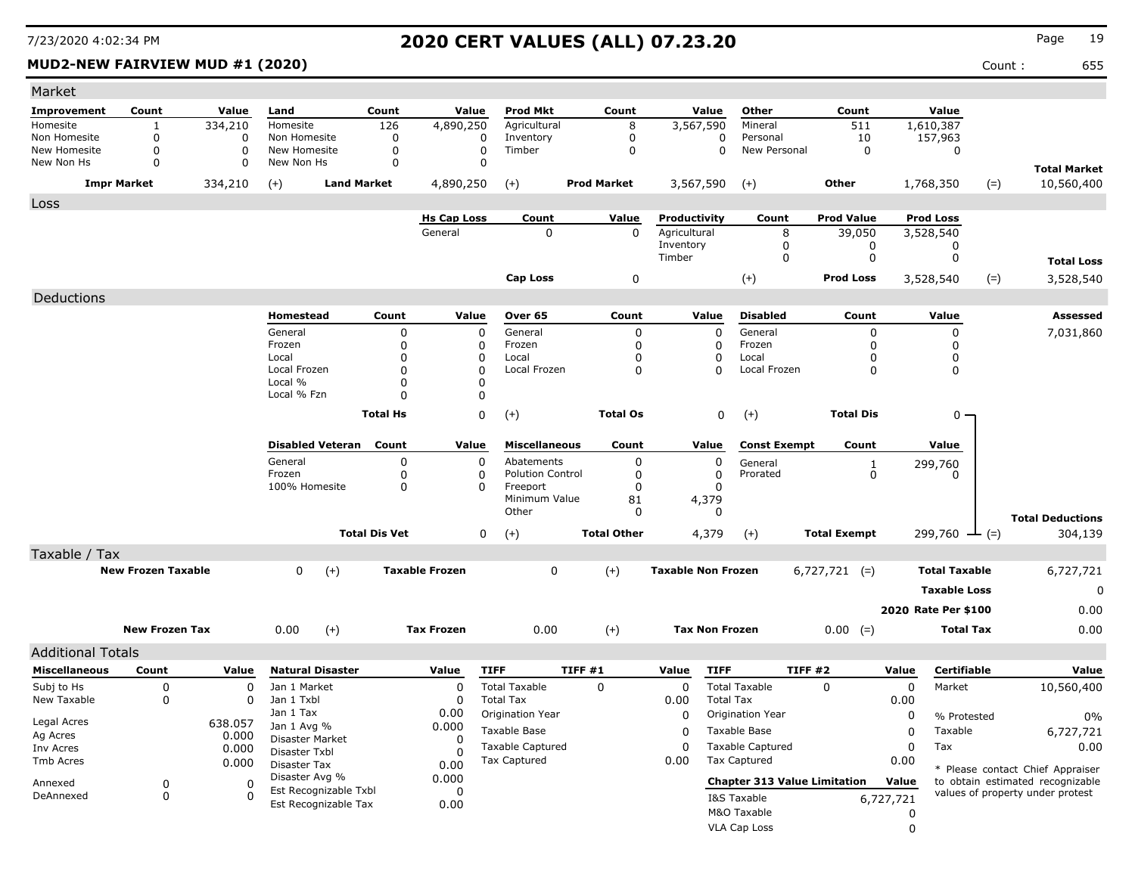### **MUD2-NEW FAIRVIEW MUD #1 (2020)** 655

| Market                   |                           |          |                                         |                      |                       |                         |                    |                 |                           |                                     |                     |             |                      |       |                                  |
|--------------------------|---------------------------|----------|-----------------------------------------|----------------------|-----------------------|-------------------------|--------------------|-----------------|---------------------------|-------------------------------------|---------------------|-------------|----------------------|-------|----------------------------------|
| Improvement              | Count                     | Value    | Land                                    | Count                | Value                 | <b>Prod Mkt</b>         |                    | Count           | Value                     | Other                               | Count               |             | Value                |       |                                  |
| Homesite                 | 1                         | 334,210  | Homesite                                | 126                  | 4,890,250             | Agricultural            |                    | 8               | 3,567,590                 | Mineral                             | 511                 |             | 1,610,387            |       |                                  |
| Non Homesite             | $\Omega$                  | 0        | Non Homesite                            | $\Omega$             | 0                     | Inventory               |                    | $\mathbf 0$     | 0                         | Personal                            | 10                  |             | 157,963              |       |                                  |
| New Homesite             | $\mathbf 0$               | 0        | New Homesite                            | $\Omega$             | $\mathbf 0$           | Timber                  |                    | 0               | $\mathbf 0$               | New Personal                        | $\mathbf 0$         |             | 0                    |       |                                  |
| New Non Hs               | $\Omega$                  | 0        | New Non Hs                              | 0                    | 0                     |                         |                    |                 |                           |                                     |                     |             |                      |       | <b>Total Market</b>              |
|                          | <b>Impr Market</b>        | 334,210  | <b>Land Market</b><br>$(+)$             |                      | 4,890,250             | $(+)$                   | <b>Prod Market</b> |                 | 3,567,590                 | $(+)$                               | Other               |             | 1,768,350            | $(=)$ | 10,560,400                       |
| Loss                     |                           |          |                                         |                      |                       |                         |                    |                 |                           |                                     |                     |             |                      |       |                                  |
|                          |                           |          |                                         |                      | <b>Hs Cap Loss</b>    | Count                   |                    | Value           | Productivity              | Count                               | <b>Prod Value</b>   |             | <b>Prod Loss</b>     |       |                                  |
|                          |                           |          |                                         |                      | General               | 0                       |                    | $\Omega$        | Agricultural              | 8                                   | 39,050              |             | 3,528,540            |       |                                  |
|                          |                           |          |                                         |                      |                       |                         |                    |                 | Inventory                 | 0                                   | 0                   |             | 0                    |       |                                  |
|                          |                           |          |                                         |                      |                       |                         |                    |                 | Timber                    | 0                                   | 0                   |             | 0                    |       | <b>Total Loss</b>                |
|                          |                           |          |                                         |                      |                       | <b>Cap Loss</b>         |                    | 0               |                           | $(+)$                               | <b>Prod Loss</b>    |             | 3,528,540            | $(=)$ | 3,528,540                        |
| Deductions               |                           |          |                                         |                      |                       |                         |                    |                 |                           |                                     |                     |             |                      |       |                                  |
|                          |                           |          | Homestead                               | Count                | Value                 | Over 65                 |                    | Count           | Value                     | <b>Disabled</b>                     | Count               |             | Value                |       | <b>Assessed</b>                  |
|                          |                           |          | General                                 | 0                    | $\mathbf 0$           | General                 |                    | $\Omega$        | $\mathbf 0$               | General                             | 0                   |             | 0                    |       | 7,031,860                        |
|                          |                           |          | Frozen                                  | 0                    | 0                     | Frozen                  |                    | $\Omega$        | 0                         | Frozen                              | 0                   |             | 0                    |       |                                  |
|                          |                           |          | Local                                   | 0                    | 0                     | Local                   |                    | 0               | 0                         | Local                               | 0                   |             | 0                    |       |                                  |
|                          |                           |          | Local Frozen<br>Local %                 | $\Omega$<br>$\Omega$ | $\Omega$              | Local Frozen            |                    | $\Omega$        | $\Omega$                  | Local Frozen                        | $\Omega$            |             | 0                    |       |                                  |
|                          |                           |          | Local % Fzn                             | $\Omega$             | 0<br>$\Omega$         |                         |                    |                 |                           |                                     |                     |             |                      |       |                                  |
|                          |                           |          |                                         |                      |                       |                         |                    |                 |                           |                                     |                     |             |                      |       |                                  |
|                          |                           |          |                                         | <b>Total Hs</b>      | 0                     | $(+)$                   |                    | <b>Total Os</b> | 0                         | $^{(+)}$                            | <b>Total Dis</b>    |             | $0 -$                |       |                                  |
|                          |                           |          | <b>Disabled Veteran</b>                 | Count                | Value                 | <b>Miscellaneous</b>    |                    | Count           | Value                     | <b>Const Exempt</b>                 | Count               |             | Value                |       |                                  |
|                          |                           |          | General                                 | 0                    | 0                     | Abatements              |                    | $\mathbf 0$     | 0                         | General                             | 1                   |             | 299,760              |       |                                  |
|                          |                           |          | Frozen                                  | 0                    | 0                     | <b>Polution Control</b> |                    | 0               | 0                         | Prorated                            | 0                   |             | 0                    |       |                                  |
|                          |                           |          | 100% Homesite                           | 0                    | $\Omega$              | Freeport                |                    | $\Omega$        | 0                         |                                     |                     |             |                      |       |                                  |
|                          |                           |          |                                         |                      |                       | Minimum Value<br>Other  |                    | 81<br>0         | 4,379<br>0                |                                     |                     |             |                      |       |                                  |
|                          |                           |          |                                         |                      |                       |                         |                    |                 |                           |                                     |                     |             |                      |       | <b>Total Deductions</b>          |
|                          |                           |          |                                         | <b>Total Dis Vet</b> | 0                     | $(+)$                   | <b>Total Other</b> |                 | 4,379                     | $(+)$                               | <b>Total Exempt</b> |             | $299,760$ — (=)      |       | 304,139                          |
| Taxable / Tax            |                           |          |                                         |                      |                       |                         |                    |                 |                           |                                     |                     |             |                      |       |                                  |
|                          | <b>New Frozen Taxable</b> |          | 0<br>$(+)$                              |                      | <b>Taxable Frozen</b> | 0                       | $(+)$              |                 | <b>Taxable Non Frozen</b> |                                     | $6,727,721$ (=)     |             | <b>Total Taxable</b> |       | 6,727,721                        |
|                          |                           |          |                                         |                      |                       |                         |                    |                 |                           |                                     |                     |             | <b>Taxable Loss</b>  |       | 0                                |
|                          |                           |          |                                         |                      |                       |                         |                    |                 |                           |                                     |                     |             | 2020 Rate Per \$100  |       | 0.00                             |
|                          | <b>New Frozen Tax</b>     |          | 0.00<br>$(+)$                           |                      | <b>Tax Frozen</b>     | 0.00                    | $^{(+)}$           |                 | <b>Tax Non Frozen</b>     |                                     | $0.00 (=)$          |             | <b>Total Tax</b>     |       | 0.00                             |
| <b>Additional Totals</b> |                           |          |                                         |                      |                       |                         |                    |                 |                           |                                     |                     |             |                      |       |                                  |
| <b>Miscellaneous</b>     | Count                     | Value    | <b>Natural Disaster</b>                 |                      | Value                 | <b>TIFF</b>             | TIFF #1            |                 | Value<br><b>TIFF</b>      |                                     | TIFF #2             | Value       | <b>Certifiable</b>   |       | Value                            |
| Subj to Hs               | 0                         | $\Omega$ | Jan 1 Market                            |                      | $\Omega$              | <b>Total Taxable</b>    | 0                  |                 | $\Omega$                  | <b>Total Taxable</b>                | 0                   | $\mathbf 0$ | Market               |       | 10,560,400                       |
| New Taxable              | 0                         | 0        | Jan 1 Txbl                              |                      | 0                     | <b>Total Tax</b>        |                    |                 | 0.00                      | <b>Total Tax</b>                    |                     | 0.00        |                      |       |                                  |
|                          |                           |          | Jan 1 Tax                               |                      | 0.00                  | Origination Year        |                    |                 | 0                         | Origination Year                    |                     | 0           | % Protested          |       | 0%                               |
| Legal Acres              |                           | 638.057  | Jan 1 Avg %                             |                      | 0.000                 | Taxable Base            |                    |                 | 0                         | Taxable Base                        |                     | 0           | Taxable              |       | 6,727,721                        |
| Ag Acres                 |                           | 0.000    | Disaster Market                         |                      | 0                     | <b>Taxable Captured</b> |                    |                 | $\Omega$                  | <b>Taxable Captured</b>             |                     | 0           | Tax                  |       | 0.00                             |
| Inv Acres<br>Tmb Acres   |                           | 0.000    | Disaster Txbl                           |                      | 0                     | Tax Captured            |                    |                 | 0.00                      | <b>Tax Captured</b>                 |                     | 0.00        |                      |       |                                  |
|                          |                           | 0.000    | Disaster Tax                            |                      | 0.00                  |                         |                    |                 |                           |                                     |                     |             |                      |       | * Please contact Chief Appraiser |
| Annexed                  | 0                         | 0        | Disaster Avg %<br>Est Recognizable Txbl |                      | 0.000                 |                         |                    |                 |                           | <b>Chapter 313 Value Limitation</b> |                     | Value       |                      |       | to obtain estimated recognizable |
| DeAnnexed                | 0                         | $\Omega$ | Est Recognizable Tax                    |                      | 0<br>0.00             |                         |                    |                 |                           | I&S Taxable                         |                     | 6,727,721   |                      |       | values of property under protest |
|                          |                           |          |                                         |                      |                       |                         |                    |                 |                           | M&O Taxable                         |                     | 0           |                      |       |                                  |
|                          |                           |          |                                         |                      |                       |                         |                    |                 |                           | VLA Cap Loss                        |                     | $\Omega$    |                      |       |                                  |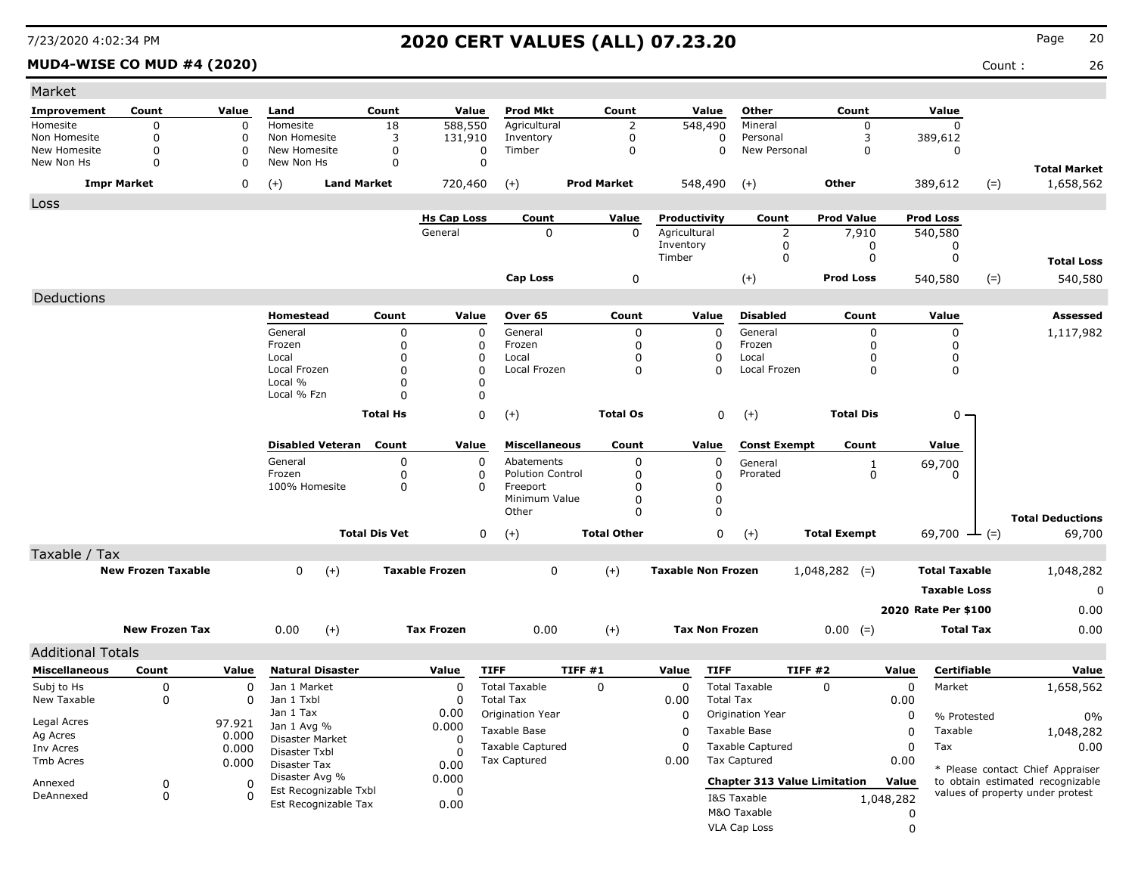### **MUD4-WISE CO MUD #4 (2020)** Count : 26

| Market                   |                           |                  |                                  |                      |                       |                         |                    |                 |                           |                             |                                     |           |                      |                   |                                                                      |
|--------------------------|---------------------------|------------------|----------------------------------|----------------------|-----------------------|-------------------------|--------------------|-----------------|---------------------------|-----------------------------|-------------------------------------|-----------|----------------------|-------------------|----------------------------------------------------------------------|
| Improvement              | Count                     | Value            | Land                             | Count                | Value                 | <b>Prod Mkt</b>         |                    | Count           | Value                     | Other                       | Count                               |           | Value                |                   |                                                                      |
| Homesite                 | 0                         | $\boldsymbol{0}$ | Homesite                         | 18                   | 588,550               | Agricultural            |                    | $\overline{2}$  | 548,490                   | Mineral                     | $\Omega$                            |           | $\Omega$             |                   |                                                                      |
| Non Homesite             | 0                         | $\Omega$         | Non Homesite                     | 3                    | 131,910               | Inventory               |                    | $\mathbf 0$     |                           | $\Omega$<br>Personal        | 3                                   |           | 389,612              |                   |                                                                      |
| New Homesite             | 0                         | $\mathbf 0$      | New Homesite                     | $\mathbf 0$          | 0                     | Timber                  |                    | 0               |                           | $\mathbf 0$<br>New Personal | $\mathbf 0$                         |           | 0                    |                   |                                                                      |
| New Non Hs               | 0                         | 0                | New Non Hs                       | $\Omega$             | 0                     |                         |                    |                 |                           |                             |                                     |           |                      |                   | <b>Total Market</b>                                                  |
|                          | <b>Impr Market</b>        | 0                | <b>Land Market</b><br>$(+)$      |                      | 720,460               | $(+)$                   | <b>Prod Market</b> |                 | 548,490                   | $(+)$                       | Other                               |           | 389,612              | $(=)$             | 1,658,562                                                            |
| Loss                     |                           |                  |                                  |                      |                       |                         |                    |                 |                           |                             |                                     |           |                      |                   |                                                                      |
|                          |                           |                  |                                  |                      | <b>Hs Cap Loss</b>    | Count                   |                    | Value           | Productivity              | Count                       | <b>Prod Value</b>                   |           | <b>Prod Loss</b>     |                   |                                                                      |
|                          |                           |                  |                                  |                      | General               | 0                       |                    | $\Omega$        | Agricultural              |                             | $\overline{2}$<br>7,910             |           | 540,580              |                   |                                                                      |
|                          |                           |                  |                                  |                      |                       |                         |                    |                 | Inventory                 |                             | 0                                   | 0         | 0                    |                   |                                                                      |
|                          |                           |                  |                                  |                      |                       |                         |                    |                 | Timber                    |                             | 0                                   | 0         | 0                    |                   | <b>Total Loss</b>                                                    |
|                          |                           |                  |                                  |                      |                       | <b>Cap Loss</b>         |                    | 0               |                           | $(+)$                       | <b>Prod Loss</b>                    |           | 540,580              | $(=)$             | 540,580                                                              |
| Deductions               |                           |                  |                                  |                      |                       |                         |                    |                 |                           |                             |                                     |           |                      |                   |                                                                      |
|                          |                           |                  | Homestead                        | Count                | Value                 | Over 65                 |                    | Count           | Value                     | <b>Disabled</b>             | Count                               |           | Value                |                   | <b>Assessed</b>                                                      |
|                          |                           |                  | General                          | 0                    | $\mathbf 0$           | General                 |                    | 0               |                           | $\mathbf 0$<br>General      |                                     | 0         | 0                    |                   | 1,117,982                                                            |
|                          |                           |                  | Frozen                           | 0                    | 0                     | Frozen                  |                    | 0               |                           | 0<br>Frozen                 |                                     | 0         | 0                    |                   |                                                                      |
|                          |                           |                  | Local                            | 0                    | 0                     | Local                   |                    | 0               |                           | 0<br>Local                  |                                     | 0         | 0                    |                   |                                                                      |
|                          |                           |                  | Local Frozen                     | $\Omega$             | $\Omega$              | Local Frozen            |                    | 0               |                           | 0<br>Local Frozen           |                                     | 0         | 0                    |                   |                                                                      |
|                          |                           |                  | Local %<br>Local % Fzn           | $\Omega$             | $\Omega$              |                         |                    |                 |                           |                             |                                     |           |                      |                   |                                                                      |
|                          |                           |                  |                                  | $\Omega$             | $\Omega$              |                         |                    |                 |                           |                             |                                     |           |                      |                   |                                                                      |
|                          |                           |                  |                                  | <b>Total Hs</b>      | 0                     | $(+)$                   |                    | <b>Total Os</b> |                           | 0<br>$(+)$                  | <b>Total Dis</b>                    |           | $0 -$                |                   |                                                                      |
|                          |                           |                  | <b>Disabled Veteran</b>          | Count                | Value                 | <b>Miscellaneous</b>    |                    | Count           | Value                     | <b>Const Exempt</b>         | Count                               |           | Value                |                   |                                                                      |
|                          |                           |                  | General                          | 0                    | 0                     | Abatements              |                    | 0               |                           | 0<br>General                |                                     | 1         | 69,700               |                   |                                                                      |
|                          |                           |                  | Frozen                           | 0                    | 0                     | <b>Polution Control</b> |                    | 0               |                           | 0<br>Prorated               |                                     | 0         | 0                    |                   |                                                                      |
|                          |                           |                  | 100% Homesite                    | 0                    | 0                     | Freeport                |                    | 0               |                           | 0                           |                                     |           |                      |                   |                                                                      |
|                          |                           |                  |                                  |                      |                       | Minimum Value<br>Other  |                    | 0<br>0          |                           | 0<br>$\mathbf 0$            |                                     |           |                      |                   |                                                                      |
|                          |                           |                  |                                  |                      |                       |                         |                    |                 |                           |                             |                                     |           |                      |                   | <b>Total Deductions</b>                                              |
|                          |                           |                  |                                  | <b>Total Dis Vet</b> | 0                     | $(+)$                   | <b>Total Other</b> |                 |                           | 0<br>$(+)$                  | <b>Total Exempt</b>                 |           | 69,700               | $\rightarrow$ (=) | 69,700                                                               |
| Taxable / Tax            |                           |                  |                                  |                      |                       |                         |                    |                 |                           |                             |                                     |           |                      |                   |                                                                      |
|                          | <b>New Frozen Taxable</b> |                  | 0<br>$(+)$                       |                      | <b>Taxable Frozen</b> | 0                       | $(+)$              |                 | <b>Taxable Non Frozen</b> |                             | $1,048,282$ (=)                     |           | <b>Total Taxable</b> |                   | 1,048,282                                                            |
|                          |                           |                  |                                  |                      |                       |                         |                    |                 |                           |                             |                                     |           | <b>Taxable Loss</b>  |                   | 0                                                                    |
|                          |                           |                  |                                  |                      |                       |                         |                    |                 |                           |                             |                                     |           | 2020 Rate Per \$100  |                   | 0.00                                                                 |
|                          |                           |                  |                                  |                      |                       |                         |                    |                 |                           |                             |                                     |           |                      |                   |                                                                      |
|                          | <b>New Frozen Tax</b>     |                  | 0.00<br>$(+)$                    |                      | <b>Tax Frozen</b>     | 0.00                    | $(+)$              |                 | <b>Tax Non Frozen</b>     |                             | $0.00$ (=)                          |           | <b>Total Tax</b>     |                   | 0.00                                                                 |
| <b>Additional Totals</b> |                           |                  |                                  |                      |                       |                         |                    |                 |                           |                             |                                     |           |                      |                   |                                                                      |
| <b>Miscellaneous</b>     | Count                     | Value            | <b>Natural Disaster</b>          |                      | Value                 | <b>TIFF</b>             | TIFF#1             |                 | Value                     | <b>TIFF</b>                 | TIFF #2                             | Value     | Certifiable          |                   | Value                                                                |
| Subj to Hs               | 0                         | 0                | Jan 1 Market                     |                      | 0                     | <b>Total Taxable</b>    | 0                  |                 | 0                         | <b>Total Taxable</b>        | 0                                   | 0         | Market               |                   | 1,658,562                                                            |
| New Taxable              | 0                         | 0                | Jan 1 Txbl                       |                      | 0                     | <b>Total Tax</b>        |                    |                 | 0.00                      | <b>Total Tax</b>            |                                     | 0.00      |                      |                   |                                                                      |
| Legal Acres              |                           | 97.921           | Jan 1 Tax                        |                      | 0.00                  | Origination Year        |                    |                 | 0                         | Origination Year            |                                     | 0         | % Protested          |                   | 0%                                                                   |
| Ag Acres                 |                           | 0.000            | Jan 1 Avg %                      |                      | 0.000                 | Taxable Base            |                    |                 | 0                         | Taxable Base                |                                     | 0         | Taxable              |                   | 1,048,282                                                            |
| Inv Acres                |                           | 0.000            | Disaster Market<br>Disaster Txbl |                      | 0                     | <b>Taxable Captured</b> |                    |                 | $\Omega$                  | <b>Taxable Captured</b>     |                                     | 0         | Tax                  |                   | 0.00                                                                 |
| Tmb Acres                |                           | 0.000            | Disaster Tax                     |                      | 0.00                  | Tax Captured            |                    |                 | 0.00                      | <b>Tax Captured</b>         |                                     | 0.00      |                      |                   |                                                                      |
|                          |                           |                  | Disaster Avg %                   |                      | 0.000                 |                         |                    |                 |                           |                             | <b>Chapter 313 Value Limitation</b> | Value     |                      |                   | * Please contact Chief Appraiser<br>to obtain estimated recognizable |
| Annexed<br>DeAnnexed     | 0<br>0                    | 0<br>$\Omega$    | Est Recognizable Txbl            |                      | 0                     |                         |                    |                 |                           | I&S Taxable                 |                                     |           |                      |                   | values of property under protest                                     |
|                          |                           |                  | Est Recognizable Tax             |                      | 0.00                  |                         |                    |                 |                           | M&O Taxable                 |                                     | 1,048,282 |                      |                   |                                                                      |
|                          |                           |                  |                                  |                      |                       |                         |                    |                 |                           | VLA Cap Loss                |                                     | 0<br>0    |                      |                   |                                                                      |
|                          |                           |                  |                                  |                      |                       |                         |                    |                 |                           |                             |                                     |           |                      |                   |                                                                      |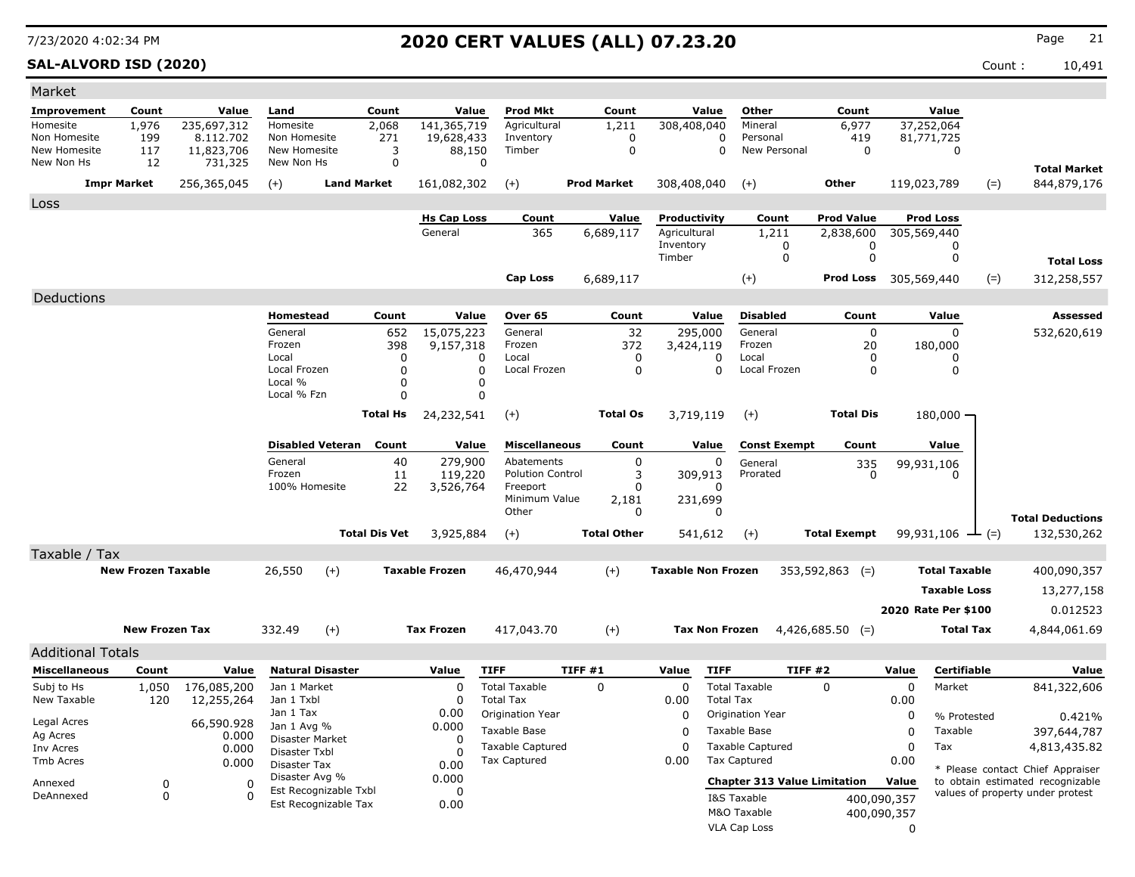### **SAL-ALVORD ISD (2020)** Count : 10,491

| Market                       |                           |                       |                                |                                  |                                  |                                      |                    |                           |                                      |                              |                            |                        |                                                                      |
|------------------------------|---------------------------|-----------------------|--------------------------------|----------------------------------|----------------------------------|--------------------------------------|--------------------|---------------------------|--------------------------------------|------------------------------|----------------------------|------------------------|----------------------------------------------------------------------|
| Improvement                  | Count                     | Value                 | Land                           | Count                            | Value                            | <b>Prod Mkt</b>                      | Count              | Value                     | Other                                | Count                        |                            | Value                  |                                                                      |
| Homesite                     | 1,976                     | 235,697,312           | Homesite                       | 2,068                            | 141,365,719                      | Agricultural                         | 1,211              | 308,408,040               | Mineral                              | 6,977                        | 37,252,064                 |                        |                                                                      |
| Non Homesite<br>New Homesite | 199                       | 8.112.702             | Non Homesite<br>New Homesite   | 271                              | 19,628,433                       | Inventory<br>Timber                  | 0<br>$\mathbf 0$   | 0<br>0                    | Personal<br>New Personal             | 419<br>$\mathbf 0$           | 81,771,725                 | 0                      |                                                                      |
| New Non Hs                   | 117<br>12                 | 11,823,706<br>731,325 | New Non Hs                     |                                  | 3<br>88,150<br>$\Omega$          | $\Omega$                             |                    |                           |                                      |                              |                            |                        |                                                                      |
|                              |                           |                       |                                | <b>Land Market</b>               |                                  |                                      | <b>Prod Market</b> |                           |                                      | <b>Other</b>                 |                            |                        | <b>Total Market</b>                                                  |
|                              | <b>Impr Market</b>        | 256,365,045           | $(+)$                          |                                  | 161,082,302                      | $(+)$                                |                    | 308,408,040               | $(+)$                                |                              | 119,023,789                | $(=)$                  | 844,879,176                                                          |
| Loss                         |                           |                       |                                |                                  |                                  |                                      |                    |                           |                                      |                              |                            |                        |                                                                      |
|                              |                           |                       |                                |                                  | <b>Hs Cap Loss</b><br>General    | Count                                | Value              | Productivity              | Count                                | <b>Prod Value</b>            |                            | <b>Prod Loss</b>       |                                                                      |
|                              |                           |                       |                                |                                  |                                  | 365                                  | 6,689,117          | Agricultural<br>Inventory | 1,211<br>0                           | 2,838,600<br>0               | 305,569,440                | 0                      |                                                                      |
|                              |                           |                       |                                |                                  |                                  |                                      |                    | Timber                    | 0                                    | 0                            |                            | 0                      | <b>Total Loss</b>                                                    |
|                              |                           |                       |                                |                                  |                                  | <b>Cap Loss</b>                      | 6,689,117          |                           | $(+)$                                | <b>Prod Loss</b> 305,569,440 |                            | $(=)$                  | 312,258,557                                                          |
| Deductions                   |                           |                       |                                |                                  |                                  |                                      |                    |                           |                                      |                              |                            |                        |                                                                      |
|                              |                           |                       | <b>Homestead</b>               |                                  | Count<br>Value                   | Over 65                              | Count              | Value                     | <b>Disabled</b>                      | Count                        |                            | Value                  | <b>Assessed</b>                                                      |
|                              |                           |                       | General                        |                                  | 15,075,223<br>652                | General                              | 32                 | 295,000                   | General                              | $\Omega$                     |                            | $\Omega$               | 532,620,619                                                          |
|                              |                           |                       | Frozen                         |                                  | 398<br>9,157,318                 | Frozen                               | 372                | 3,424,119                 | Frozen                               | 20                           |                            | 180,000                |                                                                      |
|                              |                           |                       | Local                          |                                  | 0                                | Local<br>0                           | 0                  | 0                         | Local                                | 0                            |                            | 0                      |                                                                      |
|                              |                           |                       | Local Frozen<br>Local %        |                                  | $\Omega$<br>$\Omega$             | $\Omega$<br>Local Frozen<br>0        | 0                  | $\mathbf{0}$              | Local Frozen                         | $\Omega$                     |                            | $\Omega$               |                                                                      |
|                              |                           |                       | Local % Fzn                    |                                  | $\Omega$                         | 0                                    |                    |                           |                                      |                              |                            |                        |                                                                      |
|                              |                           |                       |                                | Total Hs                         | 24,232,541                       | $(+)$                                | <b>Total Os</b>    | 3,719,119                 | $(+)$                                | <b>Total Dis</b>             |                            | $180,000 \cdot$        |                                                                      |
|                              |                           |                       |                                |                                  |                                  |                                      |                    |                           |                                      |                              |                            |                        |                                                                      |
|                              |                           |                       |                                | <b>Disabled Veteran</b><br>Count | Value                            | <b>Miscellaneous</b>                 | Count              | Value                     | <b>Const Exempt</b>                  | Count                        |                            | Value                  |                                                                      |
|                              |                           |                       | General                        |                                  | 279,900<br>40                    | Abatements                           | $\Omega$           | 0                         | General                              | 335                          | 99,931,106                 |                        |                                                                      |
|                              |                           |                       | Frozen<br>100% Homesite        |                                  | 11<br>119,220<br>22<br>3,526,764 | <b>Polution Control</b><br>Freeport  | 3<br>0             | 309,913<br>$\Omega$       | Prorated                             | n                            |                            |                        |                                                                      |
|                              |                           |                       |                                |                                  |                                  | Minimum Value                        | 2,181              | 231,699                   |                                      |                              |                            |                        |                                                                      |
|                              |                           |                       |                                |                                  |                                  | Other                                | $\mathbf{0}$       | $\Omega$                  |                                      |                              |                            |                        | <b>Total Deductions</b>                                              |
|                              |                           |                       |                                | <b>Total Dis Vet</b>             | 3,925,884                        | $(+)$                                | <b>Total Other</b> | 541,612                   | $(+)$                                | <b>Total Exempt</b>          |                            | $99,931,106$ — (=)     | 132,530,262                                                          |
| Taxable / Tax                |                           |                       |                                |                                  |                                  |                                      |                    |                           |                                      |                              |                            |                        |                                                                      |
|                              | <b>New Frozen Taxable</b> |                       | 26,550                         | $(+)$                            | <b>Taxable Frozen</b>            | 46,470,944                           | $(+)$              | <b>Taxable Non Frozen</b> |                                      | $353,592,863$ (=)            |                            | <b>Total Taxable</b>   | 400,090,357                                                          |
|                              |                           |                       |                                |                                  |                                  |                                      |                    |                           |                                      |                              |                            | <b>Taxable Loss</b>    | 13,277,158                                                           |
|                              |                           |                       |                                |                                  |                                  |                                      |                    |                           |                                      |                              |                            | 2020 Rate Per \$100    | 0.012523                                                             |
|                              | <b>New Frozen Tax</b>     |                       | 332.49                         | $(+)$                            | <b>Tax Frozen</b>                | 417,043.70                           | $(+)$              | <b>Tax Non Frozen</b>     |                                      | $4,426,685.50$ (=)           |                            | <b>Total Tax</b>       | 4,844,061.69                                                         |
|                              |                           |                       |                                |                                  |                                  |                                      |                    |                           |                                      |                              |                            |                        |                                                                      |
| <b>Additional Totals</b>     |                           |                       |                                |                                  |                                  |                                      |                    |                           |                                      |                              |                            |                        |                                                                      |
| <b>Miscellaneous</b>         | Count                     | Value                 | <b>Natural Disaster</b>        |                                  | Value                            | <b>TIFF</b>                          | TIFF#1             | <b>TIFF</b><br>Value      |                                      | TIFF#2                       | Value                      | Certifiable            | Value                                                                |
| Subj to Hs                   | 1,050                     | 176,085,200           | Jan 1 Market                   |                                  | 0                                | <b>Total Taxable</b>                 | $\mathbf 0$        | 0                         | <b>Total Taxable</b>                 | $\Omega$                     | 0                          | Market                 | 841,322,606                                                          |
| New Taxable                  | 120                       | 12,255,264            | Jan 1 Txbl<br>Jan 1 Tax        |                                  | 0<br>0.00                        | <b>Total Tax</b><br>Origination Year |                    | 0.00<br>0                 | <b>Total Tax</b><br>Origination Year |                              | 0.00<br>0                  |                        |                                                                      |
| Legal Acres                  |                           | 66,590.928            | Jan 1 Avg %                    |                                  | 0.000                            | <b>Taxable Base</b>                  |                    | $\mathbf{0}$              | Taxable Base                         |                              | 0                          | % Protested<br>Taxable | 0.421%                                                               |
| Ag Acres                     |                           | 0.000                 | Disaster Market                |                                  | <sup>0</sup>                     | <b>Taxable Captured</b>              |                    | $\mathbf{0}$              | <b>Taxable Captured</b>              |                              | $\mathbf 0$                | Tax                    | 397,644,787<br>4,813,435.82                                          |
| Inv Acres<br>Tmb Acres       |                           | 0.000<br>0.000        | Disaster Txbl                  |                                  | $\Omega$                         | Tax Captured                         |                    | 0.00                      | <b>Tax Captured</b>                  |                              | 0.00                       |                        |                                                                      |
|                              |                           |                       | Disaster Tax<br>Disaster Avg % |                                  | 0.00<br>0.000                    |                                      |                    |                           |                                      |                              |                            |                        | * Please contact Chief Appraiser                                     |
| Annexed<br>DeAnnexed         | 0<br>$\mathbf 0$          | $\Omega$<br>$\Omega$  |                                | Est Recognizable Txbl            | $\Omega$                         |                                      |                    |                           | <b>Chapter 313 Value Limitation</b>  |                              | Value                      |                        | to obtain estimated recognizable<br>values of property under protest |
|                              |                           |                       |                                | Est Recognizable Tax             | 0.00                             |                                      |                    |                           | I&S Taxable<br>M&O Taxable           |                              | 400,090,357<br>400,090,357 |                        |                                                                      |
|                              |                           |                       |                                |                                  |                                  |                                      |                    |                           |                                      |                              |                            |                        |                                                                      |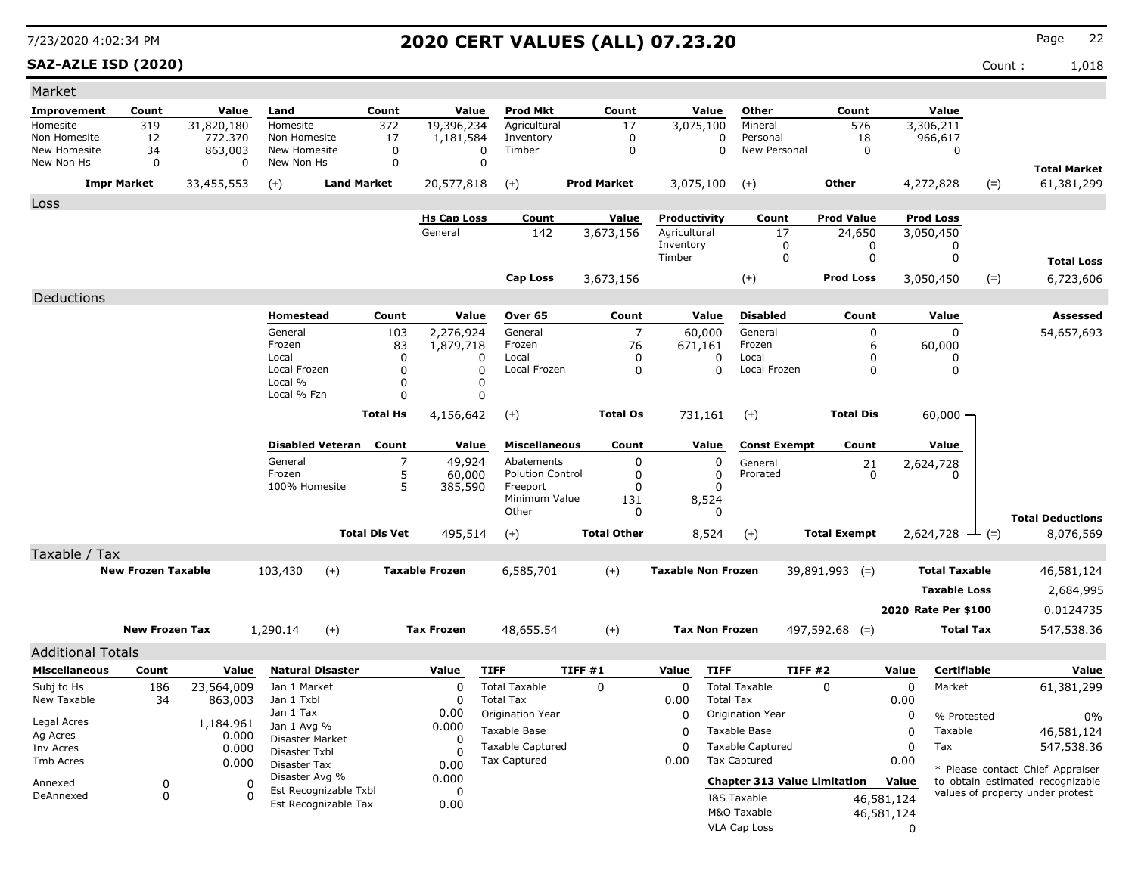**SAZ-AZLE ISD (2020)** Count : 1,018

| Market                        |                           |                       |                            |                         |                            |                            |                                          |                    |                           |                  |                                     |                     |            |                      |                                      |
|-------------------------------|---------------------------|-----------------------|----------------------------|-------------------------|----------------------------|----------------------------|------------------------------------------|--------------------|---------------------------|------------------|-------------------------------------|---------------------|------------|----------------------|--------------------------------------|
| Improvement                   | Count                     | Value                 | Land                       |                         | Count                      | Value                      | <b>Prod Mkt</b>                          | Count              |                           | Value            | Other                               | Count               |            | Value                |                                      |
| Homesite                      | 319                       | 31,820,180            | Homesite                   |                         | 372                        | 19,396,234                 | Agricultural                             | 17                 | 3,075,100                 |                  | Mineral                             | 576                 |            | 3,306,211            |                                      |
| Non Homesite                  | 12                        | 772,370               | Non Homesite               |                         | 17                         | 1,181,584                  | Inventory                                | $\mathbf 0$        |                           | $\Omega$         | Personal                            | 18                  |            | 966,617              |                                      |
| New Homesite<br>New Non Hs    | 34<br>$\mathbf 0$         | 863,003<br>0          | New Homesite<br>New Non Hs |                         | $\mathsf 0$<br>$\mathbf 0$ | $\mathbf 0$<br>$\mathbf 0$ | Timber                                   | $\mathbf 0$        |                           | 0                | New Personal                        | $\mathbf 0$         |            | $\mathbf 0$          |                                      |
|                               |                           |                       |                            |                         |                            |                            |                                          |                    |                           |                  |                                     |                     |            |                      | <b>Total Market</b>                  |
|                               | <b>Impr Market</b>        | 33,455,553            | $(+)$                      | <b>Land Market</b>      |                            | 20,577,818                 | $(+)$                                    | <b>Prod Market</b> | 3,075,100                 |                  | $(+)$                               | <b>Other</b>        |            | $(=)$<br>4,272,828   | 61,381,299                           |
| Loss                          |                           |                       |                            |                         |                            |                            |                                          |                    |                           |                  |                                     |                     |            |                      |                                      |
|                               |                           |                       |                            |                         |                            | <b>Hs Cap Loss</b>         | Count                                    | Value              | Productivity              |                  | Count                               | <b>Prod Value</b>   |            | <b>Prod Loss</b>     |                                      |
|                               |                           |                       |                            |                         |                            | General                    | 142                                      | 3,673,156          | Agricultural              |                  | 17                                  | 24,650              |            | 3,050,450            |                                      |
|                               |                           |                       |                            |                         |                            |                            |                                          |                    | Inventory<br>Timber       |                  | 0<br>$\mathbf 0$                    | 0<br>$\mathbf 0$    |            | 0<br>$\mathbf 0$     |                                      |
|                               |                           |                       |                            |                         |                            |                            |                                          |                    |                           |                  |                                     |                     |            |                      | <b>Total Loss</b>                    |
|                               |                           |                       |                            |                         |                            |                            | Cap Loss                                 | 3,673,156          |                           |                  | $(+)$                               | <b>Prod Loss</b>    |            | 3,050,450<br>$(=)$   | 6,723,606                            |
| Deductions                    |                           |                       |                            |                         |                            |                            |                                          |                    |                           |                  |                                     |                     |            |                      |                                      |
|                               |                           |                       | Homestead                  |                         | Count                      | Value                      | Over 65                                  | Count              | Value                     |                  | <b>Disabled</b>                     | Count               |            | Value                | <b>Assessed</b>                      |
|                               |                           |                       | General                    |                         | 103                        | 2,276,924                  | General                                  | $\overline{7}$     | 60,000                    |                  | General                             | $\mathbf 0$         |            | $\Omega$             | 54,657,693                           |
|                               |                           |                       | Frozen                     |                         | 83                         | 1,879,718                  | Frozen                                   | 76                 | 671,161                   |                  | Frozen                              | 6                   |            | 60,000               |                                      |
|                               |                           |                       | Local<br>Local Frozen      |                         | $\mathbf 0$<br>0           | 0<br>0                     | Local<br>Local Frozen                    | 0<br>0             |                           | 0<br>$\Omega$    | Local<br>Local Frozen               | 0<br>0              |            | 0<br>0               |                                      |
|                               |                           |                       | Local %                    |                         | 0                          | 0                          |                                          |                    |                           |                  |                                     |                     |            |                      |                                      |
|                               |                           |                       | Local % Fzn                |                         | $\mathbf 0$                | $\mathbf 0$                |                                          |                    |                           |                  |                                     |                     |            |                      |                                      |
|                               |                           |                       |                            |                         | <b>Total Hs</b>            | 4,156,642                  | $(+)$                                    | <b>Total Os</b>    | 731,161                   |                  | $(+)$                               | <b>Total Dis</b>    |            | $60,000 -$           |                                      |
|                               |                           |                       |                            |                         |                            |                            |                                          |                    |                           |                  |                                     |                     |            |                      |                                      |
|                               |                           |                       |                            | <b>Disabled Veteran</b> | Count                      | Value                      | <b>Miscellaneous</b>                     | Count              |                           | Value            | <b>Const Exempt</b>                 | Count               |            | Value                |                                      |
|                               |                           |                       | General                    |                         | $\overline{7}$             | 49,924                     | Abatements                               | $\Omega$           |                           | 0                | General                             | 21                  |            | 2,624,728            |                                      |
|                               |                           |                       | Frozen                     |                         | 5                          | 60,000                     | <b>Polution Control</b>                  | 0                  |                           | $\mathbf 0$      | Prorated                            | 0                   |            |                      |                                      |
|                               |                           |                       | 100% Homesite              |                         | 5                          | 385,590                    | Freeport<br>Minimum Value                | $\Omega$<br>131    | 8,524                     | O                |                                     |                     |            |                      |                                      |
|                               |                           |                       |                            |                         |                            |                            | Other                                    | 0                  |                           | 0                |                                     |                     |            |                      |                                      |
|                               |                           |                       |                            |                         | <b>Total Dis Vet</b>       | 495,514                    |                                          | <b>Total Other</b> |                           | 8,524            |                                     | <b>Total Exempt</b> |            | $2,624,728$ — (=)    | <b>Total Deductions</b><br>8,076,569 |
|                               |                           |                       |                            |                         |                            |                            | $(+)$                                    |                    |                           |                  | $(+)$                               |                     |            |                      |                                      |
| Taxable / Tax                 |                           |                       |                            |                         |                            |                            |                                          |                    |                           |                  |                                     |                     |            |                      |                                      |
|                               | <b>New Frozen Taxable</b> |                       | 103,430                    | $(+)$                   |                            | <b>Taxable Frozen</b>      | 6,585,701                                | $(+)$              | <b>Taxable Non Frozen</b> |                  |                                     | $39,891,993$ (=)    |            | <b>Total Taxable</b> | 46,581,124                           |
|                               |                           |                       |                            |                         |                            |                            |                                          |                    |                           |                  |                                     |                     |            | <b>Taxable Loss</b>  | 2,684,995                            |
|                               |                           |                       |                            |                         |                            |                            |                                          |                    |                           |                  |                                     |                     |            | 2020 Rate Per \$100  | 0.0124735                            |
|                               | <b>New Frozen Tax</b>     |                       | 1,290.14                   | $(+)$                   |                            | <b>Tax Frozen</b>          | 48,655.54                                | $(+)$              | <b>Tax Non Frozen</b>     |                  |                                     | $497,592.68$ (=)    |            | <b>Total Tax</b>     | 547,538.36                           |
|                               |                           |                       |                            |                         |                            |                            |                                          |                    |                           |                  |                                     |                     |            |                      |                                      |
| <b>Additional Totals</b>      |                           |                       |                            |                         |                            |                            |                                          |                    |                           |                  |                                     |                     |            |                      |                                      |
| <b>Miscellaneous</b>          | Count                     | Value                 |                            | <b>Natural Disaster</b> |                            | Value                      | <b>TIFF</b>                              | TIFF #1            | Value                     | <b>TIFF</b>      |                                     | <b>TIFF #2</b>      | Value      | Certifiable          | Value                                |
| Subj to Hs<br>New Taxable     | 186<br>34                 | 23,564,009<br>863,003 | Jan 1 Market<br>Jan 1 Txbl |                         |                            | $\Omega$<br>$\mathbf 0$    | <b>Total Taxable</b><br><b>Total Tax</b> | $\Omega$           | $\Omega$<br>0.00          | <b>Total Tax</b> | <b>Total Taxable</b>                | $\Omega$            | 0<br>0.00  | Market               | 61,381,299                           |
|                               |                           |                       | Jan 1 Tax                  |                         |                            | 0.00                       | Origination Year                         |                    | 0                         |                  | Origination Year                    |                     | 0          | % Protested          | 0%                                   |
| Legal Acres                   |                           | 1,184.961             | Jan 1 Avg %                |                         |                            | 0.000                      | Taxable Base                             |                    | $\Omega$                  |                  | Taxable Base                        |                     | 0          | Taxable              | 46,581,124                           |
| Ag Acres                      |                           | 0.000                 | Disaster Market            |                         |                            | $\Omega$                   | <b>Taxable Captured</b>                  |                    | $\Omega$                  |                  | <b>Taxable Captured</b>             |                     | $\Omega$   | Tax                  |                                      |
| Inv Acres<br><b>Tmb Acres</b> |                           | 0.000                 | Disaster Txbl              |                         |                            | O                          | Tax Captured                             |                    | 0.00                      |                  | <b>Tax Captured</b>                 |                     | 0.00       |                      | 547,538.36                           |
|                               |                           | 0.000                 | Disaster Tax               |                         |                            | 0.00                       |                                          |                    |                           |                  |                                     |                     |            |                      | * Please contact Chief Appraiser     |
| Annexed                       | $\mathbf 0$               | $\Omega$              | Disaster Avg %             | Est Recognizable Txbl   |                            | 0.000<br>$\mathbf 0$       |                                          |                    |                           |                  | <b>Chapter 313 Value Limitation</b> |                     | Value      |                      | to obtain estimated recognizable     |
| DeAnnexed                     | $\mathbf{0}$              | $\Omega$              |                            | Est Recognizable Tax    |                            | 0.00                       |                                          |                    |                           |                  | I&S Taxable                         |                     | 46,581,124 |                      | values of property under protest     |
|                               |                           |                       |                            |                         |                            |                            |                                          |                    |                           |                  | M&O Taxable                         |                     | 46,581,124 |                      |                                      |
|                               |                           |                       |                            |                         |                            |                            |                                          |                    |                           |                  | <b>VLA Cap Loss</b>                 |                     | $\Omega$   |                      |                                      |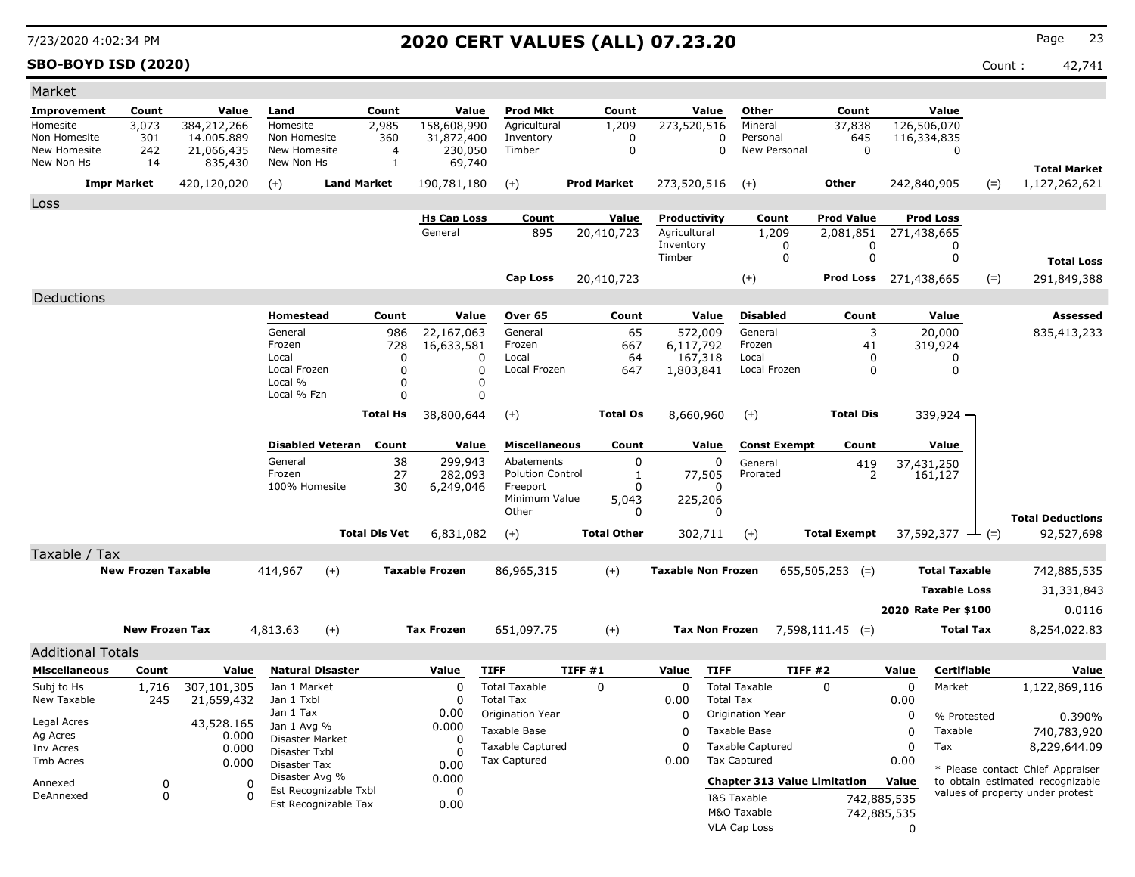**SBO-BOYD ISD (2020)** Count : 42,741

| Market                     |                           |                       |                            |                         |                                |                         |                           |                    |                           |                  |                                     |                       |             |                              |       |                                  |
|----------------------------|---------------------------|-----------------------|----------------------------|-------------------------|--------------------------------|-------------------------|---------------------------|--------------------|---------------------------|------------------|-------------------------------------|-----------------------|-------------|------------------------------|-------|----------------------------------|
| Improvement                | Count                     | Value                 | Land                       |                         | Count                          | Value                   | <b>Prod Mkt</b>           | Count              |                           | Value            | Other                               | Count                 |             | Value                        |       |                                  |
| Homesite                   | 3,073                     | 384,212,266           | Homesite                   |                         | 2,985                          | 158,608,990             | Agricultural              | 1,209              | 273,520,516               |                  | Mineral                             | 37,838                |             | 126,506,070                  |       |                                  |
| Non Homesite               | 301                       | 14.005.889            | Non Homesite               |                         | 360                            | 31,872,400              | Inventory                 | 0                  |                           | 0                | Personal                            | 645                   |             | 116,334,835                  |       |                                  |
| New Homesite<br>New Non Hs | 242<br>14                 | 21,066,435<br>835,430 | New Homesite<br>New Non Hs |                         | $\overline{4}$<br>$\mathbf{1}$ | 230,050<br>69,740       | Timber                    | $\mathbf 0$        |                           | 0                | New Personal                        | $\mathbf 0$           |             | $\mathbf 0$                  |       |                                  |
|                            |                           |                       |                            |                         |                                |                         |                           |                    |                           |                  |                                     |                       |             |                              |       | <b>Total Market</b>              |
|                            | <b>Impr Market</b>        | 420,120,020           | $(+)$                      | <b>Land Market</b>      |                                | 190,781,180             | $(+)$                     | <b>Prod Market</b> | 273,520,516               |                  | $(+)$                               | Other                 |             | 242,840,905                  | $(=)$ | 1,127,262,621                    |
| Loss                       |                           |                       |                            |                         |                                |                         |                           |                    |                           |                  |                                     |                       |             |                              |       |                                  |
|                            |                           |                       |                            |                         |                                | <b>Hs Cap Loss</b>      | Count                     | Value              | Productivity              |                  | Count                               | <b>Prod Value</b>     |             | <b>Prod Loss</b>             |       |                                  |
|                            |                           |                       |                            |                         |                                | General                 | 895                       | 20,410,723         | Agricultural<br>Inventory |                  | 1,209<br>0                          | 2,081,851<br>0        |             | 271,438,665<br>0             |       |                                  |
|                            |                           |                       |                            |                         |                                |                         |                           |                    | Timber                    |                  | $\mathbf 0$                         | $\mathbf 0$           |             | $\mathbf 0$                  |       | <b>Total Loss</b>                |
|                            |                           |                       |                            |                         |                                |                         | <b>Cap Loss</b>           | 20,410,723         |                           |                  | $(+)$                               | Prod Loss 271,438,665 |             |                              | $(=)$ | 291,849,388                      |
|                            |                           |                       |                            |                         |                                |                         |                           |                    |                           |                  |                                     |                       |             |                              |       |                                  |
| Deductions                 |                           |                       | Homestead                  |                         | Count                          | Value                   | Over 65                   | Count              |                           | Value            | <b>Disabled</b>                     | Count                 |             | Value                        |       | <b>Assessed</b>                  |
|                            |                           |                       | General                    |                         | 986                            | 22,167,063              | General                   | 65                 | 572,009                   |                  | General                             | 3                     |             | 20,000                       |       | 835,413,233                      |
|                            |                           |                       | Frozen                     |                         | 728                            | 16,633,581              | Frozen                    | 667                | 6,117,792                 |                  | Frozen                              | 41                    |             | 319,924                      |       |                                  |
|                            |                           |                       | Local                      |                         | $\Omega$                       | $\Omega$                | Local                     | 64                 | 167,318                   |                  | Local                               | 0                     |             | 0                            |       |                                  |
|                            |                           |                       | Local Frozen               |                         | $\Omega$                       | $\mathbf 0$             | Local Frozen              | 647                | 1,803,841                 |                  | Local Frozen                        | $\mathbf 0$           |             | $\mathbf 0$                  |       |                                  |
|                            |                           |                       | Local %<br>Local % Fzn     |                         | $\Omega$<br>$\Omega$           | $\mathbf 0$<br>$\Omega$ |                           |                    |                           |                  |                                     |                       |             |                              |       |                                  |
|                            |                           |                       |                            |                         |                                |                         |                           | <b>Total Os</b>    |                           |                  |                                     | <b>Total Dis</b>      |             |                              |       |                                  |
|                            |                           |                       |                            |                         | <b>Total Hs</b>                | 38,800,644              | $^{(+)}$                  |                    | 8,660,960                 |                  | $(+)$                               |                       |             | 339,924 -                    |       |                                  |
|                            |                           |                       |                            | <b>Disabled Veteran</b> | Count                          | Value                   | <b>Miscellaneous</b>      | Count              |                           | Value            | <b>Const Exempt</b>                 | Count                 |             | Value                        |       |                                  |
|                            |                           |                       | General                    |                         | 38                             | 299,943                 | Abatements                | 0                  |                           | 0                | General                             | 419                   |             | 37,431,250                   |       |                                  |
|                            |                           |                       | Frozen                     |                         | 27                             | 282,093                 | <b>Polution Control</b>   | 1                  | 77,505                    |                  | Prorated                            | $\overline{2}$        |             | 161,127                      |       |                                  |
|                            |                           |                       | 100% Homesite              |                         | 30                             | 6,249,046               | Freeport<br>Minimum Value | $\Omega$<br>5,043  | 225,206                   | 0                |                                     |                       |             |                              |       |                                  |
|                            |                           |                       |                            |                         |                                |                         | Other                     | 0                  |                           | $\Omega$         |                                     |                       |             |                              |       | <b>Total Deductions</b>          |
|                            |                           |                       |                            |                         | <b>Total Dis Vet</b>           | 6,831,082               | $(+)$                     | <b>Total Other</b> | 302,711                   |                  | $(+)$                               | <b>Total Exempt</b>   |             | 37,592,377 $\rightarrow$ (=) |       | 92,527,698                       |
| Taxable / Tax              |                           |                       |                            |                         |                                |                         |                           |                    |                           |                  |                                     |                       |             |                              |       |                                  |
|                            | <b>New Frozen Taxable</b> |                       | 414,967                    | $(+)$                   |                                | <b>Taxable Frozen</b>   | 86,965,315                | $(+)$              | <b>Taxable Non Frozen</b> |                  |                                     | $655,505,253$ (=)     |             | <b>Total Taxable</b>         |       | 742,885,535                      |
|                            |                           |                       |                            |                         |                                |                         |                           |                    |                           |                  |                                     |                       |             | <b>Taxable Loss</b>          |       | 31,331,843                       |
|                            |                           |                       |                            |                         |                                |                         |                           |                    |                           |                  |                                     |                       |             |                              |       |                                  |
|                            |                           |                       |                            |                         |                                |                         |                           |                    |                           |                  |                                     |                       |             | 2020 Rate Per \$100          |       | 0.0116                           |
|                            | <b>New Frozen Tax</b>     |                       | 4,813.63                   | $(+)$                   |                                | <b>Tax Frozen</b>       | 651,097.75                | $(+)$              | <b>Tax Non Frozen</b>     |                  |                                     | $7,598,111.45$ (=)    |             | <b>Total Tax</b>             |       | 8,254,022.83                     |
| <b>Additional Totals</b>   |                           |                       |                            |                         |                                |                         |                           |                    |                           |                  |                                     |                       |             |                              |       |                                  |
| <b>Miscellaneous</b>       | Count                     | Value                 |                            | <b>Natural Disaster</b> |                                | Value                   | <b>TIFF</b>               | TIFF #1            | Value                     | <b>TIFF</b>      | <b>TIFF #2</b>                      |                       | Value       | Certifiable                  |       | Value                            |
| Subj to Hs                 | 1,716                     | 307,101,305           | Jan 1 Market               |                         |                                | $\mathbf 0$             | <b>Total Taxable</b>      | $\mathbf 0$        | 0                         |                  | <b>Total Taxable</b>                | $\mathbf 0$           | 0           | Market                       |       | 1,122,869,116                    |
| New Taxable                | 245                       | 21,659,432            | Jan 1 Txbl                 |                         |                                | $\Omega$                | <b>Total Tax</b>          |                    | 0.00                      | <b>Total Tax</b> |                                     |                       | 0.00        |                              |       |                                  |
| Legal Acres                |                           | 43,528.165            | Jan 1 Tax<br>Jan 1 Avg %   |                         |                                | 0.00<br>0.000           | Origination Year          |                    | 0                         |                  | Origination Year                    |                       | 0           | % Protested                  |       | 0.390%                           |
| Ag Acres                   |                           | 0.000                 | Disaster Market            |                         |                                | 0                       | <b>Taxable Base</b>       |                    | $\Omega$                  |                  | <b>Taxable Base</b>                 |                       | 0           | Taxable                      |       | 740,783,920                      |
| Inv Acres                  |                           | 0.000                 | Disaster Txbl              |                         |                                | $\Omega$                | <b>Taxable Captured</b>   |                    | $\Omega$                  |                  | <b>Taxable Captured</b>             |                       | $\Omega$    | Tax                          |       | 8,229,644.09                     |
| <b>Tmb Acres</b>           |                           | 0.000                 | Disaster Tax               |                         |                                | 0.00                    | Tax Captured              |                    | 0.00                      |                  | <b>Tax Captured</b>                 |                       | 0.00        |                              |       | * Please contact Chief Appraiser |
| Annexed                    | 0                         |                       | Disaster Avg %<br>0        | Est Recognizable Txbl   |                                | 0.000                   |                           |                    |                           |                  | <b>Chapter 313 Value Limitation</b> |                       | Value       |                              |       | to obtain estimated recognizable |
| DeAnnexed                  | $\mathbf{0}$              |                       | $\Omega$                   | Est Recognizable Tax    |                                | $\mathbf 0$<br>0.00     |                           |                    |                           |                  | I&S Taxable                         |                       | 742,885,535 |                              |       | values of property under protest |
|                            |                           |                       |                            |                         |                                |                         |                           |                    |                           |                  | M&O Taxable                         |                       | 742,885,535 |                              |       |                                  |
|                            |                           |                       |                            |                         |                                |                         |                           |                    |                           |                  | <b>VLA Cap Loss</b>                 |                       | $\Omega$    |                              |       |                                  |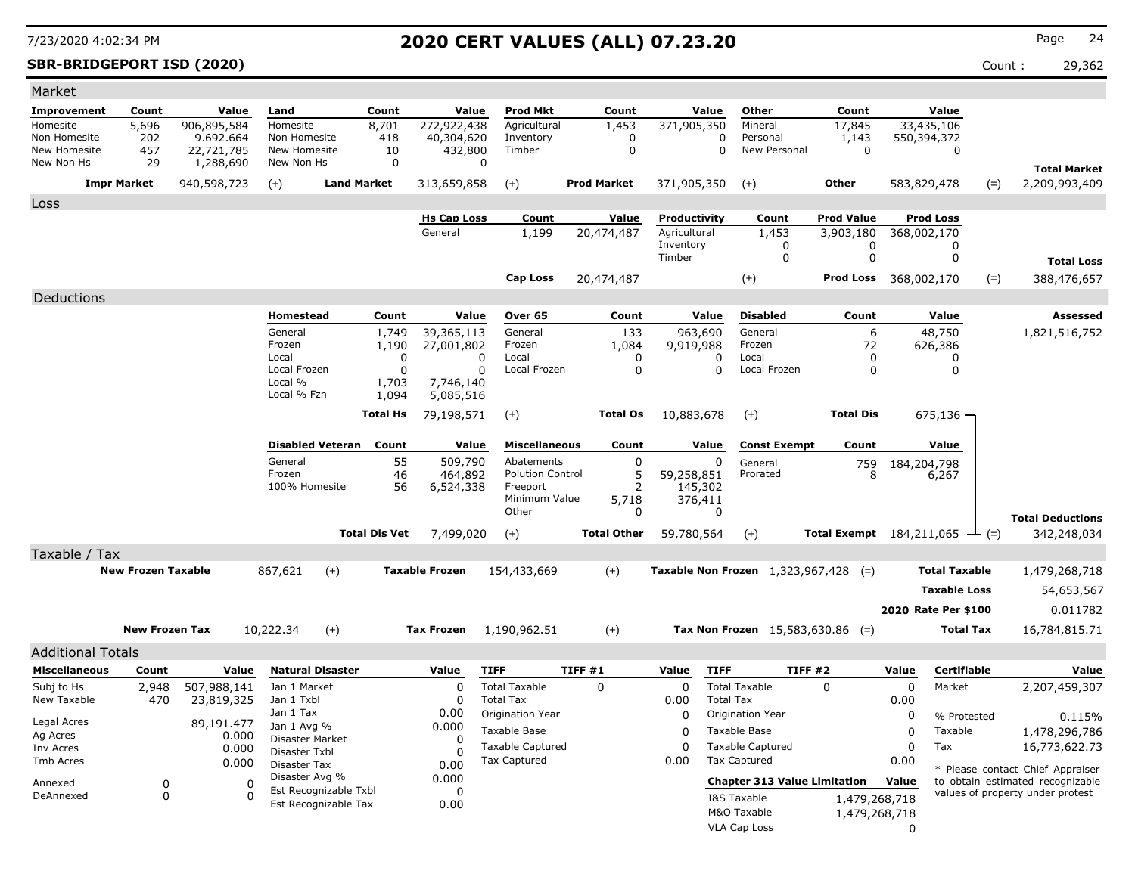### **SBR-BRIDGEPORT ISD (2020)** Count : 29,362

| Market                       |                           |                           |                               |                       |                                |                                               |                     |                              |                                               |                                                     |             |                                 |                                                                      |
|------------------------------|---------------------------|---------------------------|-------------------------------|-----------------------|--------------------------------|-----------------------------------------------|---------------------|------------------------------|-----------------------------------------------|-----------------------------------------------------|-------------|---------------------------------|----------------------------------------------------------------------|
| Improvement                  | Count                     | Value                     | Land                          | Count                 | Value                          | Prod Mkt                                      | Count               | Value                        | Other                                         | Count                                               |             | Value                           |                                                                      |
| Homesite                     | 5,696                     | 906,895,584               | Homesite                      | 8,701                 | 272,922,438                    | Agricultural                                  | 1,453               | 371,905,350                  | Mineral                                       | 17,845                                              |             | 33,435,106                      |                                                                      |
| Non Homesite<br>New Homesite | 202<br>457                | 9.692.664<br>22,721,785   | Non Homesite<br>New Homesite  | 418<br>10             | 40,304,620<br>432,800          | Inventory<br>Timber                           | 0<br>$\mathbf 0$    |                              | Personal<br>0<br>$\mathbf{0}$<br>New Personal | 1,143<br>$\Omega$                                   |             | 550,394,372<br>$\mathbf 0$      |                                                                      |
| New Non Hs                   | 29                        | 1,288,690                 | New Non Hs                    | $\mathbf 0$           |                                | 0                                             |                     |                              |                                               |                                                     |             |                                 |                                                                      |
|                              | <b>Impr Market</b>        |                           | $(+)$                         | <b>Land Market</b>    |                                | $(+)$                                         | <b>Prod Market</b>  | 371,905,350                  | $(+)$                                         | <b>Other</b>                                        |             |                                 | <b>Total Market</b><br>2,209,993,409                                 |
|                              |                           | 940,598,723               |                               |                       | 313,659,858                    |                                               |                     |                              |                                               |                                                     |             | 583,829,478<br>$(=)$            |                                                                      |
| Loss                         |                           |                           |                               |                       |                                |                                               |                     |                              |                                               |                                                     |             |                                 |                                                                      |
|                              |                           |                           |                               |                       | <b>Hs Cap Loss</b><br>General  | Count<br>1,199                                | Value<br>20,474,487 | Productivity<br>Agricultural | Count<br>1,453                                | <b>Prod Value</b><br>3,903,180                      |             | <b>Prod Loss</b><br>368,002,170 |                                                                      |
|                              |                           |                           |                               |                       |                                |                                               |                     | Inventory                    | 0                                             | 0                                                   |             | 0                               |                                                                      |
|                              |                           |                           |                               |                       |                                |                                               |                     | Timber                       | 0                                             | $\mathbf 0$                                         |             | $\mathbf 0$                     | <b>Total Loss</b>                                                    |
|                              |                           |                           |                               |                       |                                | <b>Cap Loss</b>                               | 20,474,487          |                              | $(+)$                                         | Prod Loss 368,002,170                               |             | $(=)$                           | 388,476,657                                                          |
| Deductions                   |                           |                           |                               |                       |                                |                                               |                     |                              |                                               |                                                     |             |                                 |                                                                      |
|                              |                           |                           | Homestead                     | Count                 | Value                          | Over 65                                       | Count               | Value                        | <b>Disabled</b>                               | Count                                               |             | Value                           | Assessed                                                             |
|                              |                           |                           | General                       | 1,749                 | 39,365,113                     | General                                       | 133                 | 963,690                      | General                                       | 6                                                   |             | 48,750                          | 1,821,516,752                                                        |
|                              |                           |                           | Frozen                        | 1,190                 | 27,001,802                     | Frozen                                        | 1,084               | 9,919,988                    | Frozen                                        | 72                                                  |             | 626,386                         |                                                                      |
|                              |                           |                           | Local<br>Local Frozen         |                       | $\mathbf 0$<br>$\Omega$        | Local<br>$\Omega$<br>Local Frozen<br>$\Omega$ | 0<br>$\Omega$       | 0<br>$\Omega$                | Local<br>Local Frozen                         | 0<br>$\Omega$                                       |             | 0<br>$\Omega$                   |                                                                      |
|                              |                           |                           | Local %                       | 1,703                 | 7,746,140                      |                                               |                     |                              |                                               |                                                     |             |                                 |                                                                      |
|                              |                           |                           | Local % Fzn                   | 1,094                 | 5,085,516                      |                                               |                     |                              |                                               |                                                     |             |                                 |                                                                      |
|                              |                           |                           |                               | <b>Total Hs</b>       | 79,198,571                     | $(+)$                                         | <b>Total Os</b>     | 10,883,678                   | $(+)$                                         | <b>Total Dis</b>                                    |             | $675,136 -$                     |                                                                      |
|                              |                           |                           |                               |                       |                                |                                               |                     |                              |                                               |                                                     |             |                                 |                                                                      |
|                              |                           |                           | <b>Disabled Veteran</b>       | Count                 | Value                          | <b>Miscellaneous</b>                          | Count               | Value                        | <b>Const Exempt</b>                           | Count                                               |             | Value                           |                                                                      |
|                              |                           |                           | General<br>Frozen             |                       | 55<br>509,790<br>46<br>464,892 | Abatements<br><b>Polution Control</b>         | $\mathbf 0$<br>5    | 0<br>59,258,851              | General<br>Prorated                           | 759<br>8                                            | 184,204,798 | 6,267                           |                                                                      |
|                              |                           |                           | 100% Homesite                 |                       | 56<br>6,524,338                | Freeport                                      | $\overline{2}$      | 145,302                      |                                               |                                                     |             |                                 |                                                                      |
|                              |                           |                           |                               |                       |                                | Minimum Value                                 | 5,718               | 376,411                      |                                               |                                                     |             |                                 |                                                                      |
|                              |                           |                           |                               |                       |                                | Other                                         | 0                   | 0                            |                                               |                                                     |             |                                 | <b>Total Deductions</b>                                              |
|                              |                           |                           |                               | <b>Total Dis Vet</b>  | 7,499,020                      | $(+)$                                         | <b>Total Other</b>  | 59,780,564                   | $(+)$                                         | <b>Total Exempt</b> $184,211,065$ $\rightarrow$ (=) |             |                                 | 342,248,034                                                          |
| Taxable / Tax                |                           |                           |                               |                       |                                |                                               |                     |                              |                                               |                                                     |             |                                 |                                                                      |
|                              | <b>New Frozen Taxable</b> |                           | 867,621                       | $(+)$                 | <b>Taxable Frozen</b>          | 154,433,669                                   | $(+)$               |                              | Taxable Non Frozen 1,323,967,428 (=)          |                                                     |             | <b>Total Taxable</b>            | 1,479,268,718                                                        |
|                              |                           |                           |                               |                       |                                |                                               |                     |                              |                                               |                                                     |             | <b>Taxable Loss</b>             | 54,653,567                                                           |
|                              |                           |                           |                               |                       |                                |                                               |                     |                              |                                               |                                                     |             | 2020 Rate Per \$100             | 0.011782                                                             |
|                              | <b>New Frozen Tax</b>     |                           | 10,222.34                     | $(+)$                 | Tax Frozen                     | 1,190,962.51                                  | $(+)$               |                              | Tax Non Frozen $15,583,630.86$ (=)            |                                                     |             | <b>Total Tax</b>                | 16,784,815.71                                                        |
|                              |                           |                           |                               |                       |                                |                                               |                     |                              |                                               |                                                     |             |                                 |                                                                      |
| <b>Additional Totals</b>     |                           |                           |                               |                       |                                |                                               |                     |                              |                                               |                                                     |             |                                 |                                                                      |
| <b>Miscellaneous</b>         | Count                     | Value                     | <b>Natural Disaster</b>       |                       | Value                          | <b>TIFF</b>                                   | TIFF#1              | Value<br><b>TIFF</b>         |                                               | TIFF #2                                             | Value       | Certifiable                     | Value                                                                |
| Subj to Hs<br>New Taxable    | 2,948<br>470              | 507,988,141<br>23,819,325 | Jan 1 Market<br>Jan 1 Txbl    |                       | $\Omega$<br>0                  | <b>Total Taxable</b><br><b>Total Tax</b>      | $\Omega$            | $\Omega$<br>0.00             | <b>Total Taxable</b><br><b>Total Tax</b>      | $\Omega$                                            | 0<br>0.00   | Market                          | 2,207,459,307                                                        |
|                              |                           |                           | Jan 1 Tax                     |                       | 0.00                           | Origination Year                              |                     | 0                            | Origination Year                              |                                                     | $\mathbf 0$ | % Protested                     |                                                                      |
| Legal Acres                  |                           | 89,191.477                | Jan 1 Avg %                   |                       | 0.000                          | Taxable Base                                  |                     | $\Omega$                     | Taxable Base                                  |                                                     | 0           | Taxable                         | 0.115%<br>1,478,296,786                                              |
| Ag Acres<br>Inv Acres        |                           | 0.000<br>0.000            | Disaster Market               |                       | $\Omega$                       | <b>Taxable Captured</b>                       |                     | $\Omega$                     | Taxable Captured                              |                                                     | 0           | Tax                             | 16,773,622.73                                                        |
| Tmb Acres                    |                           | 0.000                     | Disaster Txbl<br>Disaster Tax |                       | $\Omega$<br>0.00               | <b>Tax Captured</b>                           |                     | 0.00                         | <b>Tax Captured</b>                           |                                                     | 0.00        |                                 |                                                                      |
|                              |                           |                           | Disaster Avg %                |                       | 0.000                          |                                               |                     |                              | <b>Chapter 313 Value Limitation</b>           |                                                     | Value       |                                 | * Please contact Chief Appraiser<br>to obtain estimated recognizable |
| Annexed<br>DeAnnexed         | 0<br>$\mathbf 0$          | $\mathbf 0$<br>$\Omega$   |                               | Est Recognizable Txbl | $\Omega$                       |                                               |                     |                              | I&S Taxable                                   | 1,479,268,718                                       |             |                                 | values of property under protest                                     |
|                              |                           |                           |                               | Est Recognizable Tax  | 0.00                           |                                               |                     |                              | M&O Taxable                                   | 1,479,268,718                                       |             |                                 |                                                                      |
|                              |                           |                           |                               |                       |                                |                                               |                     |                              | VLA Cap Loss                                  |                                                     | $\Omega$    |                                 |                                                                      |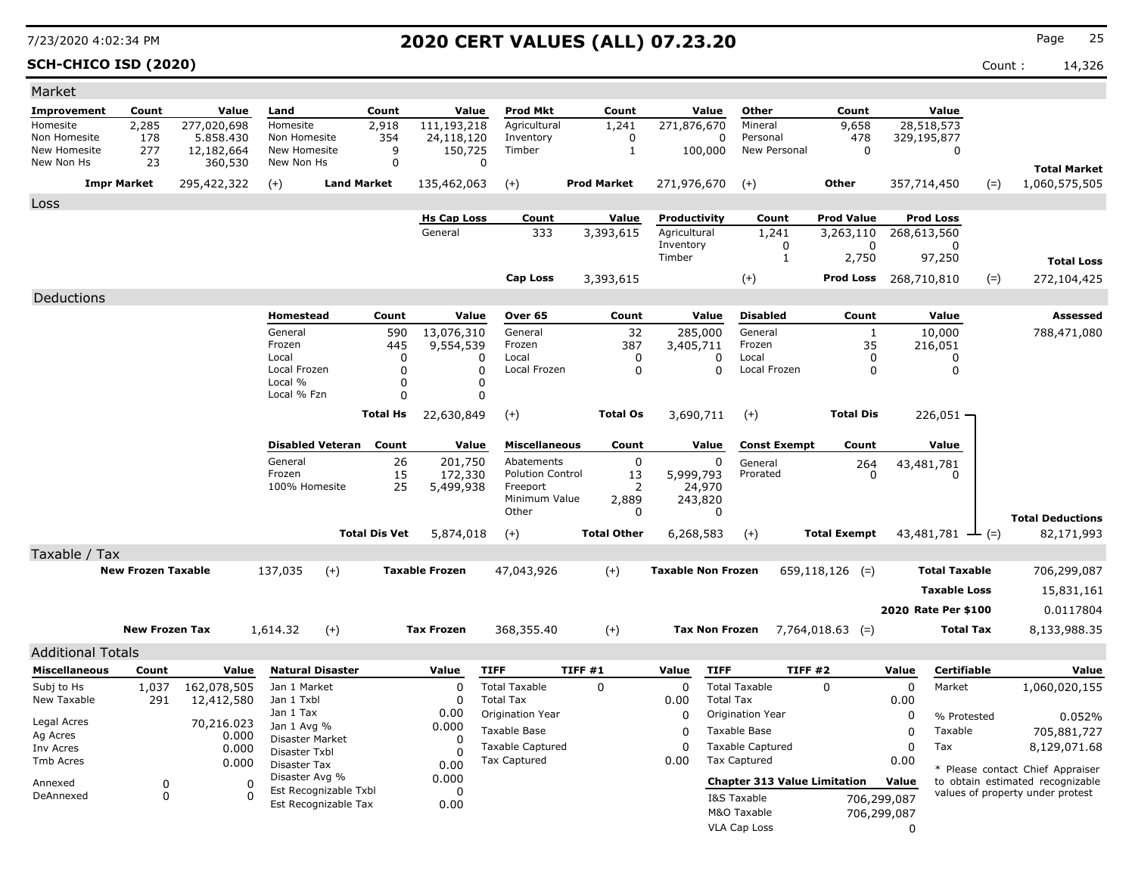### **SCH-CHICO ISD (2020)** Count : 14,326

| Market                       |                           |                         |                                |                                               |                      |                               |                           |                    |                    |                              |                  |                                     |                                |             |                                 |       |                                  |
|------------------------------|---------------------------|-------------------------|--------------------------------|-----------------------------------------------|----------------------|-------------------------------|---------------------------|--------------------|--------------------|------------------------------|------------------|-------------------------------------|--------------------------------|-------------|---------------------------------|-------|----------------------------------|
| Improvement                  | Count                     | Value                   | Land                           |                                               | Count                | Value                         | <b>Prod Mkt</b>           |                    | Count              |                              | Value            | Other                               | Count                          |             | Value                           |       |                                  |
| Homesite                     | 2,285                     | 277,020,698             | Homesite                       |                                               | 2,918                | 111,193,218                   | Agricultural              |                    | 1,241              | 271,876,670                  |                  | Mineral                             | 9,658                          |             | 28,518,573                      |       |                                  |
| Non Homesite<br>New Homesite | 178<br>277                | 5.858.430<br>12,182,664 | Non Homesite<br>New Homesite   |                                               | 354<br>9             | 24,118,120<br>150,725         | Inventory<br>Timber       |                    | 0<br>$\mathbf{1}$  | 100,000                      | 0                | Personal<br>New Personal            | 478<br>$\Omega$                |             | 329,195,877<br>$\mathbf 0$      |       |                                  |
| New Non Hs                   | 23                        | 360,530                 | New Non Hs                     |                                               | $\Omega$             |                               | $\mathbf 0$               |                    |                    |                              |                  |                                     |                                |             |                                 |       |                                  |
|                              | <b>Impr Market</b>        |                         | $(+)$                          | <b>Land Market</b>                            |                      |                               | $(+)$                     | <b>Prod Market</b> |                    | 271,976,670                  |                  |                                     | <b>Other</b>                   |             | 357,714,450                     |       | <b>Total Market</b>              |
|                              |                           | 295,422,322             |                                |                                               |                      | 135,462,063                   |                           |                    |                    |                              |                  | $(+)$                               |                                |             |                                 | $(=)$ | 1,060,575,505                    |
| Loss                         |                           |                         |                                |                                               |                      |                               |                           |                    |                    |                              |                  |                                     |                                |             |                                 |       |                                  |
|                              |                           |                         |                                |                                               |                      | <b>Hs Cap Loss</b><br>General | Count<br>333              |                    | Value<br>3,393,615 | Productivity<br>Agricultural |                  | Count<br>1,241                      | <b>Prod Value</b><br>3,263,110 |             | <b>Prod Loss</b><br>268,613,560 |       |                                  |
|                              |                           |                         |                                |                                               |                      |                               |                           |                    |                    | Inventory                    |                  | 0                                   | $\Omega$                       |             | 0                               |       |                                  |
|                              |                           |                         |                                |                                               |                      |                               |                           |                    |                    | Timber                       |                  | $\mathbf{1}$                        | 2,750                          |             | 97,250                          |       | <b>Total Loss</b>                |
|                              |                           |                         |                                |                                               |                      |                               | <b>Cap Loss</b>           |                    | 3,393,615          |                              |                  | $(+)$                               | <b>Prod Loss</b>               |             | 268,710,810                     | $(=)$ | 272,104,425                      |
| Deductions                   |                           |                         |                                |                                               |                      |                               |                           |                    |                    |                              |                  |                                     |                                |             |                                 |       |                                  |
|                              |                           |                         | Homestead                      |                                               | Count                | Value                         | Over 65                   |                    | Count              |                              | Value            | <b>Disabled</b>                     | Count                          |             | Value                           |       | <b>Assessed</b>                  |
|                              |                           |                         | General                        |                                               | 590                  | 13,076,310                    | General                   |                    | 32                 | 285,000                      |                  | General                             | $\mathbf{1}$                   |             | 10,000                          |       | 788,471,080                      |
|                              |                           |                         | Frozen                         |                                               | 445                  | 9,554,539                     | Frozen                    |                    | 387                | 3,405,711                    |                  | Frozen                              | 35                             |             | 216,051                         |       |                                  |
|                              |                           |                         | Local                          |                                               | $\Omega$             |                               | Local<br>0                |                    | 0                  |                              | 0                | Local                               | 0                              |             | 0                               |       |                                  |
|                              |                           |                         | Local Frozen<br>Local %        |                                               | $\Omega$<br>0        |                               | Local Frozen<br>0<br>0    |                    | 0                  |                              | 0                | Local Frozen                        | 0                              |             | 0                               |       |                                  |
|                              |                           |                         | Local % Fzn                    |                                               | 0                    |                               | 0                         |                    |                    |                              |                  |                                     |                                |             |                                 |       |                                  |
|                              |                           |                         |                                |                                               | Total Hs             | 22,630,849                    | $(+)$                     |                    | <b>Total Os</b>    | 3,690,711                    |                  | $(+)$                               | <b>Total Dis</b>               |             | $226,051 -$                     |       |                                  |
|                              |                           |                         |                                |                                               |                      |                               |                           |                    |                    |                              |                  |                                     |                                |             |                                 |       |                                  |
|                              |                           |                         |                                | <b>Disabled Veteran</b>                       | Count                | Value                         | <b>Miscellaneous</b>      |                    | Count              |                              | Value            | <b>Const Exempt</b>                 | Count                          |             | Value                           |       |                                  |
|                              |                           |                         | General                        |                                               | 26                   | 201,750                       | Abatements                |                    | 0                  |                              | 0                | General                             | 264                            |             | 43,481,781                      |       |                                  |
|                              |                           |                         | Frozen                         |                                               | 15                   | 172,330                       | <b>Polution Control</b>   |                    | 13                 | 5,999,793                    |                  | Prorated                            | n                              |             | ŋ                               |       |                                  |
|                              |                           |                         | 100% Homesite                  |                                               | 25                   | 5,499,938                     | Freeport<br>Minimum Value |                    | 2<br>2,889         | 24,970<br>243,820            |                  |                                     |                                |             |                                 |       |                                  |
|                              |                           |                         |                                |                                               |                      |                               | Other                     |                    | 0                  |                              | $\Omega$         |                                     |                                |             |                                 |       | <b>Total Deductions</b>          |
|                              |                           |                         |                                |                                               | <b>Total Dis Vet</b> | 5,874,018                     | $(+)$                     |                    | <b>Total Other</b> | 6,268,583                    |                  | $(+)$                               | <b>Total Exempt</b>            |             | 43,481,781 $\rightarrow$ (=)    |       | 82,171,993                       |
| Taxable / Tax                |                           |                         |                                |                                               |                      |                               |                           |                    |                    |                              |                  |                                     |                                |             |                                 |       |                                  |
|                              | <b>New Frozen Taxable</b> |                         | 137,035                        | $(+)$                                         |                      | <b>Taxable Frozen</b>         | 47,043,926                |                    | $(+)$              | <b>Taxable Non Frozen</b>    |                  |                                     | $659,118,126$ (=)              |             | <b>Total Taxable</b>            |       | 706,299,087                      |
|                              |                           |                         |                                |                                               |                      |                               |                           |                    |                    |                              |                  |                                     |                                |             | <b>Taxable Loss</b>             |       |                                  |
|                              |                           |                         |                                |                                               |                      |                               |                           |                    |                    |                              |                  |                                     |                                |             |                                 |       | 15,831,161                       |
|                              |                           |                         |                                |                                               |                      |                               |                           |                    |                    |                              |                  |                                     |                                |             | 2020 Rate Per \$100             |       | 0.0117804                        |
|                              | <b>New Frozen Tax</b>     |                         | 1,614.32                       | $(+)$                                         |                      | <b>Tax Frozen</b>             | 368,355.40                |                    | $(+)$              | <b>Tax Non Frozen</b>        |                  |                                     | $7,764,018.63$ (=)             |             | <b>Total Tax</b>                |       | 8,133,988.35                     |
| <b>Additional Totals</b>     |                           |                         |                                |                                               |                      |                               |                           |                    |                    |                              |                  |                                     |                                |             |                                 |       |                                  |
| <b>Miscellaneous</b>         | Count                     | Value                   |                                | <b>Natural Disaster</b>                       |                      | Value                         | <b>TIFF</b>               | TIFF#1             |                    | Value                        | <b>TIFF</b>      | TIFF#2                              |                                | Value       | Certifiable                     |       | Value                            |
| Subj to Hs                   | 1,037                     | 162,078,505             | Jan 1 Market                   |                                               |                      | 0                             | <b>Total Taxable</b>      | $\mathbf 0$        |                    | $\mathbf 0$                  |                  | <b>Total Taxable</b>                | $\Omega$                       | 0           | Market                          |       | 1,060,020,155                    |
| New Taxable                  | 291                       | 12,412,580              | Jan 1 Txbl                     |                                               |                      | 0                             | <b>Total Tax</b>          |                    |                    | 0.00                         | <b>Total Tax</b> |                                     |                                | 0.00        |                                 |       |                                  |
| Legal Acres                  |                           | 70,216.023              | Jan 1 Tax                      |                                               |                      | 0.00                          | Origination Year          |                    |                    | 0                            |                  | Origination Year                    |                                | 0           | % Protested                     |       | 0.052%                           |
| Ag Acres                     |                           | 0.000                   | Jan 1 Avg %<br>Disaster Market |                                               |                      | 0.000<br>0                    | <b>Taxable Base</b>       |                    |                    | $\Omega$                     |                  | Taxable Base                        |                                | $\Omega$    | Taxable                         |       | 705,881,727                      |
| Inv Acres                    |                           | 0.000                   | Disaster Txbl                  |                                               |                      | $\Omega$                      | <b>Taxable Captured</b>   |                    |                    | 0                            |                  | <b>Taxable Captured</b>             |                                | $\mathbf 0$ | Tax                             |       | 8,129,071.68                     |
| <b>Tmb Acres</b>             |                           | 0.000                   | Disaster Tax                   |                                               |                      | 0.00                          | Tax Captured              |                    |                    | 0.00                         |                  | <b>Tax Captured</b>                 |                                | 0.00        |                                 |       | * Please contact Chief Appraiser |
| Annexed                      | $\mathbf 0$               |                         | Disaster Avg %<br>$\sqrt{2}$   |                                               |                      | 0.000                         |                           |                    |                    |                              |                  | <b>Chapter 313 Value Limitation</b> |                                | Value       |                                 |       | to obtain estimated recognizable |
| DeAnnexed                    | $\mathbf 0$               |                         | $\Omega$                       | Est Recognizable Txbl<br>Est Recognizable Tax |                      | 0<br>0.00                     |                           |                    |                    |                              |                  | I&S Taxable                         |                                | 706,299,087 |                                 |       | values of property under protest |
|                              |                           |                         |                                |                                               |                      |                               |                           |                    |                    |                              |                  | M&O Taxable                         |                                | 706,299,087 |                                 |       |                                  |
|                              |                           |                         |                                |                                               |                      |                               |                           |                    |                    |                              |                  | <b>VLA Cap Loss</b>                 |                                | $\Omega$    |                                 |       |                                  |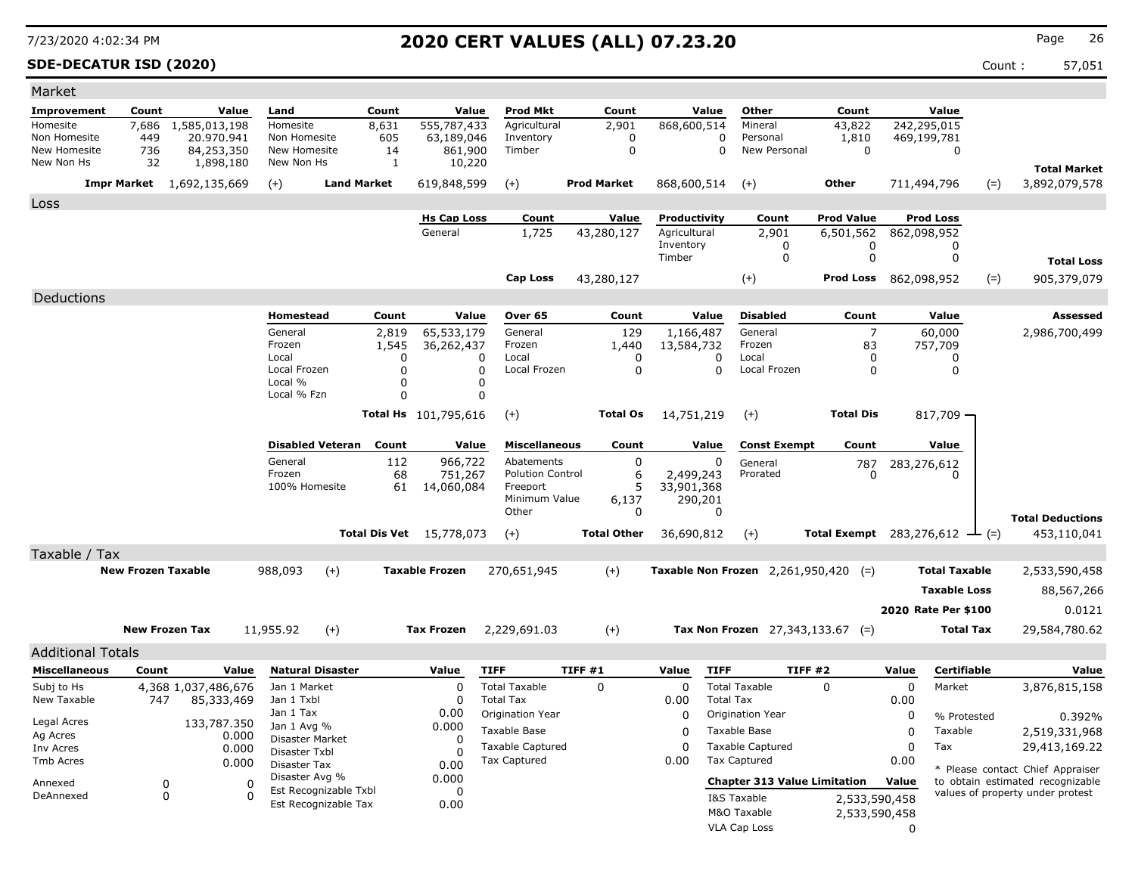### **SDE-DECATUR ISD (2020)** Count : 57,051

| Market                       |                           |                                  |       |                                       |                         |                      |                                 |                                      |                    |                  |                                        |                                     |                                                   |          |                            |       |                                      |
|------------------------------|---------------------------|----------------------------------|-------|---------------------------------------|-------------------------|----------------------|---------------------------------|--------------------------------------|--------------------|------------------|----------------------------------------|-------------------------------------|---------------------------------------------------|----------|----------------------------|-------|--------------------------------------|
| Improvement                  | Count                     |                                  | Value | Land                                  |                         | Count                | Value                           | Prod Mkt                             | Count              |                  | Value                                  | Other                               | Count                                             |          | Value                      |       |                                      |
| Homesite                     | 7,686                     | 1,585,013,198                    |       | Homesite                              |                         | 8,631                | 555,787,433                     | Agricultural                         | 2,901              |                  | 868,600,514                            | Mineral                             | 43,822                                            |          | 242,295,015                |       |                                      |
| Non Homesite<br>New Homesite | 449<br>736                | 20.970.941<br>84,253,350         |       | Non Homesite<br>New Homesite          |                         | 605<br>14            | 63,189,046<br>861,900           | Inventory<br>Timber                  |                    | 0<br>$\mathbf 0$ | 0<br>$\Omega$                          | Personal<br>New Personal            | 1,810<br>$\Omega$                                 |          | 469,199,781<br>$\mathbf 0$ |       |                                      |
| New Non Hs                   | 32                        | 1,898,180                        |       | New Non Hs                            |                         | 1                    | 10,220                          |                                      |                    |                  |                                        |                                     |                                                   |          |                            |       |                                      |
|                              |                           | <b>Impr Market</b> 1,692,135,669 |       | $(+)$                                 | <b>Land Market</b>      |                      | 619,848,599                     | $(+)$                                | <b>Prod Market</b> |                  | 868,600,514                            | $(+)$                               | Other                                             |          | 711,494,796                | $(=)$ | <b>Total Market</b><br>3,892,079,578 |
|                              |                           |                                  |       |                                       |                         |                      |                                 |                                      |                    |                  |                                        |                                     |                                                   |          |                            |       |                                      |
| Loss                         |                           |                                  |       |                                       |                         |                      |                                 |                                      |                    |                  |                                        |                                     |                                                   |          |                            |       |                                      |
|                              |                           |                                  |       |                                       |                         |                      | <b>Hs Cap Loss</b><br>General   | Count                                | Value              |                  | Productivity<br>Agricultural           | Count<br>2,901                      | <b>Prod Value</b>                                 |          | <b>Prod Loss</b>           |       |                                      |
|                              |                           |                                  |       |                                       |                         |                      |                                 | 1,725                                | 43,280,127         |                  | Inventory                              | 0                                   | 6,501,562<br>0                                    |          | 862,098,952<br>0           |       |                                      |
|                              |                           |                                  |       |                                       |                         |                      |                                 |                                      |                    |                  | Timber                                 | $\mathbf 0$                         | $\mathbf 0$                                       |          | $\Omega$                   |       | <b>Total Loss</b>                    |
|                              |                           |                                  |       |                                       |                         |                      |                                 | <b>Cap Loss</b>                      | 43,280,127         |                  |                                        | $^{(+)}$                            | Prod Loss 862,098,952                             |          |                            | $(=)$ | 905,379,079                          |
| Deductions                   |                           |                                  |       |                                       |                         |                      |                                 |                                      |                    |                  |                                        |                                     |                                                   |          |                            |       |                                      |
|                              |                           |                                  |       | <b>Homestead</b>                      |                         | Count                | Value                           | Over 65                              | Count              |                  | Value                                  | <b>Disabled</b>                     | Count                                             |          | Value                      |       | <b>Assessed</b>                      |
|                              |                           |                                  |       | General                               |                         | 2,819                | 65,533,179                      | General                              |                    | 129              | 1,166,487                              | General                             | $\overline{7}$                                    |          | 60,000                     |       | 2,986,700,499                        |
|                              |                           |                                  |       | Frozen                                |                         | 1,545                | 36,262,437                      | Frozen                               | 1,440              |                  | 13,584,732                             | Frozen                              | 83                                                |          | 757,709                    |       |                                      |
|                              |                           |                                  |       | Local                                 |                         | $\Omega$             |                                 | Local<br>0                           |                    | $\Omega$         | 0                                      | Local                               | 0                                                 |          | 0                          |       |                                      |
|                              |                           |                                  |       | Local Frozen<br>Local %               |                         | $\Omega$<br>$\Omega$ |                                 | $\Omega$<br>Local Frozen<br>$\Omega$ |                    | $\Omega$         | $\Omega$                               | Local Frozen                        | $\Omega$                                          |          | $\Omega$                   |       |                                      |
|                              |                           |                                  |       | Local % Fzn                           |                         | $\Omega$             |                                 | 0                                    |                    |                  |                                        |                                     |                                                   |          |                            |       |                                      |
|                              |                           |                                  |       |                                       |                         |                      | <b>Total Hs</b> 101,795,616     | $(+)$                                | <b>Total Os</b>    |                  | 14,751,219                             | $(+)$                               | <b>Total Dis</b>                                  |          | 817,709 -                  |       |                                      |
|                              |                           |                                  |       |                                       |                         |                      |                                 |                                      |                    |                  |                                        |                                     |                                                   |          |                            |       |                                      |
|                              |                           |                                  |       |                                       | <b>Disabled Veteran</b> | Count                | Value                           | <b>Miscellaneous</b>                 | Count              |                  | Value                                  | <b>Const Exempt</b>                 | Count                                             |          | Value                      |       |                                      |
|                              |                           |                                  |       | General                               |                         | 112                  | 966,722                         | Abatements                           |                    | $\mathbf 0$      | 0                                      | General                             | 787                                               |          | 283,276,612                |       |                                      |
|                              |                           |                                  |       | Frozen<br>100% Homesite               |                         | 68                   | 751,267                         | <b>Polution Control</b><br>Freeport  |                    | 6<br>5           | 2,499,243                              | Prorated                            | O                                                 |          |                            |       |                                      |
|                              |                           |                                  |       |                                       |                         | 61                   | 14,060,084                      | Minimum Value                        | 6,137              |                  | 33,901,368<br>290,201                  |                                     |                                                   |          |                            |       |                                      |
|                              |                           |                                  |       |                                       |                         |                      |                                 | Other                                |                    | $\Omega$         | $\Omega$                               |                                     |                                                   |          |                            |       | <b>Total Deductions</b>              |
|                              |                           |                                  |       |                                       |                         |                      | <b>Total Dis Vet</b> 15,778,073 | $(+)$                                | <b>Total Other</b> |                  | 36,690,812                             | $(+)$                               | <b>Total Exempt</b> 283,276,612 $\rightarrow$ (=) |          |                            |       | 453,110,041                          |
| Taxable / Tax                |                           |                                  |       |                                       |                         |                      |                                 |                                      |                    |                  |                                        |                                     |                                                   |          |                            |       |                                      |
|                              | <b>New Frozen Taxable</b> |                                  |       | 988,093                               | $(+)$                   |                      | <b>Taxable Frozen</b>           | 270,651,945                          | $(+)$              |                  | Taxable Non Frozen $2,261,950,420$ (=) |                                     |                                                   |          | <b>Total Taxable</b>       |       | 2,533,590,458                        |
|                              |                           |                                  |       |                                       |                         |                      |                                 |                                      |                    |                  |                                        |                                     |                                                   |          | <b>Taxable Loss</b>        |       | 88,567,266                           |
|                              |                           |                                  |       |                                       |                         |                      |                                 |                                      |                    |                  |                                        |                                     |                                                   |          | 2020 Rate Per \$100        |       | 0.0121                               |
|                              |                           |                                  |       |                                       |                         |                      |                                 |                                      |                    |                  |                                        |                                     |                                                   |          |                            |       |                                      |
|                              |                           | <b>New Frozen Tax</b>            |       | 11,955.92                             | $(+)$                   |                      | <b>Tax Frozen</b>               | 2,229,691.03                         | $(+)$              |                  |                                        | Tax Non Frozen $27,343,133.67$ (=)  |                                                   |          | <b>Total Tax</b>           |       | 29,584,780.62                        |
| <b>Additional Totals</b>     |                           |                                  |       |                                       |                         |                      |                                 |                                      |                    |                  |                                        |                                     |                                                   |          |                            |       |                                      |
| <b>Miscellaneous</b>         | Count                     |                                  | Value | <b>Natural Disaster</b>               |                         |                      | Value                           | <b>TIFF</b>                          | TIFF#1             |                  | Value<br><b>TIFF</b>                   |                                     | TIFF #2                                           | Value    | Certifiable                |       | Value                                |
| Subj to Hs                   |                           | 4,368 1,037,486,676              |       | Jan 1 Market                          |                         |                      | $\Omega$                        | <b>Total Taxable</b>                 | $\Omega$           |                  | $\Omega$                               | <b>Total Taxable</b>                | $\Omega$                                          | $\Omega$ | Market                     |       | 3,876,815,158                        |
| New Taxable                  | 747                       | 85,333,469                       |       | Jan 1 Txbl                            |                         |                      | $\Omega$                        | <b>Total Tax</b>                     |                    |                  | <b>Total Tax</b><br>0.00               |                                     |                                                   | 0.00     |                            |       |                                      |
| Legal Acres                  |                           | 133,787.350                      |       | Jan 1 Tax                             |                         |                      | 0.00                            | Origination Year                     |                    |                  | 0                                      | Origination Year                    |                                                   | 0        | % Protested                |       | 0.392%                               |
| Ag Acres                     |                           |                                  | 0.000 | Jan 1 Avg %<br><b>Disaster Market</b> |                         |                      | 0.000<br>$\Omega$               | <b>Taxable Base</b>                  |                    |                  | $\Omega$                               | Taxable Base                        |                                                   | $\Omega$ | Taxable                    |       | 2,519,331,968                        |
| Inv Acres                    |                           |                                  | 0.000 | Disaster Txbl                         |                         |                      | $\Omega$                        | <b>Taxable Captured</b>              |                    |                  | $\Omega$                               | <b>Taxable Captured</b>             |                                                   | $\Omega$ | Tax                        |       | 29,413,169.22                        |
| Tmb Acres                    |                           |                                  | 0.000 | Disaster Tax                          |                         |                      | 0.00                            | <b>Tax Captured</b>                  |                    |                  | 0.00                                   | Tax Captured                        |                                                   | 0.00     |                            |       | * Please contact Chief Appraiser     |
| Annexed                      |                           | 0                                | 0     | Disaster Avg %                        | Est Recognizable Txbl   |                      | 0.000<br>$\Omega$               |                                      |                    |                  |                                        | <b>Chapter 313 Value Limitation</b> |                                                   | Value    |                            |       | to obtain estimated recognizable     |
| DeAnnexed                    |                           | $\Omega$                         | 0     |                                       | Est Recognizable Tax    |                      | 0.00                            |                                      |                    |                  |                                        | I&S Taxable                         | 2,533,590,458                                     |          |                            |       | values of property under protest     |
|                              |                           |                                  |       |                                       |                         |                      |                                 |                                      |                    |                  |                                        | M&O Taxable                         | 2,533,590,458                                     |          |                            |       |                                      |
|                              |                           |                                  |       |                                       |                         |                      |                                 |                                      |                    |                  |                                        | VLA Cap Loss                        |                                                   | $\Omega$ |                            |       |                                      |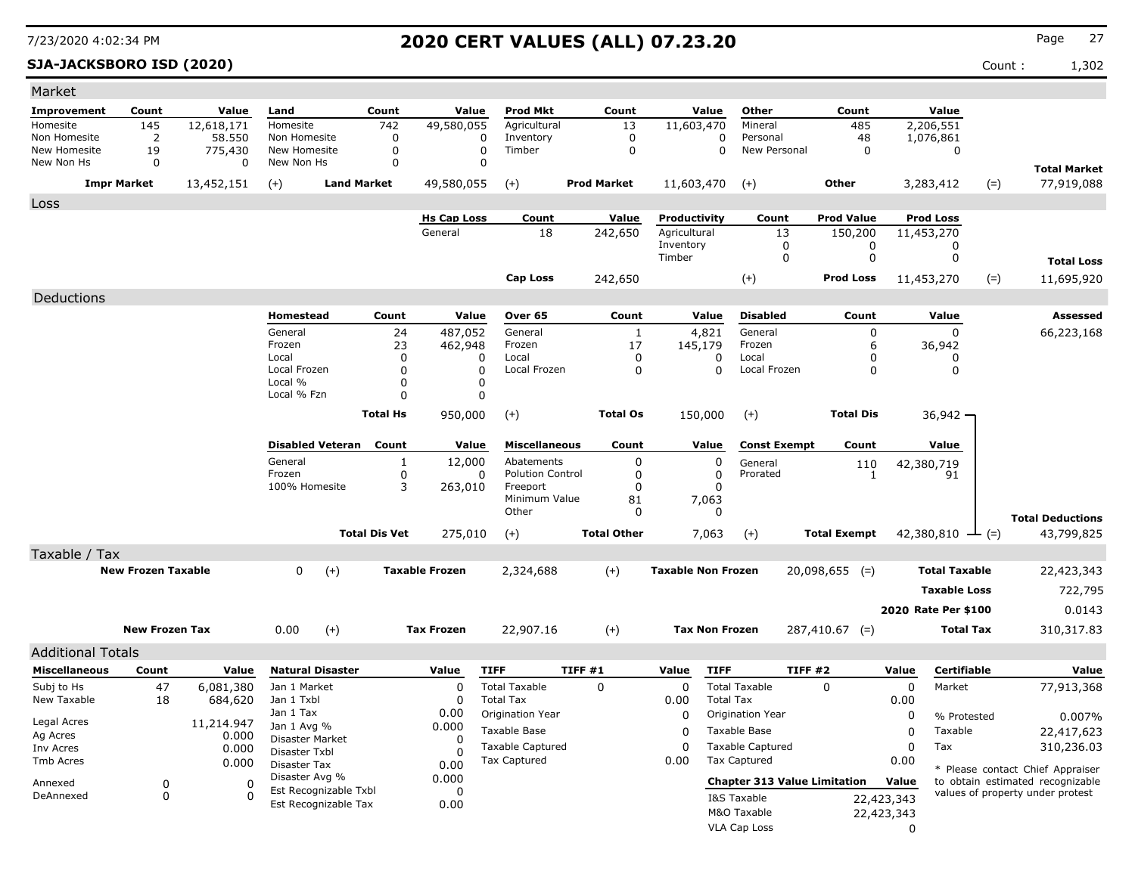### **SJA-JACKSBORO ISD (2020)** Count : 1,302

| Market                     |                           |              |                                               |                      |                         |                                     |                    |                           |                         |                                     |            |                              |                                  |
|----------------------------|---------------------------|--------------|-----------------------------------------------|----------------------|-------------------------|-------------------------------------|--------------------|---------------------------|-------------------------|-------------------------------------|------------|------------------------------|----------------------------------|
| Improvement                | Count                     | Value        | Land                                          | Count                | Value                   | <b>Prod Mkt</b>                     | Count              | Value                     | Other                   | Count                               |            | Value                        |                                  |
| Homesite                   | 145                       | 12,618,171   | Homesite                                      | 742                  | 49,580,055              | Agricultural                        | 13                 | 11,603,470                | Mineral                 | 485                                 |            | 2,206,551                    |                                  |
| Non Homesite               | $\overline{2}$            | 58,550       | Non Homesite                                  | 0                    | 0                       | Inventory                           | $\mathbf 0$        | 0                         | Personal                | 48                                  |            | 1,076,861                    |                                  |
| New Homesite<br>New Non Hs | 19<br>0                   | 775,430<br>0 | New Homesite<br>New Non Hs                    | 0<br>0               | $\mathbf 0$<br>$\Omega$ | Timber                              | $\mathbf 0$        |                           | New Personal<br>0       | $\mathbf 0$                         |            | 0                            |                                  |
|                            |                           |              |                                               |                      |                         |                                     |                    |                           |                         |                                     |            |                              | <b>Total Market</b>              |
|                            | <b>Impr Market</b>        | 13,452,151   | $(+)$                                         | <b>Land Market</b>   | 49,580,055              | $(+)$                               | <b>Prod Market</b> | 11,603,470                | $(+)$                   | Other                               |            | 3,283,412<br>$(=)$           | 77,919,088                       |
| Loss                       |                           |              |                                               |                      |                         |                                     |                    |                           |                         |                                     |            |                              |                                  |
|                            |                           |              |                                               |                      | <b>Hs Cap Loss</b>      | Count                               | <u>Value</u>       | Productivity              | Count                   | <b>Prod Value</b>                   |            | <b>Prod Loss</b>             |                                  |
|                            |                           |              |                                               |                      | General                 | 18                                  | 242,650            | Agricultural<br>Inventory | 13<br>0                 | 150,200<br>0                        |            | 11,453,270                   |                                  |
|                            |                           |              |                                               |                      |                         |                                     |                    | Timber                    | 0                       | 0                                   |            | 0<br>0                       | <b>Total Loss</b>                |
|                            |                           |              |                                               |                      |                         | <b>Cap Loss</b>                     |                    |                           |                         | <b>Prod Loss</b>                    |            |                              |                                  |
|                            |                           |              |                                               |                      |                         |                                     | 242,650            |                           | $(+)$                   |                                     |            | $(=)$<br>11,453,270          | 11,695,920                       |
| Deductions                 |                           |              |                                               |                      |                         |                                     |                    |                           |                         |                                     |            |                              |                                  |
|                            |                           |              | Homestead                                     | Count                | Value                   | Over 65                             | Count              | Value                     | <b>Disabled</b>         | Count                               |            | Value                        | <b>Assessed</b>                  |
|                            |                           |              | General<br>Frozen                             | 24                   | 487,052                 | General<br>Frozen                   | 1<br>17            | 4,821                     | General<br>Frozen       | 0                                   |            | 0                            | 66,223,168                       |
|                            |                           |              | Local                                         | 23<br>$\Omega$       | 462,948<br>0            | Local                               | 0                  | 145,179<br>0              | Local                   | 6<br>0                              |            | 36,942<br>0                  |                                  |
|                            |                           |              | Local Frozen                                  | $\Omega$             | 0                       | Local Frozen                        | 0                  | $\Omega$                  | Local Frozen            | 0                                   |            | 0                            |                                  |
|                            |                           |              | Local %                                       | $\Omega$             | 0                       |                                     |                    |                           |                         |                                     |            |                              |                                  |
|                            |                           |              | Local % Fzn                                   | $\Omega$             | 0                       |                                     |                    |                           |                         |                                     |            |                              |                                  |
|                            |                           |              |                                               | <b>Total Hs</b>      | 950,000                 | $(+)$                               | <b>Total Os</b>    | 150,000                   | $(+)$                   | <b>Total Dis</b>                    |            | $36,942 -$                   |                                  |
|                            |                           |              | <b>Disabled Veteran</b> Count                 |                      | Value                   | <b>Miscellaneous</b>                | Count              | Value                     | <b>Const Exempt</b>     | Count                               |            | Value                        |                                  |
|                            |                           |              | General                                       | 1                    | 12,000                  | Abatements                          | 0                  | 0                         | General                 | 110                                 |            | 42,380,719                   |                                  |
|                            |                           |              | Frozen<br>100% Homesite                       | 0<br>3               | 0<br>263,010            | <b>Polution Control</b><br>Freeport | 0<br>0             | 0<br>0                    | Prorated                | $\mathbf{1}$                        |            | 91                           |                                  |
|                            |                           |              |                                               |                      |                         | Minimum Value                       | 81                 | 7,063                     |                         |                                     |            |                              |                                  |
|                            |                           |              |                                               |                      |                         | Other                               | 0                  | 0                         |                         |                                     |            |                              | <b>Total Deductions</b>          |
|                            |                           |              |                                               | <b>Total Dis Vet</b> | 275,010                 | $(+)$                               | <b>Total Other</b> | 7,063                     | $(+)$                   | <b>Total Exempt</b>                 |            | 42,380,810 $\rightarrow$ (=) | 43,799,825                       |
| Taxable / Tax              |                           |              |                                               |                      |                         |                                     |                    |                           |                         |                                     |            |                              |                                  |
|                            | <b>New Frozen Taxable</b> |              | $\mathbf 0$<br>$(+)$                          |                      | <b>Taxable Frozen</b>   | 2,324,688                           | $(+)$              | <b>Taxable Non Frozen</b> |                         | $20,098,655$ (=)                    |            | <b>Total Taxable</b>         | 22,423,343                       |
|                            |                           |              |                                               |                      |                         |                                     |                    |                           |                         |                                     |            | <b>Taxable Loss</b>          | 722,795                          |
|                            |                           |              |                                               |                      |                         |                                     |                    |                           |                         |                                     |            | 2020 Rate Per \$100          | 0.0143                           |
|                            |                           |              |                                               |                      |                         |                                     |                    |                           |                         |                                     |            |                              |                                  |
|                            | <b>New Frozen Tax</b>     |              | $(+)$<br>0.00                                 |                      | <b>Tax Frozen</b>       | 22,907.16                           | $(+)$              | <b>Tax Non Frozen</b>     |                         | $287,410.67$ (=)                    |            | <b>Total Tax</b>             | 310,317.83                       |
| <b>Additional Totals</b>   |                           |              |                                               |                      |                         |                                     |                    |                           |                         |                                     |            |                              |                                  |
| <b>Miscellaneous</b>       | Count                     | Value        | <b>Natural Disaster</b>                       |                      | Value                   | <b>TIFF</b>                         | TIFF #1            | Value<br><b>TIFF</b>      |                         | TIFF #2                             | Value      | Certifiable                  | Value                            |
| Subj to Hs                 | 47                        | 6,081,380    | Jan 1 Market                                  |                      | 0                       | <b>Total Taxable</b>                | 0                  | 0                         | <b>Total Taxable</b>    | 0                                   | 0          | Market                       | 77,913,368                       |
| New Taxable                | 18                        | 684,620      | Jan 1 Txbl                                    |                      | 0                       | <b>Total Tax</b>                    |                    | 0.00                      | <b>Total Tax</b>        |                                     | 0.00       |                              |                                  |
| Legal Acres                |                           | 11,214.947   | Jan 1 Tax<br>Jan 1 Avg %                      |                      | 0.00<br>0.000           | Origination Year                    |                    | 0                         | Origination Year        |                                     | 0          | % Protested                  | 0.007%                           |
| Ag Acres                   |                           | 0.000        | Disaster Market                               |                      | 0                       | Taxable Base                        |                    | 0                         | Taxable Base            |                                     | 0          | Taxable                      | 22,417,623                       |
| Inv Acres                  |                           | 0.000        | Disaster Txbl                                 |                      |                         | <b>Taxable Captured</b>             |                    | 0                         | <b>Taxable Captured</b> |                                     | 0          | Tax                          | 310,236.03                       |
| Tmb Acres                  |                           | 0.000        | Disaster Tax                                  |                      | 0.00                    | <b>Tax Captured</b>                 |                    | 0.00                      | <b>Tax Captured</b>     |                                     | 0.00       |                              | * Please contact Chief Appraiser |
| Annexed                    | 0                         | 0            | Disaster Avg %                                |                      | 0.000                   |                                     |                    |                           |                         | <b>Chapter 313 Value Limitation</b> | Value      |                              | to obtain estimated recognizable |
| DeAnnexed                  | 0                         | 0            | Est Recognizable Txbl<br>Est Recognizable Tax |                      | 0<br>0.00               |                                     |                    |                           | I&S Taxable             |                                     | 22,423,343 |                              | values of property under protest |
|                            |                           |              |                                               |                      |                         |                                     |                    |                           | M&O Taxable             |                                     | 22,423,343 |                              |                                  |
|                            |                           |              |                                               |                      |                         |                                     |                    |                           | VLA Cap Loss            |                                     | $\Omega$   |                              |                                  |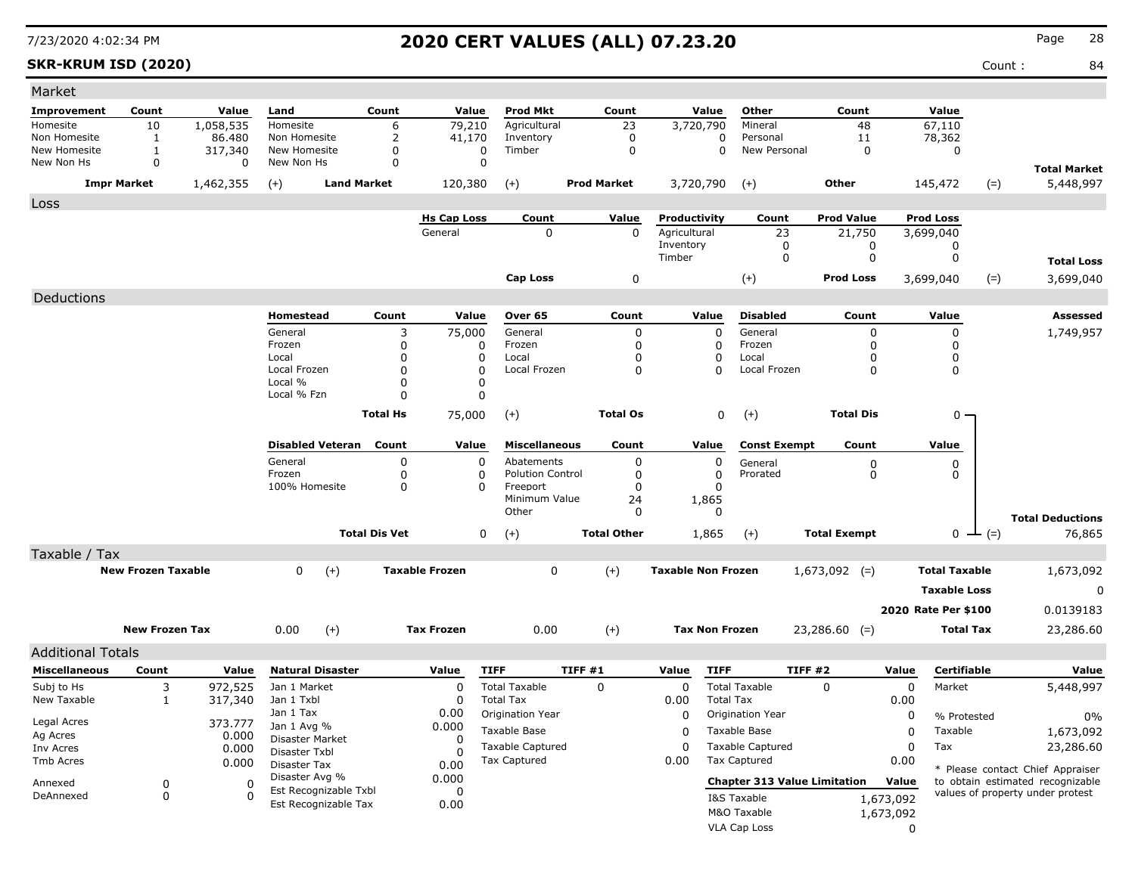**SKR-KRUM ISD (2020)** Count : 84

| Market                   |                           |                |                               |                      |                       |                         |                    |                           |                          |                                     |             |                      |                    |                                                                      |
|--------------------------|---------------------------|----------------|-------------------------------|----------------------|-----------------------|-------------------------|--------------------|---------------------------|--------------------------|-------------------------------------|-------------|----------------------|--------------------|----------------------------------------------------------------------|
| Improvement              | Count                     | Value          | Land                          | Count                | Value                 | <b>Prod Mkt</b>         | Count              | Value                     | Other                    | Count                               |             | Value                |                    |                                                                      |
| Homesite                 | 10                        | 1,058,535      | Homesite                      | 6                    | 79,210                | Agricultural            | 23                 | 3,720,790                 | Mineral                  | 48                                  |             | 67,110               |                    |                                                                      |
| Non Homesite             | 1                         | 86,480         | Non Homesite                  | 2                    | 41,170                | Inventory               | $\mathbf 0$        |                           | 0<br>Personal            | 11                                  |             | 78,362               |                    |                                                                      |
| New Homesite             | 1                         | 317,340        | New Homesite                  | 0                    | 0                     | Timber                  | 0                  |                           | 0<br>New Personal        | $\mathbf 0$                         |             | 0                    |                    |                                                                      |
| New Non Hs               | $\mathbf 0$               | 0              | New Non Hs                    | $\Omega$             | 0                     |                         |                    |                           |                          |                                     |             |                      |                    | <b>Total Market</b>                                                  |
|                          | <b>Impr Market</b>        | 1,462,355      | $(+)$<br><b>Land Market</b>   |                      | 120,380               | $(+)$                   | <b>Prod Market</b> | 3,720,790                 | $(+)$                    | <b>Other</b>                        |             | 145,472              | $(=)$              | 5,448,997                                                            |
| Loss                     |                           |                |                               |                      |                       |                         |                    |                           |                          |                                     |             |                      |                    |                                                                      |
|                          |                           |                |                               |                      | <b>Hs Cap Loss</b>    | Count                   | Value              | Productivity              | Count                    | <b>Prod Value</b>                   |             | <b>Prod Loss</b>     |                    |                                                                      |
|                          |                           |                |                               |                      | General               | 0                       | 0                  | Agricultural              |                          | 23<br>21,750                        |             | 3,699,040            |                    |                                                                      |
|                          |                           |                |                               |                      |                       |                         |                    | Inventory<br>Timber       |                          | 0<br>0<br>0<br>0                    |             | 0<br>0               |                    |                                                                      |
|                          |                           |                |                               |                      |                       |                         |                    |                           |                          |                                     |             |                      |                    | <b>Total Loss</b>                                                    |
|                          |                           |                |                               |                      |                       | <b>Cap Loss</b>         | 0                  |                           | $(+)$                    | <b>Prod Loss</b>                    |             | 3,699,040            | $(=)$              | 3,699,040                                                            |
| Deductions               |                           |                |                               |                      |                       |                         |                    |                           |                          |                                     |             |                      |                    |                                                                      |
|                          |                           |                | Homestead                     | Count                | Value                 | Over 65                 | Count              | Value                     | <b>Disabled</b>          | Count                               |             | Value                |                    | Assessed                                                             |
|                          |                           |                | General                       | 3                    | 75,000                | General                 | 0                  |                           | $\mathbf 0$<br>General   | 0                                   |             | 0                    |                    | 1,749,957                                                            |
|                          |                           |                | Frozen                        | 0                    | 0                     | Frozen                  | 0                  |                           | 0<br>Frozen              | 0                                   |             | 0                    |                    |                                                                      |
|                          |                           |                | Local                         | 0                    | 0                     | Local                   | 0                  |                           | 0<br>Local               | <sup>0</sup>                        |             | 0                    |                    |                                                                      |
|                          |                           |                | Local Frozen<br>Local %       | 0<br>0               | $\Omega$<br>0         | Local Frozen            | 0                  |                           | $\Omega$<br>Local Frozen | $\Omega$                            |             | 0                    |                    |                                                                      |
|                          |                           |                | Local % Fzn                   | 0                    | 0                     |                         |                    |                           |                          |                                     |             |                      |                    |                                                                      |
|                          |                           |                |                               |                      |                       |                         |                    |                           |                          |                                     |             |                      |                    |                                                                      |
|                          |                           |                |                               | <b>Total Hs</b>      | 75,000                | $(+)$                   | <b>Total Os</b>    |                           | 0<br>$(+)$               | <b>Total Dis</b>                    |             | $0 -$                |                    |                                                                      |
|                          |                           |                | <b>Disabled Veteran</b>       | Count                | Value                 | <b>Miscellaneous</b>    | Count              | Value                     | <b>Const Exempt</b>      | Count                               |             | Value                |                    |                                                                      |
|                          |                           |                | General                       | 0                    | 0                     | Abatements              | 0                  |                           | 0<br>General             | 0                                   |             | 0                    |                    |                                                                      |
|                          |                           |                | Frozen                        | 0                    | 0                     | <b>Polution Control</b> | 0                  |                           | 0<br>Prorated            | 0                                   |             | 0                    |                    |                                                                      |
|                          |                           |                | 100% Homesite                 | 0                    | 0                     | Freeport                | 0                  |                           | $\Omega$                 |                                     |             |                      |                    |                                                                      |
|                          |                           |                |                               |                      |                       | Minimum Value           | 24                 | 1,865                     |                          |                                     |             |                      |                    |                                                                      |
|                          |                           |                |                               |                      |                       | Other                   | 0                  |                           | 0                        |                                     |             |                      |                    | <b>Total Deductions</b>                                              |
|                          |                           |                |                               | <b>Total Dis Vet</b> | 0                     | $(+)$                   | <b>Total Other</b> | 1,865                     | $(+)$                    | <b>Total Exempt</b>                 |             |                      | $0 \leftarrow (=)$ | 76,865                                                               |
| Taxable / Tax            |                           |                |                               |                      |                       |                         |                    |                           |                          |                                     |             |                      |                    |                                                                      |
|                          | <b>New Frozen Taxable</b> |                | 0<br>$(+)$                    |                      | <b>Taxable Frozen</b> | 0                       | $(+)$              | <b>Taxable Non Frozen</b> |                          | $1,673,092$ (=)                     |             | <b>Total Taxable</b> |                    | 1,673,092                                                            |
|                          |                           |                |                               |                      |                       |                         |                    |                           |                          |                                     |             | <b>Taxable Loss</b>  |                    | 0                                                                    |
|                          |                           |                |                               |                      |                       |                         |                    |                           |                          |                                     |             |                      |                    |                                                                      |
|                          |                           |                |                               |                      |                       |                         |                    |                           |                          |                                     |             | 2020 Rate Per \$100  |                    | 0.0139183                                                            |
|                          | <b>New Frozen Tax</b>     |                | $(+)$<br>0.00                 |                      | <b>Tax Frozen</b>     | 0.00                    | $(+)$              |                           | <b>Tax Non Frozen</b>    | $23,286.60$ (=)                     |             | Total Tax            |                    | 23,286.60                                                            |
| <b>Additional Totals</b> |                           |                |                               |                      |                       |                         |                    |                           |                          |                                     |             |                      |                    |                                                                      |
| <b>Miscellaneous</b>     | Count                     | Value          | <b>Natural Disaster</b>       |                      | Value                 | <b>TIFF</b>             | <b>TIFF #1</b>     | Value                     | <b>TIFF</b>              | <b>TIFF #2</b>                      | Value       | Certifiable          |                    | Value                                                                |
| Subj to Hs               | 3                         | 972,525        | Jan 1 Market                  |                      | $\Omega$              | <b>Total Taxable</b>    | $\mathbf{0}$       | 0                         | <b>Total Taxable</b>     | $\Omega$                            | $\mathbf 0$ | Market               |                    | 5,448,997                                                            |
| New Taxable              | $\mathbf{1}$              | 317,340        | Jan 1 Txbl                    |                      | $\Omega$              | <b>Total Tax</b>        |                    | 0.00                      | <b>Total Tax</b>         |                                     | 0.00        |                      |                    |                                                                      |
|                          |                           |                | Jan 1 Tax                     |                      | 0.00                  | Origination Year        |                    | 0                         | Origination Year         |                                     | 0           | % Protested          |                    | 0%                                                                   |
| Legal Acres              |                           | 373.777        | Jan 1 Avg %                   |                      | 0.000                 | Taxable Base            |                    | 0                         | Taxable Base             |                                     | 0           | Taxable              |                    | 1,673,092                                                            |
| Ag Acres<br>Inv Acres    |                           | 0.000<br>0.000 | Disaster Market               |                      | 0                     | <b>Taxable Captured</b> |                    | $\Omega$                  | <b>Taxable Captured</b>  |                                     | 0           | Tax                  |                    | 23,286.60                                                            |
| Tmb Acres                |                           | 0.000          | Disaster Txbl<br>Disaster Tax |                      |                       | <b>Tax Captured</b>     |                    | 0.00                      | <b>Tax Captured</b>      |                                     | 0.00        |                      |                    |                                                                      |
|                          |                           |                | Disaster Avg %                |                      | 0.00<br>0.000         |                         |                    |                           |                          |                                     |             |                      |                    | * Please contact Chief Appraiser                                     |
| Annexed                  | 0                         | 0              | Est Recognizable Txbl         |                      | 0                     |                         |                    |                           |                          | <b>Chapter 313 Value Limitation</b> | Value       |                      |                    | to obtain estimated recognizable<br>values of property under protest |
| DeAnnexed                | 0                         | 0              | Est Recognizable Tax          |                      | 0.00                  |                         |                    |                           | I&S Taxable              |                                     | 1,673,092   |                      |                    |                                                                      |
|                          |                           |                |                               |                      |                       |                         |                    |                           | M&O Taxable              |                                     | 1,673,092   |                      |                    |                                                                      |
|                          |                           |                |                               |                      |                       |                         |                    |                           | VLA Cap Loss             |                                     | n           |                      |                    |                                                                      |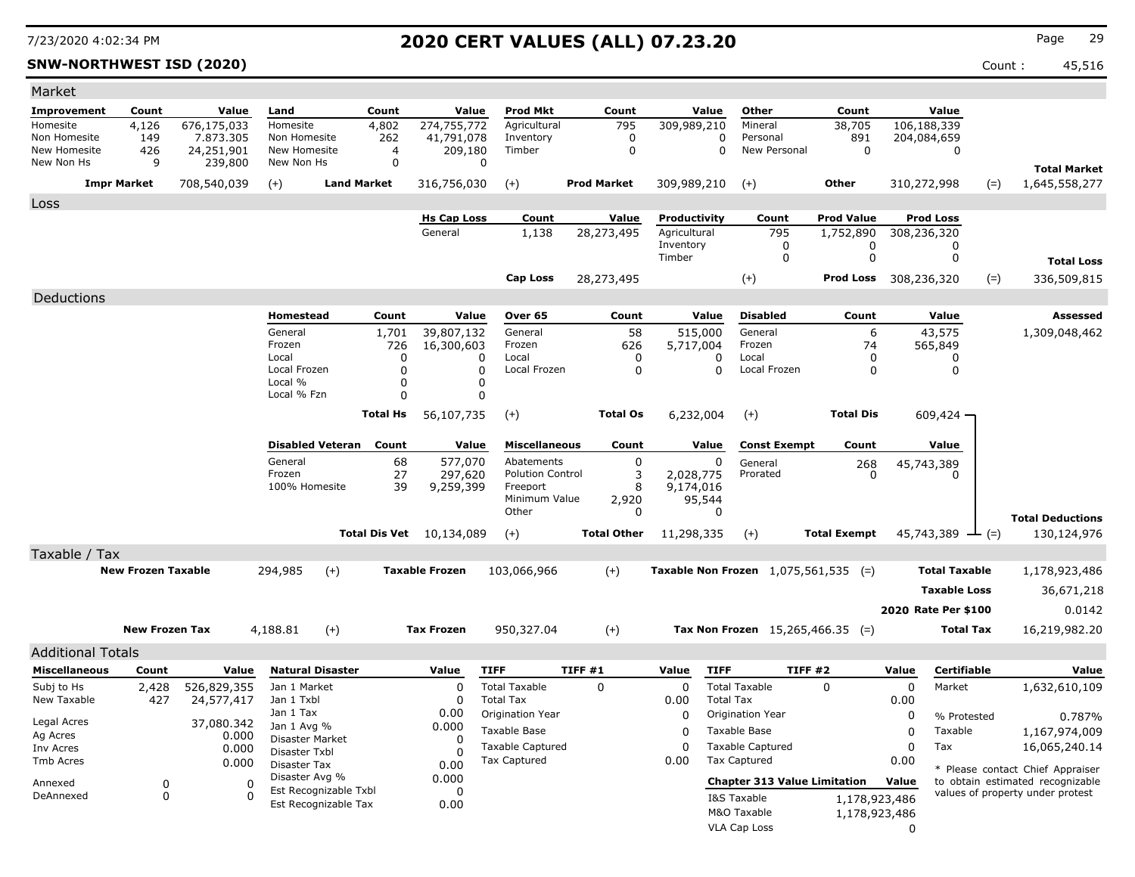### **SNW-NORTHWEST ISD (2020)** Count : 45,516

| Market                       |                           |                         |                                |                                  |                            |                             |                      |                       |                                               |                              |          |                       |       |                                  |
|------------------------------|---------------------------|-------------------------|--------------------------------|----------------------------------|----------------------------|-----------------------------|----------------------|-----------------------|-----------------------------------------------|------------------------------|----------|-----------------------|-------|----------------------------------|
| Improvement                  | Count                     | Value                   | Land                           | Count                            | Value                      | <b>Prod Mkt</b>             | Count                | Value                 | Other                                         | Count                        |          | Value                 |       |                                  |
| Homesite                     | 4,126                     | 676,175,033             | Homesite                       | 4,802                            | 274,755,772                | Agricultural                | 795                  | 309,989,210           | Mineral                                       | 38,705                       |          | 106,188,339           |       |                                  |
| Non Homesite<br>New Homesite | 149<br>426                | 7.873.305<br>24,251,901 | Non Homesite<br>New Homesite   | 262                              | 41,791,078<br>4<br>209,180 | Inventory<br>Timber         | 0<br>$\mathbf 0$     |                       | Personal<br>0<br>New Personal<br>$\mathbf 0$  | 891<br>$\mathbf 0$           |          | 204,084,659<br>0      |       |                                  |
| New Non Hs                   | 9                         | 239,800                 | New Non Hs                     |                                  | 0                          | 0                           |                      |                       |                                               |                              |          |                       |       | <b>Total Market</b>              |
|                              | <b>Impr Market</b>        | 708,540,039             | $(+)$                          | <b>Land Market</b>               | 316,756,030                | $(+)$                       | <b>Prod Market</b>   | 309,989,210           | $(+)$                                         | <b>Other</b>                 |          | 310,272,998           | $(=)$ | 1,645,558,277                    |
|                              |                           |                         |                                |                                  |                            |                             |                      |                       |                                               |                              |          |                       |       |                                  |
| Loss                         |                           |                         |                                |                                  | <b>Hs Cap Loss</b>         | Count                       | Value                | Productivity          | Count                                         | <b>Prod Value</b>            |          | <b>Prod Loss</b>      |       |                                  |
|                              |                           |                         |                                |                                  | General                    | 1,138                       | 28,273,495           | Agricultural          | 795                                           | 1,752,890                    |          | 308,236,320           |       |                                  |
|                              |                           |                         |                                |                                  |                            |                             |                      | Inventory             | 0                                             | 0                            |          | 0                     |       |                                  |
|                              |                           |                         |                                |                                  |                            |                             |                      | Timber                | $\Omega$                                      | $\mathbf 0$                  |          | 0                     |       | <b>Total Loss</b>                |
|                              |                           |                         |                                |                                  |                            | <b>Cap Loss</b>             | 28,273,495           |                       | $(+)$                                         | <b>Prod Loss</b> 308,236,320 |          |                       | $(=)$ | 336,509,815                      |
| Deductions                   |                           |                         |                                |                                  |                            |                             |                      |                       |                                               |                              |          |                       |       |                                  |
|                              |                           |                         | Homestead                      | Count                            | Value                      | Over 65                     | Count                | Value                 | <b>Disabled</b>                               | Count                        |          | Value                 |       | Assessed                         |
|                              |                           |                         | General                        | 1,701                            | 39,807,132                 | General                     | 58                   | 515,000               | General                                       | 6                            |          | 43,575                |       | 1,309,048,462                    |
|                              |                           |                         | Frozen<br>Local                |                                  | 726<br>16,300,603          | Frozen<br>Local<br>$\Omega$ | 626                  | 5,717,004             | Frozen<br>Local                               | 74                           |          | 565,849               |       |                                  |
|                              |                           |                         | Local Frozen                   |                                  | $\Omega$<br>$\Omega$       | $\mathbf 0$<br>Local Frozen | 0<br>$\mathbf 0$     | 0<br>$\mathbf 0$      | Local Frozen                                  | $\Omega$<br>$\mathbf 0$      |          | 0<br>$\mathbf 0$      |       |                                  |
|                              |                           |                         | Local %                        |                                  | $\mathbf 0$                | 0                           |                      |                       |                                               |                              |          |                       |       |                                  |
|                              |                           |                         | Local % Fzn                    |                                  | $\Omega$                   | $\Omega$                    |                      |                       |                                               |                              |          |                       |       |                                  |
|                              |                           |                         |                                | Total Hs                         | 56,107,735                 | $(+)$                       | <b>Total Os</b>      | 6,232,004             | $(+)$                                         | <b>Total Dis</b>             |          | 609,424               |       |                                  |
|                              |                           |                         |                                | <b>Disabled Veteran</b><br>Count | Value                      | <b>Miscellaneous</b>        | Count                | Value                 | <b>Const Exempt</b>                           | Count                        |          | Value                 |       |                                  |
|                              |                           |                         | General                        |                                  | 577,070<br>68              | Abatements                  | $\mathbf 0$          | 0                     | General                                       | 268                          |          | 45,743,389            |       |                                  |
|                              |                           |                         | Frozen                         |                                  | 27<br>297,620              | <b>Polution Control</b>     | 3                    | 2,028,775             | Prorated                                      | $\Omega$                     |          | $\Omega$              |       |                                  |
|                              |                           |                         | 100% Homesite                  |                                  | 39<br>9,259,399            | Freeport                    | 8                    | 9,174,016             |                                               |                              |          |                       |       |                                  |
|                              |                           |                         |                                |                                  |                            | Minimum Value<br>Other      | 2,920<br>$\mathbf 0$ | 95,544<br>$\mathbf 0$ |                                               |                              |          |                       |       |                                  |
|                              |                           |                         |                                |                                  |                            |                             | <b>Total Other</b>   |                       |                                               | <b>Total Exempt</b>          |          |                       |       | <b>Total Deductions</b>          |
|                              |                           |                         |                                | <b>Total Dis Vet</b>             | 10,134,089                 | $(+)$                       |                      | 11,298,335            | $(+)$                                         |                              |          | 45,743,389<br>$ ($ =) |       | 130,124,976                      |
| Taxable / Tax                |                           |                         |                                |                                  |                            |                             |                      |                       |                                               |                              |          |                       |       |                                  |
|                              | <b>New Frozen Taxable</b> |                         | 294,985                        | $(+)$                            | <b>Taxable Frozen</b>      | 103,066,966                 | $(+)$                |                       | <b>Taxable Non Frozen</b> $1,075,561,535$ (=) |                              |          | <b>Total Taxable</b>  |       | 1,178,923,486                    |
|                              |                           |                         |                                |                                  |                            |                             |                      |                       |                                               |                              |          | <b>Taxable Loss</b>   |       | 36,671,218                       |
|                              |                           |                         |                                |                                  |                            |                             |                      |                       |                                               |                              |          | 2020 Rate Per \$100   |       | 0.0142                           |
|                              | <b>New Frozen Tax</b>     |                         | 4,188.81                       | $(+)$                            | <b>Tax Frozen</b>          | 950,327.04                  | $(+)$                |                       | Tax Non Frozen $15,265,466.35$ (=)            |                              |          | <b>Total Tax</b>      |       | 16,219,982.20                    |
| <b>Additional Totals</b>     |                           |                         |                                |                                  |                            |                             |                      |                       |                                               |                              |          |                       |       |                                  |
| <b>Miscellaneous</b>         | Count                     | Value                   |                                | <b>Natural Disaster</b>          | Value                      | <b>TIFF</b>                 | TIFF#1               | Value<br><b>TIFF</b>  |                                               | <b>TIFF #2</b>               | Value    | Certifiable           |       | Value                            |
| Subj to Hs                   | 2,428                     | 526,829,355             | Jan 1 Market                   |                                  | $\Omega$                   | <b>Total Taxable</b>        | $\Omega$             | $\Omega$              | <b>Total Taxable</b>                          | $\Omega$                     | $\Omega$ | Market                |       | 1,632,610,109                    |
| New Taxable                  | 427                       | 24,577,417              | Jan 1 Txbl                     |                                  | $\Omega$                   | <b>Total Tax</b>            |                      | 0.00                  | <b>Total Tax</b>                              |                              | 0.00     |                       |       |                                  |
| Legal Acres                  |                           | 37,080.342              | Jan 1 Tax                      |                                  | 0.00                       | Origination Year            |                      | 0                     | Origination Year                              |                              | 0        | % Protested           |       | 0.787%                           |
| Ag Acres                     |                           | 0.000                   | Jan 1 Avg %<br>Disaster Market |                                  | 0.000<br>$\Omega$          | Taxable Base                |                      | $\Omega$              | Taxable Base                                  |                              | 0        | Taxable               |       | 1,167,974,009                    |
| Inv Acres                    |                           | 0.000                   | Disaster Txbl                  |                                  | $\Omega$                   | <b>Taxable Captured</b>     |                      | $\Omega$              | <b>Taxable Captured</b>                       |                              | $\Omega$ | Tax                   |       | 16,065,240.14                    |
| Tmb Acres                    |                           | 0.000                   | Disaster Tax                   |                                  | 0.00                       | <b>Tax Captured</b>         |                      | 0.00                  | <b>Tax Captured</b>                           |                              | 0.00     |                       |       | * Please contact Chief Appraiser |
| Annexed                      | 0                         | $\Omega$                | Disaster Avg %                 | Est Recognizable Txbl            | 0.000<br>$\Omega$          |                             |                      |                       | <b>Chapter 313 Value Limitation</b>           |                              | Value    |                       |       | to obtain estimated recognizable |
| DeAnnexed                    | $\mathbf 0$               | $\Omega$                |                                | Est Recognizable Tax             | 0.00                       |                             |                      |                       | I&S Taxable                                   | 1,178,923,486                |          |                       |       | values of property under protest |
|                              |                           |                         |                                |                                  |                            |                             |                      |                       | M&O Taxable                                   | 1,178,923,486                |          |                       |       |                                  |
|                              |                           |                         |                                |                                  |                            |                             |                      |                       | <b>VLA Cap Loss</b>                           |                              | $\Omega$ |                       |       |                                  |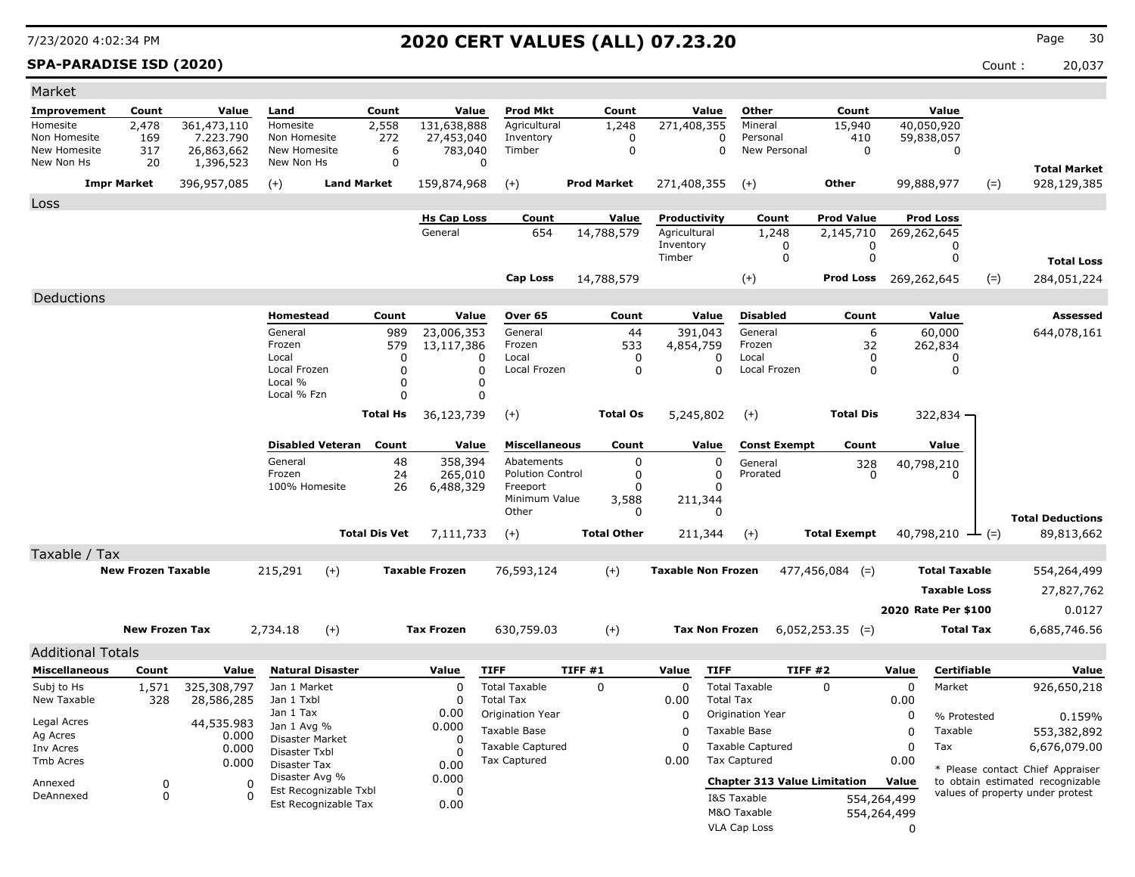### **SPA-PARADISE ISD (2020)** Count : 20,037

| Market                     |                           |                           |                               |                      |                               |                                               |                    |                              |                               |                                     |                  |                        |                                                                      |
|----------------------------|---------------------------|---------------------------|-------------------------------|----------------------|-------------------------------|-----------------------------------------------|--------------------|------------------------------|-------------------------------|-------------------------------------|------------------|------------------------|----------------------------------------------------------------------|
| Improvement                | Count                     | Value                     | Land                          | Count                | Value                         | <b>Prod Mkt</b>                               | Count              | Value                        | Other                         | Count                               |                  | Value                  |                                                                      |
| Homesite                   | 2,478                     | 361,473,110               | Homesite                      | 2,558                | 131,638,888                   | Agricultural                                  | 1,248              | 271,408,355                  | Mineral                       | 15,940                              |                  | 40,050,920             |                                                                      |
| Non Homesite               | 169                       | 7.223.790                 | Non Homesite                  | 272                  | 27,453,040                    | Inventory<br>Timber                           | 0                  |                              | Personal<br>0<br>New Personal | 410<br>$\Omega$                     |                  | 59,838,057             |                                                                      |
| New Homesite<br>New Non Hs | 317<br>20                 | 26,863,662<br>1,396,523   | New Homesite<br>New Non Hs    | 6<br>$\mathbf 0$     | 783,040                       | 0                                             | $\mathbf 0$        |                              | $\Omega$                      |                                     |                  | $\mathbf 0$            |                                                                      |
|                            |                           |                           |                               |                      |                               |                                               |                    |                              |                               |                                     |                  |                        | <b>Total Market</b>                                                  |
|                            | <b>Impr Market</b>        | 396,957,085               | $(+)$                         | <b>Land Market</b>   | 159,874,968                   | $(+)$                                         | <b>Prod Market</b> | 271,408,355                  | $(+)$                         | <b>Other</b>                        |                  | 99,888,977<br>$(=)$    | 928,129,385                                                          |
| Loss                       |                           |                           |                               |                      |                               |                                               |                    |                              |                               |                                     |                  |                        |                                                                      |
|                            |                           |                           |                               |                      | <b>Hs Cap Loss</b><br>General | Count<br>654                                  | Value              | Productivity<br>Agricultural | Count<br>1,248                | <b>Prod Value</b>                   |                  | <b>Prod Loss</b>       |                                                                      |
|                            |                           |                           |                               |                      |                               |                                               | 14,788,579         | Inventory                    | 0                             | 2,145,710<br>0                      |                  | 269,262,645<br>0       |                                                                      |
|                            |                           |                           |                               |                      |                               |                                               |                    | Timber                       | $\mathbf 0$                   | $\mathbf 0$                         |                  | $\mathbf 0$            | <b>Total Loss</b>                                                    |
|                            |                           |                           |                               |                      |                               | <b>Cap Loss</b>                               | 14,788,579         |                              | $^{(+)}$                      | <b>Prod Loss</b> 269,262,645        |                  | $(=)$                  | 284,051,224                                                          |
| Deductions                 |                           |                           |                               |                      |                               |                                               |                    |                              |                               |                                     |                  |                        |                                                                      |
|                            |                           |                           | <b>Homestead</b>              | Count                | Value                         | Over 65                                       | Count              | Value                        | <b>Disabled</b>               | Count                               |                  | Value                  | <b>Assessed</b>                                                      |
|                            |                           |                           | General                       | 989                  | 23,006,353                    | General                                       | 44                 | 391,043                      | General                       | 6                                   |                  | 60,000                 | 644,078,161                                                          |
|                            |                           |                           | Frozen                        | 579                  | 13,117,386                    | Frozen                                        | 533                | 4,854,759                    | Frozen                        | 32                                  |                  | 262,834                |                                                                      |
|                            |                           |                           | Local<br>Local Frozen         | 0<br>$\Omega$        |                               | Local<br>$\Omega$<br>Local Frozen<br>$\Omega$ | 0<br>$\Omega$      | $\Omega$<br>$\Omega$         | Local<br>Local Frozen         | $\mathbf{0}$<br>$\Omega$            |                  | 0<br>$\mathbf{0}$      |                                                                      |
|                            |                           |                           | Local %                       | $\Omega$             |                               | $\Omega$                                      |                    |                              |                               |                                     |                  |                        |                                                                      |
|                            |                           |                           | Local % Fzn                   | 0                    |                               | 0                                             |                    |                              |                               |                                     |                  |                        |                                                                      |
|                            |                           |                           |                               | Total Hs             | 36,123,739                    | $(+)$                                         | <b>Total Os</b>    | 5,245,802                    | $(+)$                         | <b>Total Dis</b>                    |                  | 322,834                |                                                                      |
|                            |                           |                           |                               |                      |                               |                                               |                    |                              |                               |                                     |                  |                        |                                                                      |
|                            |                           |                           | <b>Disabled Veteran</b>       | Count                | Value                         | <b>Miscellaneous</b>                          | Count              | Value                        | <b>Const Exempt</b>           | Count                               |                  | Value                  |                                                                      |
|                            |                           |                           | General<br>Frozen             | 48<br>24             | 358,394<br>265,010            | Abatements<br><b>Polution Control</b>         | $\mathbf 0$<br>0   | $\Omega$<br>$\mathbf 0$      | General<br>Prorated           | 328<br>O                            |                  | 40,798,210<br>$\Omega$ |                                                                      |
|                            |                           |                           | 100% Homesite                 | 26                   | 6,488,329                     | Freeport                                      | $\Omega$           | $\Omega$                     |                               |                                     |                  |                        |                                                                      |
|                            |                           |                           |                               |                      |                               | Minimum Value                                 | 3,588              | 211,344                      |                               |                                     |                  |                        |                                                                      |
|                            |                           |                           |                               |                      |                               | Other                                         | 0                  | $\Omega$                     |                               |                                     |                  |                        | <b>Total Deductions</b>                                              |
|                            |                           |                           |                               | <b>Total Dis Vet</b> | 7,111,733                     | $(+)$                                         | <b>Total Other</b> | 211,344                      | $(+)$                         | <b>Total Exempt</b>                 |                  | 40,798,210<br>$ ($ =)  | 89,813,662                                                           |
| Taxable / Tax              |                           |                           |                               |                      |                               |                                               |                    |                              |                               |                                     |                  |                        |                                                                      |
|                            | <b>New Frozen Taxable</b> |                           | 215,291                       | $(+)$                | <b>Taxable Frozen</b>         | 76,593,124                                    | $(+)$              | <b>Taxable Non Frozen</b>    |                               | $477,456,084$ (=)                   |                  | <b>Total Taxable</b>   | 554,264,499                                                          |
|                            |                           |                           |                               |                      |                               |                                               |                    |                              |                               |                                     |                  | <b>Taxable Loss</b>    | 27,827,762                                                           |
|                            |                           |                           |                               |                      |                               |                                               |                    |                              |                               |                                     |                  | 2020 Rate Per \$100    | 0.0127                                                               |
|                            | <b>New Frozen Tax</b>     |                           | 2,734.18                      | $(+)$                | <b>Tax Frozen</b>             | 630,759.03                                    | $(+)$              | <b>Tax Non Frozen</b>        |                               | $6,052,253.35$ (=)                  |                  | <b>Total Tax</b>       | 6,685,746.56                                                         |
|                            |                           |                           |                               |                      |                               |                                               |                    |                              |                               |                                     |                  |                        |                                                                      |
| <b>Additional Totals</b>   |                           |                           |                               |                      |                               |                                               |                    |                              |                               |                                     |                  |                        |                                                                      |
| <b>Miscellaneous</b>       | Count                     | Value                     | <b>Natural Disaster</b>       |                      | Value                         | <b>TIFF</b>                                   | TIFF#1             | Value<br><b>TIFF</b>         | <b>Total Taxable</b>          | TIFF #2                             | Value            | Certifiable            | Value                                                                |
| Subj to Hs<br>New Taxable  | 1,571<br>328              | 325,308,797<br>28,586,285 | Jan 1 Market<br>Jan 1 Txbl    |                      | $\Omega$<br>$\Omega$          | <b>Total Taxable</b><br><b>Total Tax</b>      | 0                  | $\Omega$<br>0.00             | <b>Total Tax</b>              | $\Omega$                            | $\Omega$<br>0.00 | Market                 | 926,650,218                                                          |
|                            |                           |                           | Jan 1 Tax                     |                      | 0.00                          | Origination Year                              |                    | 0                            | Origination Year              |                                     | $\mathbf 0$      | % Protested            | 0.159%                                                               |
| Legal Acres<br>Ag Acres    |                           | 44,535.983                | Jan 1 Avg %                   |                      | 0.000                         | Taxable Base                                  |                    | $\Omega$                     | Taxable Base                  |                                     | 0                | Taxable                | 553,382,892                                                          |
| Inv Acres                  |                           | 0.000<br>0.000            | Disaster Market               |                      | $\Omega$<br>$\Omega$          | <b>Taxable Captured</b>                       |                    | $\Omega$                     | <b>Taxable Captured</b>       |                                     | $\Omega$         | Tax                    | 6,676,079.00                                                         |
| Tmb Acres                  |                           | 0.000                     | Disaster Txbl<br>Disaster Tax |                      | 0.00                          | Tax Captured                                  |                    | 0.00                         | <b>Tax Captured</b>           |                                     | 0.00             |                        |                                                                      |
| Annexed                    | $\mathbf 0$               | $\mathbf 0$               | Disaster Avg %                |                      | 0.000                         |                                               |                    |                              |                               | <b>Chapter 313 Value Limitation</b> | Value            |                        | * Please contact Chief Appraiser<br>to obtain estimated recognizable |
| DeAnnexed                  | $\mathbf 0$               | $\Omega$                  | Est Recognizable Txbl         |                      | $\Omega$                      |                                               |                    |                              | I&S Taxable                   |                                     | 554,264,499      |                        | values of property under protest                                     |
|                            |                           |                           | Est Recognizable Tax          |                      | 0.00                          |                                               |                    |                              | M&O Taxable                   |                                     | 554,264,499      |                        |                                                                      |
|                            |                           |                           |                               |                      |                               |                                               |                    |                              | <b>VLA Cap Loss</b>           |                                     | $\Omega$         |                        |                                                                      |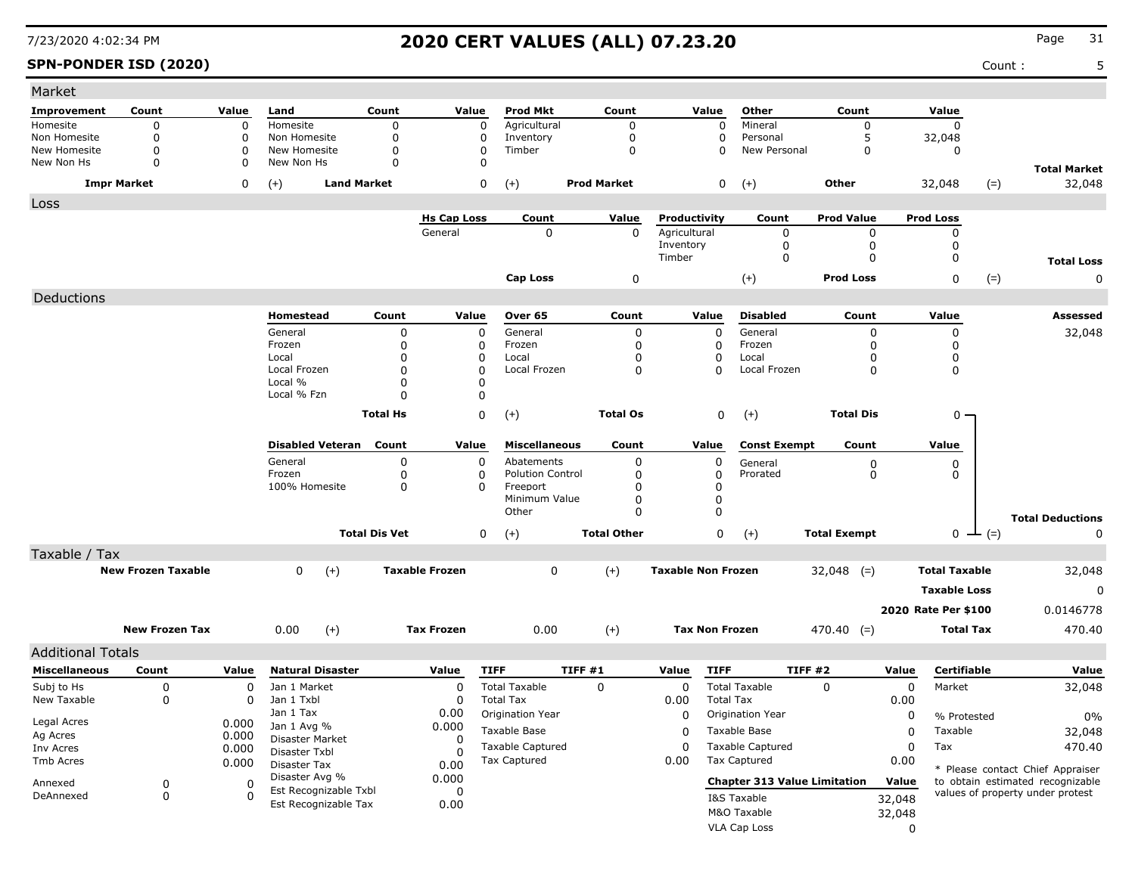### **SPN-PONDER ISD (2020)** Count : 5

| Market                       |                           |          |                                       |                      |                       |                         |                    |                           |                                     |                     |                      |                  |                                  |
|------------------------------|---------------------------|----------|---------------------------------------|----------------------|-----------------------|-------------------------|--------------------|---------------------------|-------------------------------------|---------------------|----------------------|------------------|----------------------------------|
| Improvement                  | Count                     | Value    | Land                                  | Count                | Value                 | <b>Prod Mkt</b>         | Count              | Value                     | Other                               | Count               | Value                |                  |                                  |
| Homesite                     | 0                         | 0        | Homesite                              | $\mathbf 0$          | 0                     | Agricultural            | 0                  | 0                         | Mineral                             | 0                   | $\Omega$             |                  |                                  |
| Non Homesite<br>New Homesite | 0<br>$\Omega$             | 0<br>0   | Non Homesite<br>New Homesite          | 0<br>$\mathbf 0$     | 0<br>0                | Inventory<br>Timber     | 0<br>$\mathbf 0$   | 0<br>0                    | Personal<br>New Personal            | 5<br>0              | 32,048<br>0          |                  |                                  |
| New Non Hs                   | 0                         | 0        | New Non Hs                            | 0                    | 0                     |                         |                    |                           |                                     |                     |                      |                  |                                  |
| <b>Impr Market</b>           |                           | 0        | <b>Land Market</b><br>$(+)$           |                      | 0                     | $(+)$                   | <b>Prod Market</b> | 0                         | $(+)$                               | <b>Other</b>        | 32,048               | $(=)$            | <b>Total Market</b><br>32,048    |
| Loss                         |                           |          |                                       |                      |                       |                         |                    |                           |                                     |                     |                      |                  |                                  |
|                              |                           |          |                                       |                      | <b>Hs Cap Loss</b>    | Count                   | Value              | Productivity              | Count                               | <b>Prod Value</b>   | <b>Prod Loss</b>     |                  |                                  |
|                              |                           |          |                                       |                      | General               | 0                       | 0                  | Agricultural              | 0                                   | 0                   | 0                    |                  |                                  |
|                              |                           |          |                                       |                      |                       |                         |                    | Inventory                 | 0                                   | 0                   | 0                    |                  |                                  |
|                              |                           |          |                                       |                      |                       |                         |                    | Timber                    | 0                                   | 0                   | 0                    |                  | <b>Total Loss</b>                |
|                              |                           |          |                                       |                      |                       | <b>Cap Loss</b>         | 0                  |                           | $(+)$                               | <b>Prod Loss</b>    | 0                    | $(=)$            | 0                                |
| Deductions                   |                           |          |                                       |                      |                       |                         |                    |                           |                                     |                     |                      |                  |                                  |
|                              |                           |          | Homestead                             | Count                | Value                 | Over 65                 | Count              | Value                     | <b>Disabled</b>                     | Count               | Value                |                  | Assessed                         |
|                              |                           |          | General                               | 0                    | 0                     | General                 | 0                  | 0                         | General                             | 0                   | 0                    |                  | 32,048                           |
|                              |                           |          | Frozen                                | 0                    | 0                     | Frozen                  | 0                  | 0                         | Frozen                              | O                   | 0                    |                  |                                  |
|                              |                           |          | Local<br>Local Frozen                 | 0<br>0               | 0                     | Local<br>Local Frozen   | 0<br>0             | 0<br>$\Omega$             | Local<br>Local Frozen               | 0<br>0              | 0                    |                  |                                  |
|                              |                           |          | Local %                               | 0                    | 0<br>$\Omega$         |                         |                    |                           |                                     |                     | 0                    |                  |                                  |
|                              |                           |          | Local % Fzn                           | 0                    | 0                     |                         |                    |                           |                                     |                     |                      |                  |                                  |
|                              |                           |          |                                       | <b>Total Hs</b>      | 0                     | $(+)$                   | <b>Total Os</b>    | 0                         | $(+)$                               | <b>Total Dis</b>    |                      | $0 -$            |                                  |
|                              |                           |          |                                       |                      |                       |                         |                    |                           |                                     |                     |                      |                  |                                  |
|                              |                           |          | <b>Disabled Veteran</b>               | Count                | Value                 | <b>Miscellaneous</b>    | Count              | Value                     | <b>Const Exempt</b>                 | Count               | Value                |                  |                                  |
|                              |                           |          | General                               | 0                    | 0                     | Abatements              | 0                  | 0                         | General                             | 0                   | 0                    |                  |                                  |
|                              |                           |          | Frozen                                | 0                    | 0                     | <b>Polution Control</b> | 0                  | 0                         | Prorated                            | 0                   | 0                    |                  |                                  |
|                              |                           |          | 100% Homesite                         | 0                    | n                     | Freeport                | 0                  | 0                         |                                     |                     |                      |                  |                                  |
|                              |                           |          |                                       |                      |                       | Minimum Value           | 0                  | $\mathbf 0$               |                                     |                     |                      |                  |                                  |
|                              |                           |          |                                       |                      |                       | Other                   | $\Omega$           | $\mathbf 0$               |                                     |                     |                      |                  | <b>Total Deductions</b>          |
|                              |                           |          |                                       | <b>Total Dis Vet</b> | 0                     | $(+)$                   | <b>Total Other</b> | 0                         | $(+)$                               | <b>Total Exempt</b> |                      | $0 \perp (=)$    | 0                                |
| Taxable / Tax                |                           |          |                                       |                      |                       |                         |                    |                           |                                     |                     |                      |                  |                                  |
|                              | <b>New Frozen Taxable</b> |          | $\mathbf{0}$<br>$(+)$                 |                      | <b>Taxable Frozen</b> | 0                       | $(+)$              | <b>Taxable Non Frozen</b> |                                     | $32,048$ (=)        | <b>Total Taxable</b> |                  | 32,048                           |
|                              |                           |          |                                       |                      |                       |                         |                    |                           |                                     |                     | <b>Taxable Loss</b>  |                  | 0                                |
|                              |                           |          |                                       |                      |                       |                         |                    |                           |                                     |                     | 2020 Rate Per \$100  |                  | 0.0146778                        |
|                              | <b>New Frozen Tax</b>     |          | 0.00                                  |                      | <b>Tax Frozen</b>     | 0.00                    |                    | <b>Tax Non Frozen</b>     |                                     |                     |                      | <b>Total Tax</b> |                                  |
|                              |                           |          | $(+)$                                 |                      |                       |                         | $(+)$              |                           |                                     | $470.40$ (=)        |                      |                  | 470.40                           |
| <b>Additional Totals</b>     |                           |          |                                       |                      |                       |                         |                    |                           |                                     |                     |                      |                  |                                  |
| <b>Miscellaneous</b>         | Count                     | Value    | <b>Natural Disaster</b>               |                      | Value                 | <b>TIFF</b>             | TIFF #1            | <b>TIFF</b><br>Value      |                                     | TIFF #2             | Value                | Certifiable      | Value                            |
| Subj to Hs                   | 0                         | 0        | Jan 1 Market                          |                      | 0                     | <b>Total Taxable</b>    | 0                  | 0                         | <b>Total Taxable</b>                | 0                   | 0<br>Market          |                  | 32,048                           |
| New Taxable                  | 0                         | 0        | Jan 1 Txbl                            |                      | 0                     | <b>Total Tax</b>        |                    | 0.00                      | <b>Total Tax</b>                    |                     | 0.00                 |                  |                                  |
| Legal Acres                  |                           | 0.000    | Jan 1 Tax                             |                      | 0.00                  | Origination Year        |                    | 0                         | Origination Year                    |                     | 0                    | % Protested      | 0%                               |
| Ag Acres                     |                           | 0.000    | Jan 1 Avg %<br><b>Disaster Market</b> |                      | 0.000<br>0            | Taxable Base            |                    | 0                         | Taxable Base                        |                     | Taxable<br>0         |                  | 32,048                           |
| Inv Acres                    |                           | 0.000    | Disaster Txbl                         |                      | $\Omega$              | Taxable Captured        |                    | 0                         | <b>Taxable Captured</b>             |                     | 0<br>Tax             |                  | 470.40                           |
| Tmb Acres                    |                           | 0.000    | Disaster Tax                          |                      | 0.00                  | <b>Tax Captured</b>     |                    | 0.00                      | Tax Captured                        |                     | 0.00                 |                  | * Please contact Chief Appraiser |
| Annexed                      | 0                         | 0        | Disaster Avg %                        |                      | 0.000                 |                         |                    |                           | <b>Chapter 313 Value Limitation</b> |                     | Value                |                  | to obtain estimated recognizable |
| DeAnnexed                    | 0                         | $\Omega$ | Est Recognizable Txbl                 |                      | 0                     |                         |                    |                           | I&S Taxable                         |                     | 32,048               |                  | values of property under protest |
|                              |                           |          | Est Recognizable Tax                  |                      | 0.00                  |                         |                    |                           | M&O Taxable                         |                     | 32,048               |                  |                                  |
|                              |                           |          |                                       |                      |                       |                         |                    |                           | VLA Cap Loss                        |                     | 0                    |                  |                                  |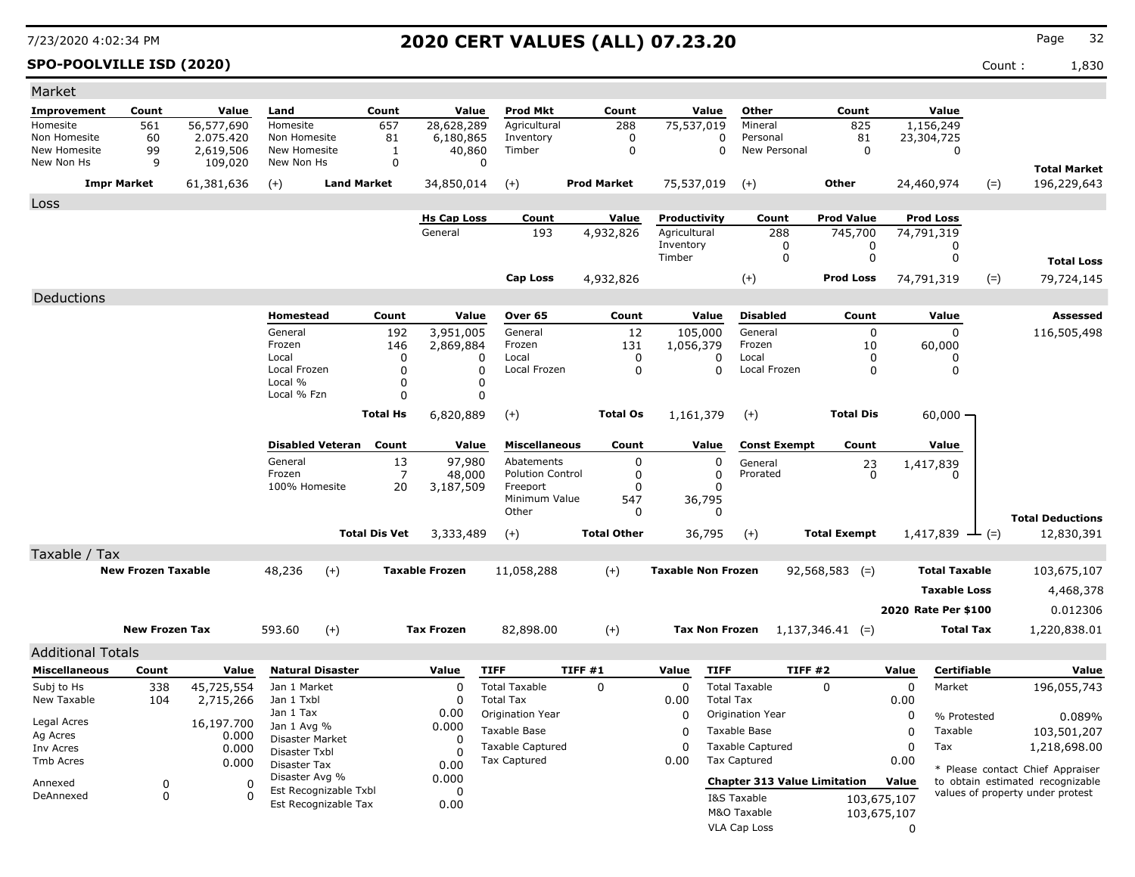### **SPO-POOLVILLE ISD (2020)** Count : 1,830

| Market                       |                           |                        |                                |                         |                      |                               |                                                |                |                    |                              |                       |                                                |                     |                  |                           |        |                                                                      |
|------------------------------|---------------------------|------------------------|--------------------------------|-------------------------|----------------------|-------------------------------|------------------------------------------------|----------------|--------------------|------------------------------|-----------------------|------------------------------------------------|---------------------|------------------|---------------------------|--------|----------------------------------------------------------------------|
| Improvement                  | Count                     | Value                  | Land                           |                         | Count                | Value                         | Prod Mkt                                       |                | Count              |                              | Value                 | Other                                          | Count               |                  | Value                     |        |                                                                      |
| Homesite                     | 561                       | 56,577,690             | Homesite                       |                         | 657                  | 28,628,289                    | Agricultural                                   |                | 288                | 75,537,019                   |                       | Mineral                                        | 825                 |                  | 1,156,249                 |        |                                                                      |
| Non Homesite<br>New Homesite | 60<br>99                  | 2.075.420<br>2,619,506 | Non Homesite<br>New Homesite   |                         | 81<br>$\mathbf{1}$   | 6,180,865<br>40,860           | Inventory<br>Timber                            |                | 0<br>$\mathbf 0$   |                              | 0<br>$\Omega$         | Personal<br>New Personal                       | 81<br>$\Omega$      |                  | 23,304,725<br>$\mathbf 0$ |        |                                                                      |
| New Non Hs                   | 9                         | 109,020                | New Non Hs                     |                         | $\mathbf 0$          |                               | $\mathbf 0$                                    |                |                    |                              |                       |                                                |                     |                  |                           |        |                                                                      |
|                              | <b>Impr Market</b>        | 61,381,636             | $(+)$                          | <b>Land Market</b>      |                      | 34,850,014                    | $(+)$                                          |                | <b>Prod Market</b> | 75,537,019                   |                       | $(+)$                                          | Other               |                  | 24,460,974                | $(=)$  | <b>Total Market</b><br>196,229,643                                   |
|                              |                           |                        |                                |                         |                      |                               |                                                |                |                    |                              |                       |                                                |                     |                  |                           |        |                                                                      |
| Loss                         |                           |                        |                                |                         |                      |                               | Count                                          |                | Value              |                              |                       |                                                | <b>Prod Value</b>   |                  | <b>Prod Loss</b>          |        |                                                                      |
|                              |                           |                        |                                |                         |                      | <b>Hs Cap Loss</b><br>General | 193                                            |                | 4,932,826          | Productivity<br>Agricultural |                       | Count<br>288                                   | 745,700             |                  | 74,791,319                |        |                                                                      |
|                              |                           |                        |                                |                         |                      |                               |                                                |                |                    | Inventory                    |                       | 0                                              | 0                   |                  | 0                         |        |                                                                      |
|                              |                           |                        |                                |                         |                      |                               |                                                |                |                    | Timber                       |                       | $\Omega$                                       | $\mathbf 0$         |                  | $\mathbf 0$               |        | <b>Total Loss</b>                                                    |
|                              |                           |                        |                                |                         |                      |                               | <b>Cap Loss</b>                                |                | 4,932,826          |                              |                       | $(+)$                                          | <b>Prod Loss</b>    |                  | 74,791,319                | $(=)$  | 79,724,145                                                           |
| Deductions                   |                           |                        |                                |                         |                      |                               |                                                |                |                    |                              |                       |                                                |                     |                  |                           |        |                                                                      |
|                              |                           |                        | Homestead                      |                         | Count                | Value                         | Over 65                                        |                | Count              |                              | Value                 | <b>Disabled</b>                                | Count               |                  | Value                     |        | <b>Assessed</b>                                                      |
|                              |                           |                        | General                        |                         | 192                  | 3,951,005                     | General                                        |                | 12                 | 105,000                      |                       | General                                        | 0                   |                  | $\mathbf 0$               |        | 116,505,498                                                          |
|                              |                           |                        | Frozen<br>Local                |                         | 146                  | 2,869,884<br>$\Omega$         | Frozen<br>Local                                |                | 131                | 1,056,379                    |                       | Frozen<br>Local                                | 10<br>$\Omega$      |                  | 60,000                    |        |                                                                      |
|                              |                           |                        | Local Frozen                   |                         | 0<br>$\Omega$        | $\Omega$                      | Local Frozen                                   |                | 0<br>$\Omega$      |                              | 0<br>$\Omega$         | Local Frozen                                   | $\Omega$            |                  | 0<br>$\Omega$             |        |                                                                      |
|                              |                           |                        | Local %                        |                         | $\Omega$             | $\Omega$                      |                                                |                |                    |                              |                       |                                                |                     |                  |                           |        |                                                                      |
|                              |                           |                        | Local % Fzn                    |                         | 0                    | 0                             |                                                |                |                    |                              |                       |                                                |                     |                  |                           |        |                                                                      |
|                              |                           |                        |                                |                         | <b>Total Hs</b>      | 6,820,889                     | $(+)$                                          |                | <b>Total Os</b>    | 1,161,379                    |                       | $(+)$                                          | <b>Total Dis</b>    |                  | 60,000                    |        |                                                                      |
|                              |                           |                        |                                | <b>Disabled Veteran</b> | Count                | Value                         | <b>Miscellaneous</b>                           |                | Count              |                              | Value                 | <b>Const Exempt</b>                            | Count               |                  | Value                     |        |                                                                      |
|                              |                           |                        | General                        |                         | 13                   | 97,980                        | Abatements                                     |                | $\mathbf 0$        |                              | 0                     | General                                        | 23                  |                  | 1,417,839                 |        |                                                                      |
|                              |                           |                        | Frozen                         |                         | $\overline{7}$       | 48,000                        | <b>Polution Control</b>                        |                | $\mathbf 0$        |                              | $\mathbf 0$           | Prorated                                       | $\Omega$            |                  | 0                         |        |                                                                      |
|                              |                           |                        | 100% Homesite                  |                         | 20                   | 3,187,509                     | Freeport<br>Minimum Value                      |                | $\mathbf 0$        |                              | $\mathbf 0$           |                                                |                     |                  |                           |        |                                                                      |
|                              |                           |                        |                                |                         |                      |                               | Other                                          |                | 547<br>0           |                              | 36,795<br>$\Omega$    |                                                |                     |                  |                           |        |                                                                      |
|                              |                           |                        |                                |                         | <b>Total Dis Vet</b> | 3,333,489                     | $(+)$                                          |                | <b>Total Other</b> |                              | 36,795                | $(+)$                                          | <b>Total Exempt</b> |                  | 1,417,839                 | $ (=)$ | <b>Total Deductions</b><br>12,830,391                                |
| Taxable / Tax                |                           |                        |                                |                         |                      |                               |                                                |                |                    |                              |                       |                                                |                     |                  |                           |        |                                                                      |
|                              | <b>New Frozen Taxable</b> |                        | 48,236                         | $(+)$                   |                      | <b>Taxable Frozen</b>         | 11,058,288                                     |                | $(+)$              | <b>Taxable Non Frozen</b>    |                       |                                                | $92,568,583$ (=)    |                  | <b>Total Taxable</b>      |        | 103,675,107                                                          |
|                              |                           |                        |                                |                         |                      |                               |                                                |                |                    |                              |                       |                                                |                     |                  | <b>Taxable Loss</b>       |        | 4,468,378                                                            |
|                              |                           |                        |                                |                         |                      |                               |                                                |                |                    |                              |                       |                                                |                     |                  | 2020 Rate Per \$100       |        | 0.012306                                                             |
|                              |                           |                        |                                |                         |                      |                               |                                                |                |                    |                              |                       |                                                |                     |                  |                           |        |                                                                      |
|                              | <b>New Frozen Tax</b>     |                        | 593.60                         | $(+)$                   |                      | <b>Tax Frozen</b>             | 82,898.00                                      |                | $(+)$              |                              | <b>Tax Non Frozen</b> |                                                | $1,137,346.41$ (=)  |                  | <b>Total Tax</b>          |        | 1,220,838.01                                                         |
| <b>Additional Totals</b>     |                           |                        |                                |                         |                      |                               |                                                |                |                    |                              |                       |                                                |                     |                  |                           |        |                                                                      |
| <b>Miscellaneous</b>         | Count                     | Value                  |                                | <b>Natural Disaster</b> |                      | Value                         | <b>TIFF</b>                                    | <b>TIFF #1</b> |                    | Value                        | <b>TIFF</b>           | <b>TIFF #2</b>                                 |                     | Value            | <b>Certifiable</b>        |        | Value                                                                |
| Subj to Hs                   | 338                       | 45,725,554             | Jan 1 Market                   |                         |                      | $\Omega$                      | <b>Total Taxable</b>                           |                | $\Omega$           | $\Omega$                     |                       | <b>Total Taxable</b>                           | $\Omega$            | $\Omega$         | Market                    |        | 196,055,743                                                          |
| New Taxable                  | 104                       | 2,715,266              | Jan 1 Txbl                     |                         |                      | $\Omega$                      | <b>Total Tax</b>                               |                |                    | 0.00                         | <b>Total Tax</b>      |                                                |                     | 0.00             |                           |        |                                                                      |
| Legal Acres                  |                           | 16,197.700             | Jan 1 Tax<br>Jan 1 Avg %       |                         |                      | 0.00<br>0.000                 | Origination Year                               |                |                    | $\mathbf 0$                  |                       | Origination Year                               |                     | 0                | % Protested               |        | 0.089%                                                               |
| Ag Acres                     |                           | 0.000                  | Disaster Market                |                         |                      | $\Omega$                      | <b>Taxable Base</b>                            |                |                    | $\Omega$                     |                       | Taxable Base                                   |                     | 0                | Taxable                   |        | 103,501,207                                                          |
| Inv Acres                    |                           | 0.000                  | Disaster Txbl                  |                         |                      | $\Omega$                      | <b>Taxable Captured</b><br><b>Tax Captured</b> |                |                    | $\Omega$<br>0.00             |                       | <b>Taxable Captured</b><br><b>Tax Captured</b> |                     | $\Omega$<br>0.00 | Tax                       |        | 1,218,698.00                                                         |
| Tmb Acres                    |                           | 0.000                  | Disaster Tax<br>Disaster Avg % |                         |                      | 0.00                          |                                                |                |                    |                              |                       |                                                |                     |                  |                           |        | * Please contact Chief Appraiser                                     |
| Annexed                      | $\mathbf 0$               | $\mathbf 0$            |                                | Est Recognizable Txbl   |                      | 0.000<br>$\Omega$             |                                                |                |                    |                              |                       | <b>Chapter 313 Value Limitation</b>            |                     | Value            |                           |        | to obtain estimated recognizable<br>values of property under protest |
| DeAnnexed                    | $\mathbf 0$               | $\Omega$               |                                | Est Recognizable Tax    |                      | 0.00                          |                                                |                |                    |                              |                       | I&S Taxable                                    |                     | 103,675,107      |                           |        |                                                                      |
|                              |                           |                        |                                |                         |                      |                               |                                                |                |                    |                              |                       | M&O Taxable                                    |                     | 103,675,107      |                           |        |                                                                      |
|                              |                           |                        |                                |                         |                      |                               |                                                |                |                    |                              |                       | <b>VLA Cap Loss</b>                            |                     | $\Omega$         |                           |        |                                                                      |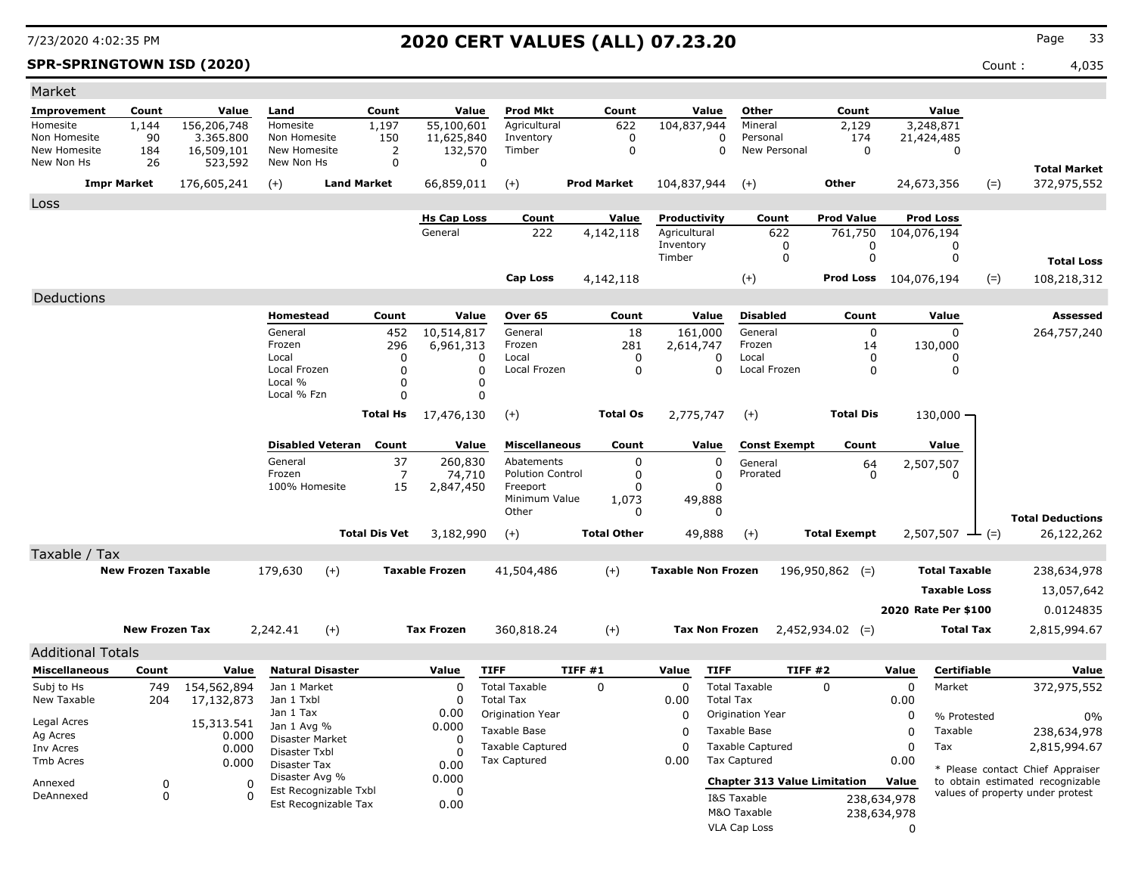### **SPR-SPRINGTOWN ISD (2020)** Count : 4,035

| Market                       |                            |                         |                               |                       |                |                       |                                          |        |                    |                           |                       |                                     |                       |                     |                           |       |                                                                      |
|------------------------------|----------------------------|-------------------------|-------------------------------|-----------------------|----------------|-----------------------|------------------------------------------|--------|--------------------|---------------------------|-----------------------|-------------------------------------|-----------------------|---------------------|---------------------------|-------|----------------------------------------------------------------------|
| Improvement                  | Count                      | Value                   | Land                          | Count                 |                | Value                 | <b>Prod Mkt</b>                          |        | Count              |                           | Value                 | Other                               | Count                 |                     | Value                     |       |                                                                      |
| Homesite                     | 1,144                      | 156,206,748             | Homesite                      | 1,197                 |                | 55,100,601            | Agricultural                             |        | 622                | 104,837,944               |                       | Mineral                             | 2,129                 |                     | 3,248,871                 |       |                                                                      |
| Non Homesite<br>New Homesite | 90<br>184                  | 3.365.800<br>16,509,101 | Non Homesite<br>New Homesite  | 150                   | 2              | 11,625,840<br>132,570 | Inventory<br>Timber                      |        | 0<br>$\mathbf 0$   |                           | $\Omega$<br>$\Omega$  | Personal<br>New Personal            | 174<br>$\Omega$       |                     | 21,424,485<br>$\mathbf 0$ |       |                                                                      |
| New Non Hs                   | 26                         | 523,592                 | New Non Hs                    |                       | $\mathbf 0$    | $\mathbf 0$           |                                          |        |                    |                           |                       |                                     |                       |                     |                           |       |                                                                      |
|                              | <b>Impr Market</b>         | 176,605,241             | $(+)$                         | <b>Land Market</b>    |                | 66,859,011            | $(+)$                                    |        | <b>Prod Market</b> | 104,837,944               |                       | $(+)$                               | Other                 |                     | 24,673,356                | $(=)$ | <b>Total Market</b><br>372,975,552                                   |
|                              |                            |                         |                               |                       |                |                       |                                          |        |                    |                           |                       |                                     |                       |                     |                           |       |                                                                      |
| Loss                         |                            |                         |                               |                       |                | <b>Hs Cap Loss</b>    | Count                                    |        | Value              | Productivity              |                       | Count                               | <b>Prod Value</b>     |                     | <b>Prod Loss</b>          |       |                                                                      |
|                              |                            |                         |                               |                       |                | General               | 222                                      |        | 4,142,118          | Agricultural              |                       | 622                                 | 761,750               |                     | 104,076,194               |       |                                                                      |
|                              |                            |                         |                               |                       |                |                       |                                          |        |                    | Inventory                 |                       | 0                                   | 0                     |                     | 0                         |       |                                                                      |
|                              |                            |                         |                               |                       |                |                       |                                          |        |                    | Timber                    |                       | $\Omega$                            | $\mathbf 0$           |                     | $\mathbf 0$               |       | <b>Total Loss</b>                                                    |
|                              |                            |                         |                               |                       |                |                       | <b>Cap Loss</b>                          |        | 4,142,118          |                           |                       | $(+)$                               | Prod Loss 104,076,194 |                     |                           | $(=)$ | 108,218,312                                                          |
| Deductions                   |                            |                         |                               |                       |                |                       |                                          |        |                    |                           |                       |                                     |                       |                     |                           |       |                                                                      |
|                              |                            |                         | <b>Homestead</b>              |                       | Count          | Value                 | Over 65                                  |        | Count              |                           | Value                 | <b>Disabled</b>                     | Count                 |                     | Value                     |       | <b>Assessed</b>                                                      |
|                              |                            |                         | General                       |                       | 452            | 10,514,817            | General                                  |        | 18                 |                           | 161,000               | General                             | $\mathbf 0$           |                     | $\mathbf 0$               |       | 264,757,240                                                          |
|                              |                            |                         | Frozen<br>Local               |                       | 296<br>0       | 6,961,313<br>0        | Frozen<br>Local                          |        | 281<br>0           | 2,614,747                 | 0                     | Frozen<br>Local                     | 14<br>$\mathbf{0}$    |                     | 130,000<br>0              |       |                                                                      |
|                              |                            |                         | Local Frozen                  |                       | $\mathbf{0}$   | $\Omega$              | Local Frozen                             |        | $\Omega$           |                           | $\Omega$              | Local Frozen                        | 0                     |                     | $\mathbf{0}$              |       |                                                                      |
|                              |                            |                         | Local %                       |                       | $\mathbf{0}$   | $\Omega$              |                                          |        |                    |                           |                       |                                     |                       |                     |                           |       |                                                                      |
|                              |                            |                         | Local % Fzn                   |                       | $\Omega$       | 0                     |                                          |        |                    |                           |                       |                                     |                       |                     |                           |       |                                                                      |
|                              |                            |                         |                               | Total Hs              |                | 17,476,130            | $(+)$                                    |        | <b>Total Os</b>    | 2,775,747                 |                       | $(+)$                               | <b>Total Dis</b>      |                     | 130,000 -                 |       |                                                                      |
|                              |                            |                         | <b>Disabled Veteran</b>       |                       | Count          | Value                 | <b>Miscellaneous</b>                     |        | Count              |                           | Value                 | <b>Const Exempt</b>                 | Count                 |                     | Value                     |       |                                                                      |
|                              |                            |                         | General                       |                       | 37             | 260,830               | Abatements                               |        | 0                  |                           | 0                     | General                             | 64                    |                     | 2,507,507                 |       |                                                                      |
|                              |                            |                         | Frozen                        |                       | $\overline{7}$ | 74,710                | <b>Polution Control</b>                  |        | 0                  |                           | $\mathbf 0$           | Prorated                            | $\mathbf{0}$          |                     | $\Omega$                  |       |                                                                      |
|                              |                            |                         | 100% Homesite                 |                       | 15             | 2,847,450             | Freeport<br>Minimum Value                |        | $\Omega$<br>1,073  |                           | $\Omega$<br>49,888    |                                     |                       |                     |                           |       |                                                                      |
|                              |                            |                         |                               |                       |                |                       | Other                                    |        | 0                  |                           | $\Omega$              |                                     |                       |                     |                           |       | <b>Total Deductions</b>                                              |
|                              |                            |                         |                               | <b>Total Dis Vet</b>  |                | 3,182,990             | $(+)$                                    |        | <b>Total Other</b> |                           | 49,888                | $(+)$                               | <b>Total Exempt</b>   |                     | $2,507,507$ — (=)         |       | 26,122,262                                                           |
| Taxable / Tax                |                            |                         |                               |                       |                |                       |                                          |        |                    |                           |                       |                                     |                       |                     |                           |       |                                                                      |
|                              | <b>New Frozen Taxable</b>  |                         | 179,630                       | $(+)$                 |                | <b>Taxable Frozen</b> | 41,504,486                               |        | $(+)$              | <b>Taxable Non Frozen</b> |                       |                                     | $196,950,862$ (=)     |                     | <b>Total Taxable</b>      |       | 238,634,978                                                          |
|                              |                            |                         |                               |                       |                |                       |                                          |        |                    |                           |                       |                                     |                       |                     | <b>Taxable Loss</b>       |       | 13,057,642                                                           |
|                              |                            |                         |                               |                       |                |                       |                                          |        |                    |                           |                       |                                     |                       |                     | 2020 Rate Per \$100       |       | 0.0124835                                                            |
|                              | <b>New Frozen Tax</b>      |                         | 2,242.41                      | $(+)$                 |                | <b>Tax Frozen</b>     | 360,818.24                               |        | $(+)$              |                           | <b>Tax Non Frozen</b> |                                     | $2,452,934.02$ (=)    |                     | <b>Total Tax</b>          |       | 2,815,994.67                                                         |
|                              |                            |                         |                               |                       |                |                       |                                          |        |                    |                           |                       |                                     |                       |                     |                           |       |                                                                      |
| <b>Additional Totals</b>     |                            |                         |                               |                       |                |                       |                                          |        |                    |                           |                       |                                     |                       |                     |                           |       |                                                                      |
| <b>Miscellaneous</b>         | Count                      | Value                   | <b>Natural Disaster</b>       |                       |                | Value                 | <b>TIFF</b>                              | TIFF#1 |                    | Value                     | <b>TIFF</b>           |                                     | TIFF #2               | Value               | Certifiable               |       | Value                                                                |
| Subj to Hs<br>New Taxable    | 749                        | 154,562,894             | Jan 1 Market<br>Jan 1 Txbl    |                       |                | $\Omega$<br>0         | <b>Total Taxable</b><br><b>Total Tax</b> |        | $\Omega$           | $\Omega$                  | <b>Total Tax</b>      | <b>Total Taxable</b>                | $\Omega$              | $\Omega$            | Market                    |       | 372,975,552                                                          |
|                              | 204                        | 17,132,873              | Jan 1 Tax                     |                       |                | 0.00                  | Origination Year                         |        |                    | 0.00<br>0                 |                       | Origination Year                    |                       | 0.00<br>$\mathbf 0$ | % Protested               |       |                                                                      |
| Legal Acres                  |                            | 15,313.541              | Jan 1 Avg %                   |                       |                | 0.000                 | <b>Taxable Base</b>                      |        |                    | $\Omega$                  |                       | Taxable Base                        |                       | $\Omega$            | Taxable                   |       | 0%<br>238,634,978                                                    |
| Ag Acres<br>Inv Acres        |                            | 0.000<br>0.000          | Disaster Market               |                       |                | $\Omega$              | <b>Taxable Captured</b>                  |        |                    | $\Omega$                  |                       | <b>Taxable Captured</b>             |                       | $\Omega$            | Tax                       |       | 2,815,994.67                                                         |
| <b>Tmb Acres</b>             |                            | 0.000                   | Disaster Txbl<br>Disaster Tax |                       |                | $\Omega$<br>0.00      | Tax Captured                             |        |                    | 0.00                      |                       | Tax Captured                        |                       | 0.00                |                           |       |                                                                      |
|                              |                            |                         | Disaster Avg %                |                       |                | 0.000                 |                                          |        |                    |                           |                       | <b>Chapter 313 Value Limitation</b> |                       | Value               |                           |       | * Please contact Chief Appraiser<br>to obtain estimated recognizable |
| Annexed<br>DeAnnexed         | $\mathbf 0$<br>$\mathbf 0$ | $\Omega$<br>$\Omega$    |                               | Est Recognizable Txbl |                | $\Omega$              |                                          |        |                    |                           |                       | I&S Taxable                         |                       | 238,634,978         |                           |       | values of property under protest                                     |
|                              |                            |                         |                               | Est Recognizable Tax  |                | 0.00                  |                                          |        |                    |                           |                       | M&O Taxable                         |                       | 238,634,978         |                           |       |                                                                      |
|                              |                            |                         |                               |                       |                |                       |                                          |        |                    |                           |                       | VLA Cap Loss                        |                       | $\mathbf{0}$        |                           |       |                                                                      |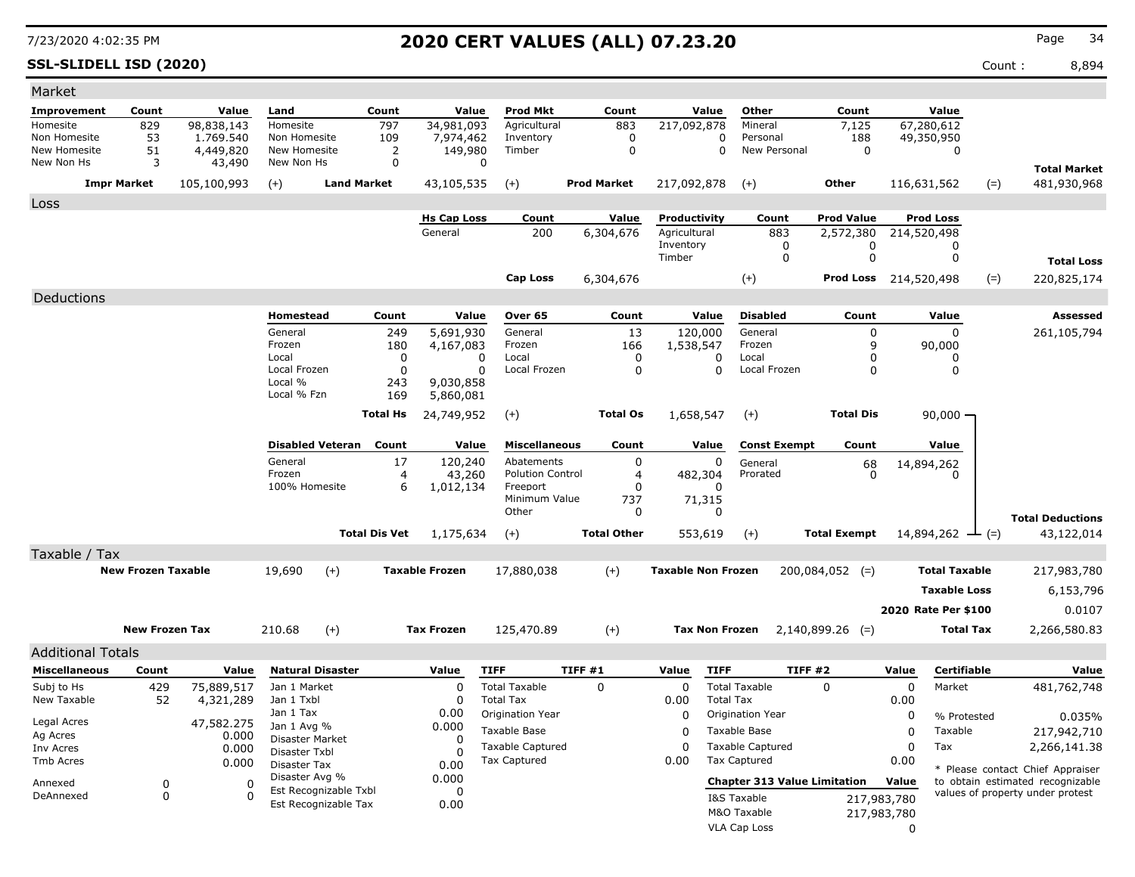**SSL-SLIDELL ISD (2020)** Count : 8,894

| Market                       |                           |                     |                                |                         |                               |                               |                                         |                    |                  |                              |                                                |                                     |                         |                              |       |                                                                      |
|------------------------------|---------------------------|---------------------|--------------------------------|-------------------------|-------------------------------|-------------------------------|-----------------------------------------|--------------------|------------------|------------------------------|------------------------------------------------|-------------------------------------|-------------------------|------------------------------|-------|----------------------------------------------------------------------|
| Improvement                  | Count                     | Value               | Land                           |                         | Count                         | Value                         | <b>Prod Mkt</b>                         | Count              |                  | Value                        | Other                                          | Count                               |                         | Value                        |       |                                                                      |
| Homesite                     | 829                       | 98,838,143          | Homesite                       |                         | 797                           | 34,981,093                    | Agricultural                            | 883                |                  | 217,092,878                  | Mineral                                        | 7,125                               |                         | 67,280,612                   |       |                                                                      |
| Non Homesite<br>New Homesite | 53<br>51                  | 1.769.540           | Non Homesite<br>New Homesite   |                         | 109                           | 7,974,462                     | Inventory<br>Timber                     |                    | 0<br>$\mathbf 0$ | 0<br>$\Omega$                | Personal<br>New Personal                       | 188<br>$\mathbf 0$                  |                         | 49,350,950                   |       |                                                                      |
| New Non Hs                   | 3                         | 4,449,820<br>43,490 | New Non Hs                     |                         | $\overline{2}$<br>$\mathbf 0$ | 149,980<br>$\Omega$           |                                         |                    |                  |                              |                                                |                                     |                         | $\mathbf 0$                  |       |                                                                      |
|                              |                           |                     |                                |                         |                               |                               |                                         |                    |                  |                              |                                                |                                     |                         |                              |       | <b>Total Market</b>                                                  |
|                              | <b>Impr Market</b>        | 105,100,993         | $(+)$                          | <b>Land Market</b>      |                               | 43,105,535                    | $(+)$                                   | <b>Prod Market</b> |                  | 217,092,878                  | $(+)$                                          | Other                               |                         | 116,631,562                  | $(=)$ | 481,930,968                                                          |
| Loss                         |                           |                     |                                |                         |                               |                               |                                         |                    |                  |                              |                                                |                                     |                         |                              |       |                                                                      |
|                              |                           |                     |                                |                         |                               | <b>Hs Cap Loss</b><br>General | Count                                   | Value              |                  | Productivity<br>Agricultural | Count                                          | <b>Prod Value</b>                   |                         | <b>Prod Loss</b>             |       |                                                                      |
|                              |                           |                     |                                |                         |                               |                               | 200                                     | 6,304,676          |                  | Inventory                    | 883<br>0                                       | 2,572,380                           | 0                       | 214,520,498<br>0             |       |                                                                      |
|                              |                           |                     |                                |                         |                               |                               |                                         |                    |                  | Timber                       | $\mathbf 0$                                    |                                     | 0                       | 0                            |       | <b>Total Loss</b>                                                    |
|                              |                           |                     |                                |                         |                               |                               | <b>Cap Loss</b>                         | 6,304,676          |                  |                              | $(+)$                                          | <b>Prod Loss</b> 214,520,498        |                         |                              | $(=)$ | 220,825,174                                                          |
| Deductions                   |                           |                     |                                |                         |                               |                               |                                         |                    |                  |                              |                                                |                                     |                         |                              |       |                                                                      |
|                              |                           |                     | <b>Homestead</b>               |                         | Count                         | Value                         | Over 65                                 |                    | Count            | Value                        | <b>Disabled</b>                                | Count                               |                         | Value                        |       | Assessed                                                             |
|                              |                           |                     | General                        |                         | 249                           | 5,691,930                     | General                                 |                    | 13               | 120,000                      | General                                        |                                     | $\mathbf 0$             | $\Omega$                     |       | 261,105,794                                                          |
|                              |                           |                     | Frozen                         |                         | 180                           | 4,167,083                     | Frozen                                  |                    | 166              | 1,538,547                    | Frozen                                         |                                     | 9                       | 90,000                       |       |                                                                      |
|                              |                           |                     | Local                          |                         | 0                             | $\Omega$                      | Local                                   |                    | $\Omega$         | $\Omega$                     | Local                                          |                                     | 0                       | O                            |       |                                                                      |
|                              |                           |                     | Local Frozen<br>Local %        |                         | $\Omega$<br>243               | $\Omega$<br>9,030,858         | Local Frozen                            |                    | $\mathbf 0$      | 0                            | Local Frozen                                   |                                     | $\mathbf 0$             | 0                            |       |                                                                      |
|                              |                           |                     | Local % Fzn                    |                         | 169                           | 5,860,081                     |                                         |                    |                  |                              |                                                |                                     |                         |                              |       |                                                                      |
|                              |                           |                     |                                |                         | <b>Total Hs</b>               | 24,749,952                    | $(+)$                                   | <b>Total Os</b>    |                  | 1,658,547                    | $(+)$                                          | <b>Total Dis</b>                    |                         | $90,000 -$                   |       |                                                                      |
|                              |                           |                     |                                |                         |                               |                               |                                         |                    |                  |                              |                                                |                                     |                         |                              |       |                                                                      |
|                              |                           |                     |                                | <b>Disabled Veteran</b> | Count                         | Value                         | <b>Miscellaneous</b>                    |                    | Count            | Value                        | <b>Const Exempt</b>                            | Count                               |                         | Value                        |       |                                                                      |
|                              |                           |                     | General                        |                         | 17                            | 120,240                       | Abatements                              |                    | $\mathbf 0$      | 0                            | General                                        | 68                                  |                         | 14,894,262                   |       |                                                                      |
|                              |                           |                     | Frozen<br>100% Homesite        |                         | $\overline{a}$<br>6           | 43,260                        | <b>Polution Control</b><br>Freeport     |                    | 4<br>$\Omega$    | 482,304<br>n                 | Prorated                                       |                                     | 0                       |                              |       |                                                                      |
|                              |                           |                     |                                |                         |                               | 1,012,134                     | Minimum Value                           |                    | 737              | 71,315                       |                                                |                                     |                         |                              |       |                                                                      |
|                              |                           |                     |                                |                         |                               |                               | Other                                   |                    | $\mathbf 0$      | $\Omega$                     |                                                |                                     |                         |                              |       | <b>Total Deductions</b>                                              |
|                              |                           |                     |                                |                         | <b>Total Dis Vet</b>          | 1,175,634                     | $(+)$                                   | <b>Total Other</b> |                  | 553,619                      | $(+)$                                          | <b>Total Exempt</b>                 |                         | 14,894,262 $\rightarrow$ (=) |       | 43,122,014                                                           |
| Taxable / Tax                |                           |                     |                                |                         |                               |                               |                                         |                    |                  |                              |                                                |                                     |                         |                              |       |                                                                      |
|                              | <b>New Frozen Taxable</b> |                     | 19,690                         | $(+)$                   |                               | <b>Taxable Frozen</b>         | 17,880,038                              | $(+)$              |                  | <b>Taxable Non Frozen</b>    |                                                | $200,084,052$ (=)                   |                         | <b>Total Taxable</b>         |       | 217,983,780                                                          |
|                              |                           |                     |                                |                         |                               |                               |                                         |                    |                  |                              |                                                |                                     |                         | <b>Taxable Loss</b>          |       | 6,153,796                                                            |
|                              |                           |                     |                                |                         |                               |                               |                                         |                    |                  |                              |                                                |                                     |                         | 2020 Rate Per \$100          |       | 0.0107                                                               |
|                              |                           |                     |                                |                         |                               |                               |                                         |                    |                  |                              |                                                |                                     |                         |                              |       |                                                                      |
|                              | <b>New Frozen Tax</b>     |                     | 210.68                         | $(+)$                   |                               | <b>Tax Frozen</b>             | 125,470.89                              | $(+)$              |                  | <b>Tax Non Frozen</b>        |                                                | $2,140,899.26$ (=)                  |                         | <b>Total Tax</b>             |       | 2,266,580.83                                                         |
| <b>Additional Totals</b>     |                           |                     |                                |                         |                               |                               |                                         |                    |                  |                              |                                                |                                     |                         |                              |       |                                                                      |
| <b>Miscellaneous</b>         | Count                     | Value               |                                | <b>Natural Disaster</b> |                               | Value                         | <b>TIFF</b>                             | TIFF #1            |                  | Value<br><b>TIFF</b>         |                                                | TIFF #2                             | Value                   | Certifiable                  |       | Value                                                                |
| Subj to Hs                   | 429                       | 75,889,517          | Jan 1 Market                   |                         |                               | 0                             | <b>Total Taxable</b>                    | $\mathbf 0$        |                  | $\Omega$                     | <b>Total Taxable</b>                           | $\Omega$                            | 0                       | Market                       |       | 481,762,748                                                          |
| New Taxable                  | 52                        | 4,321,289           | Jan 1 Txbl                     |                         |                               | 0                             | <b>Total Tax</b>                        |                    |                  | 0.00<br><b>Total Tax</b>     |                                                |                                     | 0.00                    |                              |       |                                                                      |
| Legal Acres                  |                           | 47,582.275          | Jan 1 Tax<br>Jan 1 Avg %       |                         |                               | 0.00<br>0.000                 | Origination Year                        |                    |                  | 0                            | Origination Year                               |                                     | 0                       | % Protested                  |       | 0.035%                                                               |
| Ag Acres                     |                           | 0.000               | Disaster Market                |                         |                               | $\Omega$                      | <b>Taxable Base</b>                     |                    |                  | 0                            | Taxable Base                                   |                                     | 0                       | Taxable                      |       | 217,942,710                                                          |
| Inv Acres<br>Tmb Acres       |                           | 0.000               | Disaster Txbl                  |                         |                               | $\Omega$                      | <b>Taxable Captured</b><br>Tax Captured |                    |                  | $\Omega$<br>0.00             | <b>Taxable Captured</b><br><b>Tax Captured</b> |                                     | 0<br>0.00               | Tax                          |       | 2,266,141.38                                                         |
|                              |                           | 0.000               | Disaster Tax<br>Disaster Avg % |                         |                               | 0.00<br>0.000                 |                                         |                    |                  |                              |                                                |                                     |                         |                              |       | * Please contact Chief Appraiser                                     |
| Annexed                      | 0                         | $\Omega$            |                                | Est Recognizable Txbl   |                               | 0                             |                                         |                    |                  |                              |                                                | <b>Chapter 313 Value Limitation</b> | Value                   |                              |       | to obtain estimated recognizable<br>values of property under protest |
| DeAnnexed                    | $\mathbf 0$               | $\Omega$            |                                | Est Recognizable Tax    |                               | 0.00                          |                                         |                    |                  |                              | I&S Taxable                                    |                                     | 217,983,780             |                              |       |                                                                      |
|                              |                           |                     |                                |                         |                               |                               |                                         |                    |                  |                              | M&O Taxable                                    |                                     | 217,983,780<br>$\Omega$ |                              |       |                                                                      |
|                              |                           |                     |                                |                         |                               |                               |                                         |                    |                  |                              | <b>VLA Cap Loss</b>                            |                                     |                         |                              |       |                                                                      |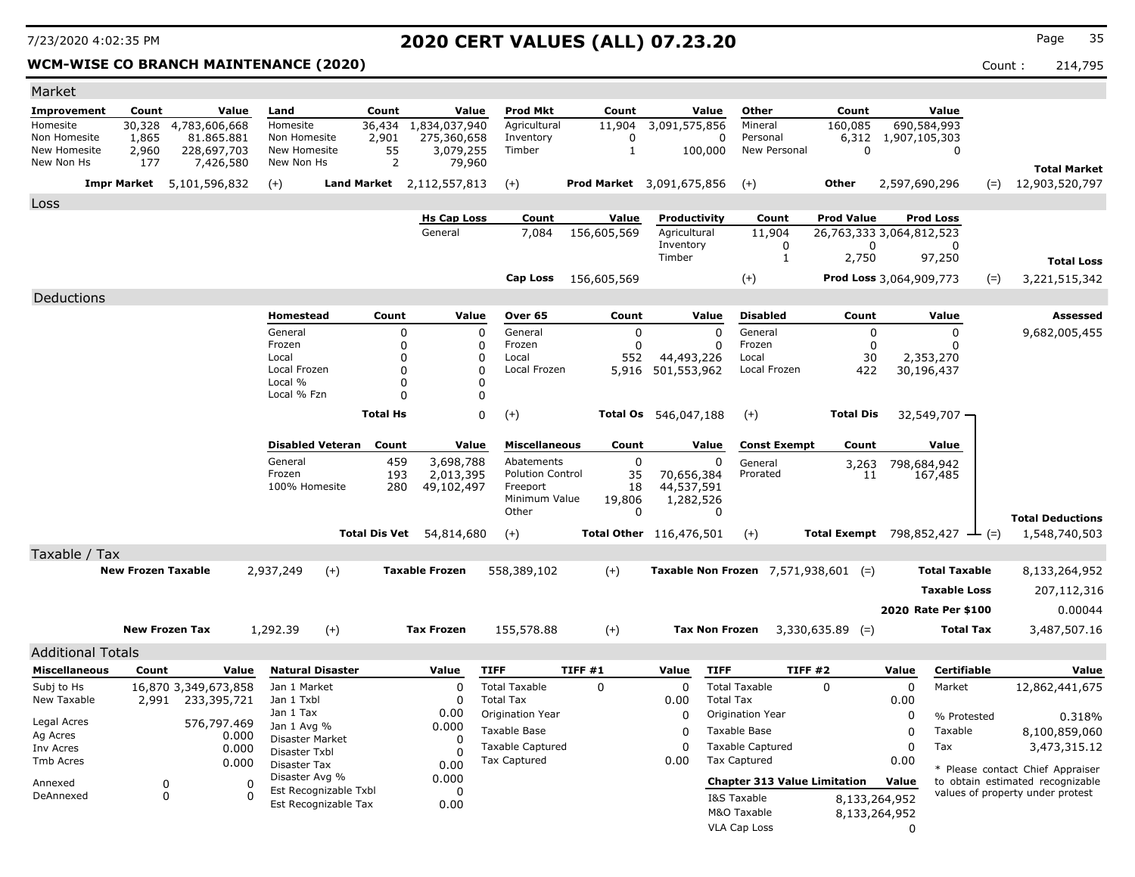$\sim$ 

## 7/23/2020 4:02:35 PM **2020 CERT VALUES (ALL) 07.23.20** Page <sup>35</sup>

### **WCM-WISE CO BRANCH MAINTENANCE (2020) Count : 214,795** Count : 214,795

| Market                       |                           |                           |                                |                         |                      |                               |                                      |                                  |                              |                       |                                               |                                               |                     |                        |       |                                                                      |
|------------------------------|---------------------------|---------------------------|--------------------------------|-------------------------|----------------------|-------------------------------|--------------------------------------|----------------------------------|------------------------------|-----------------------|-----------------------------------------------|-----------------------------------------------|---------------------|------------------------|-------|----------------------------------------------------------------------|
| <b>Improvement</b>           | Count                     | Value                     | Land                           |                         | Count                | Value                         | <b>Prod Mkt</b>                      | Count                            |                              | Value                 | Other                                         | Count                                         |                     | Value                  |       |                                                                      |
| Homesite                     | 30,328                    | 4,783,606,668             | Homesite                       |                         | 36,434               | 1,834,037,940                 | Agricultural                         | 11,904                           | 3,091,575,856                |                       | Mineral                                       | 160,085                                       |                     | 690,584,993            |       |                                                                      |
| Non Homesite<br>New Homesite | 1,865<br>2,960            | 81.865.881<br>228,697,703 | Non Homesite<br>New Homesite   |                         | 2,901<br>55          | 275,360,658<br>3,079,255      | Inventory<br>Timber                  | $\mathbf 0$<br>$\mathbf{1}$      |                              | $\Omega$<br>100,000   | Personal<br>New Personal                      | $\Omega$                                      | 6,312 1,907,105,303 | $\mathbf 0$            |       |                                                                      |
| New Non Hs                   | 177                       | 7,426,580                 | New Non Hs                     |                         | $\overline{2}$       | 79,960                        |                                      |                                  |                              |                       |                                               |                                               |                     |                        |       |                                                                      |
|                              | <b>Impr Market</b>        | 5,101,596,832             | $(+)$                          |                         |                      | Land Market 2,112,557,813     | $(+)$                                | <b>Prod Market</b> 3,091,675,856 |                              |                       | $(+)$                                         | Other                                         | 2,597,690,296       |                        | $(=)$ | <b>Total Market</b><br>12,903,520,797                                |
|                              |                           |                           |                                |                         |                      |                               |                                      |                                  |                              |                       |                                               |                                               |                     |                        |       |                                                                      |
| Loss                         |                           |                           |                                |                         |                      |                               |                                      |                                  |                              |                       |                                               |                                               |                     |                        |       |                                                                      |
|                              |                           |                           |                                |                         |                      | <b>Hs Cap Loss</b><br>General | Count<br>7.084                       | Value<br>156,605,569             | Productivity<br>Agricultural |                       | Count<br>11,904                               | <b>Prod Value</b><br>26,763,333 3,064,812,523 |                     | <b>Prod Loss</b>       |       |                                                                      |
|                              |                           |                           |                                |                         |                      |                               |                                      |                                  | Inventory                    |                       | 0                                             | $\Omega$                                      |                     | $\Omega$               |       |                                                                      |
|                              |                           |                           |                                |                         |                      |                               |                                      |                                  | Timber                       |                       | $\mathbf{1}$                                  | 2,750                                         |                     | 97,250                 |       | <b>Total Loss</b>                                                    |
|                              |                           |                           |                                |                         |                      |                               | Cap Loss                             | 156,605,569                      |                              |                       | $(+)$                                         | Prod Loss 3,064,909,773                       |                     |                        | $(=)$ | 3,221,515,342                                                        |
| Deductions                   |                           |                           |                                |                         |                      |                               |                                      |                                  |                              |                       |                                               |                                               |                     |                        |       |                                                                      |
|                              |                           |                           | Homestead                      |                         | Count                | Value                         | Over 65                              | Count                            |                              | Value                 | <b>Disabled</b>                               | Count                                         |                     | Value                  |       | Assessed                                                             |
|                              |                           |                           | General                        |                         | 0                    | $\Omega$                      | General                              | $\mathbf 0$                      |                              | $\Omega$              | General                                       | $\mathbf 0$                                   |                     | $\Omega$               |       | 9,682,005,455                                                        |
|                              |                           |                           | Frozen                         |                         | $\Omega$             | $\Omega$                      | Frozen                               | $\Omega$                         |                              | $\Omega$              | Frozen                                        | $\Omega$                                      |                     |                        |       |                                                                      |
|                              |                           |                           | Local                          |                         | 0                    | $\mathbf{0}$                  | Local                                | 552                              | 44,493,226                   |                       | Local                                         | 30                                            |                     | 2,353,270              |       |                                                                      |
|                              |                           |                           | Local Frozen<br>Local %        |                         | 0<br>0               | $\Omega$<br>$\Omega$          | Local Frozen                         | 5,916                            | 501,553,962                  |                       | Local Frozen                                  | 422                                           |                     | 30,196,437             |       |                                                                      |
|                              |                           |                           | Local % Fzn                    |                         | 0                    | $\Omega$                      |                                      |                                  |                              |                       |                                               |                                               |                     |                        |       |                                                                      |
|                              |                           |                           |                                |                         | <b>Total Hs</b>      | 0                             | $(+)$                                | <b>Total Os</b>                  | 546,047,188                  |                       | $(+)$                                         | <b>Total Dis</b>                              |                     | 32,549,707 -           |       |                                                                      |
|                              |                           |                           |                                |                         |                      |                               |                                      |                                  |                              |                       |                                               |                                               |                     |                        |       |                                                                      |
|                              |                           |                           |                                | <b>Disabled Veteran</b> | Count                | Value                         | <b>Miscellaneous</b>                 | Count                            |                              | Value                 | <b>Const Exempt</b>                           | Count                                         |                     | Value                  |       |                                                                      |
|                              |                           |                           | General                        |                         | 459                  | 3,698,788                     | Abatements                           | $\mathbf 0$                      |                              | $\Omega$              | General                                       | 3,263                                         |                     | 798,684,942            |       |                                                                      |
|                              |                           |                           | Frozen<br>100% Homesite        |                         | 193<br>280           | 2,013,395                     | <b>Polution Control</b><br>Freeport  | 35<br>18                         | 70,656,384                   |                       | Prorated                                      | 11                                            |                     | 167,485                |       |                                                                      |
|                              |                           |                           |                                |                         |                      | 49,102,497                    | Minimum Value                        | 19,806                           | 44,537,591<br>1,282,526      |                       |                                               |                                               |                     |                        |       |                                                                      |
|                              |                           |                           |                                |                         |                      |                               | Other                                | $\Omega$                         |                              | $\Omega$              |                                               |                                               |                     |                        |       | <b>Total Deductions</b>                                              |
|                              |                           |                           |                                |                         | <b>Total Dis Vet</b> | 54,814,680                    | $(+)$                                | Total Other 116,476,501          |                              |                       | $(+)$                                         | Total Exempt 798,852,427                      |                     |                        | $(=)$ | 1,548,740,503                                                        |
| Taxable / Tax                |                           |                           |                                |                         |                      |                               |                                      |                                  |                              |                       |                                               |                                               |                     |                        |       |                                                                      |
|                              | <b>New Frozen Taxable</b> |                           | 2,937,249                      | $(+)$                   |                      | <b>Taxable Frozen</b>         | 558,389,102                          | $(+)$                            |                              |                       | <b>Taxable Non Frozen</b> $7,571,938,601$ (=) |                                               |                     | <b>Total Taxable</b>   |       | 8,133,264,952                                                        |
|                              |                           |                           |                                |                         |                      |                               |                                      |                                  |                              |                       |                                               |                                               |                     | <b>Taxable Loss</b>    |       | 207,112,316                                                          |
|                              |                           |                           |                                |                         |                      |                               |                                      |                                  |                              |                       |                                               |                                               |                     | 2020 Rate Per \$100    |       | 0.00044                                                              |
|                              | <b>New Frozen Tax</b>     |                           |                                |                         |                      |                               |                                      | $(+)$                            |                              |                       |                                               |                                               |                     |                        |       |                                                                      |
|                              |                           |                           | 1,292.39                       | $(+)$                   |                      | <b>Tax Frozen</b>             | 155,578.88                           |                                  |                              | <b>Tax Non Frozen</b> |                                               | $3,330,635.89$ (=)                            |                     | <b>Total Tax</b>       |       | 3,487,507.16                                                         |
| <b>Additional Totals</b>     |                           |                           |                                |                         |                      |                               |                                      |                                  |                              |                       |                                               |                                               |                     |                        |       |                                                                      |
| <b>Miscellaneous</b>         | Count                     | Value                     |                                | <b>Natural Disaster</b> |                      | Value                         | <b>TIFF</b>                          | TIFF #1                          | Value                        | <b>TIFF</b>           | <b>TIFF #2</b>                                |                                               | Value               | <b>Certifiable</b>     |       | Value                                                                |
| Subj to Hs                   |                           | 16,870 3,349,673,858      | Jan 1 Market                   |                         |                      | $\mathbf 0$                   | <b>Total Taxable</b>                 | 0                                | $\Omega$                     |                       | <b>Total Taxable</b>                          | $\Omega$                                      | $\mathbf 0$         | Market                 |       | 12,862,441,675                                                       |
| New Taxable                  | 2,991                     | 233,395,721               | Jan 1 Txbl<br>Jan 1 Tax        |                         |                      | $\Omega$<br>0.00              | <b>Total Tax</b><br>Origination Year |                                  | 0.00<br>$\Omega$             | <b>Total Tax</b>      |                                               |                                               | 0.00<br>$\mathbf 0$ |                        |       |                                                                      |
| Legal Acres                  |                           | 576,797.469               | Jan 1 Avg %                    |                         |                      | 0.000                         | Taxable Base                         |                                  | $\Omega$                     |                       | Origination Year<br>Taxable Base              |                                               | $\Omega$            | % Protested<br>Taxable |       | 0.318%                                                               |
| Ag Acres                     |                           | 0.000                     | Disaster Market                |                         |                      | $\Omega$                      | <b>Taxable Captured</b>              |                                  | $\Omega$                     |                       | <b>Taxable Captured</b>                       |                                               | $\Omega$            | Tax                    |       | 8,100,859,060                                                        |
| Inv Acres<br>Tmb Acres       |                           | 0.000<br>0.000            | Disaster Txbl                  |                         |                      | O                             | <b>Tax Captured</b>                  |                                  | 0.00                         |                       | Tax Captured                                  |                                               | 0.00                |                        |       | 3,473,315.12                                                         |
|                              |                           |                           | Disaster Tax<br>Disaster Avg % |                         |                      | 0.00<br>0.000                 |                                      |                                  |                              |                       |                                               |                                               |                     |                        |       | * Please contact Chief Appraiser                                     |
| Annexed<br>DeAnnexed         | $\mathbf 0$<br>$\Omega$   | $\mathbf 0$<br>$\Omega$   |                                | Est Recognizable Txbl   |                      | 0                             |                                      |                                  |                              |                       | <b>Chapter 313 Value Limitation</b>           |                                               | Value               |                        |       | to obtain estimated recognizable<br>values of property under protest |
|                              |                           |                           |                                | Est Recognizable Tax    |                      | 0.00                          |                                      |                                  |                              |                       | I&S Taxable<br>M&O Taxable                    | 8,133,264,952                                 |                     |                        |       |                                                                      |
|                              |                           |                           |                                |                         |                      |                               |                                      |                                  |                              |                       | <b>VLA Cap Loss</b>                           | 8,133,264,952                                 | $\Omega$            |                        |       |                                                                      |
|                              |                           |                           |                                |                         |                      |                               |                                      |                                  |                              |                       |                                               |                                               |                     |                        |       |                                                                      |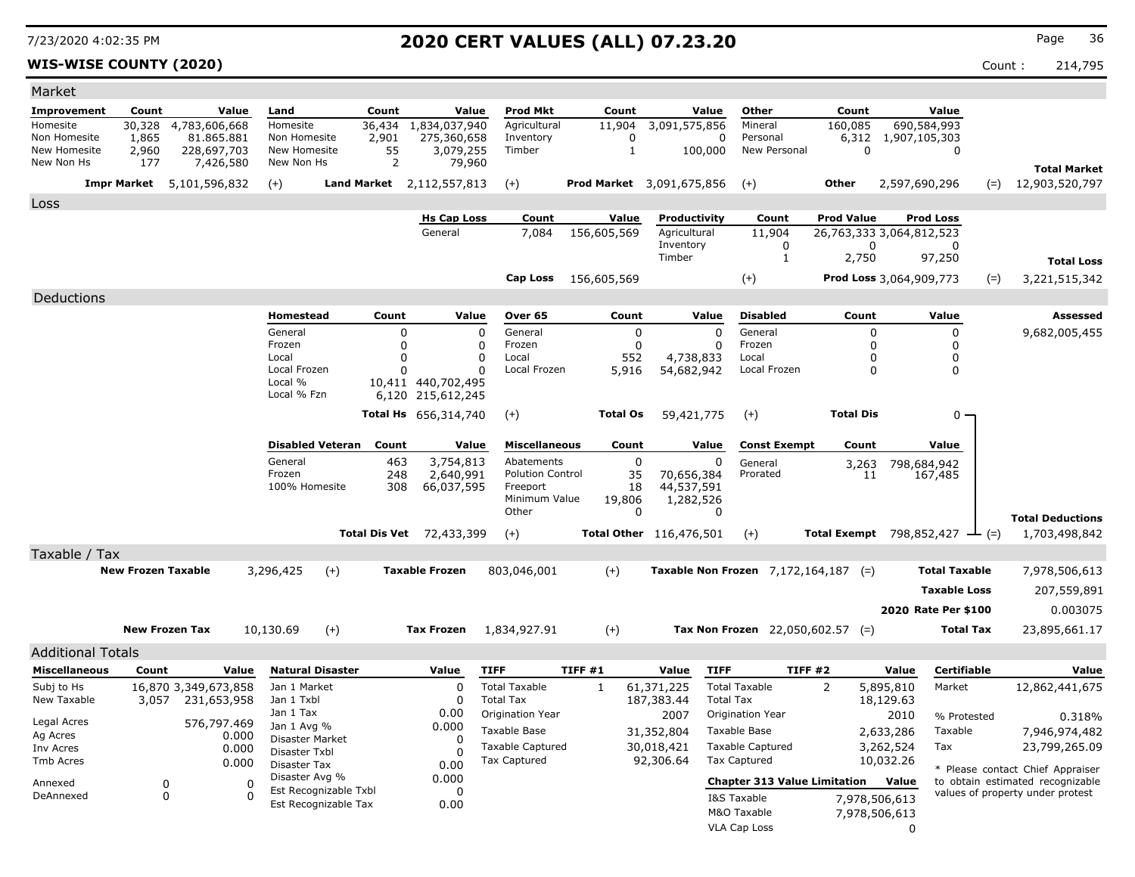### **WIS-WISE COUNTY (2020)** Count : 214,795

| Market                     |                           |                          |                            |                           |                             |                                           |        |                          |                                  |                                        |                   |                                              |                      |                                  |
|----------------------------|---------------------------|--------------------------|----------------------------|---------------------------|-----------------------------|-------------------------------------------|--------|--------------------------|----------------------------------|----------------------------------------|-------------------|----------------------------------------------|----------------------|----------------------------------|
| Improvement                | Count                     | Value                    | Land                       | Count                     | Value                       | Prod Mkt                                  |        | Count                    | Value                            | Other                                  | Count             |                                              | Value                |                                  |
| Homesite                   | 30,328                    | 4,783,606,668            | Homesite                   | 36,434                    | 1,834,037,940               | Agricultural                              |        | 11,904                   | 3,091,575,856                    | Mineral                                | 160,085           | 690,584,993                                  |                      |                                  |
| Non Homesite               | 1,865                     | 81.865.881               | Non Homesite               | 2,901                     | 275,360,658                 | Inventory                                 |        | 0                        | 0                                | Personal                               | 6,312             | 1,907,105,303                                |                      |                                  |
| New Homesite<br>New Non Hs | 2,960<br>177              | 228,697,703<br>7,426,580 | New Homesite<br>New Non Hs | 55<br>$\overline{2}$      | 3,079,255<br>79,960         | Timber                                    |        | $\mathbf{1}$             | 100,000                          | New Personal                           | $\Omega$          |                                              | $\mathbf 0$          |                                  |
|                            |                           |                          |                            |                           |                             |                                           |        |                          |                                  |                                        |                   |                                              |                      | <b>Total Market</b>              |
|                            | <b>Impr Market</b>        | 5,101,596,832            | $(+)$                      | Land Market 2,112,557,813 |                             | $(+)$                                     |        |                          | <b>Prod Market</b> 3,091,675,856 | $(+)$                                  | <b>Other</b>      | 2,597,690,296                                | $(=)$                | 12,903,520,797                   |
| <b>Loss</b>                |                           |                          |                            |                           |                             |                                           |        |                          |                                  |                                        |                   |                                              |                      |                                  |
|                            |                           |                          |                            |                           | <b>Hs Cap Loss</b>          | Count                                     |        | Value                    | Productivity                     | Count                                  | <b>Prod Value</b> | <b>Prod Loss</b>                             |                      |                                  |
|                            |                           |                          |                            |                           | General                     | 7,084                                     |        | 156,605,569              | Agricultural<br>Inventory        | 11,904<br>0                            |                   | 26,763,333 3,064,812,523<br>0                | $\Omega$             |                                  |
|                            |                           |                          |                            |                           |                             |                                           |        |                          | Timber                           | 1                                      | 2,750             | 97,250                                       |                      | <b>Total Loss</b>                |
|                            |                           |                          |                            |                           |                             | Cap Loss                                  |        | 156,605,569              |                                  | $(+)$                                  |                   | Prod Loss 3,064,909,773                      | $(=)$                | 3,221,515,342                    |
|                            |                           |                          |                            |                           |                             |                                           |        |                          |                                  |                                        |                   |                                              |                      |                                  |
| Deductions                 |                           |                          |                            |                           |                             |                                           |        |                          |                                  |                                        |                   |                                              |                      |                                  |
|                            |                           |                          | Homestead                  | Count                     | Value                       | Over 65                                   |        | Count                    | Value                            | <b>Disabled</b>                        | Count             |                                              | Value                | <b>Assessed</b>                  |
|                            |                           |                          | General<br>Frozen          |                           | $\Omega$<br>$\mathbf 0$     | $\Omega$<br>General<br>$\Omega$<br>Frozen |        | $\pmb{0}$<br>$\mathbf 0$ | $\Omega$<br>$\Omega$             | General<br>Frozen                      |                   | $\Omega$<br>O                                | $\mathbf 0$<br>0     | 9,682,005,455                    |
|                            |                           |                          | Local                      |                           | $\Omega$                    | $\Omega$<br>Local                         |        | 552                      | 4,738,833                        | Local                                  |                   | O                                            | 0                    |                                  |
|                            |                           |                          | Local Frozen               |                           |                             | 0<br>Local Frozen                         |        | 5,916                    | 54,682,942                       | Local Frozen                           |                   | $\mathbf{0}$                                 | $\Omega$             |                                  |
|                            |                           |                          | Local %                    |                           | 10,411 440,702,495          |                                           |        |                          |                                  |                                        |                   |                                              |                      |                                  |
|                            |                           |                          | Local % Fzn                |                           | 6,120 215,612,245           |                                           |        |                          |                                  |                                        |                   |                                              |                      |                                  |
|                            |                           |                          |                            |                           | <b>Total Hs</b> 656,314,740 | $(+)$                                     |        | <b>Total Os</b>          | 59,421,775                       | $(+)$                                  | <b>Total Dis</b>  |                                              | 0                    |                                  |
|                            |                           |                          | <b>Disabled Veteran</b>    | Count                     | Value                       | <b>Miscellaneous</b>                      |        | Count                    | Value                            | <b>Const Exempt</b>                    | Count             |                                              | Value                |                                  |
|                            |                           |                          | General                    | 463                       | 3,754,813                   | Abatements                                |        | $\mathbf 0$              | 0                                |                                        |                   |                                              |                      |                                  |
|                            |                           |                          | Frozen                     | 248                       | 2,640,991                   | <b>Polution Control</b>                   |        | 35                       | 70,656,384                       | General<br>Prorated                    | 3,263<br>11       | 798,684,942<br>167,485                       |                      |                                  |
|                            |                           |                          | 100% Homesite              | 308                       | 66,037,595                  | Freeport                                  |        | 18                       | 44,537,591                       |                                        |                   |                                              |                      |                                  |
|                            |                           |                          |                            |                           |                             | Minimum Value                             |        | 19,806                   | 1,282,526                        |                                        |                   |                                              |                      |                                  |
|                            |                           |                          |                            |                           |                             | Other                                     |        | $\Omega$                 | $\Omega$                         |                                        |                   |                                              |                      | <b>Total Deductions</b>          |
|                            |                           |                          |                            | <b>Total Dis Vet</b>      | 72,433,399                  | $(+)$                                     |        |                          | Total Other 116,476,501          | $(+)$                                  |                   | Total Exempt $798,852,427$ $\rightarrow$ (=) |                      | 1,703,498,842                    |
| Taxable / Tax              |                           |                          |                            |                           |                             |                                           |        |                          |                                  |                                        |                   |                                              |                      |                                  |
|                            | <b>New Frozen Taxable</b> |                          | 3,296,425                  | $(+)$                     | <b>Taxable Frozen</b>       | 803,046,001                               |        | $(+)$                    |                                  | Taxable Non Frozen $7,172,164,187$ (=) |                   |                                              | <b>Total Taxable</b> | 7,978,506,613                    |
|                            |                           |                          |                            |                           |                             |                                           |        |                          |                                  |                                        |                   |                                              | <b>Taxable Loss</b>  | 207,559,891                      |
|                            |                           |                          |                            |                           |                             |                                           |        |                          |                                  |                                        |                   | 2020 Rate Per \$100                          |                      | 0.003075                         |
|                            |                           |                          |                            |                           |                             |                                           |        |                          |                                  |                                        |                   |                                              |                      |                                  |
|                            | <b>New Frozen Tax</b>     |                          | 10,130.69                  | $(+)$                     | <b>Tax Frozen</b>           | 1,834,927.91                              |        | $(+)$                    |                                  | Tax Non Frozen $22,050,602.57$ (=)     |                   |                                              | <b>Total Tax</b>     | 23,895,661.17                    |
| <b>Additional Totals</b>   |                           |                          |                            |                           |                             |                                           |        |                          |                                  |                                        |                   |                                              |                      |                                  |
| <b>Miscellaneous</b>       | Count                     | Value                    | <b>Natural Disaster</b>    |                           | Value                       | <b>TIFF</b>                               | TIFF#1 |                          | Value<br><b>TIFF</b>             |                                        | TIFF #2           | Value                                        | Certifiable          | Value                            |
| Subj to Hs                 |                           | 16,870 3,349,673,858     | Jan 1 Market               |                           | $\Omega$                    | <b>Total Taxable</b>                      |        | -1                       | 61,371,225                       | <b>Total Taxable</b>                   | 2                 | 5,895,810                                    | Market               | 12,862,441,675                   |
| New Taxable                | 3,057                     | 231,653,958              | Jan 1 Txbl                 |                           | $\Omega$                    | <b>Total Tax</b>                          |        |                          | 187,383.44                       | <b>Total Tax</b>                       |                   | 18,129.63                                    |                      |                                  |
| Legal Acres                |                           | 576,797.469              | Jan 1 Tax<br>Jan 1 Avg %   |                           | 0.00<br>0.000               | Origination Year                          |        |                          | 2007                             | Origination Year                       |                   | 2010                                         | % Protested          | 0.318%                           |
| Ag Acres                   |                           | 0.000                    | Disaster Market            |                           | $\Omega$                    | <b>Taxable Base</b>                       |        |                          | 31,352,804                       | Taxable Base                           |                   | 2,633,286                                    | Taxable              | 7,946,974,482                    |
| Inv Acres                  |                           | 0.000                    | Disaster Txbl              |                           | O                           | <b>Taxable Captured</b>                   |        |                          | 30,018,421                       | <b>Taxable Captured</b>                |                   | 3,262,524                                    | Tax                  | 23,799,265.09                    |
| Tmb Acres                  |                           | 0.000                    | Disaster Tax               |                           | 0.00                        | <b>Tax Captured</b>                       |        |                          | 92,306.64                        | Tax Captured                           |                   | 10,032.26                                    |                      | * Please contact Chief Appraiser |
| Annexed                    | 0                         | $\mathbf 0$              | Disaster Avg %             | Est Recognizable Txbl     | 0.000<br>$\Omega$           |                                           |        |                          |                                  | <b>Chapter 313 Value Limitation</b>    |                   | Value                                        |                      | to obtain estimated recognizable |
| DeAnnexed                  | $\Omega$                  | $\Omega$                 |                            | Est Recognizable Tax      | 0.00                        |                                           |        |                          |                                  | I&S Taxable                            |                   | 7,978,506,613                                |                      | values of property under protest |
|                            |                           |                          |                            |                           |                             |                                           |        |                          |                                  | M&O Taxable                            |                   | 7,978,506,613                                |                      |                                  |
|                            |                           |                          |                            |                           |                             |                                           |        |                          |                                  | VLA Cap Loss                           |                   | $\Omega$                                     |                      |                                  |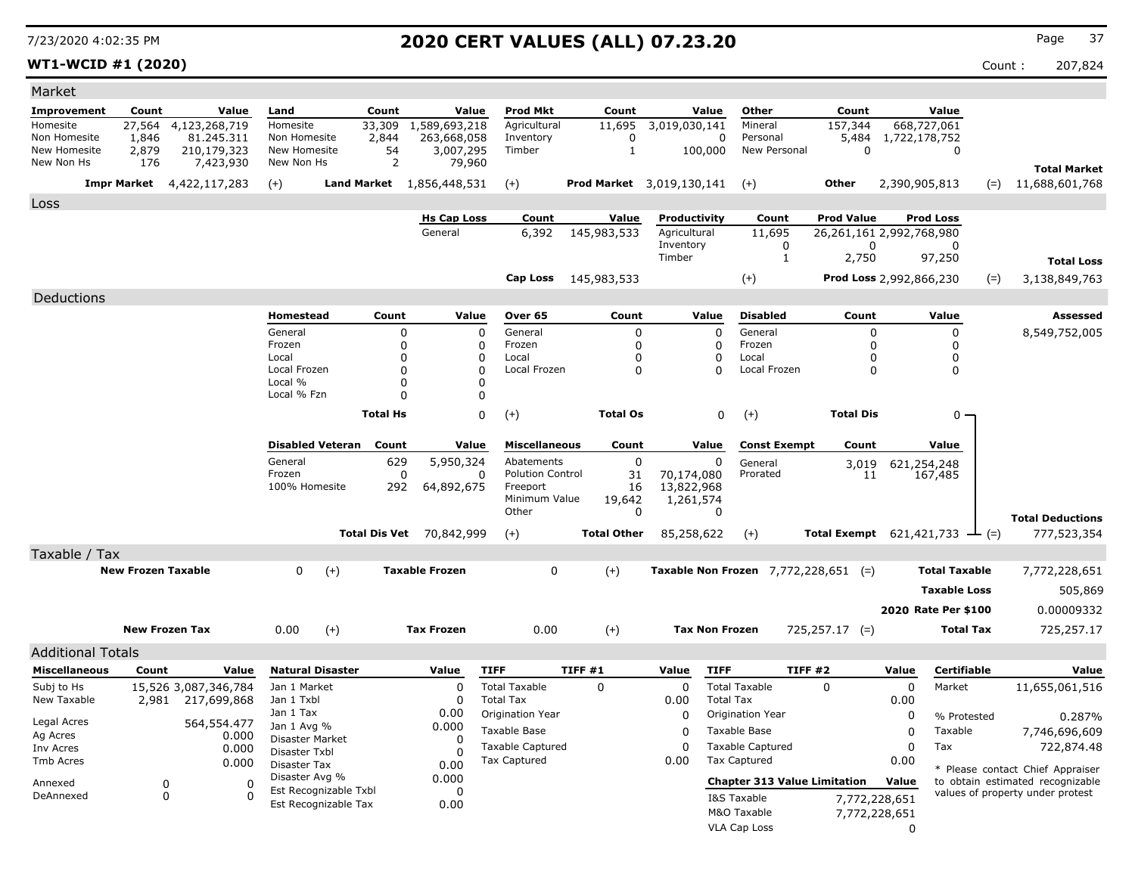**WT1-WCID #1 (2020)** Count : 207,824

| Market                     |                           |                          |                                               |                         |                      |                                  |                                     |                                               |                           |                                       |                                     |                                      |                     |                                                     |       |                                                                      |
|----------------------------|---------------------------|--------------------------|-----------------------------------------------|-------------------------|----------------------|----------------------------------|-------------------------------------|-----------------------------------------------|---------------------------|---------------------------------------|-------------------------------------|--------------------------------------|---------------------|-----------------------------------------------------|-------|----------------------------------------------------------------------|
| Improvement                | Count                     | Value                    | Land                                          |                         | Count                | Value                            | <b>Prod Mkt</b>                     | Count                                         |                           | Value                                 | Other                               | Count                                |                     | Value                                               |       |                                                                      |
| Homesite                   | 27,564                    | 4,123,268,719            | Homesite                                      |                         | 33,309               | 1,589,693,218                    | Agricultural                        | 11,695                                        | 3,019,030,141             |                                       | Mineral                             | 157,344                              |                     | 668,727,061                                         |       |                                                                      |
| Non Homesite               | 1,846                     | 81.245.311               | Non Homesite                                  |                         | 2,844                | 263,668,058                      | Inventory                           | 0                                             |                           | $\mathbf 0$                           | Personal                            | 5,484                                | 1,722,178,752       |                                                     |       |                                                                      |
| New Homesite<br>New Non Hs | 2,879<br>176              | 210,179,323<br>7,423,930 | New Homesite<br>New Non Hs                    |                         | 54<br>2              | 3,007,295<br>79,960              | Timber                              | $\mathbf{1}$                                  | 100,000                   |                                       | New Personal                        | $\mathbf 0$                          |                     | $\mathbf 0$                                         |       |                                                                      |
|                            |                           |                          |                                               |                         |                      |                                  |                                     |                                               |                           |                                       |                                     |                                      |                     |                                                     |       | <b>Total Market</b>                                                  |
|                            | <b>Impr Market</b>        | 4,422,117,283            | $(+)$                                         |                         |                      | <b>Land Market</b> 1,856,448,531 | $(+)$                               | Prod Market 3,019,130,141                     |                           |                                       | $(+)$                               | Other                                | 2,390,905,813       |                                                     | $(=)$ | 11,688,601,768                                                       |
| Loss                       |                           |                          |                                               |                         |                      |                                  |                                     |                                               |                           |                                       |                                     |                                      |                     |                                                     |       |                                                                      |
|                            |                           |                          |                                               |                         |                      | <b>Hs Cap Loss</b>               | Count                               | Value                                         | Productivity              |                                       | Count                               | <b>Prod Value</b>                    |                     | <b>Prod Loss</b>                                    |       |                                                                      |
|                            |                           |                          |                                               |                         |                      | General                          | 6,392                               | 145,983,533                                   | Agricultural<br>Inventory |                                       | 11,695                              | 26,261,161 2,992,768,980<br>$\Omega$ |                     | $\Omega$                                            |       |                                                                      |
|                            |                           |                          |                                               |                         |                      |                                  |                                     |                                               | Timber                    |                                       | 0<br>$\mathbf{1}$                   | 2,750                                |                     | 97,250                                              |       | <b>Total Loss</b>                                                    |
|                            |                           |                          |                                               |                         |                      |                                  |                                     |                                               |                           |                                       |                                     |                                      |                     |                                                     |       |                                                                      |
|                            |                           |                          |                                               |                         |                      |                                  | Cap Loss                            | 145,983,533                                   |                           |                                       | $(+)$                               | <b>Prod Loss 2,992,866,230</b>       |                     |                                                     | $(=)$ | 3,138,849,763                                                        |
| Deductions                 |                           |                          |                                               |                         |                      |                                  |                                     |                                               |                           |                                       |                                     |                                      |                     |                                                     |       |                                                                      |
|                            |                           |                          | <b>Homestead</b>                              |                         | Count                | Value                            | Over 65                             | Count                                         |                           | Value                                 | <b>Disabled</b>                     | Count                                |                     | Value                                               |       | <b>Assessed</b>                                                      |
|                            |                           |                          | General                                       |                         | $\mathbf 0$          | $\mathbf 0$                      | General                             | 0                                             |                           | $\Omega$                              | General                             | 0                                    |                     | 0                                                   |       | 8,549,752,005                                                        |
|                            |                           |                          | Frozen<br>Local                               |                         | $\Omega$<br>$\Omega$ | $\mathbf 0$<br>$\Omega$          | Frozen<br>Local                     | $\Omega$<br>$\Omega$                          |                           | $\Omega$<br>$\Omega$                  | Frozen<br>Local                     | 0<br>0                               |                     | $\Omega$<br>$\Omega$                                |       |                                                                      |
|                            |                           |                          | Local Frozen                                  |                         | O                    | $\mathbf 0$                      | Local Frozen                        | $\Omega$                                      |                           | 0                                     | Local Frozen                        | $\mathbf 0$                          |                     | 0                                                   |       |                                                                      |
|                            |                           |                          | Local %                                       |                         | $\Omega$             | $\Omega$                         |                                     |                                               |                           |                                       |                                     |                                      |                     |                                                     |       |                                                                      |
|                            |                           |                          | Local % Fzn                                   |                         | $\Omega$             | $\mathbf 0$                      |                                     |                                               |                           |                                       |                                     |                                      |                     |                                                     |       |                                                                      |
|                            |                           |                          |                                               |                         | <b>Total Hs</b>      | $\Omega$                         | $(+)$                               | <b>Total Os</b>                               |                           | $\mathbf 0$                           | $(+)$                               | <b>Total Dis</b>                     |                     | $0 \cdot$                                           |       |                                                                      |
|                            |                           |                          |                                               | <b>Disabled Veteran</b> | Count                | Value                            | <b>Miscellaneous</b>                | Count                                         |                           | Value                                 | <b>Const Exempt</b>                 | Count                                |                     | Value                                               |       |                                                                      |
|                            |                           |                          | General                                       |                         | 629                  | 5,950,324                        | Abatements                          | $\Omega$                                      |                           | $\mathbf 0$                           | General                             | 3,019                                |                     | 621,254,248                                         |       |                                                                      |
|                            |                           |                          | Frozen                                        |                         | 0                    | 0                                | <b>Polution Control</b>             | 31                                            | 70,174,080                |                                       | Prorated                            | 11                                   |                     | 167,485                                             |       |                                                                      |
|                            |                           |                          | 100% Homesite                                 |                         | 292                  | 64,892,675                       | Freeport<br>Minimum Value           | 16<br>19,642                                  | 13,822,968<br>1,261,574   |                                       |                                     |                                      |                     |                                                     |       |                                                                      |
|                            |                           |                          |                                               |                         |                      |                                  | Other                               | 0                                             |                           | 0                                     |                                     |                                      |                     |                                                     |       |                                                                      |
|                            |                           |                          |                                               | Total Dis Vet           |                      | 70,842,999                       | $(+)$                               | <b>Total Other</b>                            | 85,258,622                |                                       | $(+)$                               |                                      |                     | <b>Total Exempt</b> $621,421,733$ $\rightarrow$ (=) |       | <b>Total Deductions</b><br>777,523,354                               |
|                            |                           |                          |                                               |                         |                      |                                  |                                     |                                               |                           |                                       |                                     |                                      |                     |                                                     |       |                                                                      |
| Taxable / Tax              |                           |                          |                                               |                         |                      |                                  |                                     | $(+)$                                         |                           |                                       |                                     |                                      |                     |                                                     |       |                                                                      |
|                            | <b>New Frozen Taxable</b> |                          | $\mathbf 0$<br>$(+)$<br><b>Taxable Frozen</b> |                         | $\Omega$             |                                  |                                     | <b>Taxable Non Frozen</b> $7,772,228,651$ (=) |                           | <b>Total Taxable</b><br>7,772,228,651 |                                     |                                      |                     |                                                     |       |                                                                      |
|                            |                           |                          |                                               |                         |                      |                                  |                                     |                                               |                           |                                       |                                     |                                      |                     | <b>Taxable Loss</b>                                 |       | 505,869                                                              |
|                            |                           |                          |                                               |                         |                      |                                  |                                     |                                               |                           |                                       |                                     |                                      |                     | 2020 Rate Per \$100                                 |       | 0.00009332                                                           |
|                            | <b>New Frozen Tax</b>     |                          | 0.00                                          | $(+)$                   |                      | <b>Tax Frozen</b>                | 0.00                                | $(+)$                                         | <b>Tax Non Frozen</b>     |                                       |                                     | $725,257.17$ (=)                     |                     | <b>Total Tax</b>                                    |       | 725,257.17                                                           |
|                            |                           |                          |                                               |                         |                      |                                  |                                     |                                               |                           |                                       |                                     |                                      |                     |                                                     |       |                                                                      |
| <b>Additional Totals</b>   |                           |                          |                                               |                         |                      |                                  |                                     |                                               |                           |                                       |                                     |                                      |                     |                                                     |       |                                                                      |
| <b>Miscellaneous</b>       | Count                     | Value                    | <b>Natural Disaster</b>                       |                         |                      | Value                            | <b>TIFF</b><br><b>Total Taxable</b> | TIFF #1                                       | Value<br>$\Omega$         | <b>TIFF</b>                           | <b>TIFF #2</b>                      |                                      | Value               | <b>Certifiable</b>                                  |       | Value                                                                |
| Subj to Hs<br>New Taxable  | 15,526 3,087,346,784      | 2,981 217,699,868        | Jan 1 Market<br>Jan 1 Txbl                    |                         |                      | $\mathbf 0$<br>$\mathbf 0$       | <b>Total Tax</b>                    | $\Omega$                                      | 0.00                      | <b>Total Tax</b>                      | <b>Total Taxable</b>                | $\Omega$                             | $\mathbf 0$<br>0.00 | Market                                              |       | 11,655,061,516                                                       |
|                            |                           |                          | Jan 1 Tax                                     |                         |                      | 0.00                             | Origination Year                    |                                               | $\Omega$                  |                                       | Origination Year                    |                                      | 0                   | % Protested                                         |       | 0.287%                                                               |
| Legal Acres                |                           | 564,554.477              | Jan 1 Avg %                                   |                         |                      | 0.000                            | Taxable Base                        |                                               | $\Omega$                  |                                       | Taxable Base                        |                                      | $\mathbf 0$         | Taxable                                             |       | 7,746,696,609                                                        |
| Ag Acres<br>Inv Acres      |                           | 0.000<br>0.000           | <b>Disaster Market</b>                        |                         |                      | $\Omega$                         | <b>Taxable Captured</b>             |                                               | $\Omega$                  |                                       | <b>Taxable Captured</b>             |                                      | $\mathbf 0$         | Tax                                                 |       | 722,874.48                                                           |
| <b>Tmb Acres</b>           |                           | 0.000                    | Disaster Txbl<br><b>Disaster Tax</b>          |                         |                      | $\Omega$<br>0.00                 | <b>Tax Captured</b>                 |                                               | 0.00                      |                                       | <b>Tax Captured</b>                 |                                      | 0.00                |                                                     |       |                                                                      |
|                            |                           |                          | Disaster Avg %                                |                         |                      | 0.000                            |                                     |                                               |                           |                                       |                                     |                                      |                     |                                                     |       | * Please contact Chief Appraiser                                     |
| Annexed<br>DeAnnexed       | 0<br>0                    | $\Omega$<br>റ            |                                               | Est Recognizable Txbl   |                      | $\Omega$                         |                                     |                                               |                           |                                       | <b>Chapter 313 Value Limitation</b> |                                      | Value               |                                                     |       | to obtain estimated recognizable<br>values of property under protest |
|                            |                           |                          |                                               | Est Recognizable Tax    |                      | 0.00                             |                                     |                                               |                           |                                       | I&S Taxable<br>M&O Taxable          | 7,772,228,651<br>7,772,228,651       |                     |                                                     |       |                                                                      |
|                            |                           |                          |                                               |                         |                      |                                  |                                     |                                               |                           |                                       | <b>VLA Cap Loss</b>                 |                                      | $\Omega$            |                                                     |       |                                                                      |
|                            |                           |                          |                                               |                         |                      |                                  |                                     |                                               |                           |                                       |                                     |                                      |                     |                                                     |       |                                                                      |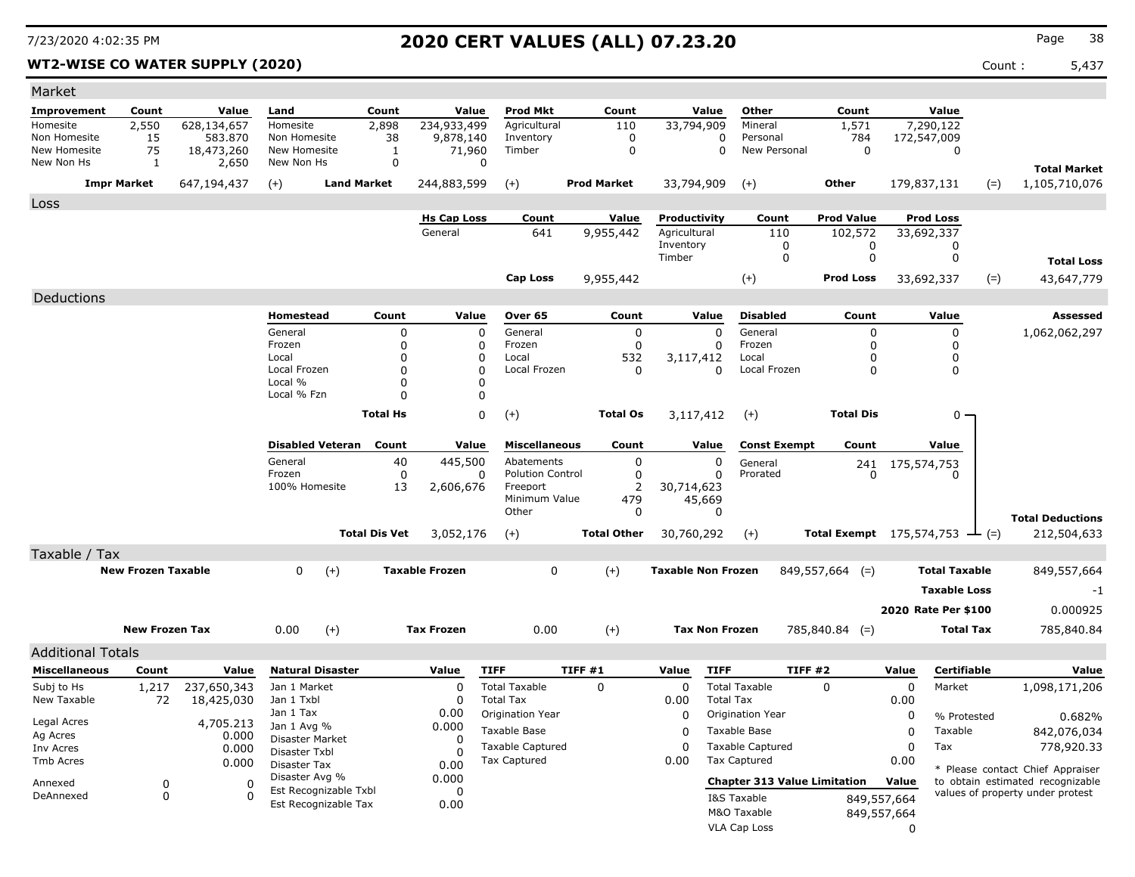### **WT2-WISE CO WATER SUPPLY (2020)** 2020 **Count : 5,437**

| Market                       |                           |                       |                                |                                               |                         |                               |                           |        |                       |                              |                       |                                     |                                                   |             |                                |       |                                      |
|------------------------------|---------------------------|-----------------------|--------------------------------|-----------------------------------------------|-------------------------|-------------------------------|---------------------------|--------|-----------------------|------------------------------|-----------------------|-------------------------------------|---------------------------------------------------|-------------|--------------------------------|-------|--------------------------------------|
| Improvement                  | Count                     | Value                 | Land                           | Count                                         |                         | Value                         | <b>Prod Mkt</b>           |        | Count                 |                              | Value                 | Other                               | Count                                             |             | Value                          |       |                                      |
| Homesite                     | 2,550                     | 628,134,657           | Homesite                       | 2,898                                         |                         | 234,933,499                   | Agricultural              |        | 110                   |                              | 33,794,909            | Mineral                             | 1,571                                             |             | 7,290,122                      |       |                                      |
| Non Homesite<br>New Homesite | 15<br>75                  | 583,870<br>18,473,260 | Non Homesite<br>New Homesite   |                                               | 38<br>$\mathbf{1}$      | 9,878,140<br>71,960           | Inventory<br>Timber       |        | 0<br>$\mathbf 0$      |                              | 0<br>0                | Personal<br>New Personal            | 784<br>$\mathbf 0$                                |             | 172,547,009<br>$\mathbf 0$     |       |                                      |
| New Non Hs                   | $\mathbf{1}$              | 2,650                 | New Non Hs                     |                                               | 0                       | 0                             |                           |        |                       |                              |                       |                                     |                                                   |             |                                |       |                                      |
|                              | <b>Impr Market</b>        | 647,194,437           | $(+)$                          | <b>Land Market</b>                            |                         | 244,883,599                   | $(+)$                     |        | <b>Prod Market</b>    |                              | 33,794,909            | $(+)$                               | Other                                             |             | 179,837,131                    | $(=)$ | <b>Total Market</b><br>1,105,710,076 |
|                              |                           |                       |                                |                                               |                         |                               |                           |        |                       |                              |                       |                                     |                                                   |             |                                |       |                                      |
| Loss                         |                           |                       |                                |                                               |                         |                               |                           |        |                       |                              |                       |                                     |                                                   |             |                                |       |                                      |
|                              |                           |                       |                                |                                               |                         | <b>Hs Cap Loss</b><br>General | Count<br>641              |        | Value<br>9,955,442    | Productivity<br>Agricultural |                       | Count<br>110                        | <b>Prod Value</b><br>102,572                      |             | <b>Prod Loss</b><br>33,692,337 |       |                                      |
|                              |                           |                       |                                |                                               |                         |                               |                           |        |                       | Inventory                    |                       | 0                                   | 0                                                 |             | 0                              |       |                                      |
|                              |                           |                       |                                |                                               |                         |                               |                           |        |                       | Timber                       |                       | 0                                   | 0                                                 |             | 0                              |       | <b>Total Loss</b>                    |
|                              |                           |                       |                                |                                               |                         |                               | <b>Cap Loss</b>           |        | 9,955,442             |                              |                       | $(+)$                               | <b>Prod Loss</b>                                  |             | 33,692,337                     | $(=)$ | 43,647,779                           |
| Deductions                   |                           |                       |                                |                                               |                         |                               |                           |        |                       |                              |                       |                                     |                                                   |             |                                |       |                                      |
|                              |                           |                       | <b>Homestead</b>               |                                               | Count                   | Value                         | Over 65                   |        | Count                 |                              | Value                 | <b>Disabled</b>                     | Count                                             |             | Value                          |       | Assessed                             |
|                              |                           |                       | General                        |                                               | $\mathbf 0$             | $\mathbf 0$                   | General                   |        | $\mathbf 0$           |                              | $\Omega$              | General                             | $\Omega$                                          |             | 0                              |       | 1,062,062,297                        |
|                              |                           |                       | Frozen                         |                                               | $\mathbf 0$             | $\mathbf{0}$                  | Frozen                    |        | $\mathbf 0$           |                              | $\Omega$              | Frozen                              | <sup>0</sup>                                      |             | 0                              |       |                                      |
|                              |                           |                       | Local                          |                                               | 0                       | $\Omega$                      | Local                     |        | 532                   |                              | 3,117,412             | Local                               | $\Omega$                                          |             | 0                              |       |                                      |
|                              |                           |                       | Local Frozen<br>Local %        |                                               | $\Omega$<br>$\mathbf 0$ | $\Omega$<br>$\Omega$          | Local Frozen              |        | $\Omega$              |                              | $\Omega$              | Local Frozen                        | $\Omega$                                          |             | 0                              |       |                                      |
|                              |                           |                       | Local % Fzn                    |                                               | $\Omega$                | 0                             |                           |        |                       |                              |                       |                                     |                                                   |             |                                |       |                                      |
|                              |                           |                       |                                | <b>Total Hs</b>                               |                         | $\Omega$                      | $(+)$                     |        | <b>Total Os</b>       |                              | 3,117,412             | $(+)$                               | <b>Total Dis</b>                                  |             | 0                              |       |                                      |
|                              |                           |                       |                                |                                               |                         |                               |                           |        |                       |                              |                       |                                     |                                                   |             |                                |       |                                      |
|                              |                           |                       | <b>Disabled Veteran</b>        |                                               | Count                   | Value                         | <b>Miscellaneous</b>      |        | Count                 |                              | Value                 | <b>Const Exempt</b>                 | Count                                             |             | Value                          |       |                                      |
|                              |                           |                       | General                        |                                               | 40                      | 445,500                       | Abatements                |        | $\mathbf 0$           |                              | $\mathbf 0$           | General                             | 241                                               |             | 175,574,753                    |       |                                      |
|                              |                           |                       | Frozen                         |                                               | $\overline{0}$          | 0                             | <b>Polution Control</b>   |        | $\mathbf 0$           |                              | 0                     | Prorated                            | $\Omega$                                          |             | 0                              |       |                                      |
|                              |                           |                       | 100% Homesite                  |                                               | 13                      | 2,606,676                     | Freeport<br>Minimum Value |        | $\overline{2}$<br>479 | 30,714,623                   | 45,669                |                                     |                                                   |             |                                |       |                                      |
|                              |                           |                       |                                |                                               |                         |                               | Other                     |        | $\mathbf 0$           |                              | $\Omega$              |                                     |                                                   |             |                                |       | <b>Total Deductions</b>              |
|                              |                           |                       |                                | <b>Total Dis Vet</b>                          |                         | 3,052,176                     | $(+)$                     |        | <b>Total Other</b>    | 30,760,292                   |                       | $(+)$                               | <b>Total Exempt</b> 175,574,753 $\rightarrow$ (=) |             |                                |       | 212,504,633                          |
| Taxable / Tax                |                           |                       |                                |                                               |                         |                               |                           |        |                       |                              |                       |                                     |                                                   |             |                                |       |                                      |
|                              | <b>New Frozen Taxable</b> |                       | $\Omega$                       | $(+)$                                         |                         | <b>Taxable Frozen</b>         | $\mathbf 0$               |        | $(+)$                 | <b>Taxable Non Frozen</b>    |                       |                                     | $849,557,664$ (=)                                 |             | <b>Total Taxable</b>           |       | 849,557,664                          |
|                              |                           |                       |                                |                                               |                         |                               |                           |        |                       |                              |                       |                                     |                                                   |             | <b>Taxable Loss</b>            |       |                                      |
|                              |                           |                       |                                |                                               |                         |                               |                           |        |                       |                              |                       |                                     |                                                   |             |                                |       | $-1$                                 |
|                              |                           |                       |                                |                                               |                         |                               |                           |        |                       |                              |                       |                                     |                                                   |             | 2020 Rate Per \$100            |       | 0.000925                             |
|                              | <b>New Frozen Tax</b>     |                       | 0.00                           | $^{(+)}$                                      |                         | <b>Tax Frozen</b>             | 0.00                      |        | $(+)$                 |                              | <b>Tax Non Frozen</b> |                                     | $785,840.84$ (=)                                  |             | <b>Total Tax</b>               |       | 785,840.84                           |
| <b>Additional Totals</b>     |                           |                       |                                |                                               |                         |                               |                           |        |                       |                              |                       |                                     |                                                   |             |                                |       |                                      |
| <b>Miscellaneous</b>         | Count                     | Value                 | <b>Natural Disaster</b>        |                                               |                         | Value                         | <b>TIFF</b>               | TIFF#1 |                       | Value                        | <b>TIFF</b>           | TIFF #2                             |                                                   | Value       | Certifiable                    |       | Value                                |
| Subj to Hs                   | 1,217                     | 237,650,343           | Jan 1 Market                   |                                               |                         | $\Omega$                      | <b>Total Taxable</b>      |        | $\Omega$              | $\Omega$                     |                       | <b>Total Taxable</b>                | $\Omega$                                          | $\mathbf 0$ | Market                         |       | 1,098,171,206                        |
| New Taxable                  | 72                        | 18,425,030            | Jan 1 Txbl                     |                                               |                         | $\Omega$                      | <b>Total Tax</b>          |        |                       | 0.00                         | <b>Total Tax</b>      |                                     |                                                   | 0.00        |                                |       |                                      |
| Legal Acres                  |                           | 4,705.213             | Jan 1 Tax                      |                                               |                         | 0.00                          | Origination Year          |        |                       | $\Omega$                     |                       | Origination Year                    |                                                   | $\mathbf 0$ | % Protested                    |       | 0.682%                               |
| Ag Acres                     |                           | 0.000                 | Jan 1 Avg %<br>Disaster Market |                                               |                         | 0.000<br>$\Omega$             | <b>Taxable Base</b>       |        |                       | $\Omega$                     |                       | Taxable Base                        |                                                   | $\Omega$    | Taxable                        |       | 842,076,034                          |
| Inv Acres                    |                           | 0.000                 | Disaster Txbl                  |                                               |                         | n                             | <b>Taxable Captured</b>   |        |                       | $\Omega$                     |                       | <b>Taxable Captured</b>             |                                                   | $\mathbf 0$ | Tax                            |       | 778,920.33                           |
| Tmb Acres                    |                           | 0.000                 | Disaster Tax                   |                                               |                         | 0.00                          | <b>Tax Captured</b>       |        |                       | 0.00                         |                       | <b>Tax Captured</b>                 |                                                   | 0.00        |                                |       | * Please contact Chief Appraiser     |
| Annexed                      | 0                         | 0                     | Disaster Avg %                 |                                               |                         | 0.000                         |                           |        |                       |                              |                       | <b>Chapter 313 Value Limitation</b> |                                                   | Value       |                                |       | to obtain estimated recognizable     |
| DeAnnexed                    | $\Omega$                  | $\Omega$              |                                | Est Recognizable Txbl<br>Est Recognizable Tax |                         | 0<br>0.00                     |                           |        |                       |                              |                       | I&S Taxable                         |                                                   | 849,557,664 |                                |       | values of property under protest     |
|                              |                           |                       |                                |                                               |                         |                               |                           |        |                       |                              |                       | M&O Taxable                         |                                                   | 849,557,664 |                                |       |                                      |
|                              |                           |                       |                                |                                               |                         |                               |                           |        |                       |                              |                       | VLA Cap Loss                        |                                                   | 0           |                                |       |                                      |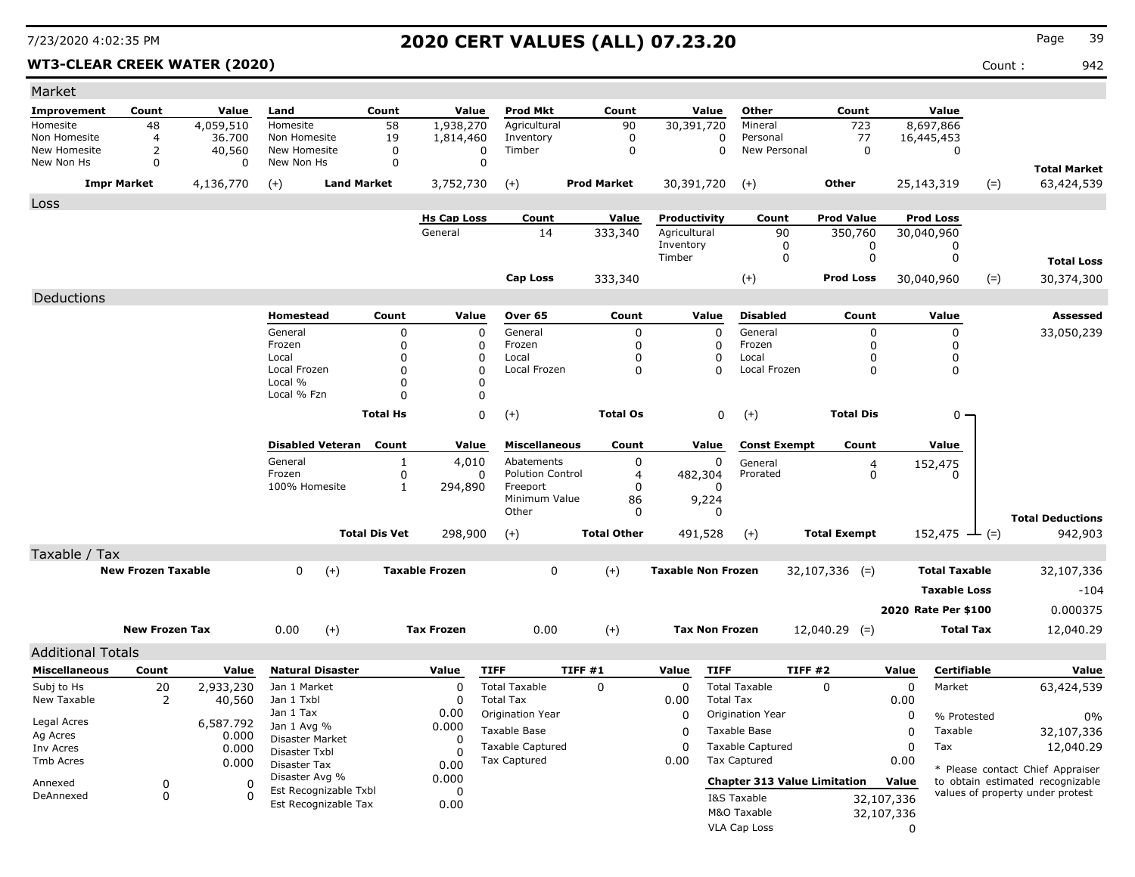### WT3-CLEAR CREEK WATER (2020) **Count :** 942

| Market                     |                           |             |                                               |                      |                       |                                    |                     |                           |                                               |                     |            |                      |                                  |  |
|----------------------------|---------------------------|-------------|-----------------------------------------------|----------------------|-----------------------|------------------------------------|---------------------|---------------------------|-----------------------------------------------|---------------------|------------|----------------------|----------------------------------|--|
| Improvement                | Count                     | Value       | Land                                          | Count                | Value                 | <b>Prod Mkt</b>                    | Count               | Value                     | Other                                         | Count               |            | Value                |                                  |  |
| Homesite                   | 48                        | 4,059,510   | Homesite                                      | 58                   | 1,938,270             | Agricultural                       | 90                  | 30,391,720                | Mineral                                       | 723                 |            | 8,697,866            |                                  |  |
| Non Homesite               | 4                         | 36,700      | Non Homesite                                  | 19                   | 1,814,460             | Inventory                          | $\mathbf 0$         | $\Omega$                  | Personal                                      | 77                  |            | 16,445,453           |                                  |  |
| New Homesite<br>New Non Hs | 2<br>0                    | 40,560<br>0 | New Homesite<br>New Non Hs                    | 0<br>0               | 0<br>0                | Timber                             | 0                   | 0                         | New Personal                                  | 0                   |            | 0                    |                                  |  |
|                            |                           |             |                                               |                      |                       |                                    |                     |                           |                                               |                     |            |                      | <b>Total Market</b>              |  |
|                            | <b>Impr Market</b>        | 4,136,770   | $(+)$                                         | <b>Land Market</b>   | 3,752,730             | $(+)$                              | <b>Prod Market</b>  | 30,391,720                | $(+)$                                         | Other               |            | 25,143,319<br>$(=)$  | 63,424,539                       |  |
| Loss                       |                           |             |                                               |                      |                       |                                    |                     |                           |                                               |                     |            |                      |                                  |  |
|                            |                           |             |                                               |                      | <b>Hs Cap Loss</b>    | Count                              | Value               | Productivity              | Count                                         | <b>Prod Value</b>   |            | <b>Prod Loss</b>     |                                  |  |
|                            |                           |             |                                               |                      | General               | 14                                 | 333,340             | Agricultural<br>Inventory | 90<br>0                                       | 350,760<br>0        |            | 30,040,960<br>0      |                                  |  |
|                            |                           |             |                                               |                      |                       |                                    |                     | Timber                    | 0                                             | 0                   |            | 0                    | <b>Total Loss</b>                |  |
|                            |                           |             |                                               |                      |                       | <b>Cap Loss</b>                    | 333,340             |                           | $(+)$                                         | <b>Prod Loss</b>    |            | $(=)$<br>30,040,960  | 30,374,300                       |  |
|                            |                           |             |                                               |                      |                       |                                    |                     |                           |                                               |                     |            |                      |                                  |  |
| Deductions                 |                           |             |                                               |                      |                       |                                    |                     |                           |                                               |                     |            |                      |                                  |  |
|                            |                           |             | Homestead                                     | Count                | Value                 | Over 65                            | Count               | Value                     | <b>Disabled</b>                               | Count               |            | Value                | <b>Assessed</b>                  |  |
|                            |                           |             | General<br>Frozen                             | 0<br>0               | 0<br>0                | General<br>Frozen                  | 0<br>0              | 0<br>0                    | General<br>Frozen                             | 0<br>0              |            | 0<br>0               | 33,050,239                       |  |
|                            |                           |             | Local                                         | $\Omega$             | 0                     | Local                              | $\Omega$            | 0                         | Local                                         | 0                   |            | 0                    |                                  |  |
|                            |                           |             | Local Frozen                                  | $\Omega$             | 0                     | Local Frozen                       | $\Omega$            | $\Omega$                  | Local Frozen                                  | 0                   |            | 0                    |                                  |  |
|                            |                           |             | Local %                                       | 0                    | $\Omega$              |                                    |                     |                           |                                               |                     |            |                      |                                  |  |
|                            |                           |             | Local % Fzn                                   | 0                    | $\Omega$              |                                    |                     |                           |                                               |                     |            |                      |                                  |  |
|                            |                           |             |                                               | <b>Total Hs</b>      | 0                     | $(+)$                              | <b>Total Os</b>     | 0                         | $(+)$                                         | <b>Total Dis</b>    |            | $0 -$                |                                  |  |
|                            |                           |             |                                               |                      |                       |                                    |                     |                           | <b>Const Exempt</b>                           |                     |            |                      |                                  |  |
|                            |                           |             | <b>Disabled Veteran</b><br>General            | Count                | Value                 | <b>Miscellaneous</b><br>Abatements | Count               | Value                     |                                               | Count               |            | Value                |                                  |  |
|                            |                           |             | Frozen                                        | $\mathbf{1}$<br>0    | 4,010<br>0            | <b>Polution Control</b>            | 0<br>$\overline{4}$ | 0<br>482,304              | General<br>Prorated                           | 4<br>0              |            | 152,475<br>0         |                                  |  |
|                            |                           |             | 100% Homesite                                 | 1                    | 294,890               | Freeport                           | $\Omega$            | 0                         |                                               |                     |            |                      |                                  |  |
|                            |                           |             |                                               |                      |                       | Minimum Value                      | 86                  | 9,224                     |                                               |                     |            |                      |                                  |  |
|                            |                           |             |                                               |                      |                       | Other                              | $\Omega$            | 0                         |                                               |                     |            |                      | <b>Total Deductions</b>          |  |
|                            |                           |             |                                               | <b>Total Dis Vet</b> | 298,900               | $(+)$                              | <b>Total Other</b>  | 491,528                   | $(+)$                                         | <b>Total Exempt</b> |            | 152,475 $\perp$ (=)  | 942,903                          |  |
| Taxable / Tax              |                           |             |                                               |                      |                       |                                    |                     |                           |                                               |                     |            |                      |                                  |  |
|                            | <b>New Frozen Taxable</b> |             | 0<br>$(+)$                                    |                      | <b>Taxable Frozen</b> |                                    | $(+)$<br>0          |                           | <b>Taxable Non Frozen</b><br>$32,107,336$ (=) |                     |            | <b>Total Taxable</b> | 32,107,336                       |  |
|                            |                           |             |                                               |                      |                       |                                    |                     |                           |                                               |                     |            | <b>Taxable Loss</b>  | -104                             |  |
|                            |                           |             |                                               |                      |                       |                                    |                     |                           |                                               |                     |            | 2020 Rate Per \$100  | 0.000375                         |  |
|                            | <b>New Frozen Tax</b>     |             |                                               |                      |                       |                                    |                     |                           |                                               |                     |            |                      |                                  |  |
|                            |                           |             | 0.00                                          | $(+)$                | <b>Tax Frozen</b>     | 0.00                               | $(+)$               | <b>Tax Non Frozen</b>     |                                               | $12,040.29$ (=)     |            | <b>Total Tax</b>     | 12,040.29                        |  |
| <b>Additional Totals</b>   |                           |             |                                               |                      |                       |                                    |                     |                           |                                               |                     |            |                      |                                  |  |
| <b>Miscellaneous</b>       | Count                     | Value       | <b>Natural Disaster</b>                       |                      | Value                 | <b>TIFF</b>                        | TIFF #1             | Value<br><b>TIFF</b>      |                                               | TIFF #2             | Value      | Certifiable          | Value                            |  |
| Subj to Hs                 | 20                        | 2,933,230   | Jan 1 Market                                  |                      | 0                     | <b>Total Taxable</b>               | 0                   | 0                         | <b>Total Taxable</b>                          | 0                   | 0          | Market               | 63,424,539                       |  |
| New Taxable                | 2                         | 40,560      | Jan 1 Txbl                                    |                      | 0                     | <b>Total Tax</b>                   |                     | 0.00                      | <b>Total Tax</b>                              |                     | 0.00       |                      |                                  |  |
| Legal Acres                |                           | 6,587.792   | Jan 1 Tax<br>Jan 1 Avg %                      |                      | 0.00<br>0.000         | Origination Year                   |                     | 0                         | Origination Year                              |                     | 0          | % Protested          | $0\%$                            |  |
| Ag Acres                   |                           | 0.000       | Disaster Market                               |                      | 0                     | Taxable Base                       |                     | 0                         | Taxable Base                                  |                     | $\pmb{0}$  | Taxable              | 32,107,336                       |  |
| Inv Acres                  |                           | 0.000       | Disaster Txbl                                 |                      | $\Omega$              | Taxable Captured                   |                     | 0                         | Taxable Captured                              |                     | 0          | Tax                  | 12,040.29                        |  |
| Tmb Acres                  |                           | 0.000       | Disaster Tax                                  |                      | 0.00                  | Tax Captured                       |                     | 0.00                      | Tax Captured                                  |                     | 0.00       |                      | * Please contact Chief Appraiser |  |
| Annexed                    | 0                         | 0           | Disaster Avg %                                |                      | 0.000                 |                                    |                     |                           | <b>Chapter 313 Value Limitation</b>           |                     | Value      |                      | to obtain estimated recognizable |  |
| DeAnnexed                  | 0                         | 0           | Est Recognizable Txbl<br>Est Recognizable Tax |                      | 0<br>0.00             |                                    |                     |                           | I&S Taxable                                   |                     | 32,107,336 |                      | values of property under protest |  |
|                            |                           |             |                                               |                      |                       |                                    |                     |                           | M&O Taxable                                   |                     | 32,107,336 |                      |                                  |  |
|                            |                           |             |                                               |                      |                       |                                    |                     |                           | VLA Cap Loss                                  |                     | 0          |                      |                                  |  |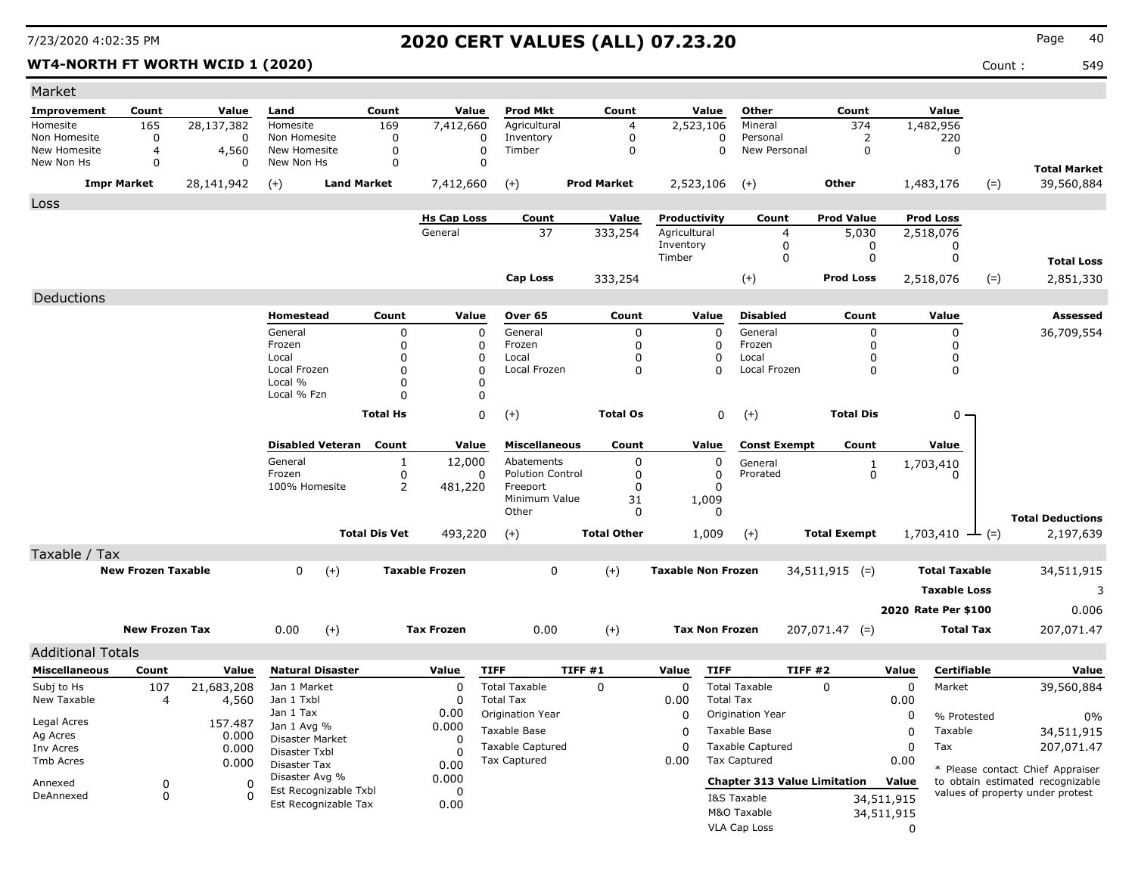### **WT4-NORTH FT WORTH WCID 1 (2020)** 649

| Market                     |                           |            |                                         |                      |                      |                                          |                            |                                    |                          |                                         |                      |                     |                            |            |                                  |
|----------------------------|---------------------------|------------|-----------------------------------------|----------------------|----------------------|------------------------------------------|----------------------------|------------------------------------|--------------------------|-----------------------------------------|----------------------|---------------------|----------------------------|------------|----------------------------------|
| <b>Improvement</b>         | Count                     | Value      | Land                                    | Count                | Value                | <b>Prod Mkt</b>                          | Count                      |                                    | Value                    | Other                                   | Count                |                     | Value                      |            |                                  |
| Homesite                   | 165                       | 28,137,382 | Homesite                                | 169                  | 7,412,660            | Agricultural                             | $\overline{4}$             | 2,523,106                          |                          | Mineral                                 | 374                  |                     | 1,482,956                  |            |                                  |
| Non Homesite               | 0                         | 0          | Non Homesite                            | 0                    | 0                    | Inventory                                | $\mathbf 0$                |                                    | 0                        | Personal                                | $\overline{2}$       |                     | 220                        |            |                                  |
| New Homesite<br>New Non Hs | 4<br>0                    | 4,560<br>0 | New Homesite<br>New Non Hs              | $\Omega$<br>0        | $\Omega$<br>0        | Timber                                   | $\mathbf 0$                |                                    | $\Omega$                 | New Personal                            | $\Omega$             |                     | 0                          |            |                                  |
|                            |                           |            |                                         |                      |                      |                                          |                            |                                    |                          |                                         |                      |                     |                            |            | <b>Total Market</b>              |
|                            | <b>Impr Market</b>        | 28,141,942 | $(+)$                                   | <b>Land Market</b>   | 7,412,660            | $(+)$                                    | <b>Prod Market</b>         | 2,523,106                          |                          | $(+)$                                   | Other                |                     | 1,483,176                  | $(=)$      | 39,560,884                       |
| Loss                       |                           |            |                                         |                      |                      |                                          |                            |                                    |                          |                                         |                      |                     |                            |            |                                  |
|                            |                           |            |                                         |                      | <b>Hs Cap Loss</b>   | Count                                    | Value                      | Productivity                       |                          | Count                                   | <b>Prod Value</b>    |                     | <b>Prod Loss</b>           |            |                                  |
|                            |                           |            |                                         |                      | General              | 37                                       | 333,254                    | Agricultural                       |                          | $\overline{4}$                          | 5,030                |                     | 2,518,076                  |            |                                  |
|                            |                           |            |                                         |                      |                      |                                          |                            | Inventory<br>Timber                |                          | $\mathbf 0$<br>$\mathbf 0$              | 0<br>$\mathbf 0$     |                     | 0<br>$\mathbf 0$           |            |                                  |
|                            |                           |            |                                         |                      |                      |                                          |                            |                                    |                          |                                         |                      |                     |                            |            | <b>Total Loss</b>                |
|                            |                           |            |                                         |                      |                      | <b>Cap Loss</b>                          | 333,254                    |                                    |                          | $(+)$                                   | <b>Prod Loss</b>     |                     | 2,518,076                  | $(=)$      | 2,851,330                        |
| Deductions                 |                           |            |                                         |                      |                      |                                          |                            |                                    |                          |                                         |                      |                     |                            |            |                                  |
|                            |                           |            | <b>Homestead</b>                        | Count                | Value                | Over 65                                  | Count                      | Value                              |                          | <b>Disabled</b>                         | Count                |                     | Value                      |            | <b>Assessed</b>                  |
|                            |                           |            | General                                 | 0                    | $\mathbf 0$          | General                                  | $\mathbf 0$                |                                    | $\mathbf 0$              | General                                 | $\mathbf 0$          |                     | $\mathbf 0$                |            | 36,709,554                       |
|                            |                           |            | Frozen                                  | $\mathbf 0$          | 0                    | Frozen                                   | $\mathbf 0$                |                                    | $\mathbf 0$              | Frozen                                  | $\Omega$             |                     | 0                          |            |                                  |
|                            |                           |            | Local<br>Local Frozen                   | $\Omega$<br>$\Omega$ | $\Omega$<br>$\Omega$ | Local<br>Local Frozen                    | $\mathbf 0$<br>$\mathbf 0$ |                                    | $\mathbf{0}$<br>$\Omega$ | Local<br>Local Frozen                   | $\Omega$<br>$\Omega$ |                     | $\mathbf 0$<br>$\mathbf 0$ |            |                                  |
|                            |                           |            | Local %                                 | 0                    | 0                    |                                          |                            |                                    |                          |                                         |                      |                     |                            |            |                                  |
|                            |                           |            | Local % Fzn                             | $\Omega$             | 0                    |                                          |                            |                                    |                          |                                         |                      |                     |                            |            |                                  |
|                            |                           |            |                                         | <b>Total Hs</b>      | 0                    | $(+)$                                    | <b>Total Os</b>            |                                    | 0                        | $(+)$                                   | <b>Total Dis</b>     |                     | 0                          |            |                                  |
|                            |                           |            |                                         |                      |                      |                                          |                            |                                    |                          |                                         |                      |                     |                            |            |                                  |
|                            |                           |            | <b>Disabled Veteran</b>                 | Count                | Value                | <b>Miscellaneous</b>                     | Count                      | Value                              |                          | <b>Const Exempt</b>                     | Count                |                     | Value                      |            |                                  |
|                            |                           |            | General                                 | 1                    | 12,000               | Abatements                               | 0                          |                                    | 0                        | General                                 | $\mathbf{1}$         |                     | 1,703,410                  |            |                                  |
|                            |                           |            | Frozen                                  | $\mathbf 0$          | 0                    | <b>Polution Control</b>                  | $\mathbf 0$                |                                    | $\mathbf 0$              | Prorated                                | $\mathbf 0$          |                     | 0                          |            |                                  |
|                            |                           |            | 100% Homesite                           | 2                    | 481,220              | Freeport                                 | $\mathbf 0$                |                                    | $\Omega$                 |                                         |                      |                     |                            |            |                                  |
|                            |                           |            |                                         |                      |                      | Minimum Value<br>Other                   | 31<br>$\Omega$             | 1,009                              | 0                        |                                         |                      |                     |                            |            |                                  |
|                            |                           |            |                                         |                      |                      |                                          |                            |                                    |                          |                                         |                      |                     |                            |            | <b>Total Deductions</b>          |
|                            |                           |            |                                         | <b>Total Dis Vet</b> | 493,220              | $(+)$                                    | <b>Total Other</b>         | 1,009                              |                          | $(+)$                                   | <b>Total Exempt</b>  |                     | $1,703,410$ - (=)          |            | 2,197,639                        |
| Taxable / Tax              |                           |            |                                         |                      |                      |                                          |                            |                                    |                          |                                         |                      |                     |                            |            |                                  |
|                            | <b>New Frozen Taxable</b> |            | <b>Taxable Frozen</b><br>0<br>$(+)$     |                      |                      | $\mathbf 0$                              |                            | $(+)$<br><b>Taxable Non Frozen</b> |                          | $34,511,915$ (=)                        |                      |                     | <b>Total Taxable</b>       | 34,511,915 |                                  |
|                            |                           |            |                                         |                      |                      |                                          |                            |                                    |                          |                                         |                      |                     | <b>Taxable Loss</b>        |            | 3                                |
|                            |                           |            |                                         |                      |                      |                                          |                            |                                    |                          |                                         |                      |                     | 2020 Rate Per \$100        |            | 0.006                            |
|                            | <b>New Frozen Tax</b>     |            | 0.00<br>$(+)$                           |                      | <b>Tax Frozen</b>    | 0.00                                     | $(+)$                      | <b>Tax Non Frozen</b>              |                          |                                         | $207,071.47$ (=)     |                     | <b>Total Tax</b>           |            | 207,071.47                       |
|                            |                           |            |                                         |                      |                      |                                          |                            |                                    |                          |                                         |                      |                     |                            |            |                                  |
| <b>Additional Totals</b>   |                           |            |                                         |                      |                      |                                          |                            |                                    |                          |                                         |                      |                     |                            |            |                                  |
| <b>Miscellaneous</b>       | Count                     | Value      | <b>Natural Disaster</b>                 |                      | Value                | <b>TIFF</b>                              | TIFF#1                     | Value                              | <b>TIFF</b>              |                                         | <b>TIFF #2</b>       | Value               | <b>Certifiable</b>         |            | Value                            |
| Subj to Hs<br>New Taxable  | 107<br>4                  | 21,683,208 | Jan 1 Market<br>Jan 1 Txbl              |                      | $\mathbf 0$<br>0     | <b>Total Taxable</b><br><b>Total Tax</b> | $\mathbf 0$                | 0<br>0.00                          | <b>Total Tax</b>         | <b>Total Taxable</b>                    | 0                    | $\mathbf 0$<br>0.00 | Market                     |            | 39,560,884                       |
|                            |                           | 4,560      | Jan 1 Tax                               |                      | 0.00                 | Origination Year                         |                            | 0                                  |                          | Origination Year                        |                      | 0                   |                            |            |                                  |
| Legal Acres                |                           | 157.487    | Jan 1 Avg %                             |                      | 0.000                |                                          |                            |                                    |                          |                                         |                      |                     | % Protested                |            | 0%                               |
| Ag Acres                   |                           | 0.000      | Disaster Market                         |                      | $\Omega$             | Taxable Base                             |                            | $\Omega$                           |                          | Taxable Base                            |                      | $\Omega$            | Taxable                    |            | 34,511,915                       |
| Inv Acres                  |                           | 0.000      | Disaster Txbl                           |                      | $\Omega$             | <b>Taxable Captured</b><br>Tax Captured  |                            | $\Omega$                           |                          | <b>Taxable Captured</b><br>Tax Captured |                      | $\Omega$            | Tax                        |            | 207,071.47                       |
| <b>Tmb Acres</b>           |                           | 0.000      | Disaster Tax                            |                      | 0.00                 |                                          |                            | 0.00                               |                          |                                         |                      | 0.00                |                            |            | * Please contact Chief Appraiser |
| Annexed                    | 0                         | $\Omega$   | Disaster Avg %<br>Est Recognizable Txbl |                      | 0.000                |                                          |                            |                                    |                          | <b>Chapter 313 Value Limitation</b>     |                      | Value               |                            |            | to obtain estimated recognizable |
| DeAnnexed                  | $\mathbf 0$               | $\Omega$   | Est Recognizable Tax                    |                      | $\Omega$<br>0.00     |                                          |                            |                                    |                          | I&S Taxable                             |                      | 34,511,915          |                            |            | values of property under protest |
|                            |                           |            |                                         |                      |                      |                                          |                            |                                    |                          | M&O Taxable                             |                      | 34,511,915          |                            |            |                                  |
|                            |                           |            |                                         |                      |                      |                                          |                            |                                    |                          | VLA Cap Loss                            |                      | $\mathbf{0}$        |                            |            |                                  |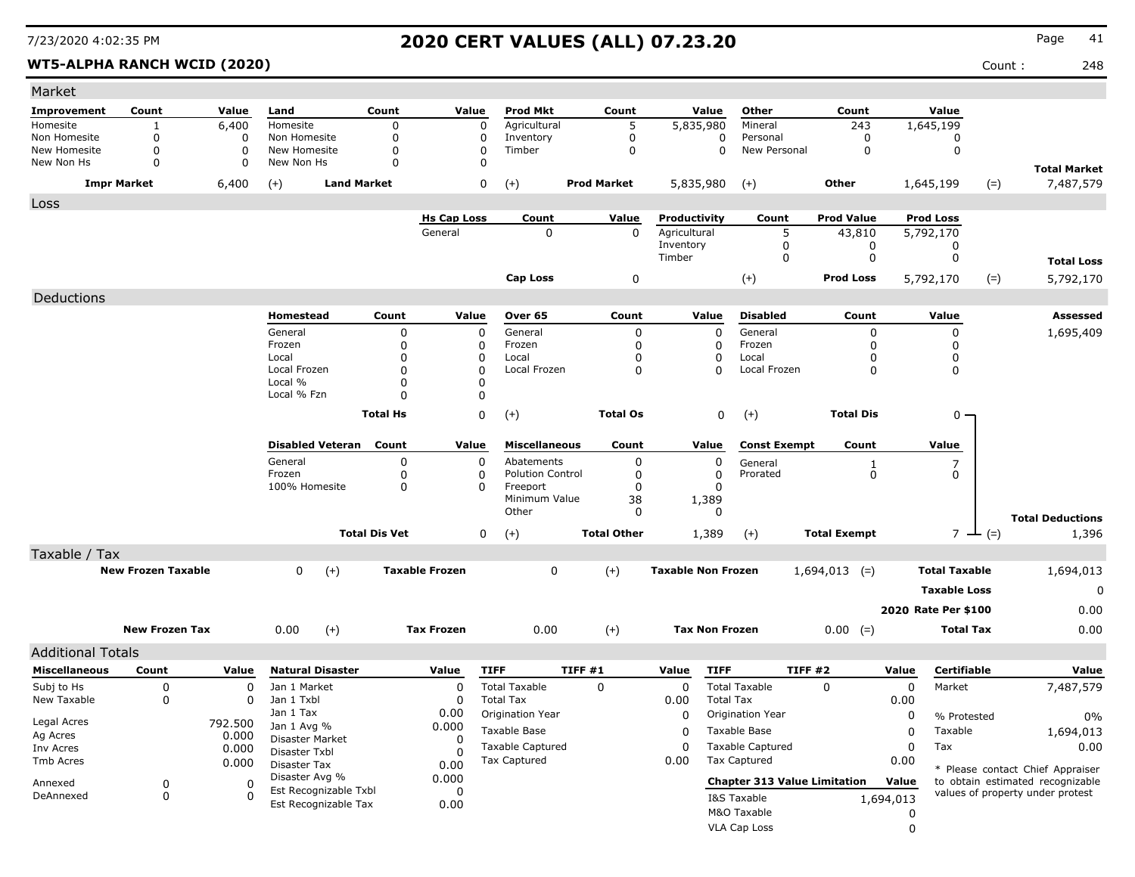### WT5-ALPHA RANCH WCID (2020) **Count :** 248

| Market                     |                           |                |                                |                      |                       |                         |                    |                           |                       |                                     |                     |           |                      |           |                                                                      |
|----------------------------|---------------------------|----------------|--------------------------------|----------------------|-----------------------|-------------------------|--------------------|---------------------------|-----------------------|-------------------------------------|---------------------|-----------|----------------------|-----------|----------------------------------------------------------------------|
| <b>Improvement</b>         | Count                     | Value          | Land                           | Count                | Value                 | Prod Mkt                | Count              |                           | Value                 | Other                               | Count               |           | Value                |           |                                                                      |
| Homesite                   |                           | 6,400          | Homesite                       | 0                    | 0                     | Agricultural            | 5                  | 5,835,980                 |                       | Mineral                             | 243                 |           | 1,645,199            |           |                                                                      |
| Non Homesite               | 0                         | 0              | Non Homesite                   | 0                    | 0                     | Inventory               | $\mathbf 0$        |                           | 0                     | Personal                            | 0                   |           | 0                    |           |                                                                      |
| New Homesite<br>New Non Hs | 0<br>$\Omega$             | 0<br>0         | New Homesite<br>New Non Hs     | 0<br>$\Omega$        | 0<br>$\Omega$         | Timber                  | $\mathbf 0$        |                           | $\Omega$              | New Personal                        | $\mathbf 0$         |           | $\mathbf 0$          |           |                                                                      |
|                            | <b>Impr Market</b>        | 6,400          | <b>Land Market</b><br>$(+)$    |                      | 0                     | $(+)$                   | <b>Prod Market</b> | 5,835,980                 |                       | $^{(+)}$                            | Other               |           | 1,645,199            | $(=)$     | <b>Total Market</b><br>7,487,579                                     |
| Loss                       |                           |                |                                |                      |                       |                         |                    |                           |                       |                                     |                     |           |                      |           |                                                                      |
|                            |                           |                |                                |                      | <b>Hs Cap Loss</b>    | Count                   | Value              | Productivity              |                       | Count                               | <b>Prod Value</b>   |           | <b>Prod Loss</b>     |           |                                                                      |
|                            |                           |                |                                |                      | General               | $\mathbf 0$             | $\mathbf{0}$       | Agricultural              |                       | 5                                   | 43,810              |           | 5,792,170            |           |                                                                      |
|                            |                           |                |                                |                      |                       |                         |                    | Inventory                 |                       | 0                                   | 0                   |           | 0                    |           |                                                                      |
|                            |                           |                |                                |                      |                       |                         |                    | Timber                    |                       | 0                                   | 0                   |           | 0                    |           | <b>Total Loss</b>                                                    |
|                            |                           |                |                                |                      |                       | Cap Loss                | 0                  |                           |                       | $(+)$                               | <b>Prod Loss</b>    |           | 5,792,170            | $(=)$     | 5,792,170                                                            |
| Deductions                 |                           |                |                                |                      |                       |                         |                    |                           |                       |                                     |                     |           |                      |           |                                                                      |
|                            |                           |                | Homestead                      | Count                | Value                 | Over 65                 | Count              |                           | Value                 | <b>Disabled</b>                     | Count               |           | Value                |           | <b>Assessed</b>                                                      |
|                            |                           |                | General                        | 0                    | 0                     | General                 | 0                  |                           | $\Omega$              | General                             | 0                   |           | 0                    |           | 1,695,409                                                            |
|                            |                           |                | Frozen                         | $\Omega$             | 0                     | Frozen                  | $\mathbf 0$        |                           | 0                     | Frozen                              | 0                   |           | 0                    |           |                                                                      |
|                            |                           |                | Local                          | $\Omega$             | 0                     | Local                   | 0                  |                           | $\Omega$              | Local                               | O                   |           | 0                    |           |                                                                      |
|                            |                           |                | Local Frozen                   | $\Omega$             | $\Omega$              | Local Frozen            | 0                  |                           | $\Omega$              | Local Frozen                        | 0                   |           | 0                    |           |                                                                      |
|                            |                           |                | Local %<br>Local % Fzn         | $\Omega$<br>O        | 0<br>0                |                         |                    |                           |                       |                                     |                     |           |                      |           |                                                                      |
|                            |                           |                |                                |                      |                       |                         |                    |                           |                       |                                     |                     |           |                      |           |                                                                      |
|                            |                           |                |                                | <b>Total Hs</b>      | 0                     | $(+)$                   | <b>Total Os</b>    |                           | 0                     | $(+)$                               | <b>Total Dis</b>    |           | $0 -$                |           |                                                                      |
|                            |                           |                | <b>Disabled Veteran</b>        | Count                | Value                 | <b>Miscellaneous</b>    | Count              |                           | Value                 | <b>Const Exempt</b>                 | Count               |           | Value                |           |                                                                      |
|                            |                           |                | General                        | 0                    | 0                     | Abatements              | 0                  |                           | 0                     | General                             |                     |           | 7                    |           |                                                                      |
|                            |                           |                | Frozen                         | 0                    | 0                     | <b>Polution Control</b> | 0                  |                           | $\Omega$              | Prorated                            | $\frac{1}{0}$       |           | 0                    |           |                                                                      |
|                            |                           |                | 100% Homesite                  | $\Omega$             | 0                     | Freeport                | $\mathbf 0$        |                           | $\Omega$              |                                     |                     |           |                      |           |                                                                      |
|                            |                           |                |                                |                      |                       | Minimum Value<br>Other  | 38<br>$\Omega$     |                           | 1,389<br>$\Omega$     |                                     |                     |           |                      |           |                                                                      |
|                            |                           |                |                                |                      |                       |                         |                    |                           |                       |                                     |                     |           |                      |           | <b>Total Deductions</b>                                              |
|                            |                           |                |                                | <b>Total Dis Vet</b> | 0                     | $(+)$                   | <b>Total Other</b> |                           | 1,389                 | $(+)$                               | <b>Total Exempt</b> |           |                      | $7 - (=)$ | 1,396                                                                |
| Taxable / Tax              |                           |                |                                |                      |                       |                         |                    |                           |                       |                                     |                     |           |                      |           |                                                                      |
|                            | <b>New Frozen Taxable</b> |                | 0<br>$(+)$                     |                      | <b>Taxable Frozen</b> | 0                       | $(+)$              | <b>Taxable Non Frozen</b> |                       |                                     | $1,694,013$ (=)     |           | <b>Total Taxable</b> |           | 1,694,013                                                            |
|                            |                           |                |                                |                      |                       |                         |                    |                           |                       |                                     |                     |           | <b>Taxable Loss</b>  |           | 0                                                                    |
|                            |                           |                |                                |                      |                       |                         |                    |                           |                       |                                     |                     |           | 2020 Rate Per \$100  |           | 0.00                                                                 |
|                            | <b>New Frozen Tax</b>     |                | 0.00<br>$(+)$                  |                      | <b>Tax Frozen</b>     | 0.00                    | $(+)$              |                           | <b>Tax Non Frozen</b> |                                     | $0.00 (=)$          |           | <b>Total Tax</b>     |           | 0.00                                                                 |
| <b>Additional Totals</b>   |                           |                |                                |                      |                       |                         |                    |                           |                       |                                     |                     |           |                      |           |                                                                      |
| <b>Miscellaneous</b>       | Count                     | Value          | <b>Natural Disaster</b>        |                      | Value                 | <b>TIFF</b>             | TIFF #1            | Value                     | <b>TIFF</b>           | TIFF #2                             |                     | Value     | Certifiable          |           | Value                                                                |
| Subj to Hs                 | 0                         | 0              | Jan 1 Market                   |                      | $\mathbf 0$           | <b>Total Taxable</b>    | 0                  | 0                         |                       | <b>Total Taxable</b>                | $\Omega$            | 0         | Market               |           | 7,487,579                                                            |
| New Taxable                | 0                         | 0              | Jan 1 Txbl                     |                      | 0                     | <b>Total Tax</b>        |                    | 0.00                      | <b>Total Tax</b>      |                                     |                     | 0.00      |                      |           |                                                                      |
|                            |                           |                | Jan 1 Tax                      |                      | 0.00                  | Origination Year        |                    | 0                         |                       | Origination Year                    |                     | 0         | % Protested          |           | 0%                                                                   |
| Legal Acres                |                           | 792.500        | Jan 1 Avg %                    |                      | 0.000                 | Taxable Base            |                    | 0                         |                       | Taxable Base                        |                     | 0         | Taxable              |           | 1,694,013                                                            |
| Ag Acres<br>Inv Acres      |                           | 0.000<br>0.000 | Disaster Market                |                      | 0                     | <b>Taxable Captured</b> |                    | $\Omega$                  |                       | <b>Taxable Captured</b>             |                     | 0         | Tax                  |           | 0.00                                                                 |
| Tmb Acres                  |                           | 0.000          | Disaster Txbl                  |                      |                       | Tax Captured            |                    | 0.00                      |                       | <b>Tax Captured</b>                 |                     | 0.00      |                      |           |                                                                      |
|                            |                           |                | Disaster Tax<br>Disaster Avg % |                      | 0.00<br>0.000         |                         |                    |                           |                       |                                     |                     |           |                      |           | * Please contact Chief Appraiser                                     |
| Annexed                    | 0                         | 0              | Est Recognizable Txbl          |                      | 0                     |                         |                    |                           |                       | <b>Chapter 313 Value Limitation</b> |                     | Value     |                      |           | to obtain estimated recognizable<br>values of property under protest |
| DeAnnexed                  | 0                         | $\Omega$       | Est Recognizable Tax           |                      | 0.00                  |                         |                    |                           |                       | I&S Taxable                         |                     | 1,694,013 |                      |           |                                                                      |
|                            |                           |                |                                |                      |                       |                         |                    |                           |                       | M&O Taxable                         |                     | 0         |                      |           |                                                                      |
|                            |                           |                |                                |                      |                       |                         |                    |                           |                       | VLA Cap Loss                        |                     | 0         |                      |           |                                                                      |